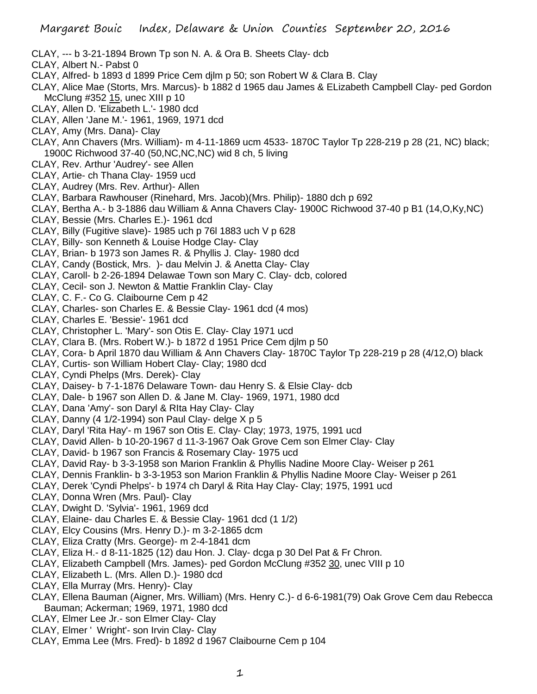- CLAY, --- b 3-21-1894 Brown Tp son N. A. & Ora B. Sheets Clay- dcb
- CLAY, Albert N.- Pabst 0
- CLAY, Alfred- b 1893 d 1899 Price Cem djlm p 50; son Robert W & Clara B. Clay
- CLAY, Alice Mae (Storts, Mrs. Marcus)- b 1882 d 1965 dau James & ELizabeth Campbell Clay- ped Gordon McClung #352 15, unec XIII p 10
- CLAY, Allen D. 'Elizabeth L.'- 1980 dcd
- CLAY, Allen 'Jane M.'- 1961, 1969, 1971 dcd
- CLAY, Amy (Mrs. Dana)- Clay
- CLAY, Ann Chavers (Mrs. William)- m 4-11-1869 ucm 4533- 1870C Taylor Tp 228-219 p 28 (21, NC) black; 1900C Richwood 37-40 (50,NC,NC,NC) wid 8 ch, 5 living
- CLAY, Rev. Arthur 'Audrey'- see Allen
- CLAY, Artie- ch Thana Clay- 1959 ucd
- CLAY, Audrey (Mrs. Rev. Arthur)- Allen
- CLAY, Barbara Rawhouser (Rinehard, Mrs. Jacob)(Mrs. Philip)- 1880 dch p 692
- CLAY, Bertha A.- b 3-1886 dau William & Anna Chavers Clay- 1900C Richwood 37-40 p B1 (14,O,Ky,NC)
- CLAY, Bessie (Mrs. Charles E.)- 1961 dcd
- CLAY, Billy (Fugitive slave)- 1985 uch p 76l 1883 uch V p 628
- CLAY, Billy- son Kenneth & Louise Hodge Clay- Clay
- CLAY, Brian- b 1973 son James R. & Phyllis J. Clay- 1980 dcd
- CLAY, Candy (Bostick, Mrs. )- dau Melvin J. & Anetta Clay- Clay
- CLAY, Caroll- b 2-26-1894 Delawae Town son Mary C. Clay- dcb, colored
- CLAY, Cecil- son J. Newton & Mattie Franklin Clay- Clay
- CLAY, C. F.- Co G. Claibourne Cem p 42
- CLAY, Charles- son Charles E. & Bessie Clay- 1961 dcd (4 mos)
- CLAY, Charles E. 'Bessie'- 1961 dcd
- CLAY, Christopher L. 'Mary'- son Otis E. Clay- Clay 1971 ucd
- CLAY, Clara B. (Mrs. Robert W.)- b 1872 d 1951 Price Cem djlm p 50
- CLAY, Cora- b April 1870 dau William & Ann Chavers Clay- 1870C Taylor Tp 228-219 p 28 (4/12,O) black
- CLAY, Curtis- son William Hobert Clay- Clay; 1980 dcd
- CLAY, Cyndi Phelps (Mrs. Derek)- Clay
- CLAY, Daisey- b 7-1-1876 Delaware Town- dau Henry S. & Elsie Clay- dcb
- CLAY, Dale- b 1967 son Allen D. & Jane M. Clay- 1969, 1971, 1980 dcd
- CLAY, Dana 'Amy'- son Daryl & RIta Hay Clay- Clay
- CLAY, Danny (4 1/2-1994) son Paul Clay- delge X p 5
- CLAY, Daryl 'Rita Hay'- m 1967 son Otis E. Clay- Clay; 1973, 1975, 1991 ucd
- CLAY, David Allen- b 10-20-1967 d 11-3-1967 Oak Grove Cem son Elmer Clay- Clay
- CLAY, David- b 1967 son Francis & Rosemary Clay- 1975 ucd
- CLAY, David Ray- b 3-3-1958 son Marion Franklin & Phyllis Nadine Moore Clay- Weiser p 261
- CLAY, Dennis Franklin- b 3-3-1953 son Marion Franklin & Phyllis Nadine Moore Clay- Weiser p 261
- CLAY, Derek 'Cyndi Phelps'- b 1974 ch Daryl & Rita Hay Clay- Clay; 1975, 1991 ucd
- CLAY, Donna Wren (Mrs. Paul)- Clay
- CLAY, Dwight D. 'Sylvia'- 1961, 1969 dcd
- CLAY, Elaine- dau Charles E. & Bessie Clay- 1961 dcd (1 1/2)
- CLAY, Elcy Cousins (Mrs. Henry D.)- m 3-2-1865 dcm
- CLAY, Eliza Cratty (Mrs. George)- m 2-4-1841 dcm
- CLAY, Eliza H.- d 8-11-1825 (12) dau Hon. J. Clay- dcga p 30 Del Pat & Fr Chron.
- CLAY, Elizabeth Campbell (Mrs. James)- ped Gordon McClung #352 30, unec VIII p 10
- CLAY, Elizabeth L. (Mrs. Allen D.)- 1980 dcd
- CLAY, Ella Murray (Mrs. Henry)- Clay
- CLAY, Ellena Bauman (Aigner, Mrs. William) (Mrs. Henry C.)- d 6-6-1981(79) Oak Grove Cem dau Rebecca Bauman; Ackerman; 1969, 1971, 1980 dcd
- CLAY, Elmer Lee Jr.- son Elmer Clay- Clay
- CLAY, Elmer ' Wright'- son Irvin Clay- Clay
- CLAY, Emma Lee (Mrs. Fred)- b 1892 d 1967 Claibourne Cem p 104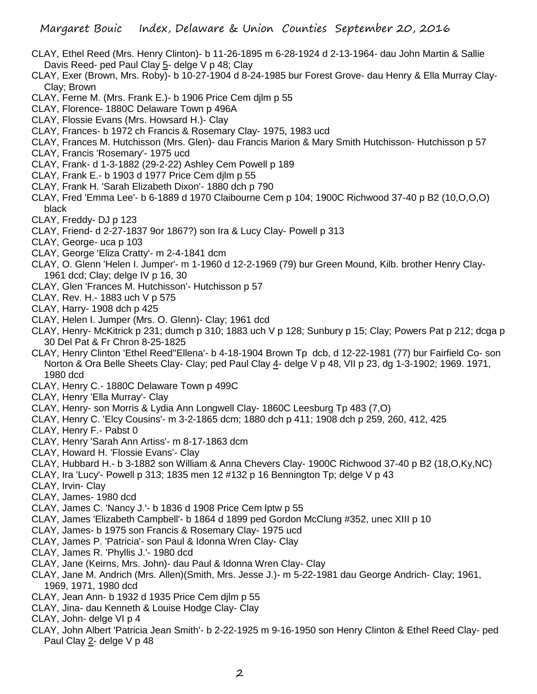- CLAY, Ethel Reed (Mrs. Henry Clinton)- b 11-26-1895 m 6-28-1924 d 2-13-1964- dau John Martin & Sallie Davis Reed- ped Paul Clay 5- delge V p 48; Clay
- CLAY, Exer (Brown, Mrs. Roby)- b 10-27-1904 d 8-24-1985 bur Forest Grove- dau Henry & Ella Murray Clay-Clay; Brown
- CLAY, Ferne M. (Mrs. Frank E.)- b 1906 Price Cem djlm p 55
- CLAY, Florence- 1880C Delaware Town p 496A
- CLAY, Flossie Evans (Mrs. Howsard H.)- Clay
- CLAY, Frances- b 1972 ch Francis & Rosemary Clay- 1975, 1983 ucd
- CLAY, Frances M. Hutchisson (Mrs. Glen)- dau Francis Marion & Mary Smith Hutchisson- Hutchisson p 57
- CLAY, Francis 'Rosemary'- 1975 ucd
- CLAY, Frank- d 1-3-1882 (29-2-22) Ashley Cem Powell p 189
- CLAY, Frank E.- b 1903 d 1977 Price Cem djlm p 55
- CLAY, Frank H. 'Sarah Elizabeth Dixon'- 1880 dch p 790
- CLAY, Fred 'Emma Lee'- b 6-1889 d 1970 Claibourne Cem p 104; 1900C Richwood 37-40 p B2 (10,O,O,O) black
- CLAY, Freddy- DJ p 123
- CLAY, Friend- d 2-27-1837 9or 1867?) son Ira & Lucy Clay- Powell p 313
- CLAY, George- uca p 103
- CLAY, George 'Eliza Cratty'- m 2-4-1841 dcm
- CLAY, O. Glenn 'Helen I. Jumper'- m 1-1960 d 12-2-1969 (79) bur Green Mound, Kilb. brother Henry Clay-1961 dcd; Clay; delge IV p 16, 30
- CLAY, Glen 'Frances M. Hutchisson'- Hutchisson p 57
- CLAY, Rev. H.- 1883 uch V p 575
- CLAY, Harry- 1908 dch p 425
- CLAY, Helen I. Jumper (Mrs. O. Glenn)- Clay; 1961 dcd
- CLAY, Henry- McKitrick p 231; dumch p 310; 1883 uch V p 128; Sunbury p 15; Clay; Powers Pat p 212; dcga p 30 Del Pat & Fr Chron 8-25-1825
- CLAY, Henry Clinton 'Ethel Reed''Ellena'- b 4-18-1904 Brown Tp dcb, d 12-22-1981 (77) bur Fairfield Co- son Norton & Ora Belle Sheets Clay- Clay; ped Paul Clay 4- delge V p 48, VII p 23, dg 1-3-1902; 1969. 1971, 1980 dcd
- CLAY, Henry C.- 1880C Delaware Town p 499C
- CLAY, Henry 'Ella Murray'- Clay
- CLAY, Henry- son Morris & Lydia Ann Longwell Clay- 1860C Leesburg Tp 483 (7,O)
- CLAY, Henry C. 'Elcy Cousins'- m 3-2-1865 dcm; 1880 dch p 411; 1908 dch p 259, 260, 412, 425
- CLAY, Henry F.- Pabst 0
- CLAY, Henry 'Sarah Ann Artiss'- m 8-17-1863 dcm
- CLAY, Howard H. 'Flossie Evans'- Clay
- CLAY, Hubbard H.- b 3-1882 son William & Anna Chevers Clay- 1900C Richwood 37-40 p B2 (18,O,Ky,NC)
- CLAY, Ira 'Lucy'- Powell p 313; 1835 men 12 #132 p 16 Bennington Tp; delge  $V$  p 43
- CLAY, Irvin- Clay
- CLAY, James- 1980 dcd
- CLAY, James C. 'Nancy J.'- b 1836 d 1908 Price Cem lptw p 55
- CLAY, James 'Elizabeth Campbell'- b 1864 d 1899 ped Gordon McClung #352, unec XIII p 10
- CLAY, James- b 1975 son Francis & Rosemary Clay- 1975 ucd
- CLAY, James P. 'Patricia'- son Paul & Idonna Wren Clay- Clay
- CLAY, James R. 'Phyllis J.'- 1980 dcd
- CLAY, Jane (Keirns, Mrs. John)- dau Paul & Idonna Wren Clay- Clay
- CLAY, Jane M. Andrich (Mrs. Allen)(Smith, Mrs. Jesse J.)- m 5-22-1981 dau George Andrich- Clay; 1961, 1969, 1971, 1980 dcd
- CLAY, Jean Ann- b 1932 d 1935 Price Cem djlm p 55
- CLAY, Jina- dau Kenneth & Louise Hodge Clay- Clay
- CLAY, John- delge VI p 4
- CLAY, John Albert 'Patricia Jean Smith'- b 2-22-1925 m 9-16-1950 son Henry Clinton & Ethel Reed Clay- ped Paul Clay 2- delge V p 48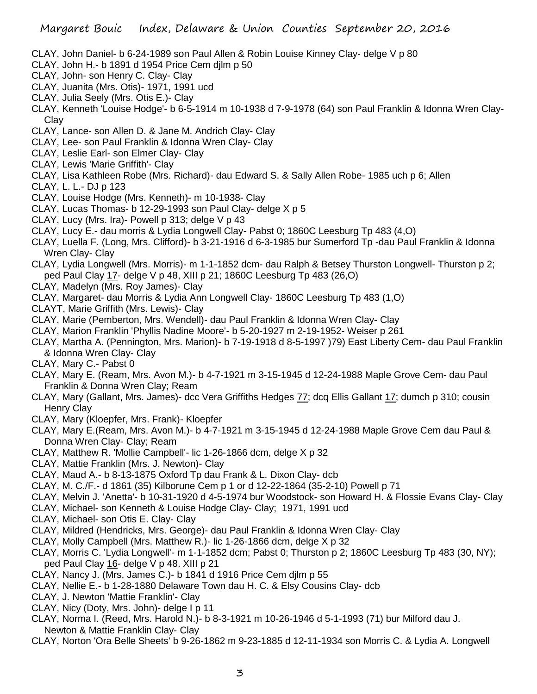- CLAY, John Daniel- b 6-24-1989 son Paul Allen & Robin Louise Kinney Clay- delge V p 80
- CLAY, John H.- b 1891 d 1954 Price Cem djlm p 50
- CLAY, John- son Henry C. Clay- Clay
- CLAY, Juanita (Mrs. Otis)- 1971, 1991 ucd
- CLAY, Julia Seely (Mrs. Otis E.)- Clay
- CLAY, Kenneth 'Louise Hodge'- b 6-5-1914 m 10-1938 d 7-9-1978 (64) son Paul Franklin & Idonna Wren Clay-**Clav**
- CLAY, Lance- son Allen D. & Jane M. Andrich Clay- Clay
- CLAY, Lee- son Paul Franklin & Idonna Wren Clay- Clay
- CLAY, Leslie Earl- son Elmer Clay- Clay
- CLAY, Lewis 'Marie Griffith'- Clay
- CLAY, Lisa Kathleen Robe (Mrs. Richard)- dau Edward S. & Sally Allen Robe- 1985 uch p 6; Allen
- CLAY, L. L.- DJ p 123
- CLAY, Louise Hodge (Mrs. Kenneth)- m 10-1938- Clay
- CLAY, Lucas Thomas- b 12-29-1993 son Paul Clay- delge X p 5
- CLAY, Lucy (Mrs. Ira)- Powell p 313; delge V p 43
- CLAY, Lucy E.- dau morris & Lydia Longwell Clay- Pabst 0; 1860C Leesburg Tp 483 (4,O)
- CLAY, Luella F. (Long, Mrs. Clifford)- b 3-21-1916 d 6-3-1985 bur Sumerford Tp -dau Paul Franklin & Idonna Wren Clay- Clay
- CLAY, Lydia Longwell (Mrs. Morris)- m 1-1-1852 dcm- dau Ralph & Betsey Thurston Longwell- Thurston p 2; ped Paul Clay 17- delge V p 48, XIII p 21; 1860C Leesburg Tp 483 (26,O)
- CLAY, Madelyn (Mrs. Roy James)- Clay
- CLAY, Margaret- dau Morris & Lydia Ann Longwell Clay- 1860C Leesburg Tp 483 (1,O)
- CLAYT, Marie Griffith (Mrs. Lewis)- Clay
- CLAY, Marie (Pemberton, Mrs. Wendell)- dau Paul Franklin & Idonna Wren Clay- Clay
- CLAY, Marion Franklin 'Phyllis Nadine Moore'- b 5-20-1927 m 2-19-1952- Weiser p 261
- CLAY, Martha A. (Pennington, Mrs. Marion)- b 7-19-1918 d 8-5-1997 )79) East Liberty Cem- dau Paul Franklin & Idonna Wren Clay- Clay
- CLAY, Mary C.- Pabst 0
- CLAY, Mary E. (Ream, Mrs. Avon M.)- b 4-7-1921 m 3-15-1945 d 12-24-1988 Maple Grove Cem- dau Paul Franklin & Donna Wren Clay; Ream
- CLAY, Mary (Gallant, Mrs. James)- dcc Vera Griffiths Hedges 77; dcq Ellis Gallant 17; dumch p 310; cousin Henry Clay
- CLAY, Mary (Kloepfer, Mrs. Frank)- Kloepfer
- CLAY, Mary E.(Ream, Mrs. Avon M.)- b 4-7-1921 m 3-15-1945 d 12-24-1988 Maple Grove Cem dau Paul & Donna Wren Clay- Clay; Ream
- CLAY, Matthew R. 'Mollie Campbell'- lic 1-26-1866 dcm, delge X p 32
- CLAY, Mattie Franklin (Mrs. J. Newton)- Clay
- CLAY, Maud A.- b 8-13-1875 Oxford Tp dau Frank & L. Dixon Clay- dcb
- CLAY, M. C./F.- d 1861 (35) Kilborune Cem p 1 or d 12-22-1864 (35-2-10) Powell p 71
- CLAY, Melvin J. 'Anetta'- b 10-31-1920 d 4-5-1974 bur Woodstock- son Howard H. & Flossie Evans Clay- Clay
- CLAY, Michael- son Kenneth & Louise Hodge Clay- Clay; 1971, 1991 ucd
- CLAY, Michael- son Otis E. Clay- Clay
- CLAY, Mildred (Hendricks, Mrs. George)- dau Paul Franklin & Idonna Wren Clay- Clay
- CLAY, Molly Campbell (Mrs. Matthew R.)- lic 1-26-1866 dcm, delge X p 32
- CLAY, Morris C. 'Lydia Longwell'- m 1-1-1852 dcm; Pabst 0; Thurston p 2; 1860C Leesburg Tp 483 (30, NY); ped Paul Clay 16- delge V p 48. XIII p 21
- CLAY, Nancy J. (Mrs. James C.)- b 1841 d 1916 Price Cem djlm p 55
- CLAY, Nellie E.- b 1-28-1880 Delaware Town dau H. C. & Elsy Cousins Clay- dcb
- CLAY, J. Newton 'Mattie Franklin'- Clay
- CLAY, Nicy (Doty, Mrs. John)- delge I p 11
- CLAY, Norma I. (Reed, Mrs. Harold N.)- b 8-3-1921 m 10-26-1946 d 5-1-1993 (71) bur Milford dau J. Newton & Mattie Franklin Clay- Clay
- CLAY, Norton 'Ora Belle Sheets' b 9-26-1862 m 9-23-1885 d 12-11-1934 son Morris C. & Lydia A. Longwell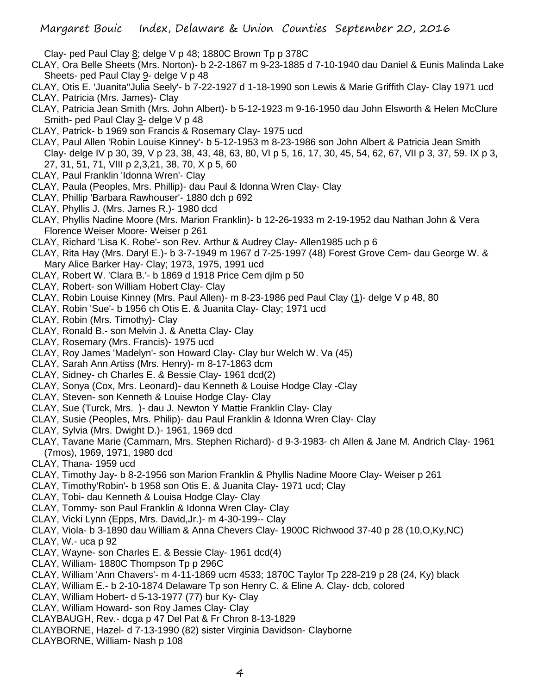Clay- ped Paul Clay 8; delge V p 48; 1880C Brown Tp p 378C

- CLAY, Ora Belle Sheets (Mrs. Norton)- b 2-2-1867 m 9-23-1885 d 7-10-1940 dau Daniel & Eunis Malinda Lake Sheets- ped Paul Clay 9- delge V p 48
- CLAY, Otis E. 'Juanita''Julia Seely'- b 7-22-1927 d 1-18-1990 son Lewis & Marie Griffith Clay- Clay 1971 ucd
- CLAY, Patricia (Mrs. James)- Clay
- CLAY, Patricia Jean Smith (Mrs. John Albert)- b 5-12-1923 m 9-16-1950 dau John Elsworth & Helen McClure Smith- ped Paul Clay 3- delge V p 48
- CLAY, Patrick- b 1969 son Francis & Rosemary Clay- 1975 ucd
- CLAY, Paul Allen 'Robin Louise Kinney'- b 5-12-1953 m 8-23-1986 son John Albert & Patricia Jean Smith Clay- delge IV p 30, 39, V p 23, 38, 43, 48, 63, 80, VI p 5, 16, 17, 30, 45, 54, 62, 67, VII p 3, 37, 59. IX p 3, 27, 31, 51, 71, VIII p 2,3,21, 38, 70, X p 5, 60
- CLAY, Paul Franklin 'Idonna Wren'- Clay
- CLAY, Paula (Peoples, Mrs. Phillip)- dau Paul & Idonna Wren Clay- Clay
- CLAY, Phillip 'Barbara Rawhouser'- 1880 dch p 692
- CLAY, Phyllis J. (Mrs. James R.)- 1980 dcd
- CLAY, Phyllis Nadine Moore (Mrs. Marion Franklin)- b 12-26-1933 m 2-19-1952 dau Nathan John & Vera Florence Weiser Moore- Weiser p 261
- CLAY, Richard 'Lisa K. Robe'- son Rev. Arthur & Audrey Clay- Allen1985 uch p 6
- CLAY, Rita Hay (Mrs. Daryl E.)- b 3-7-1949 m 1967 d 7-25-1997 (48) Forest Grove Cem- dau George W. & Mary Alice Barker Hay- Clay; 1973, 1975, 1991 ucd
- CLAY, Robert W. 'Clara B.'- b 1869 d 1918 Price Cem djlm p 50
- CLAY, Robert- son William Hobert Clay- Clay
- CLAY, Robin Louise Kinney (Mrs. Paul Allen)- m 8-23-1986 ped Paul Clay (1)- delge V p 48, 80
- CLAY, Robin 'Sue'- b 1956 ch Otis E. & Juanita Clay- Clay; 1971 ucd
- CLAY, Robin (Mrs. Timothy)- Clay
- CLAY, Ronald B.- son Melvin J. & Anetta Clay- Clay
- CLAY, Rosemary (Mrs. Francis)- 1975 ucd
- CLAY, Roy James 'Madelyn'- son Howard Clay- Clay bur Welch W. Va (45)
- CLAY, Sarah Ann Artiss (Mrs. Henry)- m 8-17-1863 dcm
- CLAY, Sidney- ch Charles E. & Bessie Clay- 1961 dcd(2)
- CLAY, Sonya (Cox, Mrs. Leonard)- dau Kenneth & Louise Hodge Clay -Clay
- CLAY, Steven- son Kenneth & Louise Hodge Clay- Clay
- CLAY, Sue (Turck, Mrs. )- dau J. Newton Y Mattie Franklin Clay- Clay
- CLAY, Susie (Peoples, Mrs. Philip)- dau Paul Franklin & Idonna Wren Clay- Clay
- CLAY, Sylvia (Mrs. Dwight D.)- 1961, 1969 dcd
- CLAY, Tavane Marie (Cammarn, Mrs. Stephen Richard)- d 9-3-1983- ch Allen & Jane M. Andrich Clay- 1961 (7mos), 1969, 1971, 1980 dcd
- CLAY, Thana- 1959 ucd
- CLAY, Timothy Jay- b 8-2-1956 son Marion Franklin & Phyllis Nadine Moore Clay- Weiser p 261
- CLAY, Timothy'Robin'- b 1958 son Otis E. & Juanita Clay- 1971 ucd; Clay
- CLAY, Tobi- dau Kenneth & Louisa Hodge Clay- Clay
- CLAY, Tommy- son Paul Franklin & Idonna Wren Clay- Clay
- CLAY, Vicki Lynn (Epps, Mrs. David,Jr.)- m 4-30-199-- Clay
- CLAY, Viola- b 3-1890 dau William & Anna Chevers Clay- 1900C Richwood 37-40 p 28 (10,O,Ky,NC)
- CLAY, W.- uca p 92
- CLAY, Wayne- son Charles E. & Bessie Clay- 1961 dcd(4)
- CLAY, William- 1880C Thompson Tp p 296C
- CLAY, William 'Ann Chavers'- m 4-11-1869 ucm 4533; 1870C Taylor Tp 228-219 p 28 (24, Ky) black
- CLAY, William E.- b 2-10-1874 Delaware Tp son Henry C. & Eline A. Clay- dcb, colored
- CLAY, William Hobert- d 5-13-1977 (77) bur Ky- Clay
- CLAY, William Howard- son Roy James Clay- Clay
- CLAYBAUGH, Rev.- dcga p 47 Del Pat & Fr Chron 8-13-1829
- CLAYBORNE, Hazel- d 7-13-1990 (82) sister Virginia Davidson- Clayborne
- CLAYBORNE, William- Nash p 108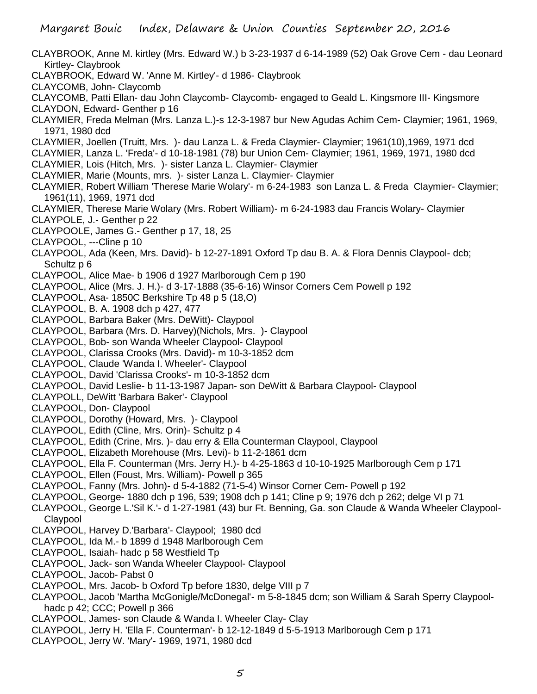CLAYBROOK, Anne M. kirtley (Mrs. Edward W.) b 3-23-1937 d 6-14-1989 (52) Oak Grove Cem - dau Leonard Kirtley- Claybrook CLAYBROOK, Edward W. 'Anne M. Kirtley'- d 1986- Claybrook CLAYCOMB, John- Claycomb CLAYCOMB, Patti Ellan- dau John Claycomb- Claycomb- engaged to Geald L. Kingsmore III- Kingsmore CLAYDON, Edward- Genther p 16 CLAYMIER, Freda Melman (Mrs. Lanza L.)-s 12-3-1987 bur New Agudas Achim Cem- Claymier; 1961, 1969, 1971, 1980 dcd CLAYMIER, Joellen (Truitt, Mrs. )- dau Lanza L. & Freda Claymier- Claymier; 1961(10),1969, 1971 dcd CLAYMIER, Lanza L. 'Freda'- d 10-18-1981 (78) bur Union Cem- Claymier; 1961, 1969, 1971, 1980 dcd CLAYMIER, Lois (Hitch, Mrs. )- sister Lanza L. Claymier- Claymier CLAYMIER, Marie (Mounts, mrs. )- sister Lanza L. Claymier- Claymier CLAYMIER, Robert William 'Therese Marie Wolary'- m 6-24-1983 son Lanza L. & Freda Claymier- Claymier; 1961(11), 1969, 1971 dcd CLAYMIER, Therese Marie Wolary (Mrs. Robert William)- m 6-24-1983 dau Francis Wolary- Claymier CLAYPOLE, J.- Genther p 22 CLAYPOOLE, James G.- Genther p 17, 18, 25 CLAYPOOL, ---Cline p 10 CLAYPOOL, Ada (Keen, Mrs. David)- b 12-27-1891 Oxford Tp dau B. A. & Flora Dennis Claypool- dcb; Schultz p 6 CLAYPOOL, Alice Mae- b 1906 d 1927 Marlborough Cem p 190 CLAYPOOL, Alice (Mrs. J. H.)- d 3-17-1888 (35-6-16) Winsor Corners Cem Powell p 192 CLAYPOOL, Asa- 1850C Berkshire Tp 48 p 5 (18,O) CLAYPOOL, B. A. 1908 dch p 427, 477 CLAYPOOL, Barbara Baker (Mrs. DeWitt)- Claypool CLAYPOOL, Barbara (Mrs. D. Harvey)(Nichols, Mrs. )- Claypool CLAYPOOL, Bob- son Wanda Wheeler Claypool- Claypool CLAYPOOL, Clarissa Crooks (Mrs. David)- m 10-3-1852 dcm CLAYPOOL, Claude 'Wanda I. Wheeler'- Claypool CLAYPOOL, David 'Clarissa Crooks'- m 10-3-1852 dcm CLAYPOOL, David Leslie- b 11-13-1987 Japan- son DeWitt & Barbara Claypool- Claypool CLAYPOLL, DeWitt 'Barbara Baker'- Claypool CLAYPOOL, Don- Claypool CLAYPOOL, Dorothy (Howard, Mrs. )- Claypool CLAYPOOL, Edith (Cline, Mrs. Orin)- Schultz p 4 CLAYPOOL, Edith (Crine, Mrs. )- dau erry & Ella Counterman Claypool, Claypool CLAYPOOL, Elizabeth Morehouse (Mrs. Levi)- b 11-2-1861 dcm CLAYPOOL, Ella F. Counterman (Mrs. Jerry H.)- b 4-25-1863 d 10-10-1925 Marlborough Cem p 171 CLAYPOOL, Ellen (Foust, Mrs. William)- Powell p 365 CLAYPOOL, Fanny (Mrs. John)- d 5-4-1882 (71-5-4) Winsor Corner Cem- Powell p 192 CLAYPOOL, George- 1880 dch p 196, 539; 1908 dch p 141; Cline p 9; 1976 dch p 262; delge VI p 71 CLAYPOOL, George L.'Sil K.'- d 1-27-1981 (43) bur Ft. Benning, Ga. son Claude & Wanda Wheeler Claypool-Claypool CLAYPOOL, Harvey D.'Barbara'- Claypool; 1980 dcd CLAYPOOL, Ida M.- b 1899 d 1948 Marlborough Cem CLAYPOOL, Isaiah- hadc p 58 Westfield Tp CLAYPOOL, Jack- son Wanda Wheeler Claypool- Claypool CLAYPOOL, Jacob- Pabst 0 CLAYPOOL, Mrs. Jacob- b Oxford Tp before 1830, delge VIII p 7 CLAYPOOL, Jacob 'Martha McGonigle/McDonegal'- m 5-8-1845 dcm; son William & Sarah Sperry Claypoolhadc p 42; CCC; Powell p 366 CLAYPOOL, James- son Claude & Wanda I. Wheeler Clay- Clay CLAYPOOL, Jerry H. 'Ella F. Counterman'- b 12-12-1849 d 5-5-1913 Marlborough Cem p 171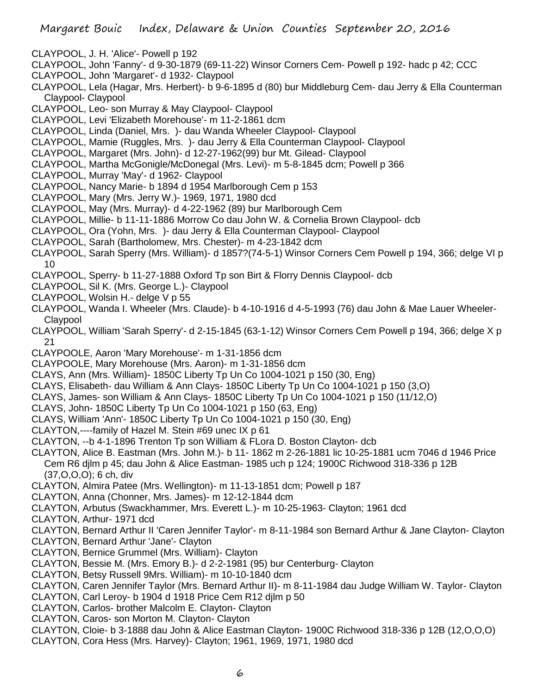- CLAYPOOL, J. H. 'Alice'- Powell p 192
- CLAYPOOL, John 'Fanny'- d 9-30-1879 (69-11-22) Winsor Corners Cem- Powell p 192- hadc p 42; CCC
- CLAYPOOL, John 'Margaret'- d 1932- Claypool
- CLAYPOOL, Lela (Hagar, Mrs. Herbert)- b 9-6-1895 d (80) bur Middleburg Cem- dau Jerry & Ella Counterman Claypool- Claypool
- CLAYPOOL, Leo- son Murray & May Claypool- Claypool
- CLAYPOOL, Levi 'Elizabeth Morehouse'- m 11-2-1861 dcm
- CLAYPOOL, Linda (Daniel, Mrs. )- dau Wanda Wheeler Claypool- Claypool
- CLAYPOOL, Mamie (Ruggles, Mrs. )- dau Jerry & Ella Counterman Claypool- Claypool
- CLAYPOOL, Margaret (Mrs. John)- d 12-27-1962(99) bur Mt. Gilead- Claypool
- CLAYPOOL, Martha McGonigle/McDonegal (Mrs. Levi)- m 5-8-1845 dcm; Powell p 366
- CLAYPOOL, Murray 'May'- d 1962- Claypool
- CLAYPOOL, Nancy Marie- b 1894 d 1954 Marlborough Cem p 153
- CLAYPOOL, Mary (Mrs. Jerry W.)- 1969, 1971, 1980 dcd
- CLAYPOOL, May (Mrs. Murray)- d 4-22-1962 (89) bur Marlborough Cem
- CLAYPOOL, Millie- b 11-11-1886 Morrow Co dau John W. & Cornelia Brown Claypool- dcb
- CLAYPOOL, Ora (Yohn, Mrs. )- dau Jerry & Ella Counterman Claypool- Claypool
- CLAYPOOL, Sarah (Bartholomew, Mrs. Chester)- m 4-23-1842 dcm
- CLAYPOOL, Sarah Sperry (Mrs. William)- d 1857?(74-5-1) Winsor Corners Cem Powell p 194, 366; delge VI p 10
- CLAYPOOL, Sperry- b 11-27-1888 Oxford Tp son Birt & Florry Dennis Claypool- dcb
- CLAYPOOL, Sil K. (Mrs. George L.)- Claypool
- CLAYPOOL, Wolsin H.- delge V p 55
- CLAYPOOL, Wanda I. Wheeler (Mrs. Claude)- b 4-10-1916 d 4-5-1993 (76) dau John & Mae Lauer Wheeler-Claypool
- CLAYPOOL, William 'Sarah Sperry'- d 2-15-1845 (63-1-12) Winsor Corners Cem Powell p 194, 366; delge X p 21
- CLAYPOOLE, Aaron 'Mary Morehouse'- m 1-31-1856 dcm
- CLAYPOOLE, Mary Morehouse (Mrs. Aaron)- m 1-31-1856 dcm
- CLAYS, Ann (Mrs. William)- 1850C Liberty Tp Un Co 1004-1021 p 150 (30, Eng)
- CLAYS, Elisabeth- dau William & Ann Clays- 1850C Liberty Tp Un Co 1004-1021 p 150 (3,O)
- CLAYS, James- son William & Ann Clays- 1850C Liberty Tp Un Co 1004-1021 p 150 (11/12,O)
- CLAYS, John- 1850C Liberty Tp Un Co 1004-1021 p 150 (63, Eng)
- CLAYS, William 'Ann'- 1850C Liberty Tp Un Co 1004-1021 p 150 (30, Eng)
- CLAYTON,----family of Hazel M. Stein #69 unec IX p 61
- CLAYTON, --b 4-1-1896 Trenton Tp son William & FLora D. Boston Clayton- dcb
- CLAYTON, Alice B. Eastman (Mrs. John M.)- b 11- 1862 m 2-26-1881 lic 10-25-1881 ucm 7046 d 1946 Price Cem R6 djlm p 45; dau John & Alice Eastman- 1985 uch p 124; 1900C Richwood 318-336 p 12B (37,O,O,O); 6 ch, div
- CLAYTON, Almira Patee (Mrs. Wellington)- m 11-13-1851 dcm; Powell p 187
- CLAYTON, Anna (Chonner, Mrs. James)- m 12-12-1844 dcm
- CLAYTON, Arbutus (Swackhammer, Mrs. Everett L.)- m 10-25-1963- Clayton; 1961 dcd
- CLAYTON, Arthur- 1971 dcd
- CLAYTON, Bernard Arthur II 'Caren Jennifer Taylor'- m 8-11-1984 son Bernard Arthur & Jane Clayton- Clayton
- CLAYTON, Bernard Arthur 'Jane'- Clayton
- CLAYTON, Bernice Grummel (Mrs. William)- Clayton
- CLAYTON, Bessie M. (Mrs. Emory B.)- d 2-2-1981 (95) bur Centerburg- Clayton
- CLAYTON, Betsy Russell 9Mrs. William)- m 10-10-1840 dcm
- CLAYTON, Caren Jennifer Taylor (Mrs. Bernard Arthur II)- m 8-11-1984 dau Judge William W. Taylor- Clayton
- CLAYTON, Carl Leroy- b 1904 d 1918 Price Cem R12 djlm p 50
- CLAYTON, Carlos- brother Malcolm E. Clayton- Clayton
- CLAYTON, Caros- son Morton M. Clayton- Clayton
- CLAYTON, Cloie- b 3-1888 dau John & Alice Eastman Clayton- 1900C Richwood 318-336 p 12B (12,O,O,O) CLAYTON, Cora Hess (Mrs. Harvey)- Clayton; 1961, 1969, 1971, 1980 dcd
-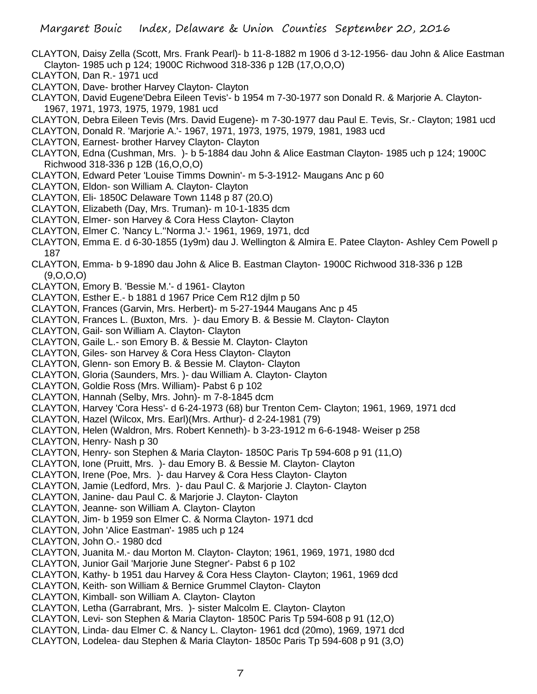- CLAYTON, Daisy Zella (Scott, Mrs. Frank Pearl)- b 11-8-1882 m 1906 d 3-12-1956- dau John & Alice Eastman Clayton- 1985 uch p 124; 1900C Richwood 318-336 p 12B (17,O,O,O)
- CLAYTON, Dan R.- 1971 ucd
- CLAYTON, Dave- brother Harvey Clayton- Clayton
- CLAYTON, David Eugene'Debra Eileen Tevis'- b 1954 m 7-30-1977 son Donald R. & Marjorie A. Clayton-1967, 1971, 1973, 1975, 1979, 1981 ucd
- CLAYTON, Debra Eileen Tevis (Mrs. David Eugene)- m 7-30-1977 dau Paul E. Tevis, Sr.- Clayton; 1981 ucd
- CLAYTON, Donald R. 'Marjorie A.'- 1967, 1971, 1973, 1975, 1979, 1981, 1983 ucd
- CLAYTON, Earnest- brother Harvey Clayton- Clayton
- CLAYTON, Edna (Cushman, Mrs. )- b 5-1884 dau John & Alice Eastman Clayton- 1985 uch p 124; 1900C Richwood 318-336 p 12B (16,O,O,O)
- CLAYTON, Edward Peter 'Louise Timms Downin'- m 5-3-1912- Maugans Anc p 60
- CLAYTON, Eldon- son William A. Clayton- Clayton
- CLAYTON, Eli- 1850C Delaware Town 1148 p 87 (20.O)
- CLAYTON, Elizabeth (Day, Mrs. Truman)- m 10-1-1835 dcm
- CLAYTON, Elmer- son Harvey & Cora Hess Clayton- Clayton
- CLAYTON, Elmer C. 'Nancy L.''Norma J.'- 1961, 1969, 1971, dcd
- CLAYTON, Emma E. d 6-30-1855 (1y9m) dau J. Wellington & Almira E. Patee Clayton- Ashley Cem Powell p 187
- CLAYTON, Emma- b 9-1890 dau John & Alice B. Eastman Clayton- 1900C Richwood 318-336 p 12B (9,O,O,O)
- CLAYTON, Emory B. 'Bessie M.'- d 1961- Clayton
- CLAYTON, Esther E.- b 1881 d 1967 Price Cem R12 djlm p 50
- CLAYTON, Frances (Garvin, Mrs. Herbert)- m 5-27-1944 Maugans Anc p 45
- CLAYTON, Frances L. (Buxton, Mrs. )- dau Emory B. & Bessie M. Clayton- Clayton
- CLAYTON, Gail- son William A. Clayton- Clayton
- CLAYTON, Gaile L.- son Emory B. & Bessie M. Clayton- Clayton
- CLAYTON, Giles- son Harvey & Cora Hess Clayton- Clayton
- CLAYTON, Glenn- son Emory B. & Bessie M. Clayton- Clayton
- CLAYTON, Gloria (Saunders, Mrs. )- dau William A. Clayton- Clayton
- CLAYTON, Goldie Ross (Mrs. William)- Pabst 6 p 102
- CLAYTON, Hannah (Selby, Mrs. John)- m 7-8-1845 dcm
- CLAYTON, Harvey 'Cora Hess'- d 6-24-1973 (68) bur Trenton Cem- Clayton; 1961, 1969, 1971 dcd
- CLAYTON, Hazel (Wilcox, Mrs. Earl)(Mrs. Arthur)- d 2-24-1981 (79)
- CLAYTON, Helen (Waldron, Mrs. Robert Kenneth)- b 3-23-1912 m 6-6-1948- Weiser p 258
- CLAYTON, Henry- Nash p 30
- CLAYTON, Henry- son Stephen & Maria Clayton- 1850C Paris Tp 594-608 p 91 (11,O)
- CLAYTON, Ione (Pruitt, Mrs. )- dau Emory B. & Bessie M. Clayton- Clayton
- CLAYTON, Irene (Poe, Mrs. )- dau Harvey & Cora Hess Clayton- Clayton
- CLAYTON, Jamie (Ledford, Mrs. )- dau Paul C. & Marjorie J. Clayton- Clayton
- CLAYTON, Janine- dau Paul C. & Marjorie J. Clayton- Clayton
- CLAYTON, Jeanne- son William A. Clayton- Clayton
- CLAYTON, Jim- b 1959 son Elmer C. & Norma Clayton- 1971 dcd
- CLAYTON, John 'Alice Eastman'- 1985 uch p 124
- CLAYTON, John O.- 1980 dcd
- CLAYTON, Juanita M.- dau Morton M. Clayton- Clayton; 1961, 1969, 1971, 1980 dcd
- CLAYTON, Junior Gail 'Marjorie June Stegner'- Pabst 6 p 102
- CLAYTON, Kathy- b 1951 dau Harvey & Cora Hess Clayton- Clayton; 1961, 1969 dcd
- CLAYTON, Keith- son William & Bernice Grummel Clayton- Clayton
- CLAYTON, Kimball- son William A. Clayton- Clayton
- CLAYTON, Letha (Garrabrant, Mrs. )- sister Malcolm E. Clayton- Clayton
- CLAYTON, Levi- son Stephen & Maria Clayton- 1850C Paris Tp 594-608 p 91 (12,O)
- CLAYTON, Linda- dau Elmer C. & Nancy L. Clayton- 1961 dcd (20mo), 1969, 1971 dcd
- CLAYTON, Lodelea- dau Stephen & Maria Clayton- 1850c Paris Tp 594-608 p 91 (3,O)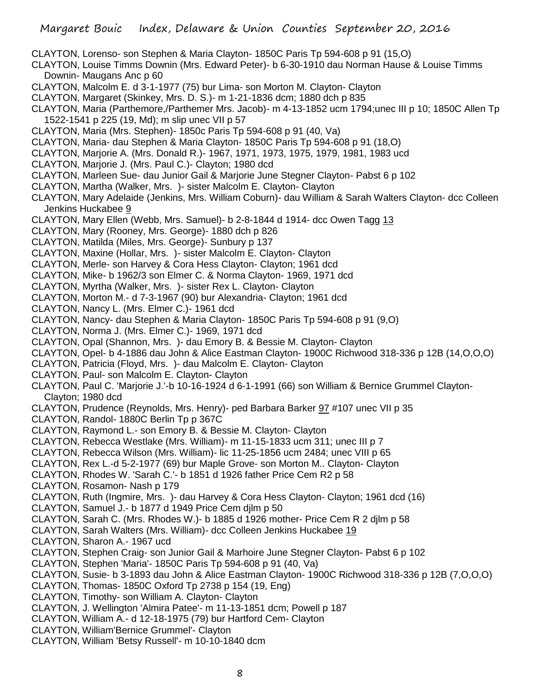- CLAYTON, Lorenso- son Stephen & Maria Clayton- 1850C Paris Tp 594-608 p 91 (15,O)
- CLAYTON, Louise Timms Downin (Mrs. Edward Peter)- b 6-30-1910 dau Norman Hause & Louise Timms Downin- Maugans Anc p 60
- CLAYTON, Malcolm E. d 3-1-1977 (75) bur Lima- son Morton M. Clayton- Clayton
- CLAYTON, Margaret (Skinkey, Mrs. D. S.)- m 1-21-1836 dcm; 1880 dch p 835
- CLAYTON, Maria (Parthemore,/Parthemer Mrs. Jacob)- m 4-13-1852 ucm 1794;unec III p 10; 1850C Allen Tp 1522-1541 p 225 (19, Md); m slip unec VII p 57
- CLAYTON, Maria (Mrs. Stephen)- 1850c Paris Tp 594-608 p 91 (40, Va)
- CLAYTON, Maria- dau Stephen & Maria Clayton- 1850C Paris Tp 594-608 p 91 (18,O)
- CLAYTON, Marjorie A. (Mrs. Donald R.)- 1967, 1971, 1973, 1975, 1979, 1981, 1983 ucd
- CLAYTON, Marjorie J. (Mrs. Paul C.)- Clayton; 1980 dcd
- CLAYTON, Marleen Sue- dau Junior Gail & Marjorie June Stegner Clayton- Pabst 6 p 102
- CLAYTON, Martha (Walker, Mrs. )- sister Malcolm E. Clayton- Clayton
- CLAYTON, Mary Adelaide (Jenkins, Mrs. William Coburn)- dau William & Sarah Walters Clayton- dcc Colleen Jenkins Huckabee 9
- CLAYTON, Mary Ellen (Webb, Mrs. Samuel)- b 2-8-1844 d 1914- dcc Owen Tagg 13
- CLAYTON, Mary (Rooney, Mrs. George)- 1880 dch p 826
- CLAYTON, Matilda (Miles, Mrs. George)- Sunbury p 137
- CLAYTON, Maxine (Hollar, Mrs. )- sister Malcolm E. Clayton- Clayton
- CLAYTON, Merle- son Harvey & Cora Hess Clayton- Clayton; 1961 dcd
- CLAYTON, Mike- b 1962/3 son Elmer C. & Norma Clayton- 1969, 1971 dcd
- CLAYTON, Myrtha (Walker, Mrs. )- sister Rex L. Clayton- Clayton
- CLAYTON, Morton M.- d 7-3-1967 (90) bur Alexandria- Clayton; 1961 dcd
- CLAYTON, Nancy L. (Mrs. Elmer C.)- 1961 dcd
- CLAYTON, Nancy- dau Stephen & Maria Clayton- 1850C Paris Tp 594-608 p 91 (9,O)
- CLAYTON, Norma J. (Mrs. Elmer C.)- 1969, 1971 dcd
- CLAYTON, Opal (Shannon, Mrs. )- dau Emory B. & Bessie M. Clayton- Clayton
- CLAYTON, Opel- b 4-1886 dau John & Alice Eastman Clayton- 1900C Richwood 318-336 p 12B (14,O,O,O)
- CLAYTON, Patricia (Floyd, Mrs. )- dau Malcolm E. Clayton- Clayton
- CLAYTON, Paul- son Malcolm E. Clayton- Clayton
- CLAYTON, Paul C. 'Marjorie J.'-b 10-16-1924 d 6-1-1991 (66) son William & Bernice Grummel Clayton-Clayton; 1980 dcd
- CLAYTON, Prudence (Reynolds, Mrs. Henry)- ped Barbara Barker 97 #107 unec VII p 35
- CLAYTON, Randol- 1880C Berlin Tp p 367C
- CLAYTON, Raymond L.- son Emory B. & Bessie M. Clayton- Clayton
- CLAYTON, Rebecca Westlake (Mrs. William)- m 11-15-1833 ucm 311; unec III p 7
- CLAYTON, Rebecca Wilson (Mrs. William)- lic 11-25-1856 ucm 2484; unec VIII p 65
- CLAYTON, Rex L.-d 5-2-1977 (69) bur Maple Grove- son Morton M.. Clayton- Clayton
- CLAYTON, Rhodes W. 'Sarah C.'- b 1851 d 1926 father Price Cem R2 p 58
- CLAYTON, Rosamon- Nash p 179
- CLAYTON, Ruth (Ingmire, Mrs. )- dau Harvey & Cora Hess Clayton- Clayton; 1961 dcd (16)
- CLAYTON, Samuel J.- b 1877 d 1949 Price Cem djlm p 50
- CLAYTON, Sarah C. (Mrs. Rhodes W.)- b 1885 d 1926 mother- Price Cem R 2 djlm p 58
- CLAYTON, Sarah Walters (Mrs. William)- dcc Colleen Jenkins Huckabee 19
- CLAYTON, Sharon A.- 1967 ucd
- CLAYTON, Stephen Craig- son Junior Gail & Marhoire June Stegner Clayton- Pabst 6 p 102
- CLAYTON, Stephen 'Maria'- 1850C Paris Tp 594-608 p 91 (40, Va)
- CLAYTON, Susie- b 3-1893 dau John & Alice Eastman Clayton- 1900C Richwood 318-336 p 12B (7,O,O,O)
- CLAYTON, Thomas- 1850C Oxford Tp 2738 p 154 (19, Eng)
- CLAYTON, Timothy- son William A. Clayton- Clayton
- CLAYTON, J. Wellington 'Almira Patee'- m 11-13-1851 dcm; Powell p 187
- CLAYTON, William A.- d 12-18-1975 (79) bur Hartford Cem- Clayton
- CLAYTON, William'Bernice Grummel'- Clayton
- CLAYTON, William 'Betsy Russell'- m 10-10-1840 dcm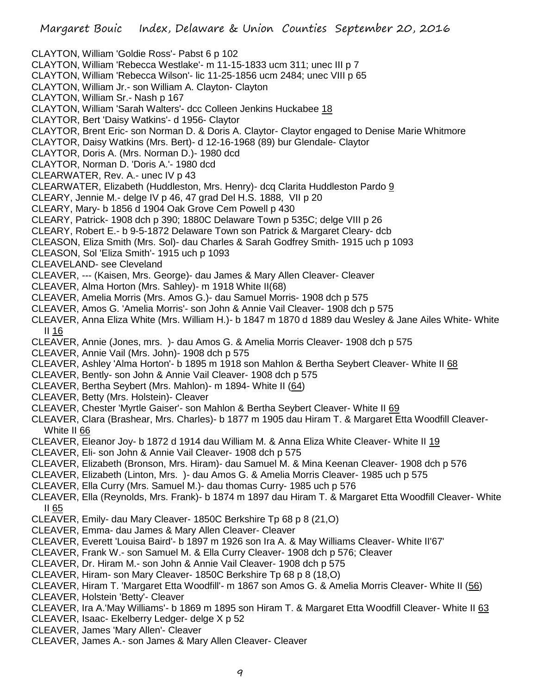CLAYTON, William 'Goldie Ross'- Pabst 6 p 102 CLAYTON, William 'Rebecca Westlake'- m 11-15-1833 ucm 311; unec III p 7 CLAYTON, William 'Rebecca Wilson'- lic 11-25-1856 ucm 2484; unec VIII p 65 CLAYTON, William Jr.- son William A. Clayton- Clayton CLAYTON, William Sr.- Nash p 167 CLAYTON, William 'Sarah Walters'- dcc Colleen Jenkins Huckabee 18 CLAYTOR, Bert 'Daisy Watkins'- d 1956- Claytor CLAYTOR, Brent Eric- son Norman D. & Doris A. Claytor- Claytor engaged to Denise Marie Whitmore CLAYTOR, Daisy Watkins (Mrs. Bert)- d 12-16-1968 (89) bur Glendale- Claytor CLAYTOR, Doris A. (Mrs. Norman D.)- 1980 dcd CLAYTOR, Norman D. 'Doris A.'- 1980 dcd CLEARWATER, Rev. A.- unec IV p 43 CLEARWATER, Elizabeth (Huddleston, Mrs. Henry)- dcq Clarita Huddleston Pardo 9 CLEARY, Jennie M.- delge IV p 46, 47 grad Del H.S. 1888, VII p 20 CLEARY, Mary- b 1856 d 1904 Oak Grove Cem Powell p 430 CLEARY, Patrick- 1908 dch p 390; 1880C Delaware Town p 535C; delge VIII p 26 CLEARY, Robert E.- b 9-5-1872 Delaware Town son Patrick & Margaret Cleary- dcb CLEASON, Eliza Smith (Mrs. Sol)- dau Charles & Sarah Godfrey Smith- 1915 uch p 1093 CLEASON, Sol 'Eliza Smith'- 1915 uch p 1093 CLEAVELAND- see Cleveland CLEAVER, --- (Kaisen, Mrs. George)- dau James & Mary Allen Cleaver- Cleaver CLEAVER, Alma Horton (Mrs. Sahley)- m 1918 White II(68) CLEAVER, Amelia Morris (Mrs. Amos G.)- dau Samuel Morris- 1908 dch p 575 CLEAVER, Amos G. 'Amelia Morris'- son John & Annie Vail Cleaver- 1908 dch p 575 CLEAVER, Anna Eliza White (Mrs. William H.)- b 1847 m 1870 d 1889 dau Wesley & Jane Ailes White- White II 16 CLEAVER, Annie (Jones, mrs. )- dau Amos G. & Amelia Morris Cleaver- 1908 dch p 575 CLEAVER, Annie Vail (Mrs. John)- 1908 dch p 575 CLEAVER, Ashley 'Alma Horton'- b 1895 m 1918 son Mahlon & Bertha Seybert Cleaver- White II 68 CLEAVER, Bently- son John & Annie Vail Cleaver- 1908 dch p 575 CLEAVER, Bertha Seybert (Mrs. Mahlon)- m 1894- White II (64) CLEAVER, Betty (Mrs. Holstein)- Cleaver CLEAVER, Chester 'Myrtle Gaiser'- son Mahlon & Bertha Seybert Cleaver- White II 69 CLEAVER, Clara (Brashear, Mrs. Charles)- b 1877 m 1905 dau Hiram T. & Margaret Etta Woodfill Cleaver-White II 66 CLEAVER, Eleanor Joy- b 1872 d 1914 dau William M. & Anna Eliza White Cleaver- White II 19 CLEAVER, Eli- son John & Annie Vail Cleaver- 1908 dch p 575 CLEAVER, Elizabeth (Bronson, Mrs. Hiram)- dau Samuel M. & Mina Keenan Cleaver- 1908 dch p 576 CLEAVER, Elizabeth (Linton, Mrs. )- dau Amos G. & Amelia Morris Cleaver- 1985 uch p 575 CLEAVER, Ella Curry (Mrs. Samuel M.)- dau thomas Curry- 1985 uch p 576 CLEAVER, Ella (Reynolds, Mrs. Frank)- b 1874 m 1897 dau Hiram T. & Margaret Etta Woodfill Cleaver- White II 65 CLEAVER, Emily- dau Mary Cleaver- 1850C Berkshire Tp 68 p 8 (21,O) CLEAVER, Emma- dau James & Mary Allen Cleaver- Cleaver CLEAVER, Everett 'Louisa Baird'- b 1897 m 1926 son Ira A. & May Williams Cleaver- White II'67' CLEAVER, Frank W.- son Samuel M. & Ella Curry Cleaver- 1908 dch p 576; Cleaver CLEAVER, Dr. Hiram M.- son John & Annie Vail Cleaver- 1908 dch p 575 CLEAVER, Hiram- son Mary Cleaver- 1850C Berkshire Tp 68 p 8 (18,O) CLEAVER, Hiram T. 'Margaret Etta Woodfill'- m 1867 son Amos G. & Amelia Morris Cleaver- White II (56) CLEAVER, Holstein 'Betty'- Cleaver

CLEAVER, Ira A.'May Williams'- b 1869 m 1895 son Hiram T. & Margaret Etta Woodfill Cleaver- White II 63

- CLEAVER, Isaac- Ekelberry Ledger- delge X p 52
- CLEAVER, James 'Mary Allen'- Cleaver
- CLEAVER, James A.- son James & Mary Allen Cleaver- Cleaver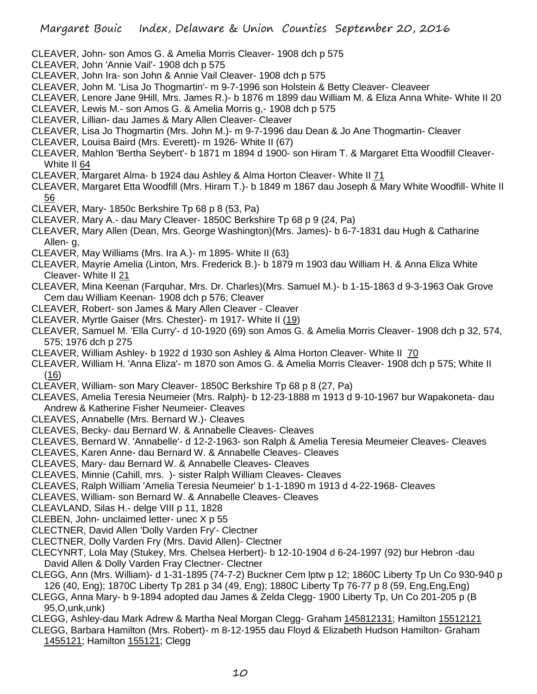- CLEAVER, John- son Amos G. & Amelia Morris Cleaver- 1908 dch p 575
- CLEAVER, John 'Annie Vail'- 1908 dch p 575
- CLEAVER, John Ira- son John & Annie Vail Cleaver- 1908 dch p 575
- CLEAVER, John M. 'Lisa Jo Thogmartin'- m 9-7-1996 son Holstein & Betty Cleaver- Cleaveer
- CLEAVER, Lenore Jane 9Hill, Mrs. James R.)- b 1876 m 1899 dau William M. & Eliza Anna White- White II 20
- CLEAVER, Lewis M.- son Amos G. & Amelia Morris g,- 1908 dch p 575
- CLEAVER, Lillian- dau James & Mary Allen Cleaver- Cleaver
- CLEAVER, Lisa Jo Thogmartin (Mrs. John M.)- m 9-7-1996 dau Dean & Jo Ane Thogmartin- Cleaver
- CLEAVER, Louisa Baird (Mrs. Everett)- m 1926- White II (67)
- CLEAVER, Mahlon 'Bertha Seybert'- b 1871 m 1894 d 1900- son Hiram T. & Margaret Etta Woodfill Cleaver-White II 64
- CLEAVER, Margaret Alma- b 1924 dau Ashley & Alma Horton Cleaver- White II 71
- CLEAVER, Margaret Etta Woodfill (Mrs. Hiram T.)- b 1849 m 1867 dau Joseph & Mary White Woodfill- White II 56
- CLEAVER, Mary- 1850c Berkshire Tp 68 p 8 (53, Pa)
- CLEAVER, Mary A.- dau Mary Cleaver- 1850C Berkshire Tp 68 p 9 (24, Pa)
- CLEAVER, Mary Allen (Dean, Mrs. George Washington)(Mrs. James)- b 6-7-1831 dau Hugh & Catharine Allen- g,
- CLEAVER, May Williams (Mrs. Ira A.)- m 1895- White II (63)
- CLEAVER, Mayrie Amelia (Linton, Mrs. Frederick B.)- b 1879 m 1903 dau William H. & Anna Eliza White Cleaver- White II 21
- CLEAVER, Mina Keenan (Farquhar, Mrs. Dr. Charles)(Mrs. Samuel M.)- b 1-15-1863 d 9-3-1963 Oak Grove Cem dau William Keenan- 1908 dch p 576; Cleaver
- CLEAVER, Robert- son James & Mary Allen Cleaver Cleaver
- CLEAVER, Myrtle Gaiser (Mrs. Chester)- m 1917- White II (19)
- CLEAVER, Samuel M. 'Ella Curry'- d 10-1920 (69) son Amos G. & Amelia Morris Cleaver- 1908 dch p 32, 574, 575; 1976 dch p 275
- CLEAVER, William Ashley- b 1922 d 1930 son Ashley & Alma Horton Cleaver- White II 70
- CLEAVER, William H. 'Anna Eliza'- m 1870 son Amos G. & Amelia Morris Cleaver- 1908 dch p 575; White II  $(16)$
- CLEAVER, William- son Mary Cleaver- 1850C Berkshire Tp 68 p 8 (27, Pa)
- CLEAVES, Amelia Teresia Neumeier (Mrs. Ralph)- b 12-23-1888 m 1913 d 9-10-1967 bur Wapakoneta- dau Andrew & Katherine Fisher Neumeier- Cleaves
- CLEAVES, Annabelle (Mrs. Bernard W.)- Cleaves
- CLEAVES, Becky- dau Bernard W. & Annabelle Cleaves- Cleaves
- CLEAVES, Bernard W. 'Annabelle'- d 12-2-1963- son Ralph & Amelia Teresia Meumeier Cleaves- Cleaves
- CLEAVES, Karen Anne- dau Bernard W. & Annabelle Cleaves- Cleaves
- CLEAVES, Mary- dau Bernard W. & Annabelle Cleaves- Cleaves
- CLEAVES, Minnie (Cahill, mrs. )- sister Ralph William Cleaves- Cleaves
- CLEAVES, Ralph William 'Amelia Teresia Neumeier' b 1-1-1890 m 1913 d 4-22-1968- Cleaves
- CLEAVES, William- son Bernard W. & Annabelle Cleaves- Cleaves
- CLEAVLAND, Silas H.- delge VIII p 11, 1828
- CLEBEN, John- unclaimed letter- unec X p 55
- CLECTNER, David Allen 'Dolly Varden Fry'- Clectner
- CLECTNER, Dolly Varden Fry (Mrs. David Allen)- Clectner
- CLECYNRT, Lola May (Stukey, Mrs. Chelsea Herbert)- b 12-10-1904 d 6-24-1997 (92) bur Hebron -dau David Allen & Dolly Varden Fray Clectner- Clectner
- CLEGG, Ann (Mrs. William)- d 1-31-1895 (74-7-2) Buckner Cem lptw p 12; 1860C Liberty Tp Un Co 930-940 p 126 (40, Eng); 1870C Liberty Tp 281 p 34 (49, Eng); 1880C Liberty Tp 76-77 p 8 (59, Eng,Eng,Eng)
- CLEGG, Anna Mary- b 9-1894 adopted dau James & Zelda Clegg- 1900 Liberty Tp, Un Co 201-205 p (B 95,O,unk,unk)
- CLEGG, Ashley-dau Mark Adrew & Martha Neal Morgan Clegg- Graham 145812131; Hamilton 15512121
- CLEGG, Barbara Hamilton (Mrs. Robert)- m 8-12-1955 dau Floyd & Elizabeth Hudson Hamilton- Graham 1455121; Hamilton 155121; Clegg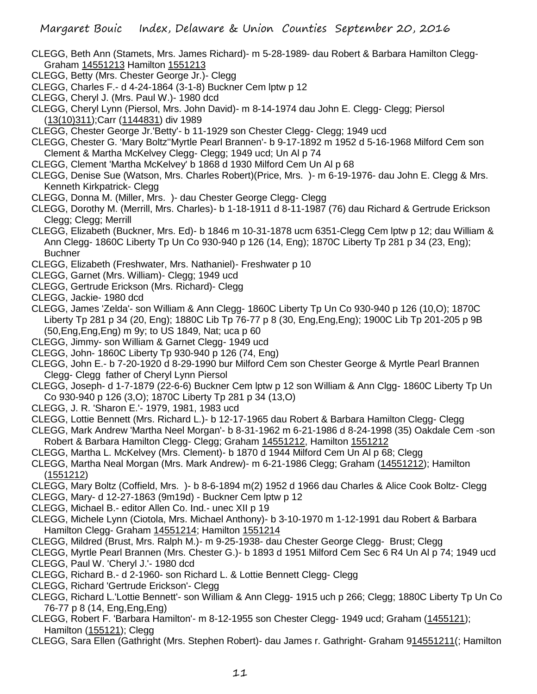- CLEGG, Beth Ann (Stamets, Mrs. James Richard)- m 5-28-1989- dau Robert & Barbara Hamilton Clegg-Graham 14551213 Hamilton 1551213
- CLEGG, Betty (Mrs. Chester George Jr.)- Clegg
- CLEGG, Charles F.- d 4-24-1864 (3-1-8) Buckner Cem lptw p 12
- CLEGG, Cheryl J. (Mrs. Paul W.)- 1980 dcd
- CLEGG, Cheryl Lynn (Piersol, Mrs. John David)- m 8-14-1974 dau John E. Clegg- Clegg; Piersol (13(10)311);Carr (1144831) div 1989
- CLEGG, Chester George Jr.'Betty'- b 11-1929 son Chester Clegg- Clegg; 1949 ucd
- CLEGG, Chester G. 'Mary Boltz''Myrtle Pearl Brannen'- b 9-17-1892 m 1952 d 5-16-1968 Milford Cem son Clement & Martha McKelvey Clegg- Clegg; 1949 ucd; Un Al p 74
- CLEGG, Clement 'Martha McKelvey' b 1868 d 1930 Milford Cem Un Al p 68
- CLEGG, Denise Sue (Watson, Mrs. Charles Robert)(Price, Mrs. )- m 6-19-1976- dau John E. Clegg & Mrs. Kenneth Kirkpatrick- Clegg
- CLEGG, Donna M. (Miller, Mrs. )- dau Chester George Clegg- Clegg
- CLEGG, Dorothy M. (Merrill, Mrs. Charles)- b 1-18-1911 d 8-11-1987 (76) dau Richard & Gertrude Erickson Clegg; Clegg; Merrill
- CLEGG, Elizabeth (Buckner, Mrs. Ed)- b 1846 m 10-31-1878 ucm 6351-Clegg Cem lptw p 12; dau William & Ann Clegg- 1860C Liberty Tp Un Co 930-940 p 126 (14, Eng); 1870C Liberty Tp 281 p 34 (23, Eng); **Buchner**
- CLEGG, Elizabeth (Freshwater, Mrs. Nathaniel)- Freshwater p 10
- CLEGG, Garnet (Mrs. William)- Clegg; 1949 ucd
- CLEGG, Gertrude Erickson (Mrs. Richard)- Clegg
- CLEGG, Jackie- 1980 dcd
- CLEGG, James 'Zelda'- son William & Ann Clegg- 1860C Liberty Tp Un Co 930-940 p 126 (10,O); 1870C Liberty Tp 281 p 34 (20, Eng); 1880C Lib Tp 76-77 p 8 (30, Eng,Eng,Eng); 1900C Lib Tp 201-205 p 9B (50,Eng,Eng,Eng) m 9y; to US 1849, Nat; uca p 60
- CLEGG, Jimmy- son William & Garnet Clegg- 1949 ucd
- CLEGG, John- 1860C Liberty Tp 930-940 p 126 (74, Eng)
- CLEGG, John E.- b 7-20-1920 d 8-29-1990 bur Milford Cem son Chester George & Myrtle Pearl Brannen Clegg- Clegg father of Cheryl Lynn Piersol
- CLEGG, Joseph- d 1-7-1879 (22-6-6) Buckner Cem lptw p 12 son William & Ann Clgg- 1860C Liberty Tp Un Co 930-940 p 126 (3,O); 1870C Liberty Tp 281 p 34 (13,O)
- CLEGG, J. R. 'Sharon E.'- 1979, 1981, 1983 ucd
- CLEGG, Lottie Bennett (Mrs. Richard L.)- b 12-17-1965 dau Robert & Barbara Hamilton Clegg- Clegg
- CLEGG, Mark Andrew 'Martha Neel Morgan'- b 8-31-1962 m 6-21-1986 d 8-24-1998 (35) Oakdale Cem -son Robert & Barbara Hamilton Clegg- Clegg; Graham 14551212, Hamilton 1551212
- CLEGG, Martha L. McKelvey (Mrs. Clement)- b 1870 d 1944 Milford Cem Un Al p 68; Clegg
- CLEGG, Martha Neal Morgan (Mrs. Mark Andrew)- m 6-21-1986 Clegg; Graham (14551212); Hamilton (1551212)
- CLEGG, Mary Boltz (Coffield, Mrs. )- b 8-6-1894 m(2) 1952 d 1966 dau Charles & Alice Cook Boltz- Clegg
- CLEGG, Mary- d 12-27-1863 (9m19d) Buckner Cem lptw p 12
- CLEGG, Michael B.- editor Allen Co. Ind.- unec XII p 19
- CLEGG, Michele Lynn (Ciotola, Mrs. Michael Anthony)- b 3-10-1970 m 1-12-1991 dau Robert & Barbara Hamilton Clegg- Graham 14551214; Hamilton 1551214
- CLEGG, Mildred (Brust, Mrs. Ralph M.)- m 9-25-1938- dau Chester George Clegg- Brust; Clegg
- CLEGG, Myrtle Pearl Brannen (Mrs. Chester G.)- b 1893 d 1951 Milford Cem Sec 6 R4 Un Al p 74; 1949 ucd CLEGG, Paul W. 'Cheryl J.'- 1980 dcd
- CLEGG, Richard B.- d 2-1960- son Richard L. & Lottie Bennett Clegg- Clegg
- CLEGG, Richard 'Gertrude Erickson'- Clegg
- CLEGG, Richard L.'Lottie Bennett'- son William & Ann Clegg- 1915 uch p 266; Clegg; 1880C Liberty Tp Un Co 76-77 p 8 (14, Eng,Eng,Eng)
- CLEGG, Robert F. 'Barbara Hamilton'- m 8-12-1955 son Chester Clegg- 1949 ucd; Graham (1455121); Hamilton (155121); Clegg
- CLEGG, Sara Ellen (Gathright (Mrs. Stephen Robert)- dau James r. Gathright- Graham 914551211(; Hamilton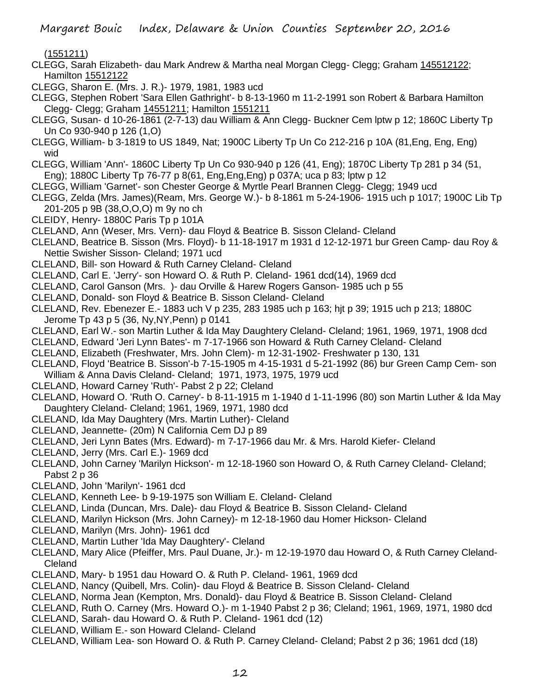(1551211)

- CLEGG, Sarah Elizabeth- dau Mark Andrew & Martha neal Morgan Clegg- Clegg; Graham 145512122; Hamilton 15512122
- CLEGG, Sharon E. (Mrs. J. R.)- 1979, 1981, 1983 ucd
- CLEGG, Stephen Robert 'Sara Ellen Gathright'- b 8-13-1960 m 11-2-1991 son Robert & Barbara Hamilton Clegg- Clegg; Graham 14551211; Hamilton 1551211
- CLEGG, Susan- d 10-26-1861 (2-7-13) dau William & Ann Clegg- Buckner Cem lptw p 12; 1860C Liberty Tp Un Co 930-940 p 126 (1,O)
- CLEGG, William- b 3-1819 to US 1849, Nat; 1900C Liberty Tp Un Co 212-216 p 10A (81,Eng, Eng, Eng) wid
- CLEGG, William 'Ann'- 1860C Liberty Tp Un Co 930-940 p 126 (41, Eng); 1870C Liberty Tp 281 p 34 (51, Eng); 1880C Liberty Tp 76-77 p 8(61, Eng,Eng,Eng) p 037A; uca p 83; lptw p 12
- CLEGG, William 'Garnet'- son Chester George & Myrtle Pearl Brannen Clegg- Clegg; 1949 ucd
- CLEGG, Zelda (Mrs. James)(Ream, Mrs. George W.)- b 8-1861 m 5-24-1906- 1915 uch p 1017; 1900C Lib Tp 201-205 p 9B (38,O,O,O) m 9y no ch
- CLEIDY, Henry- 1880C Paris Tp p 101A
- CLELAND, Ann (Weser, Mrs. Vern)- dau Floyd & Beatrice B. Sisson Cleland- Cleland
- CLELAND, Beatrice B. Sisson (Mrs. Floyd)- b 11-18-1917 m 1931 d 12-12-1971 bur Green Camp- dau Roy & Nettie Swisher Sisson- Cleland; 1971 ucd
- CLELAND, Bill- son Howard & Ruth Carney Cleland- Cleland
- CLELAND, Carl E. 'Jerry'- son Howard O. & Ruth P. Cleland- 1961 dcd(14), 1969 dcd
- CLELAND, Carol Ganson (Mrs. )- dau Orville & Harew Rogers Ganson- 1985 uch p 55
- CLELAND, Donald- son Floyd & Beatrice B. Sisson Cleland- Cleland
- CLELAND, Rev. Ebenezer E.- 1883 uch V p 235, 283 1985 uch p 163; hjt p 39; 1915 uch p 213; 1880C Jerome Tp 43 p 5 (36, Ny,NY,Penn) p 0141
- CLELAND, Earl W.- son Martin Luther & Ida May Daughtery Cleland- Cleland; 1961, 1969, 1971, 1908 dcd
- CLELAND, Edward 'Jeri Lynn Bates'- m 7-17-1966 son Howard & Ruth Carney Cleland- Cleland
- CLELAND, Elizabeth (Freshwater, Mrs. John Clem)- m 12-31-1902- Freshwater p 130, 131
- CLELAND, Floyd 'Beatrice B. Sisson'-b 7-15-1905 m 4-15-1931 d 5-21-1992 (86) bur Green Camp Cem- son William & Anna Davis Cleland- Cleland; 1971, 1973, 1975, 1979 ucd
- CLELAND, Howard Carney 'Ruth'- Pabst 2 p 22; Cleland
- CLELAND, Howard O. 'Ruth O. Carney'- b 8-11-1915 m 1-1940 d 1-11-1996 (80) son Martin Luther & Ida May Daughtery Cleland- Cleland; 1961, 1969, 1971, 1980 dcd
- CLELAND, Ida May Daughtery (Mrs. Martin Luther)- Cleland
- CLELAND, Jeannette- (20m) N California Cem DJ p 89
- CLELAND, Jeri Lynn Bates (Mrs. Edward)- m 7-17-1966 dau Mr. & Mrs. Harold Kiefer- Cleland
- CLELAND, Jerry (Mrs. Carl E.)- 1969 dcd
- CLELAND, John Carney 'Marilyn Hickson'- m 12-18-1960 son Howard O, & Ruth Carney Cleland- Cleland; Pabst 2 p 36
- CLELAND, John 'Marilyn'- 1961 dcd
- CLELAND, Kenneth Lee- b 9-19-1975 son William E. Cleland- Cleland
- CLELAND, Linda (Duncan, Mrs. Dale)- dau Floyd & Beatrice B. Sisson Cleland- Cleland
- CLELAND, Marilyn Hickson (Mrs. John Carney)- m 12-18-1960 dau Homer Hickson- Cleland
- CLELAND, Marilyn (Mrs. John)- 1961 dcd
- CLELAND, Martin Luther 'Ida May Daughtery'- Cleland
- CLELAND, Mary Alice (Pfeiffer, Mrs. Paul Duane, Jr.)- m 12-19-1970 dau Howard O, & Ruth Carney Cleland-Cleland
- CLELAND, Mary- b 1951 dau Howard O. & Ruth P. Cleland- 1961, 1969 dcd
- CLELAND, Nancy (Quibell, Mrs. Colin)- dau Floyd & Beatrice B. Sisson Cleland- Cleland
- CLELAND, Norma Jean (Kempton, Mrs. Donald)- dau Floyd & Beatrice B. Sisson Cleland- Cleland
- CLELAND, Ruth O. Carney (Mrs. Howard O.)- m 1-1940 Pabst 2 p 36; Cleland; 1961, 1969, 1971, 1980 dcd
- CLELAND, Sarah- dau Howard O. & Ruth P. Cleland- 1961 dcd (12)
- CLELAND, William E.- son Howard Cleland- Cleland
- CLELAND, William Lea- son Howard O. & Ruth P. Carney Cleland- Cleland; Pabst 2 p 36; 1961 dcd (18)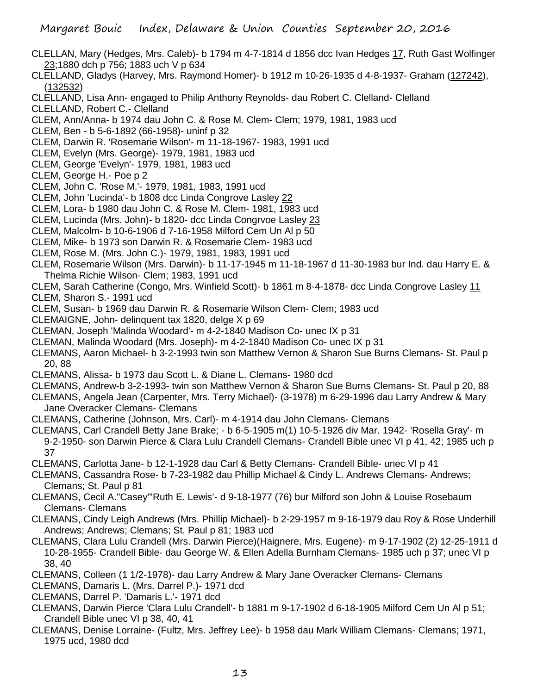- CLELLAN, Mary (Hedges, Mrs. Caleb)- b 1794 m 4-7-1814 d 1856 dcc Ivan Hedges 17, Ruth Gast Wolfinger 23;1880 dch p 756; 1883 uch V p 634
- CLELLAND, Gladys (Harvey, Mrs. Raymond Homer)- b 1912 m 10-26-1935 d 4-8-1937- Graham (127242), (132532)
- CLELLAND, Lisa Ann- engaged to Philip Anthony Reynolds- dau Robert C. Clelland- Clelland
- CLELLAND, Robert C.- Clelland
- CLEM, Ann/Anna- b 1974 dau John C. & Rose M. Clem- Clem; 1979, 1981, 1983 ucd
- CLEM, Ben b 5-6-1892 (66-1958)- uninf p 32
- CLEM, Darwin R. 'Rosemarie Wilson'- m 11-18-1967- 1983, 1991 ucd
- CLEM, Evelyn (Mrs. George)- 1979, 1981, 1983 ucd
- CLEM, George 'Evelyn'- 1979, 1981, 1983 ucd
- CLEM, George H.- Poe p 2
- CLEM, John C. 'Rose M.'- 1979, 1981, 1983, 1991 ucd
- CLEM, John 'Lucinda'- b 1808 dcc Linda Congrove Lasley 22
- CLEM, Lora- b 1980 dau John C. & Rose M. Clem- 1981, 1983 ucd
- CLEM, Lucinda (Mrs. John)- b 1820- dcc Linda Congrvoe Lasley 23
- CLEM, Malcolm- b 10-6-1906 d 7-16-1958 Milford Cem Un Al p 50
- CLEM, Mike- b 1973 son Darwin R. & Rosemarie Clem- 1983 ucd
- CLEM, Rose M. (Mrs. John C.)- 1979, 1981, 1983, 1991 ucd
- CLEM, Rosemarie Wilson (Mrs. Darwin)- b 11-17-1945 m 11-18-1967 d 11-30-1983 bur Ind. dau Harry E. & Thelma Richie Wilson- Clem; 1983, 1991 ucd
- CLEM, Sarah Catherine (Congo, Mrs. Winfield Scott)- b 1861 m 8-4-1878- dcc Linda Congrove Lasley 11 CLEM, Sharon S.- 1991 ucd
- CLEM, Susan- b 1969 dau Darwin R. & Rosemarie Wilson Clem- Clem; 1983 ucd
- CLEMAIGNE, John- delinquent tax 1820, delge X p 69
- CLEMAN, Joseph 'Malinda Woodard'- m 4-2-1840 Madison Co- unec IX p 31
- CLEMAN, Malinda Woodard (Mrs. Joseph)- m 4-2-1840 Madison Co- unec IX p 31
- CLEMANS, Aaron Michael- b 3-2-1993 twin son Matthew Vernon & Sharon Sue Burns Clemans- St. Paul p 20, 88
- CLEMANS, Alissa- b 1973 dau Scott L. & Diane L. Clemans- 1980 dcd
- CLEMANS, Andrew-b 3-2-1993- twin son Matthew Vernon & Sharon Sue Burns Clemans- St. Paul p 20, 88 CLEMANS, Angela Jean (Carpenter, Mrs. Terry Michael)- (3-1978) m 6-29-1996 dau Larry Andrew & Mary
- Jane Overacker Clemans- Clemans
- CLEMANS, Catherine (Johnson, Mrs. Carl)- m 4-1914 dau John Clemans- Clemans
- CLEMANS, Carl Crandell Betty Jane Brake; b 6-5-1905 m(1) 10-5-1926 div Mar. 1942- 'Rosella Gray'- m 9-2-1950- son Darwin Pierce & Clara Lulu Crandell Clemans- Crandell Bible unec VI p 41, 42; 1985 uch p 37
- CLEMANS, Carlotta Jane- b 12-1-1928 dau Carl & Betty Clemans- Crandell Bible- unec VI p 41
- CLEMANS, Cassandra Rose- b 7-23-1982 dau Phillip Michael & Cindy L. Andrews Clemans- Andrews; Clemans; St. Paul p 81
- CLEMANS, Cecil A."Casey"'Ruth E. Lewis'- d 9-18-1977 (76) bur Milford son John & Louise Rosebaum Clemans- Clemans
- CLEMANS, Cindy Leigh Andrews (Mrs. Phillip Michael)- b 2-29-1957 m 9-16-1979 dau Roy & Rose Underhill Andrews; Andrews; Clemans; St. Paul p 81; 1983 ucd
- CLEMANS, Clara Lulu Crandell (Mrs. Darwin Pierce)(Haignere, Mrs. Eugene)- m 9-17-1902 (2) 12-25-1911 d 10-28-1955- Crandell Bible- dau George W. & Ellen Adella Burnham Clemans- 1985 uch p 37; unec VI p 38, 40
- CLEMANS, Colleen (1 1/2-1978)- dau Larry Andrew & Mary Jane Overacker Clemans- Clemans
- CLEMANS, Damaris L. (Mrs. Darrel P.)- 1971 dcd
- CLEMANS, Darrel P. 'Damaris L.'- 1971 dcd
- CLEMANS, Darwin Pierce 'Clara Lulu Crandell'- b 1881 m 9-17-1902 d 6-18-1905 Milford Cem Un Al p 51; Crandell Bible unec VI p 38, 40, 41
- CLEMANS, Denise Lorraine- (Fultz, Mrs. Jeffrey Lee)- b 1958 dau Mark William Clemans- Clemans; 1971, 1975 ucd, 1980 dcd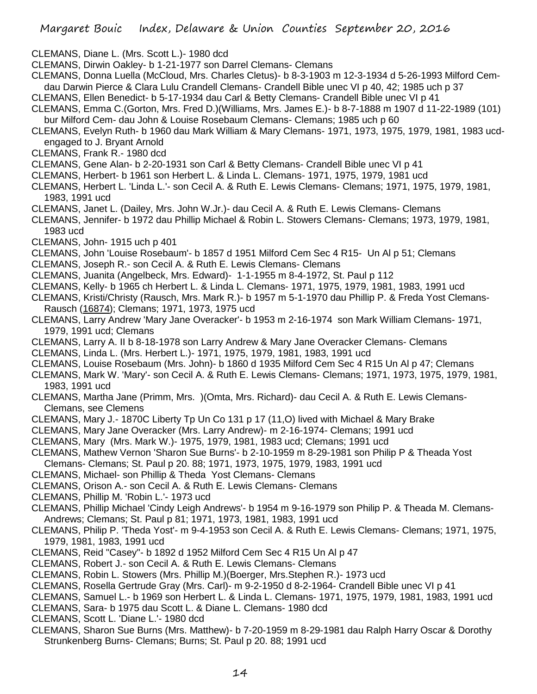- CLEMANS, Diane L. (Mrs. Scott L.)- 1980 dcd
- CLEMANS, Dirwin Oakley- b 1-21-1977 son Darrel Clemans- Clemans
- CLEMANS, Donna Luella (McCloud, Mrs. Charles Cletus)- b 8-3-1903 m 12-3-1934 d 5-26-1993 Milford Cemdau Darwin Pierce & Clara Lulu Crandell Clemans- Crandell Bible unec VI p 40, 42; 1985 uch p 37
- CLEMANS, Ellen Benedict- b 5-17-1934 dau Carl & Betty Clemans- Crandell Bible unec VI p 41
- CLEMANS, Emma C.(Gorton, Mrs. Fred D.)(Williams, Mrs. James E.)- b 8-7-1888 m 1907 d 11-22-1989 (101) bur Milford Cem- dau John & Louise Rosebaum Clemans- Clemans; 1985 uch p 60
- CLEMANS, Evelyn Ruth- b 1960 dau Mark William & Mary Clemans- 1971, 1973, 1975, 1979, 1981, 1983 ucdengaged to J. Bryant Arnold
- CLEMANS, Frank R.- 1980 dcd
- CLEMANS, Gene Alan- b 2-20-1931 son Carl & Betty Clemans- Crandell Bible unec VI p 41
- CLEMANS, Herbert- b 1961 son Herbert L. & Linda L. Clemans- 1971, 1975, 1979, 1981 ucd
- CLEMANS, Herbert L. 'Linda L.'- son Cecil A. & Ruth E. Lewis Clemans- Clemans; 1971, 1975, 1979, 1981, 1983, 1991 ucd
- CLEMANS, Janet L. (Dailey, Mrs. John W.Jr.)- dau Cecil A. & Ruth E. Lewis Clemans- Clemans
- CLEMANS, Jennifer- b 1972 dau Phillip Michael & Robin L. Stowers Clemans- Clemans; 1973, 1979, 1981, 1983 ucd
- CLEMANS, John- 1915 uch p 401
- CLEMANS, John 'Louise Rosebaum'- b 1857 d 1951 Milford Cem Sec 4 R15- Un Al p 51; Clemans
- CLEMANS, Joseph R.- son Cecil A. & Ruth E. Lewis Clemans- Clemans
- CLEMANS, Juanita (Angelbeck, Mrs. Edward)- 1-1-1955 m 8-4-1972, St. Paul p 112
- CLEMANS, Kelly- b 1965 ch Herbert L. & Linda L. Clemans- 1971, 1975, 1979, 1981, 1983, 1991 ucd
- CLEMANS, Kristi/Christy (Rausch, Mrs. Mark R.)- b 1957 m 5-1-1970 dau Phillip P. & Freda Yost Clemans-Rausch (16874); Clemans; 1971, 1973, 1975 ucd
- CLEMANS, Larry Andrew 'Mary Jane Overacker'- b 1953 m 2-16-1974 son Mark William Clemans- 1971, 1979, 1991 ucd; Clemans
- CLEMANS, Larry A. II b 8-18-1978 son Larry Andrew & Mary Jane Overacker Clemans- Clemans
- CLEMANS, Linda L. (Mrs. Herbert L.)- 1971, 1975, 1979, 1981, 1983, 1991 ucd
- CLEMANS, Louise Rosebaum (Mrs. John)- b 1860 d 1935 Milford Cem Sec 4 R15 Un Al p 47; Clemans
- CLEMANS, Mark W. 'Mary'- son Cecil A. & Ruth E. Lewis Clemans- Clemans; 1971, 1973, 1975, 1979, 1981, 1983, 1991 ucd
- CLEMANS, Martha Jane (Primm, Mrs. )(Omta, Mrs. Richard)- dau Cecil A. & Ruth E. Lewis Clemans-Clemans, see Clemens
- CLEMANS, Mary J.- 1870C Liberty Tp Un Co 131 p 17 (11,O) lived with Michael & Mary Brake
- CLEMANS, Mary Jane Overacker (Mrs. Larry Andrew)- m 2-16-1974- Clemans; 1991 ucd
- CLEMANS, Mary (Mrs. Mark W.)- 1975, 1979, 1981, 1983 ucd; Clemans; 1991 ucd
- CLEMANS, Mathew Vernon 'Sharon Sue Burns'- b 2-10-1959 m 8-29-1981 son Philip P & Theada Yost Clemans- Clemans; St. Paul p 20. 88; 1971, 1973, 1975, 1979, 1983, 1991 ucd
- CLEMANS, Michael- son Phillip & Theda Yost Clemans- Clemans
- CLEMANS, Orison A.- son Cecil A. & Ruth E. Lewis Clemans- Clemans
- CLEMANS, Phillip M. 'Robin L.'- 1973 ucd
- CLEMANS, Phillip Michael 'Cindy Leigh Andrews'- b 1954 m 9-16-1979 son Philip P. & Theada M. Clemans-Andrews; Clemans; St. Paul p 81; 1971, 1973, 1981, 1983, 1991 ucd
- CLEMANS, Philip P. 'Theda Yost'- m 9-4-1953 son Cecil A. & Ruth E. Lewis Clemans- Clemans; 1971, 1975, 1979, 1981, 1983, 1991 ucd
- CLEMANS, Reid "Casey"- b 1892 d 1952 Milford Cem Sec 4 R15 Un Al p 47
- CLEMANS, Robert J.- son Cecil A. & Ruth E. Lewis Clemans- Clemans
- CLEMANS, Robin L. Stowers (Mrs. Phillip M.)(Boerger, Mrs.Stephen R.)- 1973 ucd
- CLEMANS, Rosella Gertrude Gray (Mrs. Carl)- m 9-2-1950 d 8-2-1964- Crandell Bible unec VI p 41
- CLEMANS, Samuel L.- b 1969 son Herbert L. & Linda L. Clemans- 1971, 1975, 1979, 1981, 1983, 1991 ucd
- CLEMANS, Sara- b 1975 dau Scott L. & Diane L. Clemans- 1980 dcd
- CLEMANS, Scott L. 'Diane L.'- 1980 dcd
- CLEMANS, Sharon Sue Burns (Mrs. Matthew)- b 7-20-1959 m 8-29-1981 dau Ralph Harry Oscar & Dorothy Strunkenberg Burns- Clemans; Burns; St. Paul p 20. 88; 1991 ucd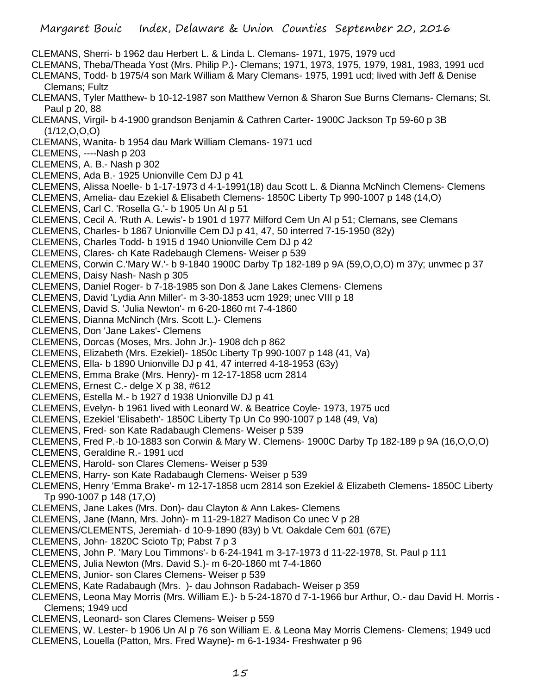- CLEMANS, Sherri- b 1962 dau Herbert L. & Linda L. Clemans- 1971, 1975, 1979 ucd
- CLEMANS, Theba/Theada Yost (Mrs. Philip P.)- Clemans; 1971, 1973, 1975, 1979, 1981, 1983, 1991 ucd
- CLEMANS, Todd- b 1975/4 son Mark William & Mary Clemans- 1975, 1991 ucd; lived with Jeff & Denise Clemans; Fultz
- CLEMANS, Tyler Matthew- b 10-12-1987 son Matthew Vernon & Sharon Sue Burns Clemans- Clemans; St. Paul p 20, 88
- CLEMANS, Virgil- b 4-1900 grandson Benjamin & Cathren Carter- 1900C Jackson Tp 59-60 p 3B  $(1/12, 0, 0, 0)$
- CLEMANS, Wanita- b 1954 dau Mark William Clemans- 1971 ucd
- CLEMENS, ----Nash p 203
- CLEMENS, A. B.- Nash p 302
- CLEMENS, Ada B.- 1925 Unionville Cem DJ p 41
- CLEMENS, Alissa Noelle- b 1-17-1973 d 4-1-1991(18) dau Scott L. & Dianna McNinch Clemens- Clemens
- CLEMENS, Amelia- dau Ezekiel & Elisabeth Clemens- 1850C Liberty Tp 990-1007 p 148 (14,O)
- CLEMENS, Carl C. 'Rosella G.'- b 1905 Un Al p 51
- CLEMENS, Cecil A. 'Ruth A. Lewis'- b 1901 d 1977 Milford Cem Un Al p 51; Clemans, see Clemans
- CLEMENS, Charles- b 1867 Unionville Cem DJ p 41, 47, 50 interred 7-15-1950 (82y)
- CLEMENS, Charles Todd- b 1915 d 1940 Unionville Cem DJ p 42
- CLEMENS, Clares- ch Kate Radebaugh Clemens- Weiser p 539
- CLEMENS, Corwin C.'Mary W.'- b 9-1840 1900C Darby Tp 182-189 p 9A (59,O,O,O) m 37y; unvmec p 37
- CLEMENS, Daisy Nash- Nash p 305
- CLEMENS, Daniel Roger- b 7-18-1985 son Don & Jane Lakes Clemens- Clemens
- CLEMENS, David 'Lydia Ann Miller'- m 3-30-1853 ucm 1929; unec VIII p 18
- CLEMENS, David S. 'Julia Newton'- m 6-20-1860 mt 7-4-1860
- CLEMENS, Dianna McNinch (Mrs. Scott L.)- Clemens
- CLEMENS, Don 'Jane Lakes'- Clemens
- CLEMENS, Dorcas (Moses, Mrs. John Jr.)- 1908 dch p 862
- CLEMENS, Elizabeth (Mrs. Ezekiel)- 1850c Liberty Tp 990-1007 p 148 (41, Va)
- CLEMENS, Ella- b 1890 Unionville DJ p 41, 47 interred 4-18-1953 (63y)
- CLEMENS, Emma Brake (Mrs. Henry)- m 12-17-1858 ucm 2814
- CLEMENS, Ernest C.- delge X p 38, #612
- CLEMENS, Estella M.- b 1927 d 1938 Unionville DJ p 41
- CLEMENS, Evelyn- b 1961 lived with Leonard W. & Beatrice Coyle- 1973, 1975 ucd
- CLEMENS, Ezekiel 'Elisabeth'- 1850C Liberty Tp Un Co 990-1007 p 148 (49, Va)
- CLEMENS, Fred- son Kate Radabaugh Clemens- Weiser p 539
- CLEMENS, Fred P.-b 10-1883 son Corwin & Mary W. Clemens- 1900C Darby Tp 182-189 p 9A (16,O,O,O)
- CLEMENS, Geraldine R.- 1991 ucd
- CLEMENS, Harold- son Clares Clemens- Weiser p 539
- CLEMENS, Harry- son Kate Radabaugh Clemens- Weiser p 539
- CLEMENS, Henry 'Emma Brake'- m 12-17-1858 ucm 2814 son Ezekiel & Elizabeth Clemens- 1850C Liberty Tp 990-1007 p 148 (17,O)
- CLEMENS, Jane Lakes (Mrs. Don)- dau Clayton & Ann Lakes- Clemens
- CLEMENS, Jane (Mann, Mrs. John)- m 11-29-1827 Madison Co unec V p 28
- CLEMENS/CLEMENTS, Jeremiah- d 10-9-1890 (83y) b Vt. Oakdale Cem 601 (67E)
- CLEMENS, John- 1820C Scioto Tp; Pabst 7 p 3
- CLEMENS, John P. 'Mary Lou Timmons'- b 6-24-1941 m 3-17-1973 d 11-22-1978, St. Paul p 111
- CLEMENS, Julia Newton (Mrs. David S.)- m 6-20-1860 mt 7-4-1860
- CLEMENS, Junior- son Clares Clemens- Weiser p 539
- CLEMENS, Kate Radabaugh (Mrs. )- dau Johnson Radabach- Weiser p 359
- CLEMENS, Leona May Morris (Mrs. William E.)- b 5-24-1870 d 7-1-1966 bur Arthur, O.- dau David H. Morris Clemens; 1949 ucd
- CLEMENS, Leonard- son Clares Clemens- Weiser p 559
- CLEMENS, W. Lester- b 1906 Un Al p 76 son William E. & Leona May Morris Clemens- Clemens; 1949 ucd CLEMENS, Louella (Patton, Mrs. Fred Wayne)- m 6-1-1934- Freshwater p 96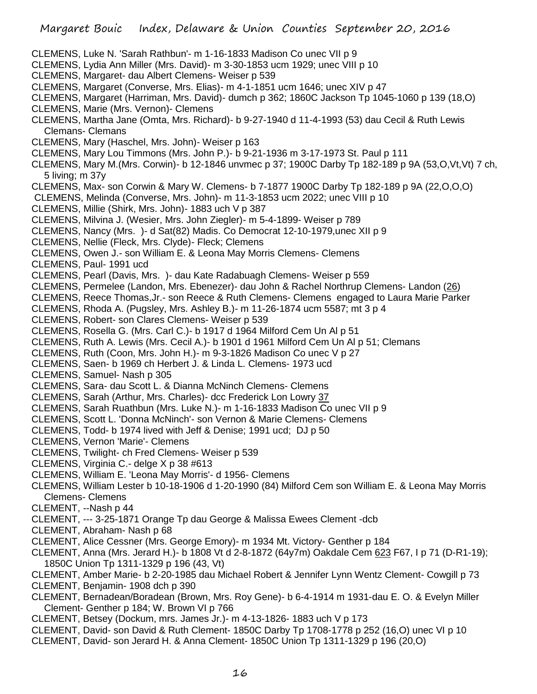- CLEMENS, Luke N. 'Sarah Rathbun'- m 1-16-1833 Madison Co unec VII p 9
- CLEMENS, Lydia Ann Miller (Mrs. David)- m 3-30-1853 ucm 1929; unec VIII p 10
- CLEMENS, Margaret- dau Albert Clemens- Weiser p 539
- CLEMENS, Margaret (Converse, Mrs. Elias)- m 4-1-1851 ucm 1646; unec XIV p 47
- CLEMENS, Margaret (Harriman, Mrs. David)- dumch p 362; 1860C Jackson Tp 1045-1060 p 139 (18,O)
- CLEMENS, Marie (Mrs. Vernon)- Clemens
- CLEMENS, Martha Jane (Omta, Mrs. Richard)- b 9-27-1940 d 11-4-1993 (53) dau Cecil & Ruth Lewis Clemans- Clemans
- CLEMENS, Mary (Haschel, Mrs. John)- Weiser p 163
- CLEMENS, Mary Lou Timmons (Mrs. John P.)- b 9-21-1936 m 3-17-1973 St. Paul p 111
- CLEMENS, Mary M.(Mrs. Corwin)- b 12-1846 unvmec p 37; 1900C Darby Tp 182-189 p 9A (53,O,Vt,Vt) 7 ch, 5 living; m 37y
- CLEMENS, Max- son Corwin & Mary W. Clemens- b 7-1877 1900C Darby Tp 182-189 p 9A (22,O,O,O)
- CLEMENS, Melinda (Converse, Mrs. John)- m 11-3-1853 ucm 2022; unec VIII p 10
- CLEMENS, Millie (Shirk, Mrs. John)- 1883 uch V p 387
- CLEMENS, Milvina J. (Wesier, Mrs. John Ziegler)- m 5-4-1899- Weiser p 789
- CLEMENS, Nancy (Mrs. )- d Sat(82) Madis. Co Democrat 12-10-1979,unec XII p 9
- CLEMENS, Nellie (Fleck, Mrs. Clyde)- Fleck; Clemens
- CLEMENS, Owen J.- son William E. & Leona May Morris Clemens- Clemens
- CLEMENS, Paul- 1991 ucd
- CLEMENS, Pearl (Davis, Mrs. )- dau Kate Radabuagh Clemens- Weiser p 559
- CLEMENS, Permelee (Landon, Mrs. Ebenezer)- dau John & Rachel Northrup Clemens- Landon (26)
- CLEMENS, Reece Thomas,Jr.- son Reece & Ruth Clemens- Clemens engaged to Laura Marie Parker
- CLEMENS, Rhoda A. (Pugsley, Mrs. Ashley B.)- m 11-26-1874 ucm 5587; mt 3 p 4
- CLEMENS, Robert- son Clares Clemens- Weiser p 539
- CLEMENS, Rosella G. (Mrs. Carl C.)- b 1917 d 1964 Milford Cem Un Al p 51
- CLEMENS, Ruth A. Lewis (Mrs. Cecil A.)- b 1901 d 1961 Milford Cem Un Al p 51; Clemans
- CLEMENS, Ruth (Coon, Mrs. John H.)- m 9-3-1826 Madison Co unec V p 27
- CLEMENS, Saen- b 1969 ch Herbert J. & Linda L. Clemens- 1973 ucd
- CLEMENS, Samuel- Nash p 305
- CLEMENS, Sara- dau Scott L. & Dianna McNinch Clemens- Clemens
- CLEMENS, Sarah (Arthur, Mrs. Charles)- dcc Frederick Lon Lowry 37
- CLEMENS, Sarah Ruathbun (Mrs. Luke N.)- m 1-16-1833 Madison Co unec VII p 9
- CLEMENS, Scott L. 'Donna McNinch'- son Vernon & Marie Clemens- Clemens
- CLEMENS, Todd- b 1974 lived with Jeff & Denise; 1991 ucd; DJ p 50
- CLEMENS, Vernon 'Marie'- Clemens
- CLEMENS, Twilight- ch Fred Clemens- Weiser p 539
- CLEMENS, Virginia C.- delge X p 38 #613
- CLEMENS, William E. 'Leona May Morris'- d 1956- Clemens
- CLEMENS, William Lester b 10-18-1906 d 1-20-1990 (84) Milford Cem son William E. & Leona May Morris Clemens- Clemens
- CLEMENT, --Nash p 44
- CLEMENT, --- 3-25-1871 Orange Tp dau George & Malissa Ewees Clement -dcb
- CLEMENT, Abraham- Nash p 68
- CLEMENT, Alice Cessner (Mrs. George Emory)- m 1934 Mt. Victory- Genther p 184
- CLEMENT, Anna (Mrs. Jerard H.)- b 1808 Vt d 2-8-1872 (64y7m) Oakdale Cem 623 F67, I p 71 (D-R1-19); 1850C Union Tp 1311-1329 p 196 (43, Vt)
- CLEMENT, Amber Marie- b 2-20-1985 dau Michael Robert & Jennifer Lynn Wentz Clement- Cowgill p 73 CLEMENT, Benjamin- 1908 dch p 390
- CLEMENT, Bernadean/Boradean (Brown, Mrs. Roy Gene)- b 6-4-1914 m 1931-dau E. O. & Evelyn Miller Clement- Genther p 184; W. Brown VI p 766
- CLEMENT, Betsey (Dockum, mrs. James Jr.)- m 4-13-1826- 1883 uch V p 173
- CLEMENT, David- son David & Ruth Clement- 1850C Darby Tp 1708-1778 p 252 (16,O) unec VI p 10
- CLEMENT, David- son Jerard H. & Anna Clement- 1850C Union Tp 1311-1329 p 196 (20,O)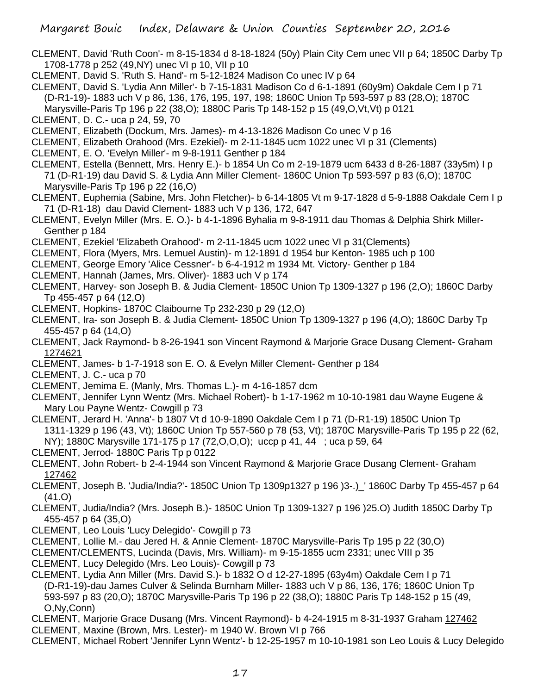- CLEMENT, David 'Ruth Coon'- m 8-15-1834 d 8-18-1824 (50y) Plain City Cem unec VII p 64; 1850C Darby Tp 1708-1778 p 252 (49,NY) unec VI p 10, VII p 10
- CLEMENT, David S. 'Ruth S. Hand'- m 5-12-1824 Madison Co unec IV p 64
- CLEMENT, David S. 'Lydia Ann Miller'- b 7-15-1831 Madison Co d 6-1-1891 (60y9m) Oakdale Cem I p 71 (D-R1-19)- 1883 uch V p 86, 136, 176, 195, 197, 198; 1860C Union Tp 593-597 p 83 (28,O); 1870C Marysville-Paris Tp 196 p 22 (38,O); 1880C Paris Tp 148-152 p 15 (49,O,Vt,Vt) p 0121
- CLEMENT, D. C.- uca p 24, 59, 70
- CLEMENT, Elizabeth (Dockum, Mrs. James)- m 4-13-1826 Madison Co unec V p 16
- CLEMENT, Elizabeth Orahood (Mrs. Ezekiel)- m 2-11-1845 ucm 1022 unec VI p 31 (Clements)
- CLEMENT, E. O. 'Evelyn Miller'- m 9-8-1911 Genther p 184
- CLEMENT, Estella (Bennett, Mrs. Henry E.)- b 1854 Un Co m 2-19-1879 ucm 6433 d 8-26-1887 (33y5m) I p 71 (D-R1-19) dau David S. & Lydia Ann Miller Clement- 1860C Union Tp 593-597 p 83 (6,O); 1870C Marysville-Paris Tp 196 p 22 (16,O)
- CLEMENT, Euphemia (Sabine, Mrs. John Fletcher)- b 6-14-1805 Vt m 9-17-1828 d 5-9-1888 Oakdale Cem I p 71 (D-R1-18) dau David Clement- 1883 uch V p 136, 172, 647
- CLEMENT, Evelyn Miller (Mrs. E. O.)- b 4-1-1896 Byhalia m 9-8-1911 dau Thomas & Delphia Shirk Miller-Genther p 184
- CLEMENT, Ezekiel 'Elizabeth Orahood'- m 2-11-1845 ucm 1022 unec VI p 31(Clements)
- CLEMENT, Flora (Myers, Mrs. Lemuel Austin)- m 12-1891 d 1954 bur Kenton- 1985 uch p 100
- CLEMENT, George Emory 'Alice Cessner'- b 6-4-1912 m 1934 Mt. Victory- Genther p 184
- CLEMENT, Hannah (James, Mrs. Oliver)- 1883 uch V p 174
- CLEMENT, Harvey- son Joseph B. & Judia Clement- 1850C Union Tp 1309-1327 p 196 (2,O); 1860C Darby Tp 455-457 p 64 (12,O)
- CLEMENT, Hopkins- 1870C Claibourne Tp 232-230 p 29 (12,O)
- CLEMENT, Ira- son Joseph B. & Judia Clement- 1850C Union Tp 1309-1327 p 196 (4,O); 1860C Darby Tp 455-457 p 64 (14,O)
- CLEMENT, Jack Raymond- b 8-26-1941 son Vincent Raymond & Marjorie Grace Dusang Clement- Graham 1274621
- CLEMENT, James- b 1-7-1918 son E. O. & Evelyn Miller Clement- Genther p 184
- CLEMENT, J. C.- uca p 70
- CLEMENT, Jemima E. (Manly, Mrs. Thomas L.)- m 4-16-1857 dcm
- CLEMENT, Jennifer Lynn Wentz (Mrs. Michael Robert)- b 1-17-1962 m 10-10-1981 dau Wayne Eugene & Mary Lou Payne Wentz- Cowgill p 73
- CLEMENT, Jerard H. 'Anna'- b 1807 Vt d 10-9-1890 Oakdale Cem I p 71 (D-R1-19) 1850C Union Tp 1311-1329 p 196 (43, Vt); 1860C Union Tp 557-560 p 78 (53, Vt); 1870C Marysville-Paris Tp 195 p 22 (62, NY); 1880C Marysville 171-175 p 17 (72,O,O,O); uccp p 41, 44 ; uca p 59, 64
- CLEMENT, Jerrod- 1880C Paris Tp p 0122
- CLEMENT, John Robert- b 2-4-1944 son Vincent Raymond & Marjorie Grace Dusang Clement- Graham 127462
- CLEMENT, Joseph B. 'Judia/India?'- 1850C Union Tp 1309p1327 p 196 )3-.)\_' 1860C Darby Tp 455-457 p 64 (41.O)
- CLEMENT, Judia/India? (Mrs. Joseph B.)- 1850C Union Tp 1309-1327 p 196 )25.O) Judith 1850C Darby Tp 455-457 p 64 (35,O)
- CLEMENT, Leo Louis 'Lucy Delegido'- Cowgill p 73
- CLEMENT, Lollie M.- dau Jered H. & Annie Clement- 1870C Marysville-Paris Tp 195 p 22 (30,O)
- CLEMENT/CLEMENTS, Lucinda (Davis, Mrs. William)- m 9-15-1855 ucm 2331; unec VIII p 35 CLEMENT, Lucy Delegido (Mrs. Leo Louis)- Cowgill p 73
- CLEMENT, Lydia Ann Miller (Mrs. David S.)- b 1832 O d 12-27-1895 (63y4m) Oakdale Cem I p 71 (D-R1-19)-dau James Culver & Selinda Burnham Miller- 1883 uch V p 86, 136, 176; 1860C Union Tp 593-597 p 83 (20,O); 1870C Marysville-Paris Tp 196 p 22 (38,O); 1880C Paris Tp 148-152 p 15 (49, O,Ny,Conn)
- CLEMENT, Marjorie Grace Dusang (Mrs. Vincent Raymond)- b 4-24-1915 m 8-31-1937 Graham 127462 CLEMENT, Maxine (Brown, Mrs. Lester)- m 1940 W. Brown VI p 766
- CLEMENT, Michael Robert 'Jennifer Lynn Wentz'- b 12-25-1957 m 10-10-1981 son Leo Louis & Lucy Delegido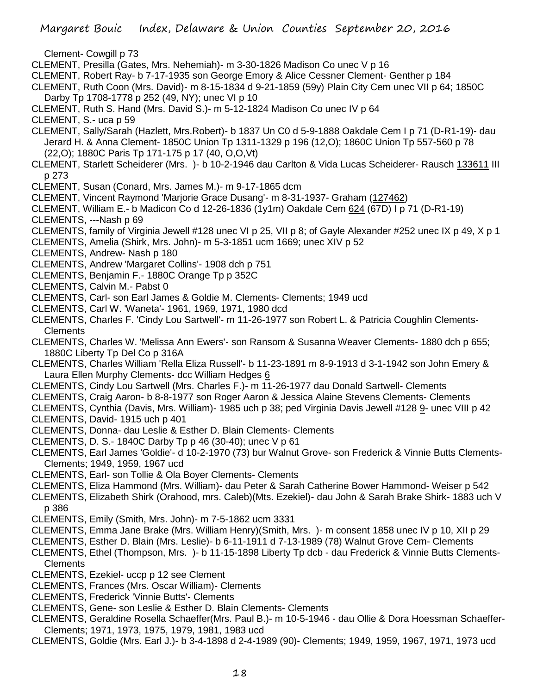Clement- Cowgill p 73

- CLEMENT, Presilla (Gates, Mrs. Nehemiah)- m 3-30-1826 Madison Co unec V p 16
- CLEMENT, Robert Ray- b 7-17-1935 son George Emory & Alice Cessner Clement- Genther p 184
- CLEMENT, Ruth Coon (Mrs. David)- m 8-15-1834 d 9-21-1859 (59y) Plain City Cem unec VII p 64; 1850C Darby Tp 1708-1778 p 252 (49, NY); unec VI p 10
- CLEMENT, Ruth S. Hand (Mrs. David S.)- m 5-12-1824 Madison Co unec IV p 64
- CLEMENT, S.- uca p 59
- CLEMENT, Sally/Sarah (Hazlett, Mrs.Robert)- b 1837 Un C0 d 5-9-1888 Oakdale Cem I p 71 (D-R1-19)- dau Jerard H. & Anna Clement- 1850C Union Tp 1311-1329 p 196 (12,O); 1860C Union Tp 557-560 p 78 (22,O); 1880C Paris Tp 171-175 p 17 (40, O,O,Vt)
- CLEMENT, Starlett Scheiderer (Mrs. )- b 10-2-1946 dau Carlton & Vida Lucas Scheiderer- Rausch 133611 III p 273
- CLEMENT, Susan (Conard, Mrs. James M.)- m 9-17-1865 dcm
- CLEMENT, Vincent Raymond 'Marjorie Grace Dusang'- m 8-31-1937- Graham (127462)
- CLEMENT, William E.- b Madicon Co d 12-26-1836 (1y1m) Oakdale Cem 624 (67D) I p 71 (D-R1-19)
- CLEMENTS, ---Nash p 69
- CLEMENTS, family of Virginia Jewell #128 unec VI p 25, VII p 8; of Gayle Alexander #252 unec IX p 49, X p 1
- CLEMENTS, Amelia (Shirk, Mrs. John)- m 5-3-1851 ucm 1669; unec XIV p 52
- CLEMENTS, Andrew- Nash p 180
- CLEMENTS, Andrew 'Margaret Collins'- 1908 dch p 751
- CLEMENTS, Benjamin F.- 1880C Orange Tp p 352C
- CLEMENTS, Calvin M.- Pabst 0
- CLEMENTS, Carl- son Earl James & Goldie M. Clements- Clements; 1949 ucd
- CLEMENTS, Carl W. 'Waneta'- 1961, 1969, 1971, 1980 dcd
- CLEMENTS, Charles F. 'Cindy Lou Sartwell'- m 11-26-1977 son Robert L. & Patricia Coughlin Clements-**Clements**
- CLEMENTS, Charles W. 'Melissa Ann Ewers'- son Ransom & Susanna Weaver Clements- 1880 dch p 655; 1880C Liberty Tp Del Co p 316A
- CLEMENTS, Charles William 'Rella Eliza Russell'- b 11-23-1891 m 8-9-1913 d 3-1-1942 son John Emery & Laura Ellen Murphy Clements- dcc William Hedges 6
- CLEMENTS, Cindy Lou Sartwell (Mrs. Charles F.)- m 11-26-1977 dau Donald Sartwell- Clements
- CLEMENTS, Craig Aaron- b 8-8-1977 son Roger Aaron & Jessica Alaine Stevens Clements- Clements
- CLEMENTS, Cynthia (Davis, Mrs. William)- 1985 uch p 38; ped Virginia Davis Jewell #128 9- unec VIII p 42 CLEMENTS, David- 1915 uch p 401
- CLEMENTS, Donna- dau Leslie & Esther D. Blain Clements- Clements
- CLEMENTS, D. S.- 1840C Darby Tp p 46 (30-40); unec V p 61
- CLEMENTS, Earl James 'Goldie'- d 10-2-1970 (73) bur Walnut Grove- son Frederick & Vinnie Butts Clements-Clements; 1949, 1959, 1967 ucd
- CLEMENTS, Earl- son Tollie & Ola Boyer Clements- Clements
- CLEMENTS, Eliza Hammond (Mrs. William)- dau Peter & Sarah Catherine Bower Hammond- Weiser p 542
- CLEMENTS, Elizabeth Shirk (Orahood, mrs. Caleb)(Mts. Ezekiel)- dau John & Sarah Brake Shirk- 1883 uch V p 386
- CLEMENTS, Emily (Smith, Mrs. John)- m 7-5-1862 ucm 3331
- CLEMENTS, Emma Jane Brake (Mrs. William Henry)(Smith, Mrs. )- m consent 1858 unec IV p 10, XII p 29
- CLEMENTS, Esther D. Blain (Mrs. Leslie)- b 6-11-1911 d 7-13-1989 (78) Walnut Grove Cem- Clements
- CLEMENTS, Ethel (Thompson, Mrs. )- b 11-15-1898 Liberty Tp dcb dau Frederick & Vinnie Butts Clements-**Clements**
- CLEMENTS, Ezekiel- uccp p 12 see Clement
- CLEMENTS, Frances (Mrs. Oscar William)- Clements
- CLEMENTS, Frederick 'Vinnie Butts'- Clements
- CLEMENTS, Gene- son Leslie & Esther D. Blain Clements- Clements
- CLEMENTS, Geraldine Rosella Schaeffer(Mrs. Paul B.)- m 10-5-1946 dau Ollie & Dora Hoessman Schaeffer-Clements; 1971, 1973, 1975, 1979, 1981, 1983 ucd
- CLEMENTS, Goldie (Mrs. Earl J.)- b 3-4-1898 d 2-4-1989 (90)- Clements; 1949, 1959, 1967, 1971, 1973 ucd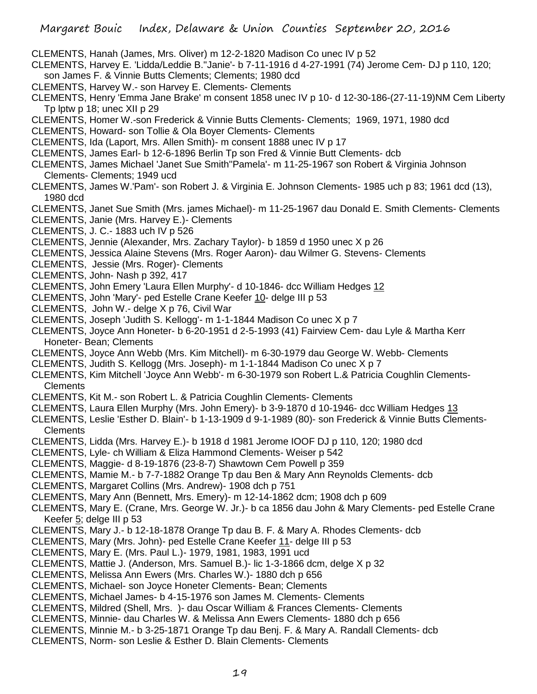- CLEMENTS, Hanah (James, Mrs. Oliver) m 12-2-1820 Madison Co unec IV p 52
- CLEMENTS, Harvey E. 'Lidda/Leddie B.''Janie'- b 7-11-1916 d 4-27-1991 (74) Jerome Cem- DJ p 110, 120; son James F. & Vinnie Butts Clements; Clements; 1980 dcd
- CLEMENTS, Harvey W.- son Harvey E. Clements- Clements
- CLEMENTS, Henry 'Emma Jane Brake' m consent 1858 unec IV p 10- d 12-30-186-(27-11-19)NM Cem Liberty Tp lptw p 18; unec XII p 29
- CLEMENTS, Homer W.-son Frederick & Vinnie Butts Clements- Clements; 1969, 1971, 1980 dcd
- CLEMENTS, Howard- son Tollie & Ola Boyer Clements- Clements
- CLEMENTS, Ida (Laport, Mrs. Allen Smith)- m consent 1888 unec IV p 17
- CLEMENTS, James Earl- b 12-6-1896 Berlin Tp son Fred & Vinnie Butt Clements- dcb
- CLEMENTS, James Michael 'Janet Sue Smith''Pamela'- m 11-25-1967 son Robert & Virginia Johnson Clements- Clements; 1949 ucd
- CLEMENTS, James W.'Pam'- son Robert J. & Virginia E. Johnson Clements- 1985 uch p 83; 1961 dcd (13), 1980 dcd
- CLEMENTS, Janet Sue Smith (Mrs. james Michael)- m 11-25-1967 dau Donald E. Smith Clements- Clements
- CLEMENTS, Janie (Mrs. Harvey E.)- Clements
- CLEMENTS, J. C.- 1883 uch IV p 526
- CLEMENTS, Jennie (Alexander, Mrs. Zachary Taylor)- b 1859 d 1950 unec X p 26
- CLEMENTS, Jessica Alaine Stevens (Mrs. Roger Aaron)- dau Wilmer G. Stevens- Clements
- CLEMENTS, Jessie (Mrs. Roger)- Clements
- CLEMENTS, John- Nash p 392, 417
- CLEMENTS, John Emery 'Laura Ellen Murphy'- d 10-1846- dcc William Hedges 12
- CLEMENTS, John 'Mary'- ped Estelle Crane Keefer 10- delge III p 53
- CLEMENTS, John W.- delge X p 76, Civil War
- CLEMENTS, Joseph 'Judith S. Kellogg'- m 1-1-1844 Madison Co unec X p 7
- CLEMENTS, Joyce Ann Honeter- b 6-20-1951 d 2-5-1993 (41) Fairview Cem- dau Lyle & Martha Kerr Honeter- Bean; Clements
- CLEMENTS, Joyce Ann Webb (Mrs. Kim Mitchell)- m 6-30-1979 dau George W. Webb- Clements
- CLEMENTS, Judith S. Kellogg (Mrs. Joseph)- m 1-1-1844 Madison Co unec X p 7
- CLEMENTS, Kim Mitchell 'Joyce Ann Webb'- m 6-30-1979 son Robert L.& Patricia Coughlin Clements-Clements
- CLEMENTS, Kit M.- son Robert L. & Patricia Coughlin Clements- Clements
- CLEMENTS, Laura Ellen Murphy (Mrs. John Emery)- b 3-9-1870 d 10-1946- dcc William Hedges 13
- CLEMENTS, Leslie 'Esther D. Blain'- b 1-13-1909 d 9-1-1989 (80)- son Frederick & Vinnie Butts Clements-**Clements**
- CLEMENTS, Lidda (Mrs. Harvey E.)- b 1918 d 1981 Jerome IOOF DJ p 110, 120; 1980 dcd
- CLEMENTS, Lyle- ch William & Eliza Hammond Clements- Weiser p 542
- CLEMENTS, Maggie- d 8-19-1876 (23-8-7) Shawtown Cem Powell p 359
- CLEMENTS, Mamie M.- b 7-7-1882 Orange Tp dau Ben & Mary Ann Reynolds Clements- dcb
- CLEMENTS, Margaret Collins (Mrs. Andrew)- 1908 dch p 751
- CLEMENTS, Mary Ann (Bennett, Mrs. Emery)- m 12-14-1862 dcm; 1908 dch p 609
- CLEMENTS, Mary E. (Crane, Mrs. George W. Jr.)- b ca 1856 dau John & Mary Clements- ped Estelle Crane Keefer 5; delge III p 53
- CLEMENTS, Mary J.- b 12-18-1878 Orange Tp dau B. F. & Mary A. Rhodes Clements- dcb
- CLEMENTS, Mary (Mrs. John)- ped Estelle Crane Keefer 11- delge III p 53
- CLEMENTS, Mary E. (Mrs. Paul L.)- 1979, 1981, 1983, 1991 ucd
- CLEMENTS, Mattie J. (Anderson, Mrs. Samuel B.)- lic 1-3-1866 dcm, delge X p 32
- CLEMENTS, Melissa Ann Ewers (Mrs. Charles W.)- 1880 dch p 656
- CLEMENTS, Michael- son Joyce Honeter Clements- Bean; Clements
- CLEMENTS, Michael James- b 4-15-1976 son James M. Clements- Clements
- CLEMENTS, Mildred (Shell, Mrs. )- dau Oscar William & Frances Clements- Clements
- CLEMENTS, Minnie- dau Charles W. & Melissa Ann Ewers Clements- 1880 dch p 656
- CLEMENTS, Minnie M.- b 3-25-1871 Orange Tp dau Benj. F. & Mary A. Randall Clements- dcb
- CLEMENTS, Norm- son Leslie & Esther D. Blain Clements- Clements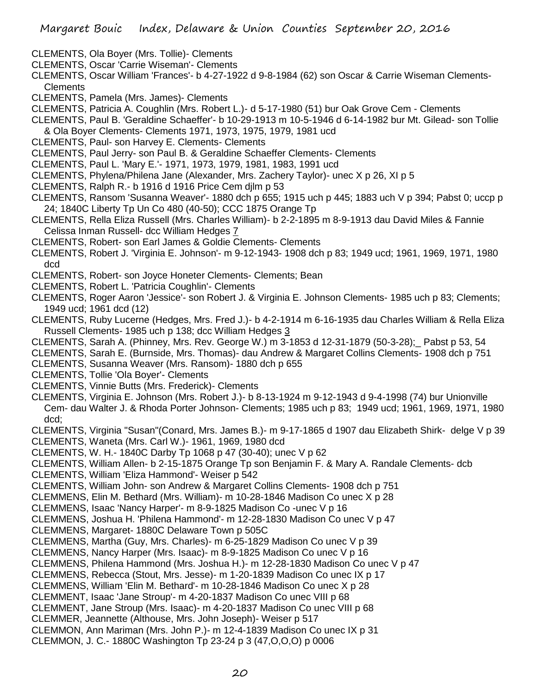- CLEMENTS, Ola Boyer (Mrs. Tollie)- Clements
- CLEMENTS, Oscar 'Carrie Wiseman'- Clements
- CLEMENTS, Oscar William 'Frances'- b 4-27-1922 d 9-8-1984 (62) son Oscar & Carrie Wiseman Clements-**Clements**
- CLEMENTS, Pamela (Mrs. James)- Clements
- CLEMENTS, Patricia A. Coughlin (Mrs. Robert L.)- d 5-17-1980 (51) bur Oak Grove Cem Clements
- CLEMENTS, Paul B. 'Geraldine Schaeffer'- b 10-29-1913 m 10-5-1946 d 6-14-1982 bur Mt. Gilead- son Tollie & Ola Boyer Clements- Clements 1971, 1973, 1975, 1979, 1981 ucd
- CLEMENTS, Paul- son Harvey E. Clements- Clements
- CLEMENTS, Paul Jerry- son Paul B. & Geraldine Schaeffer Clements- Clements
- CLEMENTS, Paul L. 'Mary E.'- 1971, 1973, 1979, 1981, 1983, 1991 ucd
- CLEMENTS, Phylena/Philena Jane (Alexander, Mrs. Zachery Taylor)- unec X p 26, XI p 5
- CLEMENTS, Ralph R.- b 1916 d 1916 Price Cem djlm p 53
- CLEMENTS, Ransom 'Susanna Weaver'- 1880 dch p 655; 1915 uch p 445; 1883 uch V p 394; Pabst 0; uccp p 24; 1840C Liberty Tp Un Co 480 (40-50); CCC 1875 Orange Tp
- CLEMENTS, Rella Eliza Russell (Mrs. Charles William)- b 2-2-1895 m 8-9-1913 dau David Miles & Fannie Celissa Inman Russell- dcc William Hedges 7
- CLEMENTS, Robert- son Earl James & Goldie Clements- Clements
- CLEMENTS, Robert J. 'Virginia E. Johnson'- m 9-12-1943- 1908 dch p 83; 1949 ucd; 1961, 1969, 1971, 1980 dcd
- CLEMENTS, Robert- son Joyce Honeter Clements- Clements; Bean
- CLEMENTS, Robert L. 'Patricia Coughlin'- Clements
- CLEMENTS, Roger Aaron 'Jessice'- son Robert J. & Virginia E. Johnson Clements- 1985 uch p 83; Clements; 1949 ucd; 1961 dcd (12)
- CLEMENTS, Ruby Lucerne (Hedges, Mrs. Fred J.)- b 4-2-1914 m 6-16-1935 dau Charles William & Rella Eliza Russell Clements- 1985 uch p 138; dcc William Hedges 3
- CLEMENTS, Sarah A. (Phinney, Mrs. Rev. George W.) m 3-1853 d 12-31-1879 (50-3-28);\_ Pabst p 53, 54
- CLEMENTS, Sarah E. (Burnside, Mrs. Thomas)- dau Andrew & Margaret Collins Clements- 1908 dch p 751
- CLEMENTS, Susanna Weaver (Mrs. Ransom)- 1880 dch p 655
- CLEMENTS, Tollie 'Ola Boyer'- Clements
- CLEMENTS, Vinnie Butts (Mrs. Frederick)- Clements
- CLEMENTS, Virginia E. Johnson (Mrs. Robert J.)- b 8-13-1924 m 9-12-1943 d 9-4-1998 (74) bur Unionville Cem- dau Walter J. & Rhoda Porter Johnson- Clements; 1985 uch p 83; 1949 ucd; 1961, 1969, 1971, 1980 dcd;
- CLEMENTS, Virginia "Susan"(Conard, Mrs. James B.)- m 9-17-1865 d 1907 dau Elizabeth Shirk- delge V p 39
- CLEMENTS, Waneta (Mrs. Carl W.)- 1961, 1969, 1980 dcd
- CLEMENTS, W. H.- 1840C Darby Tp 1068 p 47 (30-40); unec V p 62
- CLEMENTS, William Allen- b 2-15-1875 Orange Tp son Benjamin F. & Mary A. Randale Clements- dcb
- CLEMENTS, William 'Eliza Hammond'- Weiser p 542
- CLEMENTS, William John- son Andrew & Margaret Collins Clements- 1908 dch p 751
- CLEMMENS, Elin M. Bethard (Mrs. William)- m 10-28-1846 Madison Co unec X p 28
- CLEMMENS, Isaac 'Nancy Harper'- m 8-9-1825 Madison Co -unec V p 16
- CLEMMENS, Joshua H. 'Philena Hammond'- m 12-28-1830 Madison Co unec V p 47
- CLEMMENS, Margaret- 1880C Delaware Town p 505C
- CLEMMENS, Martha (Guy, Mrs. Charles)- m 6-25-1829 Madison Co unec V p 39
- CLEMMENS, Nancy Harper (Mrs. Isaac)- m 8-9-1825 Madison Co unec V p 16
- CLEMMENS, Philena Hammond (Mrs. Joshua H.)- m 12-28-1830 Madison Co unec V p 47
- CLEMMENS, Rebecca (Stout, Mrs. Jesse)- m 1-20-1839 Madison Co unec IX p 17
- CLEMMENS, William 'Elin M. Bethard'- m 10-28-1846 Madison Co unec X p 28
- CLEMMENT, Isaac 'Jane Stroup'- m 4-20-1837 Madison Co unec VIII p 68
- CLEMMENT, Jane Stroup (Mrs. Isaac)- m 4-20-1837 Madison Co unec VIII p 68
- CLEMMER, Jeannette (Althouse, Mrs. John Joseph)- Weiser p 517
- CLEMMON, Ann Mariman (Mrs. John P.)- m 12-4-1839 Madison Co unec IX p 31
- CLEMMON, J. C.- 1880C Washington Tp 23-24 p 3 (47,O,O,O) p 0006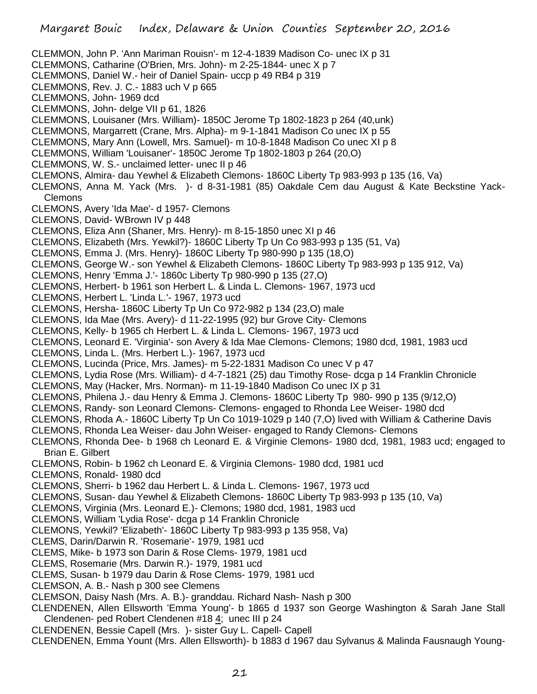CLEMMON, John P. 'Ann Mariman Rouisn'- m 12-4-1839 Madison Co- unec IX p 31 CLEMMONS, Catharine (O'Brien, Mrs. John)- m 2-25-1844- unec X p 7 CLEMMONS, Daniel W.- heir of Daniel Spain- uccp p 49 RB4 p 319 CLEMMONS, Rev. J. C.- 1883 uch V p 665 CLEMMONS, John- 1969 dcd CLEMMONS, John- delge VII p 61, 1826 CLEMMONS, Louisaner (Mrs. William)- 1850C Jerome Tp 1802-1823 p 264 (40,unk) CLEMMONS, Margarrett (Crane, Mrs. Alpha)- m 9-1-1841 Madison Co unec IX p 55 CLEMMONS, Mary Ann (Lowell, Mrs. Samuel)- m 10-8-1848 Madison Co unec XI p 8 CLEMMONS, William 'Louisaner'- 1850C Jerome Tp 1802-1803 p 264 (20,O) CLEMMONS, W. S.- unclaimed letter- unec II p 46 CLEMONS, Almira- dau Yewhel & Elizabeth Clemons- 1860C Liberty Tp 983-993 p 135 (16, Va) CLEMONS, Anna M. Yack (Mrs. )- d 8-31-1981 (85) Oakdale Cem dau August & Kate Beckstine Yack-Clemons CLEMONS, Avery 'Ida Mae'- d 1957- Clemons CLEMONS, David- WBrown IV p 448 CLEMONS, Eliza Ann (Shaner, Mrs. Henry)- m 8-15-1850 unec XI p 46 CLEMONS, Elizabeth (Mrs. Yewkil?)- 1860C Liberty Tp Un Co 983-993 p 135 (51, Va) CLEMONS, Emma J. (Mrs. Henry)- 1860C Liberty Tp 980-990 p 135 (18,O) CLEMONS, George W.- son Yewhel & Elizabeth Clemons- 1860C Liberty Tp 983-993 p 135 912, Va) CLEMONS, Henry 'Emma J.'- 1860c Liberty Tp 980-990 p 135 (27,O) CLEMONS, Herbert- b 1961 son Herbert L. & Linda L. Clemons- 1967, 1973 ucd CLEMONS, Herbert L. 'Linda L.'- 1967, 1973 ucd CLEMONS, Hersha- 1860C Liberty Tp Un Co 972-982 p 134 (23,O) male CLEMONS, Ida Mae (Mrs. Avery)- d 11-22-1995 (92) bur Grove City- Clemons CLEMONS, Kelly- b 1965 ch Herbert L. & Linda L. Clemons- 1967, 1973 ucd CLEMONS, Leonard E. 'Virginia'- son Avery & Ida Mae Clemons- Clemons; 1980 dcd, 1981, 1983 ucd CLEMONS, Linda L. (Mrs. Herbert L.)- 1967, 1973 ucd CLEMONS, Lucinda (Price, Mrs. James)- m 5-22-1831 Madison Co unec V p 47 CLEMONS, Lydia Rose (Mrs. William)- d 4-7-1821 (25) dau Timothy Rose- dcga p 14 Franklin Chronicle CLEMONS, May (Hacker, Mrs. Norman)- m 11-19-1840 Madison Co unec IX p 31 CLEMONS, Philena J.- dau Henry & Emma J. Clemons- 1860C Liberty Tp 980- 990 p 135 (9/12,O) CLEMONS, Randy- son Leonard Clemons- Clemons- engaged to Rhonda Lee Weiser- 1980 dcd CLEMONS, Rhoda A.- 1860C Liberty Tp Un Co 1019-1029 p 140 (7,O) lived with William & Catherine Davis CLEMONS, Rhonda Lea Weiser- dau John Weiser- engaged to Randy Clemons- Clemons CLEMONS, Rhonda Dee- b 1968 ch Leonard E. & Virginie Clemons- 1980 dcd, 1981, 1983 ucd; engaged to Brian E. Gilbert CLEMONS, Robin- b 1962 ch Leonard E. & Virginia Clemons- 1980 dcd, 1981 ucd CLEMONS, Ronald- 1980 dcd CLEMONS, Sherri- b 1962 dau Herbert L. & Linda L. Clemons- 1967, 1973 ucd CLEMONS, Susan- dau Yewhel & Elizabeth Clemons- 1860C Liberty Tp 983-993 p 135 (10, Va) CLEMONS, Virginia (Mrs. Leonard E.)- Clemons; 1980 dcd, 1981, 1983 ucd CLEMONS, William 'Lydia Rose'- dcga p 14 Franklin Chronicle CLEMONS, Yewkil? 'Elizabeth'- 1860C Liberty Tp 983-993 p 135 958, Va) CLEMS, Darin/Darwin R. 'Rosemarie'- 1979, 1981 ucd CLEMS, Mike- b 1973 son Darin & Rose Clems- 1979, 1981 ucd CLEMS, Rosemarie (Mrs. Darwin R.)- 1979, 1981 ucd CLEMS, Susan- b 1979 dau Darin & Rose Clems- 1979, 1981 ucd CLEMSON, A. B.- Nash p 300 see Clemens CLEMSON, Daisy Nash (Mrs. A. B.)- granddau. Richard Nash- Nash p 300 CLENDENEN, Allen Ellsworth 'Emma Young'- b 1865 d 1937 son George Washington & Sarah Jane Stall Clendenen- ped Robert Clendenen #18 4; unec III p 24

- CLENDENEN, Bessie Capell (Mrs. )- sister Guy L. Capell- Capell
- CLENDENEN, Emma Yount (Mrs. Allen Ellsworth)- b 1883 d 1967 dau Sylvanus & Malinda Fausnaugh Young-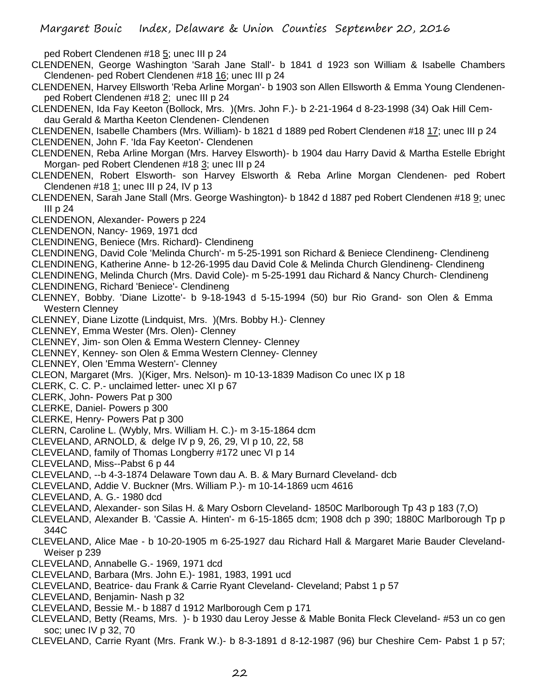ped Robert Clendenen #18 5; unec III p 24

- CLENDENEN, George Washington 'Sarah Jane Stall'- b 1841 d 1923 son William & Isabelle Chambers Clendenen- ped Robert Clendenen #18 16; unec III p 24
- CLENDENEN, Harvey Ellsworth 'Reba Arline Morgan'- b 1903 son Allen Ellsworth & Emma Young Clendenenped Robert Clendenen #18 2; unec III p 24
- CLENDENEN, Ida Fay Keeton (Bollock, Mrs. )(Mrs. John F.)- b 2-21-1964 d 8-23-1998 (34) Oak Hill Cemdau Gerald & Martha Keeton Clendenen- Clendenen
- CLENDENEN, Isabelle Chambers (Mrs. William)- b 1821 d 1889 ped Robert Clendenen #18 17; unec III p 24
- CLENDENEN, John F. 'Ida Fay Keeton'- Clendenen
- CLENDENEN, Reba Arline Morgan (Mrs. Harvey Elsworth)- b 1904 dau Harry David & Martha Estelle Ebright Morgan- ped Robert Clendenen #18 3; unec III p 24
- CLENDENEN, Robert Elsworth- son Harvey Elsworth & Reba Arline Morgan Clendenen- ped Robert Clendenen #18 1; unec III p 24, IV p 13
- CLENDENEN, Sarah Jane Stall (Mrs. George Washington)- b 1842 d 1887 ped Robert Clendenen #18 9; unec III p 24
- CLENDENON, Alexander- Powers p 224
- CLENDENON, Nancy- 1969, 1971 dcd
- CLENDINENG, Beniece (Mrs. Richard)- Clendineng
- CLENDINENG, David Cole 'Melinda Church'- m 5-25-1991 son Richard & Beniece Clendineng- Clendineng
- CLENDINENG, Katherine Anne- b 12-26-1995 dau David Cole & Melinda Church Glendineng- Clendineng
- CLENDINENG, Melinda Church (Mrs. David Cole)- m 5-25-1991 dau Richard & Nancy Church- Clendineng
- CLENDINENG, Richard 'Beniece'- Clendineng
- CLENNEY, Bobby. 'Diane Lizotte'- b 9-18-1943 d 5-15-1994 (50) bur Rio Grand- son Olen & Emma Western Clenney
- CLENNEY, Diane Lizotte (Lindquist, Mrs. )(Mrs. Bobby H.)- Clenney
- CLENNEY, Emma Wester (Mrs. Olen)- Clenney
- CLENNEY, Jim- son Olen & Emma Western Clenney- Clenney
- CLENNEY, Kenney- son Olen & Emma Western Clenney- Clenney
- CLENNEY, Olen 'Emma Western'- Clenney
- CLEON, Margaret (Mrs. )(Kiger, Mrs. Nelson)- m 10-13-1839 Madison Co unec IX p 18
- CLERK, C. C. P.- unclaimed letter- unec XI p 67
- CLERK, John- Powers Pat p 300
- CLERKE, Daniel- Powers p 300
- CLERKE, Henry- Powers Pat p 300
- CLERN, Caroline L. (Wybly, Mrs. William H. C.)- m 3-15-1864 dcm
- CLEVELAND, ARNOLD, & delge IV p 9, 26, 29, VI p 10, 22, 58
- CLEVELAND, family of Thomas Longberry #172 unec VI p 14
- CLEVELAND, Miss--Pabst 6 p 44
- CLEVELAND, --b 4-3-1874 Delaware Town dau A. B. & Mary Burnard Cleveland- dcb
- CLEVELAND, Addie V. Buckner (Mrs. William P.)- m 10-14-1869 ucm 4616
- CLEVELAND, A. G.- 1980 dcd
- CLEVELAND, Alexander- son Silas H. & Mary Osborn Cleveland- 1850C Marlborough Tp 43 p 183 (7,O)
- CLEVELAND, Alexander B. 'Cassie A. Hinten'- m 6-15-1865 dcm; 1908 dch p 390; 1880C Marlborough Tp p 344C
- CLEVELAND, Alice Mae b 10-20-1905 m 6-25-1927 dau Richard Hall & Margaret Marie Bauder Cleveland-Weiser p 239
- CLEVELAND, Annabelle G.- 1969, 1971 dcd
- CLEVELAND, Barbara (Mrs. John E.)- 1981, 1983, 1991 ucd
- CLEVELAND, Beatrice- dau Frank & Carrie Ryant Cleveland- Cleveland; Pabst 1 p 57
- CLEVELAND, Benjamin- Nash p 32
- CLEVELAND, Bessie M.- b 1887 d 1912 Marlborough Cem p 171
- CLEVELAND, Betty (Reams, Mrs. )- b 1930 dau Leroy Jesse & Mable Bonita Fleck Cleveland- #53 un co gen soc; unec IV p 32, 70
- CLEVELAND, Carrie Ryant (Mrs. Frank W.)- b 8-3-1891 d 8-12-1987 (96) bur Cheshire Cem- Pabst 1 p 57;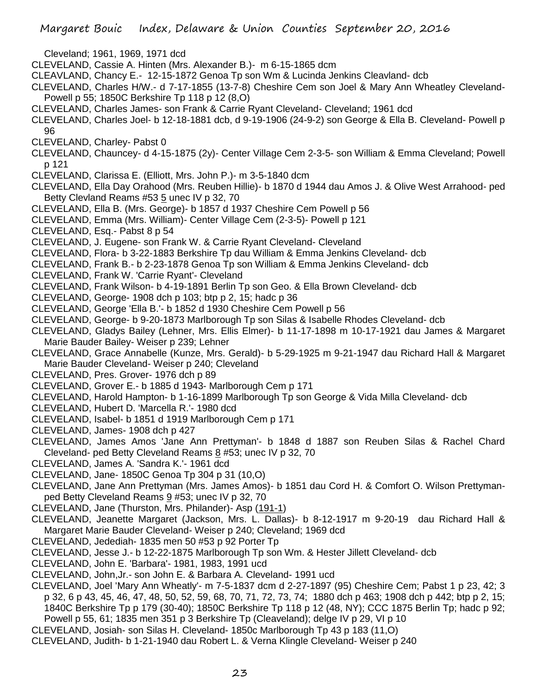- Cleveland; 1961, 1969, 1971 dcd
- CLEVELAND, Cassie A. Hinten (Mrs. Alexander B.)- m 6-15-1865 dcm
- CLEAVLAND, Chancy E.- 12-15-1872 Genoa Tp son Wm & Lucinda Jenkins Cleavland- dcb
- CLEVELAND, Charles H/W.- d 7-17-1855 (13-7-8) Cheshire Cem son Joel & Mary Ann Wheatley Cleveland-Powell p 55; 1850C Berkshire Tp 118 p 12 (8,O)
- CLEVELAND, Charles James- son Frank & Carrie Ryant Cleveland- Cleveland; 1961 dcd
- CLEVELAND, Charles Joel- b 12-18-1881 dcb, d 9-19-1906 (24-9-2) son George & Ella B. Cleveland- Powell p 96
- CLEVELAND, Charley- Pabst 0
- CLEVELAND, Chauncey- d 4-15-1875 (2y)- Center Village Cem 2-3-5- son William & Emma Cleveland; Powell p 121
- CLEVELAND, Clarissa E. (Elliott, Mrs. John P.)- m 3-5-1840 dcm
- CLEVELAND, Ella Day Orahood (Mrs. Reuben Hillie)- b 1870 d 1944 dau Amos J. & Olive West Arrahood- ped Betty Clevland Reams #53 5 unec IV p 32, 70
- CLEVELAND, Ella B. (Mrs. George)- b 1857 d 1937 Cheshire Cem Powell p 56
- CLEVELAND, Emma (Mrs. William)- Center Village Cem (2-3-5)- Powell p 121
- CLEVELAND, Esq.- Pabst 8 p 54
- CLEVELAND, J. Eugene- son Frank W. & Carrie Ryant Cleveland- Cleveland
- CLEVELAND, Flora- b 3-22-1883 Berkshire Tp dau William & Emma Jenkins Cleveland- dcb
- CLEVELAND, Frank B.- b 2-23-1878 Genoa Tp son William & Emma Jenkins Cleveland- dcb
- CLEVELAND, Frank W. 'Carrie Ryant'- Cleveland
- CLEVELAND, Frank Wilson- b 4-19-1891 Berlin Tp son Geo. & Ella Brown Cleveland- dcb
- CLEVELAND, George- 1908 dch p 103; btp p 2, 15; hadc p 36
- CLEVELAND, George 'Ella B.'- b 1852 d 1930 Cheshire Cem Powell p 56
- CLEVELAND, George- b 9-20-1873 Marlborough Tp son Silas & Isabelle Rhodes Cleveland- dcb
- CLEVELAND, Gladys Bailey (Lehner, Mrs. Ellis Elmer)- b 11-17-1898 m 10-17-1921 dau James & Margaret Marie Bauder Bailey- Weiser p 239; Lehner
- CLEVELAND, Grace Annabelle (Kunze, Mrs. Gerald)- b 5-29-1925 m 9-21-1947 dau Richard Hall & Margaret Marie Bauder Cleveland- Weiser p 240; Cleveland
- CLEVELAND, Pres. Grover- 1976 dch p 89
- CLEVELAND, Grover E.- b 1885 d 1943- Marlborough Cem p 171
- CLEVELAND, Harold Hampton- b 1-16-1899 Marlborough Tp son George & Vida Milla Cleveland- dcb
- CLEVELAND, Hubert D. 'Marcella R.'- 1980 dcd
- CLEVELAND, Isabel- b 1851 d 1919 Marlborough Cem p 171
- CLEVELAND, James- 1908 dch p 427
- CLEVELAND, James Amos 'Jane Ann Prettyman'- b 1848 d 1887 son Reuben Silas & Rachel Chard Cleveland- ped Betty Cleveland Reams  $8$  #53; unec IV p 32, 70
- CLEVELAND, James A. 'Sandra K.'- 1961 dcd
- CLEVELAND, Jane- 1850C Genoa Tp 304 p 31 (10,O)
- CLEVELAND, Jane Ann Prettyman (Mrs. James Amos)- b 1851 dau Cord H. & Comfort O. Wilson Prettymanped Betty Cleveland Reams 9 #53; unec IV p 32, 70
- CLEVELAND, Jane (Thurston, Mrs. Philander)- Asp (191-1)
- CLEVELAND, Jeanette Margaret (Jackson, Mrs. L. Dallas)- b 8-12-1917 m 9-20-19 dau Richard Hall & Margaret Marie Bauder Cleveland- Weiser p 240; Cleveland; 1969 dcd
- CLEVELAND, Jedediah- 1835 men 50 #53 p 92 Porter Tp
- CLEVELAND, Jesse J.- b 12-22-1875 Marlborough Tp son Wm. & Hester Jillett Cleveland- dcb
- CLEVELAND, John E. 'Barbara'- 1981, 1983, 1991 ucd
- CLEVELAND, John,Jr.- son John E. & Barbara A. Cleveland- 1991 ucd
- CLEVELAND, Joel 'Mary Ann Wheatly'- m 7-5-1837 dcm d 2-27-1897 (95) Cheshire Cem; Pabst 1 p 23, 42; 3 p 32, 6 p 43, 45, 46, 47, 48, 50, 52, 59, 68, 70, 71, 72, 73, 74; 1880 dch p 463; 1908 dch p 442; btp p 2, 15; 1840C Berkshire Tp p 179 (30-40); 1850C Berkshire Tp 118 p 12 (48, NY); CCC 1875 Berlin Tp; hadc p 92; Powell p 55, 61; 1835 men 351 p 3 Berkshire Tp (Cleaveland); delge IV p 29, VI p 10
- CLEVELAND, Josiah- son Silas H. Cleveland- 1850c Marlborough Tp 43 p 183 (11,O)
- CLEVELAND, Judith- b 1-21-1940 dau Robert L. & Verna Klingle Cleveland- Weiser p 240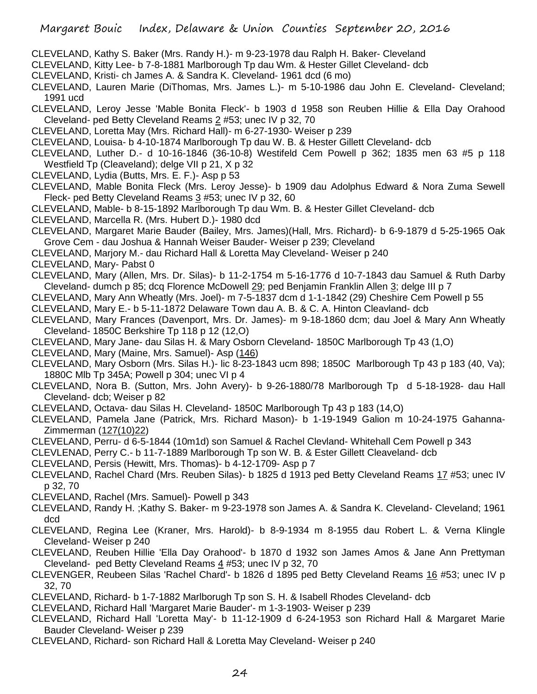- CLEVELAND, Kathy S. Baker (Mrs. Randy H.)- m 9-23-1978 dau Ralph H. Baker- Cleveland
- CLEVELAND, Kitty Lee- b 7-8-1881 Marlborough Tp dau Wm. & Hester Gillet Cleveland- dcb
- CLEVELAND, Kristi- ch James A. & Sandra K. Cleveland- 1961 dcd (6 mo)
- CLEVELAND, Lauren Marie (DiThomas, Mrs. James L.)- m 5-10-1986 dau John E. Cleveland- Cleveland; 1991 ucd
- CLEVELAND, Leroy Jesse 'Mable Bonita Fleck'- b 1903 d 1958 son Reuben Hillie & Ella Day Orahood Cleveland- ped Betty Cleveland Reams 2 #53; unec IV p 32, 70
- CLEVELAND, Loretta May (Mrs. Richard Hall)- m 6-27-1930- Weiser p 239
- CLEVELAND, Louisa- b 4-10-1874 Marlborough Tp dau W. B. & Hester Gillett Cleveland- dcb
- CLEVELAND, Luther D.- d 10-16-1846 (36-10-8) Westifeld Cem Powell p 362; 1835 men 63 #5 p 118 Westfield Tp (Cleaveland); delge VII p 21, X p 32
- CLEVELAND, Lydia (Butts, Mrs. E. F.)- Asp p 53
- CLEVELAND, Mable Bonita Fleck (Mrs. Leroy Jesse)- b 1909 dau Adolphus Edward & Nora Zuma Sewell Fleck- ped Betty Cleveland Reams  $3#53$ ; unec IV p 32, 60
- CLEVELAND, Mable- b 8-15-1892 Marlborough Tp dau Wm. B. & Hester Gillet Cleveland- dcb
- CLEVELAND, Marcella R. (Mrs. Hubert D.)- 1980 dcd
- CLEVELAND, Margaret Marie Bauder (Bailey, Mrs. James)(Hall, Mrs. Richard)- b 6-9-1879 d 5-25-1965 Oak Grove Cem - dau Joshua & Hannah Weiser Bauder- Weiser p 239; Cleveland
- CLEVELAND, Marjory M.- dau Richard Hall & Loretta May Cleveland- Weiser p 240
- CLEVELAND, Mary- Pabst 0
- CLEVELAND, Mary (Allen, Mrs. Dr. Silas)- b 11-2-1754 m 5-16-1776 d 10-7-1843 dau Samuel & Ruth Darby Cleveland- dumch p 85; dcq Florence McDowell 29; ped Benjamin Franklin Allen 3; delge III p 7
- CLEVELAND, Mary Ann Wheatly (Mrs. Joel)- m 7-5-1837 dcm d 1-1-1842 (29) Cheshire Cem Powell p 55
- CLEVELAND, Mary E.- b 5-11-1872 Delaware Town dau A. B. & C. A. Hinton Cleavland- dcb
- CLEVELAND, Mary Frances (Davenport, Mrs. Dr. James)- m 9-18-1860 dcm; dau Joel & Mary Ann Wheatly Cleveland- 1850C Berkshire Tp 118 p 12 (12,O)
- CLEVELAND, Mary Jane- dau Silas H. & Mary Osborn Cleveland- 1850C Marlborough Tp 43 (1,O)
- CLEVELAND, Mary (Maine, Mrs. Samuel)- Asp (146)
- CLEVELAND, Mary Osborn (Mrs. Silas H.)- lic 8-23-1843 ucm 898; 1850C Marlborough Tp 43 p 183 (40, Va); 1880C Mlb Tp 345A; Powell p 304; unec VI p 4
- CLEVELAND, Nora B. (Sutton, Mrs. John Avery)- b 9-26-1880/78 Marlborough Tp d 5-18-1928- dau Hall Cleveland- dcb; Weiser p 82
- CLEVELAND, Octava- dau Silas H. Cleveland- 1850C Marlborough Tp 43 p 183 (14,O)
- CLEVELAND, Pamela Jane (Patrick, Mrs. Richard Mason)- b 1-19-1949 Galion m 10-24-1975 Gahanna-Zimmerman (127(10)22)
- CLEVELAND, Perru- d 6-5-1844 (10m1d) son Samuel & Rachel Clevland- Whitehall Cem Powell p 343
- CLEVLENAD, Perry C.- b 11-7-1889 Marlborough Tp son W. B. & Ester Gillett Cleaveland- dcb
- CLEVELAND, Persis (Hewitt, Mrs. Thomas)- b 4-12-1709- Asp p 7
- CLEVELAND, Rachel Chard (Mrs. Reuben Silas)- b 1825 d 1913 ped Betty Cleveland Reams 17 #53; unec IV p 32, 70
- CLEVELAND, Rachel (Mrs. Samuel)- Powell p 343
- CLEVELAND, Randy H. ;Kathy S. Baker- m 9-23-1978 son James A. & Sandra K. Cleveland- Cleveland; 1961 dcd
- CLEVELAND, Regina Lee (Kraner, Mrs. Harold)- b 8-9-1934 m 8-1955 dau Robert L. & Verna Klingle Cleveland- Weiser p 240
- CLEVELAND, Reuben Hillie 'Ella Day Orahood'- b 1870 d 1932 son James Amos & Jane Ann Prettyman Cleveland- ped Betty Cleveland Reams 4 #53; unec IV p 32, 70
- CLEVENGER, Reubeen Silas 'Rachel Chard'- b 1826 d 1895 ped Betty Cleveland Reams 16 #53; unec IV p 32, 70
- CLEVELAND, Richard- b 1-7-1882 Marlborugh Tp son S. H. & Isabell Rhodes Cleveland- dcb
- CLEVELAND, Richard Hall 'Margaret Marie Bauder'- m 1-3-1903- Weiser p 239
- CLEVELAND, Richard Hall 'Loretta May'- b 11-12-1909 d 6-24-1953 son Richard Hall & Margaret Marie Bauder Cleveland- Weiser p 239
- CLEVELAND, Richard- son Richard Hall & Loretta May Cleveland- Weiser p 240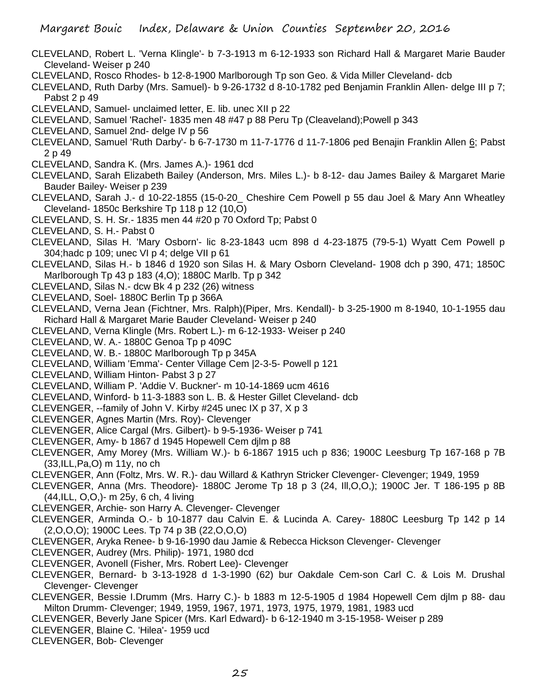- CLEVELAND, Robert L. 'Verna Klingle'- b 7-3-1913 m 6-12-1933 son Richard Hall & Margaret Marie Bauder Cleveland- Weiser p 240
- CLEVELAND, Rosco Rhodes- b 12-8-1900 Marlborough Tp son Geo. & Vida Miller Cleveland- dcb
- CLEVELAND, Ruth Darby (Mrs. Samuel)- b 9-26-1732 d 8-10-1782 ped Benjamin Franklin Allen- delge III p 7; Pabst 2 p 49
- CLEVELAND, Samuel- unclaimed letter, E. lib. unec XII p 22
- CLEVELAND, Samuel 'Rachel'- 1835 men 48 #47 p 88 Peru Tp (Cleaveland);Powell p 343
- CLEVELAND, Samuel 2nd- delge IV p 56
- CLEVELAND, Samuel 'Ruth Darby'- b 6-7-1730 m 11-7-1776 d 11-7-1806 ped Benajin Franklin Allen 6; Pabst 2 p 49
- CLEVELAND, Sandra K. (Mrs. James A.)- 1961 dcd
- CLEVELAND, Sarah Elizabeth Bailey (Anderson, Mrs. Miles L.)- b 8-12- dau James Bailey & Margaret Marie Bauder Bailey- Weiser p 239
- CLEVELAND, Sarah J.- d 10-22-1855 (15-0-20\_ Cheshire Cem Powell p 55 dau Joel & Mary Ann Wheatley Cleveland- 1850c Berkshire Tp 118 p 12 (10,O)
- CLEVELAND, S. H. Sr.- 1835 men 44 #20 p 70 Oxford Tp; Pabst 0
- CLEVELAND, S. H.- Pabst 0
- CLEVELAND, Silas H. 'Mary Osborn'- lic 8-23-1843 ucm 898 d 4-23-1875 (79-5-1) Wyatt Cem Powell p 304;hadc p 109; unec VI p 4; delge VII p 61
- CLEVELAND, Silas H.- b 1846 d 1920 son Silas H. & Mary Osborn Cleveland- 1908 dch p 390, 471; 1850C Marlborough Tp 43 p 183 (4,O); 1880C Marlb. Tp p 342
- CLEVELAND, Silas N.- dcw Bk 4 p 232 (26) witness
- CLEVELAND, Soel- 1880C Berlin Tp p 366A
- CLEVELAND, Verna Jean (Fichtner, Mrs. Ralph)(Piper, Mrs. Kendall)- b 3-25-1900 m 8-1940, 10-1-1955 dau Richard Hall & Margaret Marie Bauder Cleveland- Weiser p 240
- CLEVELAND, Verna Klingle (Mrs. Robert L.)- m 6-12-1933- Weiser p 240
- CLEVELAND, W. A.- 1880C Genoa Tp p 409C
- CLEVELAND, W. B.- 1880C Marlborough Tp p 345A
- CLEVELAND, William 'Emma'- Center Village Cem |2-3-5- Powell p 121
- CLEVELAND, William Hinton- Pabst 3 p 27
- CLEVELAND, William P. 'Addie V. Buckner'- m 10-14-1869 ucm 4616
- CLEVELAND, Winford- b 11-3-1883 son L. B. & Hester Gillet Cleveland- dcb
- CLEVENGER, --family of John V. Kirby #245 unec IX p 37, X p 3
- CLEVENGER, Agnes Martin (Mrs. Roy)- Clevenger
- CLEVENGER, Alice Cargal (Mrs. Gilbert)- b 9-5-1936- Weiser p 741
- CLEVENGER, Amy- b 1867 d 1945 Hopewell Cem djlm p 88
- CLEVENGER, Amy Morey (Mrs. William W.)- b 6-1867 1915 uch p 836; 1900C Leesburg Tp 167-168 p 7B (33,ILL,Pa,O) m 11y, no ch
- CLEVENGER, Ann (Foltz, Mrs. W. R.)- dau Willard & Kathryn Stricker Clevenger- Clevenger; 1949, 1959
- CLEVENGER, Anna (Mrs. Theodore)- 1880C Jerome Tp 18 p 3 (24, Ill,O,O,); 1900C Jer. T 186-195 p 8B (44,ILL, O,O,)- m 25y, 6 ch, 4 living
- CLEVENGER, Archie- son Harry A. Clevenger- Clevenger
- CLEVENGER, Arminda O.- b 10-1877 dau Calvin E. & Lucinda A. Carey- 1880C Leesburg Tp 142 p 14 (2,O,O,O); 1900C Lees. Tp 74 p 3B (22,O,O,O)
- CLEVENGER, Aryka Renee- b 9-16-1990 dau Jamie & Rebecca Hickson Clevenger- Clevenger
- CLEVENGER, Audrey (Mrs. Philip)- 1971, 1980 dcd
- CLEVENGER, Avonell (Fisher, Mrs. Robert Lee)- Clevenger
- CLEVENGER, Bernard- b 3-13-1928 d 1-3-1990 (62) bur Oakdale Cem-son Carl C. & Lois M. Drushal Clevenger- Clevenger
- CLEVENGER, Bessie I.Drumm (Mrs. Harry C.)- b 1883 m 12-5-1905 d 1984 Hopewell Cem djlm p 88- dau Milton Drumm- Clevenger; 1949, 1959, 1967, 1971, 1973, 1975, 1979, 1981, 1983 ucd
- CLEVENGER, Beverly Jane Spicer (Mrs. Karl Edward)- b 6-12-1940 m 3-15-1958- Weiser p 289
- CLEVENGER, Blaine C. 'Hilea'- 1959 ucd
- CLEVENGER, Bob- Clevenger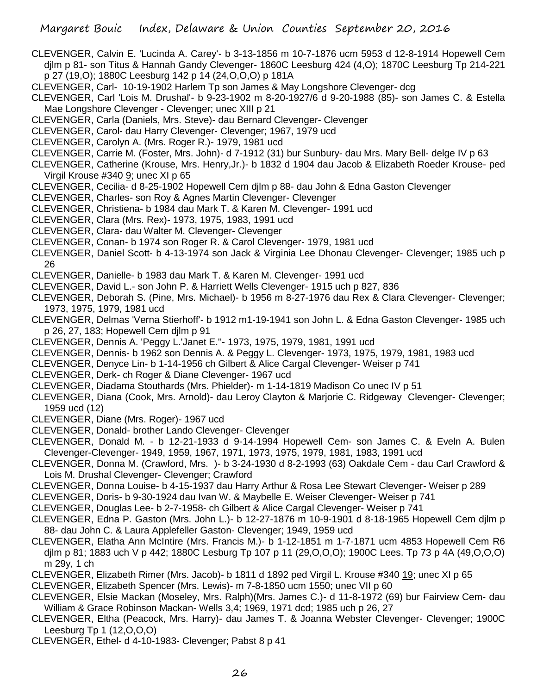- CLEVENGER, Calvin E. 'Lucinda A. Carey'- b 3-13-1856 m 10-7-1876 ucm 5953 d 12-8-1914 Hopewell Cem djlm p 81- son Titus & Hannah Gandy Clevenger- 1860C Leesburg 424 (4,O); 1870C Leesburg Tp 214-221 p 27 (19,O); 1880C Leesburg 142 p 14 (24,O,O,O) p 181A
- CLEVENGER, Carl- 10-19-1902 Harlem Tp son James & May Longshore Clevenger- dcg
- CLEVENGER, Carl 'Lois M. Drushal'- b 9-23-1902 m 8-20-1927/6 d 9-20-1988 (85)- son James C. & Estella Mae Longshore Clevenger - Clevenger; unec XIII p 21
- CLEVENGER, Carla (Daniels, Mrs. Steve)- dau Bernard Clevenger- Clevenger
- CLEVENGER, Carol- dau Harry Clevenger- Clevenger; 1967, 1979 ucd
- CLEVENGER, Carolyn A. (Mrs. Roger R.)- 1979, 1981 ucd
- CLEVENGER, Carrie M. (Foster, Mrs. John)- d 7-1912 (31) bur Sunbury- dau Mrs. Mary Bell- delge IV p 63
- CLEVENGER, Catherine (Krouse, Mrs. Henry,Jr.)- b 1832 d 1904 dau Jacob & Elizabeth Roeder Krouse- ped Virgil Krouse #340 9; unec XI p 65
- CLEVENGER, Cecilia- d 8-25-1902 Hopewell Cem djlm p 88- dau John & Edna Gaston Clevenger
- CLEVENGER, Charles- son Roy & Agnes Martin Clevenger- Clevenger
- CLEVENGER, Christiena- b 1984 dau Mark T. & Karen M. Clevenger- 1991 ucd
- CLEVENGER, Clara (Mrs. Rex)- 1973, 1975, 1983, 1991 ucd
- CLEVENGER, Clara- dau Walter M. Clevenger- Clevenger
- CLEVENGER, Conan- b 1974 son Roger R. & Carol Clevenger- 1979, 1981 ucd
- CLEVENGER, Daniel Scott- b 4-13-1974 son Jack & Virginia Lee Dhonau Clevenger- Clevenger; 1985 uch p 26
- CLEVENGER, Danielle- b 1983 dau Mark T. & Karen M. Clevenger- 1991 ucd
- CLEVENGER, David L.- son John P. & Harriett Wells Clevenger- 1915 uch p 827, 836
- CLEVENGER, Deborah S. (Pine, Mrs. Michael)- b 1956 m 8-27-1976 dau Rex & Clara Clevenger- Clevenger; 1973, 1975, 1979, 1981 ucd
- CLEVENGER, Delmas 'Verna Stierhoff'- b 1912 m1-19-1941 son John L. & Edna Gaston Clevenger- 1985 uch p 26, 27, 183; Hopewell Cem djlm p 91
- CLEVENGER, Dennis A. 'Peggy L.'Janet E.''- 1973, 1975, 1979, 1981, 1991 ucd
- CLEVENGER, Dennis- b 1962 son Dennis A. & Peggy L. Clevenger- 1973, 1975, 1979, 1981, 1983 ucd
- CLEVENGER, Denyce Lin- b 1-14-1956 ch Gilbert & Alice Cargal Clevenger- Weiser p 741
- CLEVENGER, Derk- ch Roger & Diane Clevenger- 1967 ucd
- CLEVENGER, Diadama Stouthards (Mrs. Phielder)- m 1-14-1819 Madison Co unec IV p 51
- CLEVENGER, Diana (Cook, Mrs. Arnold)- dau Leroy Clayton & Marjorie C. Ridgeway Clevenger- Clevenger; 1959 ucd (12)
- CLEVENGER, Diane (Mrs. Roger)- 1967 ucd
- CLEVENGER, Donald- brother Lando Clevenger- Clevenger
- CLEVENGER, Donald M. b 12-21-1933 d 9-14-1994 Hopewell Cem- son James C. & Eveln A. Bulen Clevenger-Clevenger- 1949, 1959, 1967, 1971, 1973, 1975, 1979, 1981, 1983, 1991 ucd
- CLEVENGER, Donna M. (Crawford, Mrs. )- b 3-24-1930 d 8-2-1993 (63) Oakdale Cem dau Carl Crawford & Lois M. Drushal Clevenger- Clevenger; Crawford
- CLEVENGER, Donna Louise- b 4-15-1937 dau Harry Arthur & Rosa Lee Stewart Clevenger- Weiser p 289
- CLEVENGER, Doris- b 9-30-1924 dau Ivan W. & Maybelle E. Weiser Clevenger- Weiser p 741
- CLEVENGER, Douglas Lee- b 2-7-1958- ch Gilbert & Alice Cargal Clevenger- Weiser p 741
- CLEVENGER, Edna P. Gaston (Mrs. John L.)- b 12-27-1876 m 10-9-1901 d 8-18-1965 Hopewell Cem djlm p 88- dau John C. & Laura Applefeller Gaston- Clevenger; 1949, 1959 ucd
- CLEVENGER, Elatha Ann McIntire (Mrs. Francis M.)- b 1-12-1851 m 1-7-1871 ucm 4853 Hopewell Cem R6 djlm p 81; 1883 uch V p 442; 1880C Lesburg Tp 107 p 11 (29,O,O,O); 1900C Lees. Tp 73 p 4A (49,O,O,O) m 29y, 1 ch
- CLEVENGER, Elizabeth Rimer (Mrs. Jacob)- b 1811 d 1892 ped Virgil L. Krouse #340 19; unec XI p 65
- CLEVENGER, Elizabeth Spencer (Mrs. Lewis)- m 7-8-1850 ucm 1550; unec VII p 60
- CLEVENGER, Elsie Mackan (Moseley, Mrs. Ralph)(Mrs. James C.)- d 11-8-1972 (69) bur Fairview Cem- dau William & Grace Robinson Mackan- Wells 3,4; 1969, 1971 dcd; 1985 uch p 26, 27
- CLEVENGER, Eltha (Peacock, Mrs. Harry)- dau James T. & Joanna Webster Clevenger- Clevenger; 1900C Leesburg Tp 1 (12,O,O,O)
- CLEVENGER, Ethel- d 4-10-1983- Clevenger; Pabst 8 p 41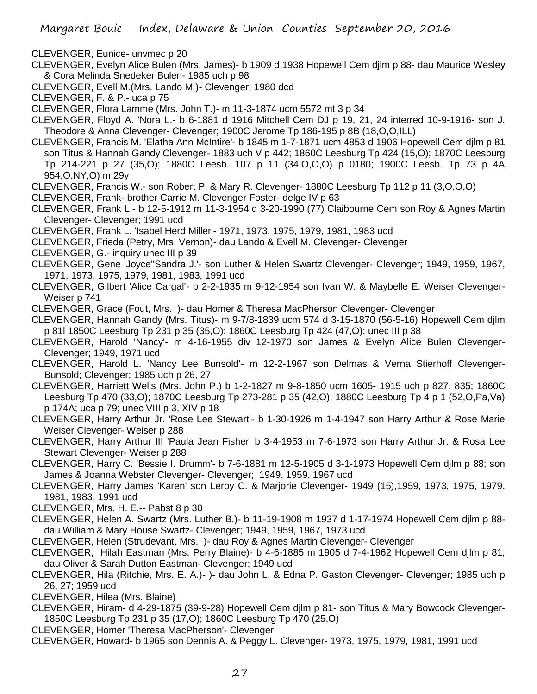- CLEVENGER, Eunice- unvmec p 20
- CLEVENGER, Evelyn Alice Bulen (Mrs. James)- b 1909 d 1938 Hopewell Cem djlm p 88- dau Maurice Wesley & Cora Melinda Snedeker Bulen- 1985 uch p 98
- CLEVENGER, Evell M.(Mrs. Lando M.)- Clevenger; 1980 dcd
- CLEVENGER, F. & P.- uca p 75
- CLEVENGER, Flora Lamme (Mrs. John T.)- m 11-3-1874 ucm 5572 mt 3 p 34
- CLEVENGER, Floyd A. 'Nora L.- b 6-1881 d 1916 Mitchell Cem DJ p 19, 21, 24 interred 10-9-1916- son J. Theodore & Anna Clevenger- Clevenger; 1900C Jerome Tp 186-195 p 8B (18,O,O,ILL)
- CLEVENGER, Francis M. 'Elatha Ann McIntire'- b 1845 m 1-7-1871 ucm 4853 d 1906 Hopewell Cem djlm p 81 son Titus & Hannah Gandy Clevenger- 1883 uch V p 442; 1860C Leesburg Tp 424 (15,O); 1870C Leesburg Tp 214-221 p 27 (35,O); 1880C Leesb. 107 p 11 (34,O,O,O) p 0180; 1900C Leesb. Tp 73 p 4A 954,O,NY,O) m 29y
- CLEVENGER, Francis W.- son Robert P. & Mary R. Clevenger- 1880C Leesburg Tp 112 p 11 (3,O,O,O)
- CLEVENGER, Frank- brother Carrie M. Clevenger Foster- delge IV p 63
- CLEVENGER, Frank L.- b 12-5-1912 m 11-3-1954 d 3-20-1990 (77) Claibourne Cem son Roy & Agnes Martin Clevenger- Clevenger; 1991 ucd
- CLEVENGER, Frank L. 'Isabel Herd Miller'- 1971, 1973, 1975, 1979, 1981, 1983 ucd
- CLEVENGER, Frieda (Petry, Mrs. Vernon)- dau Lando & Evell M. Clevenger- Clevenger
- CLEVENGER, G.- inquiry unec III p 39
- CLEVENGER, Gene 'Joyce''Sandra J.'- son Luther & Helen Swartz Clevenger- Clevenger; 1949, 1959, 1967, 1971, 1973, 1975, 1979, 1981, 1983, 1991 ucd
- CLEVENGER, Gilbert 'Alice Cargal'- b 2-2-1935 m 9-12-1954 son Ivan W. & Maybelle E. Weiser Clevenger-Weiser p 741
- CLEVENGER, Grace (Fout, Mrs. )- dau Homer & Theresa MacPherson Clevenger- Clevenger
- CLEVENGER, Hannah Gandy (Mrs. Titus)- m 9-7/8-1839 ucm 574 d 3-15-1870 (56-5-16) Hopewell Cem djlm p 81l 1850C Leesburg Tp 231 p 35 (35,O); 1860C Leesburg Tp 424 (47,O); unec III p 38
- CLEVENGER, Harold 'Nancy'- m 4-16-1955 div 12-1970 son James & Evelyn Alice Bulen Clevenger-Clevenger; 1949, 1971 ucd
- CLEVENGER, Harold L. 'Nancy Lee Bunsold'- m 12-2-1967 son Delmas & Verna Stierhoff Clevenger-Bunsold; Clevenger; 1985 uch p 26, 27
- CLEVENGER, Harriett Wells (Mrs. John P.) b 1-2-1827 m 9-8-1850 ucm 1605- 1915 uch p 827, 835; 1860C Leesburg Tp 470 (33,O); 1870C Leesburg Tp 273-281 p 35 (42,O); 1880C Leesburg Tp 4 p 1 (52,O,Pa,Va) p 174A; uca p 79; unec VIII p 3, XIV p 18
- CLEVENGER, Harry Arthur Jr. 'Rose Lee Stewart'- b 1-30-1926 m 1-4-1947 son Harry Arthur & Rose Marie Weiser Clevenger- Weiser p 288
- CLEVENGER, Harry Arthur III 'Paula Jean Fisher' b 3-4-1953 m 7-6-1973 son Harry Arthur Jr. & Rosa Lee Stewart Clevenger- Weiser p 288
- CLEVENGER, Harry C. 'Bessie I. Drumm'- b 7-6-1881 m 12-5-1905 d 3-1-1973 Hopewell Cem djlm p 88; son James & Joanna Webster Clevenger- Clevenger; 1949, 1959, 1967 ucd
- CLEVENGER, Harry James 'Karen' son Leroy C. & Marjorie Clevenger- 1949 (15),1959, 1973, 1975, 1979, 1981, 1983, 1991 ucd
- CLEVENGER, Mrs. H. E.-- Pabst 8 p 30
- CLEVENGER, Helen A. Swartz (Mrs. Luther B.)- b 11-19-1908 m 1937 d 1-17-1974 Hopewell Cem djlm p 88 dau William & Mary House Swartz- Clevenger; 1949, 1959, 1967, 1973 ucd
- CLEVENGER, Helen (Strudevant, Mrs. )- dau Roy & Agnes Martin Clevenger- Clevenger
- CLEVENGER, Hilah Eastman (Mrs. Perry Blaine)- b 4-6-1885 m 1905 d 7-4-1962 Hopewell Cem djlm p 81; dau Oliver & Sarah Dutton Eastman- Clevenger; 1949 ucd
- CLEVENGER, Hila (Ritchie, Mrs. E. A.)- )- dau John L. & Edna P. Gaston Clevenger- Clevenger; 1985 uch p 26, 27; 1959 ucd
- CLEVENGER, Hilea (Mrs. Blaine)
- CLEVENGER, Hiram- d 4-29-1875 (39-9-28) Hopewell Cem djlm p 81- son Titus & Mary Bowcock Clevenger-1850C Leesburg Tp 231 p 35 (17,O); 1860C Leesburg Tp 470 (25,O)
- CLEVENGER, Homer 'Theresa MacPherson'- Clevenger
- CLEVENGER, Howard- b 1965 son Dennis A. & Peggy L. Clevenger- 1973, 1975, 1979, 1981, 1991 ucd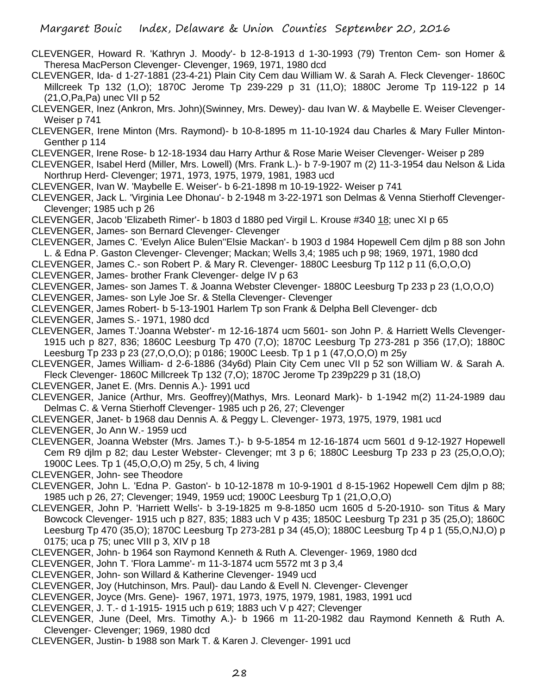- CLEVENGER, Howard R. 'Kathryn J. Moody'- b 12-8-1913 d 1-30-1993 (79) Trenton Cem- son Homer & Theresa MacPerson Clevenger- Clevenger, 1969, 1971, 1980 dcd
- CLEVENGER, Ida- d 1-27-1881 (23-4-21) Plain City Cem dau William W. & Sarah A. Fleck Clevenger- 1860C Millcreek Tp 132 (1,O); 1870C Jerome Tp 239-229 p 31 (11,O); 1880C Jerome Tp 119-122 p 14 (21,O,Pa,Pa) unec VII p 52
- CLEVENGER, Inez (Ankron, Mrs. John)(Swinney, Mrs. Dewey)- dau Ivan W. & Maybelle E. Weiser Clevenger-Weiser p 741
- CLEVENGER, Irene Minton (Mrs. Raymond)- b 10-8-1895 m 11-10-1924 dau Charles & Mary Fuller Minton-Genther p 114
- CLEVENGER, Irene Rose- b 12-18-1934 dau Harry Arthur & Rose Marie Weiser Clevenger- Weiser p 289
- CLEVENGER, Isabel Herd (Miller, Mrs. Lowell) (Mrs. Frank L.)- b 7-9-1907 m (2) 11-3-1954 dau Nelson & Lida Northrup Herd- Clevenger; 1971, 1973, 1975, 1979, 1981, 1983 ucd
- CLEVENGER, Ivan W. 'Maybelle E. Weiser'- b 6-21-1898 m 10-19-1922- Weiser p 741
- CLEVENGER, Jack L. 'Virginia Lee Dhonau'- b 2-1948 m 3-22-1971 son Delmas & Venna Stierhoff Clevenger-Clevenger; 1985 uch p 26
- CLEVENGER, Jacob 'Elizabeth Rimer'- b 1803 d 1880 ped Virgil L. Krouse #340 18; unec XI p 65
- CLEVENGER, James- son Bernard Clevenger- Clevenger
- CLEVENGER, James C. 'Evelyn Alice Bulen''Elsie Mackan'- b 1903 d 1984 Hopewell Cem djlm p 88 son John L. & Edna P. Gaston Clevenger- Clevenger; Mackan; Wells 3,4; 1985 uch p 98; 1969, 1971, 1980 dcd
- CLEVENGER, James C.- son Robert P. & Mary R. Clevenger- 1880C Leesburg Tp 112 p 11 (6,O,O,O)
- CLEVENGER, James- brother Frank Clevenger- delge IV p 63
- CLEVENGER, James- son James T. & Joanna Webster Clevenger- 1880C Leesburg Tp 233 p 23 (1,O,O,O)
- CLEVENGER, James- son Lyle Joe Sr. & Stella Clevenger- Clevenger
- CLEVENGER, James Robert- b 5-13-1901 Harlem Tp son Frank & Delpha Bell Clevenger- dcb
- CLEVENGER, James S.- 1971, 1980 dcd
- CLEVENGER, James T.'Joanna Webster'- m 12-16-1874 ucm 5601- son John P. & Harriett Wells Clevenger-1915 uch p 827, 836; 1860C Leesburg Tp 470 (7,O); 1870C Leesburg Tp 273-281 p 356 (17,O); 1880C Leesburg Tp 233 p 23 (27,O,O,O); p 0186; 1900C Leesb. Tp 1 p 1 (47,O,O,O) m 25y
- CLEVENGER, James William- d 2-6-1886 (34y6d) Plain City Cem unec VII p 52 son William W. & Sarah A. Fleck Clevenger- 1860C Millcreek Tp 132 (7,O); 1870C Jerome Tp 239p229 p 31 (18,O)
- CLEVENGER, Janet E. (Mrs. Dennis A.)- 1991 ucd
- CLEVENGER, Janice (Arthur, Mrs. Geoffrey)(Mathys, Mrs. Leonard Mark)- b 1-1942 m(2) 11-24-1989 dau Delmas C. & Verna Stierhoff Clevenger- 1985 uch p 26, 27; Clevenger
- CLEVENGER, Janet- b 1968 dau Dennis A. & Peggy L. Clevenger- 1973, 1975, 1979, 1981 ucd
- CLEVENGER, Jo Ann W.- 1959 ucd
- CLEVENGER, Joanna Webster (Mrs. James T.)- b 9-5-1854 m 12-16-1874 ucm 5601 d 9-12-1927 Hopewell Cem R9 djlm p 82; dau Lester Webster- Clevenger; mt 3 p 6; 1880C Leesburg Tp 233 p 23 (25,O,O,O); 1900C Lees. Tp 1 (45,O,O,O) m 25y, 5 ch, 4 living
- CLEVENGER, John- see Theodore
- CLEVENGER, John L. 'Edna P. Gaston'- b 10-12-1878 m 10-9-1901 d 8-15-1962 Hopewell Cem djlm p 88; 1985 uch p 26, 27; Clevenger; 1949, 1959 ucd; 1900C Leesburg Tp 1 (21,O,O,O)
- CLEVENGER, John P. 'Harriett Wells'- b 3-19-1825 m 9-8-1850 ucm 1605 d 5-20-1910- son Titus & Mary Bowcock Clevenger- 1915 uch p 827, 835; 1883 uch V p 435; 1850C Leesburg Tp 231 p 35 (25,O); 1860C Leesburg Tp 470 (35,O); 1870C Leesburg Tp 273-281 p 34 (45,O); 1880C Leesburg Tp 4 p 1 (55,O,NJ,O) p 0175; uca p 75; unec VIII p 3, XIV p 18
- CLEVENGER, John- b 1964 son Raymond Kenneth & Ruth A. Clevenger- 1969, 1980 dcd
- CLEVENGER, John T. 'Flora Lamme'- m 11-3-1874 ucm 5572 mt 3 p 3,4
- CLEVENGER, John- son Willard & Katherine Clevenger- 1949 ucd
- CLEVENGER, Joy (Hutchinson, Mrs. Paul)- dau Lando & Evell N. Clevenger- Clevenger
- CLEVENGER, Joyce (Mrs. Gene)- 1967, 1971, 1973, 1975, 1979, 1981, 1983, 1991 ucd
- CLEVENGER, J. T.- d 1-1915- 1915 uch p 619; 1883 uch V p 427; Clevenger
- CLEVENGER, June (Deel, Mrs. Timothy A.)- b 1966 m 11-20-1982 dau Raymond Kenneth & Ruth A. Clevenger- Clevenger; 1969, 1980 dcd
- CLEVENGER, Justin- b 1988 son Mark T. & Karen J. Clevenger- 1991 ucd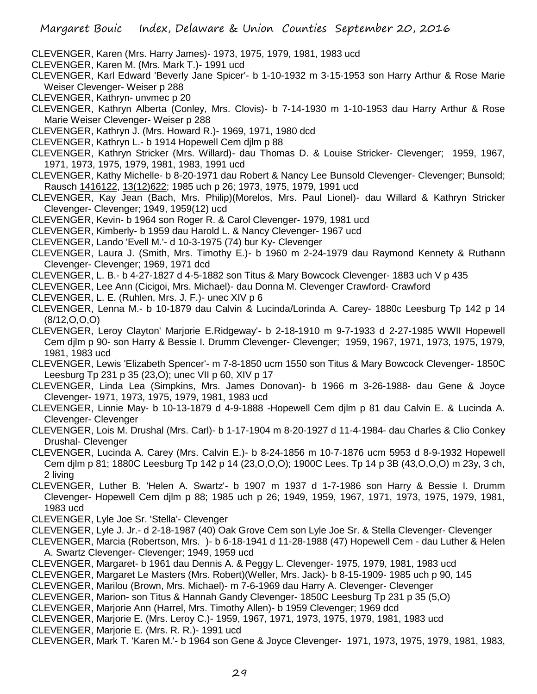- CLEVENGER, Karen (Mrs. Harry James)- 1973, 1975, 1979, 1981, 1983 ucd
- CLEVENGER, Karen M. (Mrs. Mark T.)- 1991 ucd
- CLEVENGER, Karl Edward 'Beverly Jane Spicer'- b 1-10-1932 m 3-15-1953 son Harry Arthur & Rose Marie Weiser Clevenger- Weiser p 288
- CLEVENGER, Kathryn- unvmec p 20
- CLEVENGER, Kathryn Alberta (Conley, Mrs. Clovis)- b 7-14-1930 m 1-10-1953 dau Harry Arthur & Rose Marie Weiser Clevenger- Weiser p 288
- CLEVENGER, Kathryn J. (Mrs. Howard R.)- 1969, 1971, 1980 dcd
- CLEVENGER, Kathryn L.- b 1914 Hopewell Cem djlm p 88
- CLEVENGER, Kathryn Stricker (Mrs. Willard)- dau Thomas D. & Louise Stricker- Clevenger; 1959, 1967, 1971, 1973, 1975, 1979, 1981, 1983, 1991 ucd
- CLEVENGER, Kathy Michelle- b 8-20-1971 dau Robert & Nancy Lee Bunsold Clevenger- Clevenger; Bunsold; Rausch 1416122, 13(12)622; 1985 uch p 26; 1973, 1975, 1979, 1991 ucd
- CLEVENGER, Kay Jean (Bach, Mrs. Philip)(Morelos, Mrs. Paul Lionel)- dau Willard & Kathryn Stricker Clevenger- Clevenger; 1949, 1959(12) ucd
- CLEVENGER, Kevin- b 1964 son Roger R. & Carol Clevenger- 1979, 1981 ucd
- CLEVENGER, Kimberly- b 1959 dau Harold L. & Nancy Clevenger- 1967 ucd
- CLEVENGER, Lando 'Evell M.'- d 10-3-1975 (74) bur Ky- Clevenger
- CLEVENGER, Laura J. (Smith, Mrs. Timothy E.)- b 1960 m 2-24-1979 dau Raymond Kennety & Ruthann Clevenger- Clevenger; 1969, 1971 dcd
- CLEVENGER, L. B.- b 4-27-1827 d 4-5-1882 son Titus & Mary Bowcock Clevenger- 1883 uch V p 435
- CLEVENGER, Lee Ann (Cicigoi, Mrs. Michael)- dau Donna M. Clevenger Crawford- Crawford
- CLEVENGER, L. E. (Ruhlen, Mrs. J. F.)- unec XIV p 6
- CLEVENGER, Lenna M.- b 10-1879 dau Calvin & Lucinda/Lorinda A. Carey- 1880c Leesburg Tp 142 p 14 (8/12,O,O,O)
- CLEVENGER, Leroy Clayton' Marjorie E.Ridgeway'- b 2-18-1910 m 9-7-1933 d 2-27-1985 WWII Hopewell Cem djlm p 90- son Harry & Bessie I. Drumm Clevenger- Clevenger; 1959, 1967, 1971, 1973, 1975, 1979, 1981, 1983 ucd
- CLEVENGER, Lewis 'Elizabeth Spencer'- m 7-8-1850 ucm 1550 son Titus & Mary Bowcock Clevenger- 1850C Leesburg Tp 231 p 35 (23,O); unec VII p 60, XIV p 17
- CLEVENGER, Linda Lea (Simpkins, Mrs. James Donovan)- b 1966 m 3-26-1988- dau Gene & Joyce Clevenger- 1971, 1973, 1975, 1979, 1981, 1983 ucd
- CLEVENGER, Linnie May- b 10-13-1879 d 4-9-1888 -Hopewell Cem djlm p 81 dau Calvin E. & Lucinda A. Clevenger- Clevenger
- CLEVENGER, Lois M. Drushal (Mrs. Carl)- b 1-17-1904 m 8-20-1927 d 11-4-1984- dau Charles & Clio Conkey Drushal- Clevenger
- CLEVENGER, Lucinda A. Carey (Mrs. Calvin E.)- b 8-24-1856 m 10-7-1876 ucm 5953 d 8-9-1932 Hopewell Cem djlm p 81; 1880C Leesburg Tp 142 p 14 (23,O,O,O); 1900C Lees. Tp 14 p 3B (43,O,O,O) m 23y, 3 ch, 2 living
- CLEVENGER, Luther B. 'Helen A. Swartz'- b 1907 m 1937 d 1-7-1986 son Harry & Bessie I. Drumm Clevenger- Hopewell Cem djlm p 88; 1985 uch p 26; 1949, 1959, 1967, 1971, 1973, 1975, 1979, 1981, 1983 ucd
- CLEVENGER, Lyle Joe Sr. 'Stella'- Clevenger
- CLEVENGER, Lyle J. Jr.- d 2-18-1987 (40) Oak Grove Cem son Lyle Joe Sr. & Stella Clevenger- Clevenger
- CLEVENGER, Marcia (Robertson, Mrs. )- b 6-18-1941 d 11-28-1988 (47) Hopewell Cem dau Luther & Helen A. Swartz Clevenger- Clevenger; 1949, 1959 ucd
- CLEVENGER, Margaret- b 1961 dau Dennis A. & Peggy L. Clevenger- 1975, 1979, 1981, 1983 ucd
- CLEVENGER, Margaret Le Masters (Mrs. Robert)(Weller, Mrs. Jack)- b 8-15-1909- 1985 uch p 90, 145
- CLEVENGER, Marilou (Brown, Mrs. Michael)- m 7-6-1969 dau Harry A. Clevenger- Clevenger
- CLEVENGER, Marion- son Titus & Hannah Gandy Clevenger- 1850C Leesburg Tp 231 p 35 (5,O)
- CLEVENGER, Marjorie Ann (Harrel, Mrs. Timothy Allen)- b 1959 Clevenger; 1969 dcd
- CLEVENGER, Marjorie E. (Mrs. Leroy C.)- 1959, 1967, 1971, 1973, 1975, 1979, 1981, 1983 ucd
- CLEVENGER, Marjorie E. (Mrs. R. R.)- 1991 ucd
- CLEVENGER, Mark T. 'Karen M.'- b 1964 son Gene & Joyce Clevenger- 1971, 1973, 1975, 1979, 1981, 1983,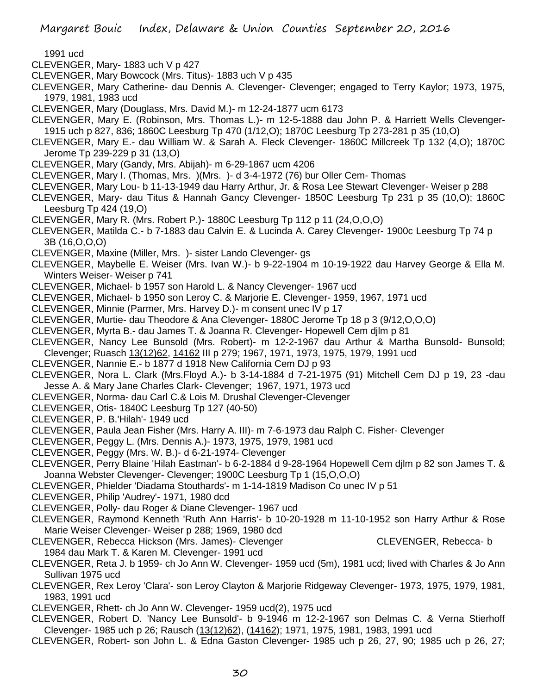1991 ucd

- CLEVENGER, Mary- 1883 uch V p 427
- CLEVENGER, Mary Bowcock (Mrs. Titus)- 1883 uch V p 435
- CLEVENGER, Mary Catherine- dau Dennis A. Clevenger- Clevenger; engaged to Terry Kaylor; 1973, 1975, 1979, 1981, 1983 ucd
- CLEVENGER, Mary (Douglass, Mrs. David M.)- m 12-24-1877 ucm 6173
- CLEVENGER, Mary E. (Robinson, Mrs. Thomas L.)- m 12-5-1888 dau John P. & Harriett Wells Clevenger-1915 uch p 827, 836; 1860C Leesburg Tp 470 (1/12,O); 1870C Leesburg Tp 273-281 p 35 (10,O)
- CLEVENGER, Mary E.- dau William W. & Sarah A. Fleck Clevenger- 1860C Millcreek Tp 132 (4,O); 1870C Jerome Tp 239-229 p 31 (13,O)
- CLEVENGER, Mary (Gandy, Mrs. Abijah)- m 6-29-1867 ucm 4206
- CLEVENGER, Mary I. (Thomas, Mrs. )(Mrs. )- d 3-4-1972 (76) bur Oller Cem- Thomas
- CLEVENGER, Mary Lou- b 11-13-1949 dau Harry Arthur, Jr. & Rosa Lee Stewart Clevenger- Weiser p 288
- CLEVENGER, Mary- dau Titus & Hannah Gancy Clevenger- 1850C Leesburg Tp 231 p 35 (10,O); 1860C Leesburg Tp 424 (19,O)
- CLEVENGER, Mary R. (Mrs. Robert P.)- 1880C Leesburg Tp 112 p 11 (24,O,O,O)
- CLEVENGER, Matilda C.- b 7-1883 dau Calvin E. & Lucinda A. Carey Clevenger- 1900c Leesburg Tp 74 p 3B (16,O,O,O)
- CLEVENGER, Maxine (Miller, Mrs. )- sister Lando Clevenger- gs
- CLEVENGER, Maybelle E. Weiser (Mrs. Ivan W.)- b 9-22-1904 m 10-19-1922 dau Harvey George & Ella M. Winters Weiser- Weiser p 741
- CLEVENGER, Michael- b 1957 son Harold L. & Nancy Clevenger- 1967 ucd
- CLEVENGER, Michael- b 1950 son Leroy C. & Marjorie E. Clevenger- 1959, 1967, 1971 ucd
- CLEVENGER, Minnie (Parmer, Mrs. Harvey D.)- m consent unec IV p 17
- CLEVENGER, Murtie- dau Theodore & Ana Clevenger- 1880C Jerome Tp 18 p 3 (9/12,O,O,O)
- CLEVENGER, Myrta B.- dau James T. & Joanna R. Clevenger- Hopewell Cem djlm p 81
- CLEVENGER, Nancy Lee Bunsold (Mrs. Robert)- m 12-2-1967 dau Arthur & Martha Bunsold- Bunsold;
- Clevenger; Ruasch 13(12)62, 14162 III p 279; 1967, 1971, 1973, 1975, 1979, 1991 ucd
- CLEVENGER, Nannie E.- b 1877 d 1918 New California Cem DJ p 93
- CLEVENGER, Nora L. Clark (Mrs.Floyd A.)- b 3-14-1884 d 7-21-1975 (91) Mitchell Cem DJ p 19, 23 -dau Jesse A. & Mary Jane Charles Clark- Clevenger; 1967, 1971, 1973 ucd
- CLEVENGER, Norma- dau Carl C.& Lois M. Drushal Clevenger-Clevenger
- CLEVENGER, Otis- 1840C Leesburg Tp 127 (40-50)
- CLEVENGER, P. B.'Hilah'- 1949 ucd
- CLEVENGER, Paula Jean Fisher (Mrs. Harry A. III)- m 7-6-1973 dau Ralph C. Fisher- Clevenger
- CLEVENGER, Peggy L. (Mrs. Dennis A.)- 1973, 1975, 1979, 1981 ucd
- CLEVENGER, Peggy (Mrs. W. B.)- d 6-21-1974- Clevenger
- CLEVENGER, Perry Blaine 'Hilah Eastman'- b 6-2-1884 d 9-28-1964 Hopewell Cem djlm p 82 son James T. & Joanna Webster Clevenger- Clevenger; 1900C Leesburg Tp 1 (15,O,O,O)
- CLEVENGER, Phielder 'Diadama Stouthards'- m 1-14-1819 Madison Co unec IV p 51
- CLEVENGER, Philip 'Audrey'- 1971, 1980 dcd
- CLEVENGER, Polly- dau Roger & Diane Clevenger- 1967 ucd
- CLEVENGER, Raymond Kenneth 'Ruth Ann Harris'- b 10-20-1928 m 11-10-1952 son Harry Arthur & Rose Marie Weiser Clevenger- Weiser p 288; 1969, 1980 dcd
- CLEVENGER, Rebecca Hickson (Mrs. James)- Clevenger CLEVENGER, Rebecca- b 1984 dau Mark T. & Karen M. Clevenger- 1991 ucd
- CLEVENGER, Reta J. b 1959- ch Jo Ann W. Clevenger- 1959 ucd (5m), 1981 ucd; lived with Charles & Jo Ann Sullivan 1975 ucd
- CLEVENGER, Rex Leroy 'Clara'- son Leroy Clayton & Marjorie Ridgeway Clevenger- 1973, 1975, 1979, 1981, 1983, 1991 ucd
- CLEVENGER, Rhett- ch Jo Ann W. Clevenger- 1959 ucd(2), 1975 ucd
- CLEVENGER, Robert D. 'Nancy Lee Bunsold'- b 9-1946 m 12-2-1967 son Delmas C. & Verna Stierhoff Clevenger- 1985 uch p 26; Rausch (13(12)62), (14162); 1971, 1975, 1981, 1983, 1991 ucd
- CLEVENGER, Robert- son John L. & Edna Gaston Clevenger- 1985 uch p 26, 27, 90; 1985 uch p 26, 27;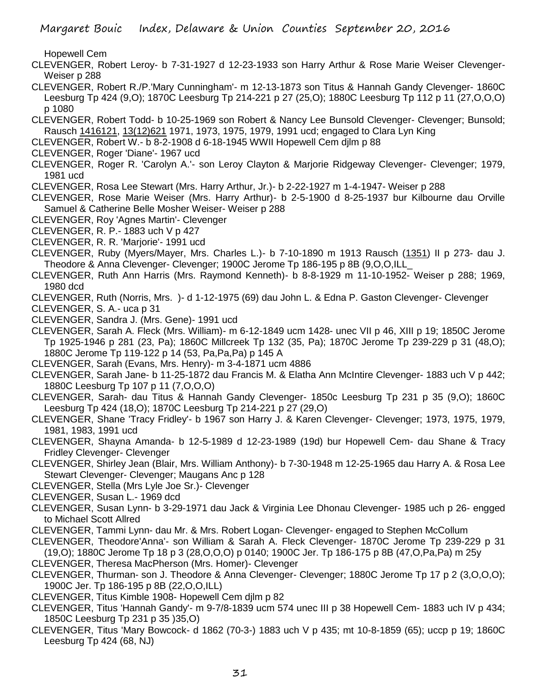Hopewell Cem

- CLEVENGER, Robert Leroy- b 7-31-1927 d 12-23-1933 son Harry Arthur & Rose Marie Weiser Clevenger-Weiser p 288
- CLEVENGER, Robert R./P.'Mary Cunningham'- m 12-13-1873 son Titus & Hannah Gandy Clevenger- 1860C Leesburg Tp 424 (9,O); 1870C Leesburg Tp 214-221 p 27 (25,O); 1880C Leesburg Tp 112 p 11 (27,O,O,O) p 1080
- CLEVENGER, Robert Todd- b 10-25-1969 son Robert & Nancy Lee Bunsold Clevenger- Clevenger; Bunsold; Rausch 1416121, 13(12)621 1971, 1973, 1975, 1979, 1991 ucd; engaged to Clara Lyn King

CLEVENGER, Robert W.- b 8-2-1908 d 6-18-1945 WWII Hopewell Cem djlm p 88

- CLEVENGER, Roger 'Diane'- 1967 ucd
- CLEVENGER, Roger R. 'Carolyn A.'- son Leroy Clayton & Marjorie Ridgeway Clevenger- Clevenger; 1979, 1981 ucd
- CLEVENGER, Rosa Lee Stewart (Mrs. Harry Arthur, Jr.)- b 2-22-1927 m 1-4-1947- Weiser p 288
- CLEVENGER, Rose Marie Weiser (Mrs. Harry Arthur)- b 2-5-1900 d 8-25-1937 bur Kilbourne dau Orville Samuel & Catherine Belle Mosher Weiser- Weiser p 288
- CLEVENGER, Roy 'Agnes Martin'- Clevenger
- CLEVENGER, R. P.- 1883 uch V p 427
- CLEVENGER, R. R. 'Marjorie'- 1991 ucd
- CLEVENGER, Ruby (Myers/Mayer, Mrs. Charles L.)- b 7-10-1890 m 1913 Rausch (1351) II p 273- dau J. Theodore & Anna Clevenger- Clevenger; 1900C Jerome Tp 186-195 p 8B (9,O,O,ILL\_
- CLEVENGER, Ruth Ann Harris (Mrs. Raymond Kenneth)- b 8-8-1929 m 11-10-1952- Weiser p 288; 1969, 1980 dcd
- CLEVENGER, Ruth (Norris, Mrs. )- d 1-12-1975 (69) dau John L. & Edna P. Gaston Clevenger- Clevenger
- CLEVENGER, S. A.- uca p 31
- CLEVENGER, Sandra J. (Mrs. Gene)- 1991 ucd
- CLEVENGER, Sarah A. Fleck (Mrs. William)- m 6-12-1849 ucm 1428- unec VII p 46, XIII p 19; 1850C Jerome Tp 1925-1946 p 281 (23, Pa); 1860C Millcreek Tp 132 (35, Pa); 1870C Jerome Tp 239-229 p 31 (48,O); 1880C Jerome Tp 119-122 p 14 (53, Pa,Pa,Pa) p 145 A
- CLEVENGER, Sarah (Evans, Mrs. Henry)- m 3-4-1871 ucm 4886
- CLEVENGER, Sarah Jane- b 11-25-1872 dau Francis M. & Elatha Ann McIntire Clevenger- 1883 uch V p 442; 1880C Leesburg Tp 107 p 11 (7,O,O,O)
- CLEVENGER, Sarah- dau Titus & Hannah Gandy Clevenger- 1850c Leesburg Tp 231 p 35 (9,O); 1860C Leesburg Tp 424 (18,O); 1870C Leesburg Tp 214-221 p 27 (29,O)
- CLEVENGER, Shane 'Tracy Fridley'- b 1967 son Harry J. & Karen Clevenger- Clevenger; 1973, 1975, 1979, 1981, 1983, 1991 ucd
- CLEVENGER, Shayna Amanda- b 12-5-1989 d 12-23-1989 (19d) bur Hopewell Cem- dau Shane & Tracy Fridley Clevenger- Clevenger
- CLEVENGER, Shirley Jean (Blair, Mrs. William Anthony)- b 7-30-1948 m 12-25-1965 dau Harry A. & Rosa Lee Stewart Clevenger- Clevenger; Maugans Anc p 128
- CLEVENGER, Stella (Mrs Lyle Joe Sr.)- Clevenger
- CLEVENGER, Susan L.- 1969 dcd
- CLEVENGER, Susan Lynn- b 3-29-1971 dau Jack & Virginia Lee Dhonau Clevenger- 1985 uch p 26- engged to Michael Scott Allred
- CLEVENGER, Tammi Lynn- dau Mr. & Mrs. Robert Logan- Clevenger- engaged to Stephen McCollum
- CLEVENGER, Theodore'Anna'- son William & Sarah A. Fleck Clevenger- 1870C Jerome Tp 239-229 p 31
- (19,O); 1880C Jerome Tp 18 p 3 (28,O,O,O) p 0140; 1900C Jer. Tp 186-175 p 8B (47,O,Pa,Pa) m 25y
- CLEVENGER, Theresa MacPherson (Mrs. Homer)- Clevenger
- CLEVENGER, Thurman- son J. Theodore & Anna Clevenger- Clevenger; 1880C Jerome Tp 17 p 2 (3,O,O,O); 1900C Jer. Tp 186-195 p 8B (22,O,O,ILL)
- CLEVENGER, Titus Kimble 1908- Hopewell Cem djlm p 82
- CLEVENGER, Titus 'Hannah Gandy'- m 9-7/8-1839 ucm 574 unec III p 38 Hopewell Cem- 1883 uch IV p 434; 1850C Leesburg Tp 231 p 35 )35,O)
- CLEVENGER, Titus 'Mary Bowcock- d 1862 (70-3-) 1883 uch V p 435; mt 10-8-1859 (65); uccp p 19; 1860C Leesburg Tp 424 (68, NJ)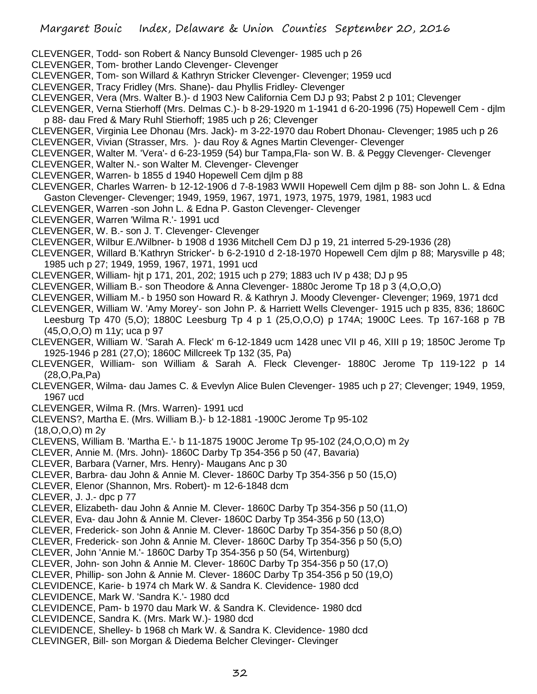- CLEVENGER, Todd- son Robert & Nancy Bunsold Clevenger- 1985 uch p 26
- CLEVENGER, Tom- brother Lando Clevenger- Clevenger
- CLEVENGER, Tom- son Willard & Kathryn Stricker Clevenger- Clevenger; 1959 ucd
- CLEVENGER, Tracy Fridley (Mrs. Shane)- dau Phyllis Fridley- Clevenger
- CLEVENGER, Vera (Mrs. Walter B.)- d 1903 New California Cem DJ p 93; Pabst 2 p 101; Clevenger
- CLEVENGER, Verna Stierhoff (Mrs. Delmas C.)- b 8-29-1920 m 1-1941 d 6-20-1996 (75) Hopewell Cem djlm p 88- dau Fred & Mary Ruhl Stierhoff; 1985 uch p 26; Clevenger
- CLEVENGER, Virginia Lee Dhonau (Mrs. Jack)- m 3-22-1970 dau Robert Dhonau- Clevenger; 1985 uch p 26
- CLEVENGER, Vivian (Strasser, Mrs. )- dau Roy & Agnes Martin Clevenger- Clevenger
- CLEVENGER, Walter M. 'Vera'- d 6-23-1959 (54) bur Tampa,Fla- son W. B. & Peggy Clevenger- Clevenger
- CLEVENGER, Walter N.- son Walter M. Clevenger- Clevenger
- CLEVENGER, Warren- b 1855 d 1940 Hopewell Cem djlm p 88
- CLEVENGER, Charles Warren- b 12-12-1906 d 7-8-1983 WWII Hopewell Cem djlm p 88- son John L. & Edna Gaston Clevenger- Clevenger; 1949, 1959, 1967, 1971, 1973, 1975, 1979, 1981, 1983 ucd
- CLEVENGER, Warren -son John L. & Edna P. Gaston Clevenger- Clevenger
- CLEVENGER, Warren 'Wilma R.'- 1991 ucd
- CLEVENGER, W. B.- son J. T. Clevenger- Clevenger
- CLEVENGER, Wilbur E./Wilbner- b 1908 d 1936 Mitchell Cem DJ p 19, 21 interred 5-29-1936 (28)
- CLEVENGER, Willard B.'Kathryn Stricker'- b 6-2-1910 d 2-18-1970 Hopewell Cem djlm p 88; Marysville p 48; 1985 uch p 27; 1949, 1959, 1967, 1971, 1991 ucd
- CLEVENGER, William- hjt p 171, 201, 202; 1915 uch p 279; 1883 uch IV p 438; DJ p 95
- CLEVENGER, William B.- son Theodore & Anna Clevenger- 1880c Jerome Tp 18 p 3 (4,O,O,O)
- CLEVENGER, William M.- b 1950 son Howard R. & Kathryn J. Moody Clevenger- Clevenger; 1969, 1971 dcd
- CLEVENGER, William W. 'Amy Morey'- son John P. & Harriett Wells Clevenger- 1915 uch p 835, 836; 1860C Leesburg Tp 470 (5,O); 1880C Leesburg Tp 4 p 1 (25,O,O,O) p 174A; 1900C Lees. Tp 167-168 p 7B (45,O,O,O) m 11y; uca p 97
- CLEVENGER, William W. 'Sarah A. Fleck' m 6-12-1849 ucm 1428 unec VII p 46, XIII p 19; 1850C Jerome Tp 1925-1946 p 281 (27,O); 1860C Millcreek Tp 132 (35, Pa)
- CLEVENGER, William- son William & Sarah A. Fleck Clevenger- 1880C Jerome Tp 119-122 p 14 (28,O,Pa,Pa)
- CLEVENGER, Wilma- dau James C. & Evevlyn Alice Bulen Clevenger- 1985 uch p 27; Clevenger; 1949, 1959, 1967 ucd
- CLEVENGER, Wilma R. (Mrs. Warren)- 1991 ucd
- CLEVENS?, Martha E. (Mrs. William B.)- b 12-1881 -1900C Jerome Tp 95-102
- (18,O,O,O) m 2y
- CLEVENS, William B. 'Martha E.'- b 11-1875 1900C Jerome Tp 95-102 (24,O,O,O) m 2y
- CLEVER, Annie M. (Mrs. John)- 1860C Darby Tp 354-356 p 50 (47, Bavaria)
- CLEVER, Barbara (Varner, Mrs. Henry)- Maugans Anc p 30
- CLEVER, Barbra- dau John & Annie M. Clever- 1860C Darby Tp 354-356 p 50 (15,O)
- CLEVER, Elenor (Shannon, Mrs. Robert)- m 12-6-1848 dcm
- CLEVER, J. J.- dpc p 77
- CLEVER, Elizabeth- dau John & Annie M. Clever- 1860C Darby Tp 354-356 p 50 (11,O)
- CLEVER, Eva- dau John & Annie M. Clever- 1860C Darby Tp 354-356 p 50 (13,O)
- CLEVER, Frederick- son John & Annie M. Clever- 1860C Darby Tp 354-356 p 50 (8,O)
- CLEVER, Frederick- son John & Annie M. Clever- 1860C Darby Tp 354-356 p 50 (5,O)
- CLEVER, John 'Annie M.'- 1860C Darby Tp 354-356 p 50 (54, Wirtenburg)
- CLEVER, John- son John & Annie M. Clever- 1860C Darby Tp 354-356 p 50 (17,O)
- CLEVER, Phillip- son John & Annie M. Clever- 1860C Darby Tp 354-356 p 50 (19,O)
- CLEVIDENCE, Karie- b 1974 ch Mark W. & Sandra K. Clevidence- 1980 dcd
- CLEVIDENCE, Mark W. 'Sandra K.'- 1980 dcd
- CLEVIDENCE, Pam- b 1970 dau Mark W. & Sandra K. Clevidence- 1980 dcd
- CLEVIDENCE, Sandra K. (Mrs. Mark W.)- 1980 dcd
- CLEVIDENCE, Shelley- b 1968 ch Mark W. & Sandra K. Clevidence- 1980 dcd
- CLEVINGER, Bill- son Morgan & Diedema Belcher Clevinger- Clevinger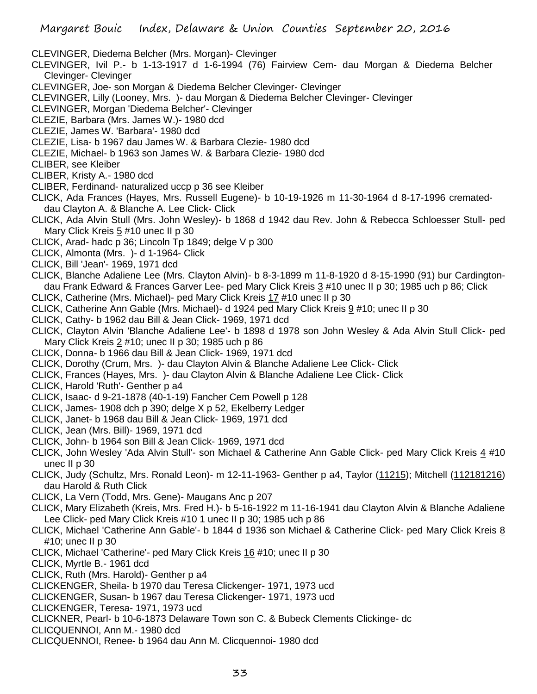- CLEVINGER, Diedema Belcher (Mrs. Morgan)- Clevinger
- CLEVINGER, Ivil P.- b 1-13-1917 d 1-6-1994 (76) Fairview Cem- dau Morgan & Diedema Belcher Clevinger- Clevinger
- CLEVINGER, Joe- son Morgan & Diedema Belcher Clevinger- Clevinger
- CLEVINGER, Lilly (Looney, Mrs. )- dau Morgan & Diedema Belcher Clevinger- Clevinger
- CLEVINGER, Morgan 'Diedema Belcher'- Clevinger
- CLEZIE, Barbara (Mrs. James W.)- 1980 dcd
- CLEZIE, James W. 'Barbara'- 1980 dcd
- CLEZIE, Lisa- b 1967 dau James W. & Barbara Clezie- 1980 dcd
- CLEZIE, Michael- b 1963 son James W. & Barbara Clezie- 1980 dcd
- CLIBER, see Kleiber
- CLIBER, Kristy A.- 1980 dcd
- CLIBER, Ferdinand- naturalized uccp p 36 see Kleiber
- CLICK, Ada Frances (Hayes, Mrs. Russell Eugene)- b 10-19-1926 m 11-30-1964 d 8-17-1996 cremateddau Clayton A. & Blanche A. Lee Click- Click
- CLICK, Ada Alvin Stull (Mrs. John Wesley)- b 1868 d 1942 dau Rev. John & Rebecca Schloesser Stull- ped Mary Click Kreis 5 #10 unec II p 30
- CLICK, Arad- hadc p 36; Lincoln Tp 1849; delge V p 300
- CLICK, Almonta (Mrs. )- d 1-1964- Click
- CLICK, Bill 'Jean'- 1969, 1971 dcd
- CLICK, Blanche Adaliene Lee (Mrs. Clayton Alvin)- b 8-3-1899 m 11-8-1920 d 8-15-1990 (91) bur Cardingtondau Frank Edward & Frances Garver Lee- ped Mary Click Kreis 3 #10 unec II p 30; 1985 uch p 86; Click
- CLICK, Catherine (Mrs. Michael)- ped Mary Click Kreis 17 #10 unec II p 30
- CLICK, Catherine Ann Gable (Mrs. Michael)- d 1924 ped Mary Click Kreis 9 #10; unec II p 30
- CLICK, Cathy- b 1962 dau Bill & Jean Click- 1969, 1971 dcd
- CLICK, Clayton Alvin 'Blanche Adaliene Lee'- b 1898 d 1978 son John Wesley & Ada Alvin Stull Click- ped Mary Click Kreis 2 #10; unec II p 30; 1985 uch p 86
- CLICK, Donna- b 1966 dau Bill & Jean Click- 1969, 1971 dcd
- CLICK, Dorothy (Crum, Mrs. )- dau Clayton Alvin & Blanche Adaliene Lee Click- Click
- CLICK, Frances (Hayes, Mrs. )- dau Clayton Alvin & Blanche Adaliene Lee Click- Click
- CLICK, Harold 'Ruth'- Genther p a4
- CLICK, Isaac- d 9-21-1878 (40-1-19) Fancher Cem Powell p 128
- CLICK, James- 1908 dch p 390; delge X p 52, Ekelberry Ledger
- CLICK, Janet- b 1968 dau Bill & Jean Click- 1969, 1971 dcd
- CLICK, Jean (Mrs. Bill)- 1969, 1971 dcd
- CLICK, John- b 1964 son Bill & Jean Click- 1969, 1971 dcd
- CLICK, John Wesley 'Ada Alvin Stull'- son Michael & Catherine Ann Gable Click- ped Mary Click Kreis 4 #10 unec II p 30
- CLICK, Judy (Schultz, Mrs. Ronald Leon)- m 12-11-1963- Genther p a4, Taylor (11215); Mitchell (112181216) dau Harold & Ruth Click
- CLICK, La Vern (Todd, Mrs. Gene)- Maugans Anc p 207
- CLICK, Mary Elizabeth (Kreis, Mrs. Fred H.)- b 5-16-1922 m 11-16-1941 dau Clayton Alvin & Blanche Adaliene Lee Click- ped Mary Click Kreis #10 1 unec II p 30; 1985 uch p 86
- CLICK, Michael 'Catherine Ann Gable'- b 1844 d 1936 son Michael & Catherine Click- ped Mary Click Kreis 8 #10; unec II p 30
- CLICK, Michael 'Catherine'- ped Mary Click Kreis 16 #10; unec II p 30
- CLICK, Myrtle B.- 1961 dcd
- CLICK, Ruth (Mrs. Harold)- Genther p a4
- CLICKENGER, Sheila- b 1970 dau Teresa Clickenger- 1971, 1973 ucd
- CLICKENGER, Susan- b 1967 dau Teresa Clickenger- 1971, 1973 ucd
- CLICKENGER, Teresa- 1971, 1973 ucd
- CLICKNER, Pearl- b 10-6-1873 Delaware Town son C. & Bubeck Clements Clickinge- dc
- CLICQUENNOI, Ann M.- 1980 dcd
- CLICQUENNOI, Renee- b 1964 dau Ann M. Clicquennoi- 1980 dcd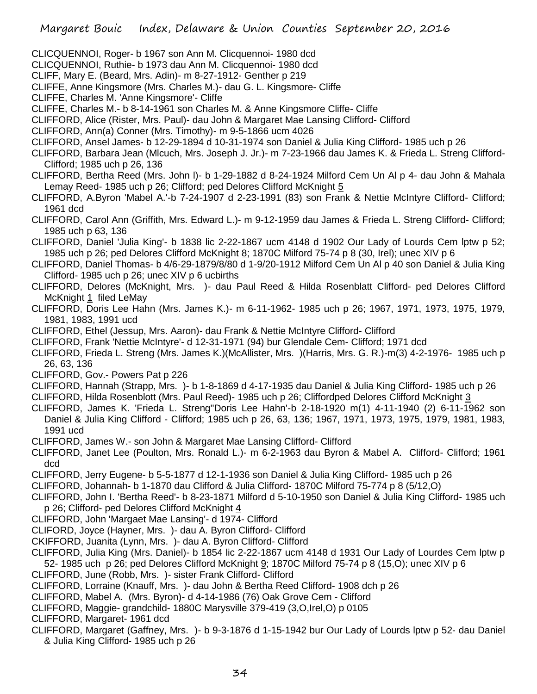- CLICQUENNOI, Roger- b 1967 son Ann M. Clicquennoi- 1980 dcd
- CLICQUENNOI, Ruthie- b 1973 dau Ann M. Clicquennoi- 1980 dcd
- CLIFF, Mary E. (Beard, Mrs. Adin)- m 8-27-1912- Genther p 219
- CLIFFE, Anne Kingsmore (Mrs. Charles M.)- dau G. L. Kingsmore- Cliffe
- CLIFFE, Charles M. 'Anne Kingsmore'- Cliffe
- CLIFFE, Charles M.- b 8-14-1961 son Charles M. & Anne Kingsmore Cliffe- Cliffe
- CLIFFORD, Alice (Rister, Mrs. Paul)- dau John & Margaret Mae Lansing Clifford- Clifford
- CLIFFORD, Ann(a) Conner (Mrs. Timothy)- m 9-5-1866 ucm 4026
- CLIFFORD, Ansel James- b 12-29-1894 d 10-31-1974 son Daniel & Julia King Clifford- 1985 uch p 26
- CLIFFORD, Barbara Jean (Mlcuch, Mrs. Joseph J. Jr.)- m 7-23-1966 dau James K. & Frieda L. Streng Clifford-Clifford; 1985 uch p 26, 136
- CLIFFORD, Bertha Reed (Mrs. John l)- b 1-29-1882 d 8-24-1924 Milford Cem Un Al p 4- dau John & Mahala Lemay Reed- 1985 uch p 26; Clifford; ped Delores Clifford McKnight 5
- CLIFFORD, A.Byron 'Mabel A.'-b 7-24-1907 d 2-23-1991 (83) son Frank & Nettie McIntyre Clifford- Clifford; 1961 dcd
- CLIFFORD, Carol Ann (Griffith, Mrs. Edward L.)- m 9-12-1959 dau James & Frieda L. Streng Clifford- Clifford; 1985 uch p 63, 136
- CLIFFORD, Daniel 'Julia King'- b 1838 lic 2-22-1867 ucm 4148 d 1902 Our Lady of Lourds Cem lptw p 52; 1985 uch p 26; ped Delores Clifford McKnight  $8$ ; 1870C Milford 75-74 p 8 (30, Irel); unec XIV p 6
- CLIFFORD, Daniel Thomas- b 4/6-29-1879/8/80 d 1-9/20-1912 Milford Cem Un Al p 40 son Daniel & Julia King Clifford- 1985 uch p 26; unec XIV p 6 ucbirths
- CLIFFORD, Delores (McKnight, Mrs. )- dau Paul Reed & Hilda Rosenblatt Clifford- ped Delores Clifford McKnight 1 filed LeMay
- CLIFFORD, Doris Lee Hahn (Mrs. James K.)- m 6-11-1962- 1985 uch p 26; 1967, 1971, 1973, 1975, 1979, 1981, 1983, 1991 ucd
- CLIFFORD, Ethel (Jessup, Mrs. Aaron)- dau Frank & Nettie McIntyre Clifford- Clifford
- CLIFFORD, Frank 'Nettie McIntyre'- d 12-31-1971 (94) bur Glendale Cem- Clifford; 1971 dcd
- CLIFFORD, Frieda L. Streng (Mrs. James K.)(McAllister, Mrs. )(Harris, Mrs. G. R.)-m(3) 4-2-1976- 1985 uch p 26, 63, 136
- CLIFFORD, Gov.- Powers Pat p 226
- CLIFFORD, Hannah (Strapp, Mrs. )- b 1-8-1869 d 4-17-1935 dau Daniel & Julia King Clifford- 1985 uch p 26
- CLIFFORD, Hilda Rosenblott (Mrs. Paul Reed)- 1985 uch p 26; Cliffordped Delores Clifford McKnight 3
- CLIFFORD, James K. 'Frieda L. Streng''Doris Lee Hahn'-b 2-18-1920 m(1) 4-11-1940 (2) 6-11-1962 son Daniel & Julia King Clifford - Clifford; 1985 uch p 26, 63, 136; 1967, 1971, 1973, 1975, 1979, 1981, 1983, 1991 ucd
- CLIFFORD, James W.- son John & Margaret Mae Lansing Clifford- Clifford
- CLIFFORD, Janet Lee (Poulton, Mrs. Ronald L.)- m 6-2-1963 dau Byron & Mabel A. Clifford- Clifford; 1961 dcd
- CLIFFORD, Jerry Eugene- b 5-5-1877 d 12-1-1936 son Daniel & Julia King Clifford- 1985 uch p 26
- CLIFFORD, Johannah- b 1-1870 dau Clifford & Julia Clifford- 1870C Milford 75-774 p 8 (5/12,O)
- CLIFFORD, John I. 'Bertha Reed'- b 8-23-1871 Milford d 5-10-1950 son Daniel & Julia King Clifford- 1985 uch p 26; Clifford- ped Delores Clifford McKnight 4
- CLIFFORD, John 'Margaet Mae Lansing'- d 1974- Clifford
- CLIFORD, Joyce (Hayner, Mrs. )- dau A. Byron Clifford- Clifford
- CKIFFORD, Juanita (Lynn, Mrs. )- dau A. Byron Clifford- Clifford
- CLIFFORD, Julia King (Mrs. Daniel)- b 1854 lic 2-22-1867 ucm 4148 d 1931 Our Lady of Lourdes Cem lptw p 52- 1985 uch p 26; ped Delores Clifford McKnight 9; 1870C Milford 75-74 p 8 (15,O); unec XIV p 6
- CLIFFORD, June (Robb, Mrs. )- sister Frank Clifford- Clifford
- CLIFFORD, Lorraine (Knauff, Mrs. )- dau John & Bertha Reed Clifford- 1908 dch p 26
- CLIFFORD, Mabel A. (Mrs. Byron)- d 4-14-1986 (76) Oak Grove Cem Clifford
- CLIFFORD, Maggie- grandchild- 1880C Marysville 379-419 (3,O,Irel,O) p 0105
- CLIFFORD, Margaret- 1961 dcd
- CLIFFORD, Margaret (Gaffney, Mrs. )- b 9-3-1876 d 1-15-1942 bur Our Lady of Lourds lptw p 52- dau Daniel & Julia King Clifford- 1985 uch p 26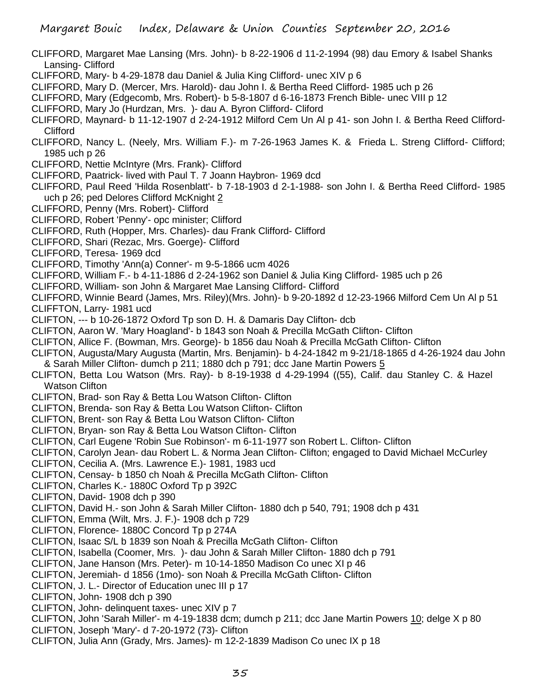- CLIFFORD, Margaret Mae Lansing (Mrs. John)- b 8-22-1906 d 11-2-1994 (98) dau Emory & Isabel Shanks Lansing- Clifford
- CLIFFORD, Mary- b 4-29-1878 dau Daniel & Julia King Clifford- unec XIV p 6
- CLIFFORD, Mary D. (Mercer, Mrs. Harold)- dau John I. & Bertha Reed Clifford- 1985 uch p 26
- CLIFFORD, Mary (Edgecomb, Mrs. Robert)- b 5-8-1807 d 6-16-1873 French Bible- unec VIII p 12
- CLIFFORD, Mary Jo (Hurdzan, Mrs. )- dau A. Byron Clifford- Cliford
- CLIFFORD, Maynard- b 11-12-1907 d 2-24-1912 Milford Cem Un Al p 41- son John I. & Bertha Reed Clifford-**Clifford**
- CLIFFORD, Nancy L. (Neely, Mrs. William F.)- m 7-26-1963 James K. & Frieda L. Streng Clifford- Clifford; 1985 uch p 26
- CLIFFORD, Nettie McIntyre (Mrs. Frank)- Clifford
- CLIFFORD, Paatrick- lived with Paul T. 7 Joann Haybron- 1969 dcd
- CLIFFORD, Paul Reed 'Hilda Rosenblatt'- b 7-18-1903 d 2-1-1988- son John I. & Bertha Reed Clifford- 1985 uch p 26; ped Delores Clifford McKnight 2
- CLIFFORD, Penny (Mrs. Robert)- Clifford
- CLIFFORD, Robert 'Penny'- opc minister; Clifford
- CLIFFORD, Ruth (Hopper, Mrs. Charles)- dau Frank Clifford- Clifford
- CLIFFORD, Shari (Rezac, Mrs. Goerge)- Clifford
- CLIFFORD, Teresa- 1969 dcd
- CLIFFORD, Timothy 'Ann(a) Conner'- m 9-5-1866 ucm 4026
- CLIFFORD, William F.- b 4-11-1886 d 2-24-1962 son Daniel & Julia King Clifford- 1985 uch p 26
- CLIFFORD, William- son John & Margaret Mae Lansing Clifford- Clifford
- CLIFFORD, Winnie Beard (James, Mrs. Riley)(Mrs. John)- b 9-20-1892 d 12-23-1966 Milford Cem Un Al p 51
- CLIFFTON, Larry- 1981 ucd
- CLIFTON, --- b 10-26-1872 Oxford Tp son D. H. & Damaris Day Clifton- dcb
- CLIFTON, Aaron W. 'Mary Hoagland'- b 1843 son Noah & Precilla McGath Clifton- Clifton
- CLIFTON, Allice F. (Bowman, Mrs. George)- b 1856 dau Noah & Precilla McGath Clifton- Clifton
- CLIFTON, Augusta/Mary Augusta (Martin, Mrs. Benjamin)- b 4-24-1842 m 9-21/18-1865 d 4-26-1924 dau John & Sarah Miller Clifton- dumch p 211; 1880 dch p 791; dcc Jane Martin Powers 5
- CLIFTON, Betta Lou Watson (Mrs. Ray)- b 8-19-1938 d 4-29-1994 ((55), Calif. dau Stanley C. & Hazel Watson Clifton
- CLIFTON, Brad- son Ray & Betta Lou Watson Clifton- Clifton
- CLIFTON, Brenda- son Ray & Betta Lou Watson Clifton- Clifton
- CLIFTON, Brent- son Ray & Betta Lou Watson Clifton- Clifton
- CLIFTON, Bryan- son Ray & Betta Lou Watson Clifton- Clifton
- CLIFTON, Carl Eugene 'Robin Sue Robinson'- m 6-11-1977 son Robert L. Clifton- Clifton
- CLIFTON, Carolyn Jean- dau Robert L. & Norma Jean Clifton- Clifton; engaged to David Michael McCurley
- CLIFTON, Cecilia A. (Mrs. Lawrence E.)- 1981, 1983 ucd
- CLIFTON, Censay- b 1850 ch Noah & Precilla McGath Clifton- Clifton
- CLIFTON, Charles K.- 1880C Oxford Tp p 392C
- CLIFTON, David- 1908 dch p 390
- CLIFTON, David H.- son John & Sarah Miller Clifton- 1880 dch p 540, 791; 1908 dch p 431
- CLIFTON, Emma (Wilt, Mrs. J. F.)- 1908 dch p 729
- CLIFTON, Florence- 1880C Concord Tp p 274A
- CLIFTON, Isaac S/L b 1839 son Noah & Precilla McGath Clifton- Clifton
- CLIFTON, Isabella (Coomer, Mrs. )- dau John & Sarah Miller Clifton- 1880 dch p 791
- CLIFTON, Jane Hanson (Mrs. Peter)- m 10-14-1850 Madison Co unec XI p 46
- CLIFTON, Jeremiah- d 1856 (1mo)- son Noah & Precilla McGath Clifton- Clifton
- CLIFTON, J. L.- Director of Education unec III p 17
- CLIFTON, John- 1908 dch p 390
- CLIFTON, John- delinquent taxes- unec XIV p 7
- CLIFTON, John 'Sarah Miller'- m 4-19-1838 dcm; dumch p 211; dcc Jane Martin Powers 10; delge X p 80
- CLIFTON, Joseph 'Mary'- d 7-20-1972 (73)- Clifton
- CLIFTON, Julia Ann (Grady, Mrs. James)- m 12-2-1839 Madison Co unec IX p 18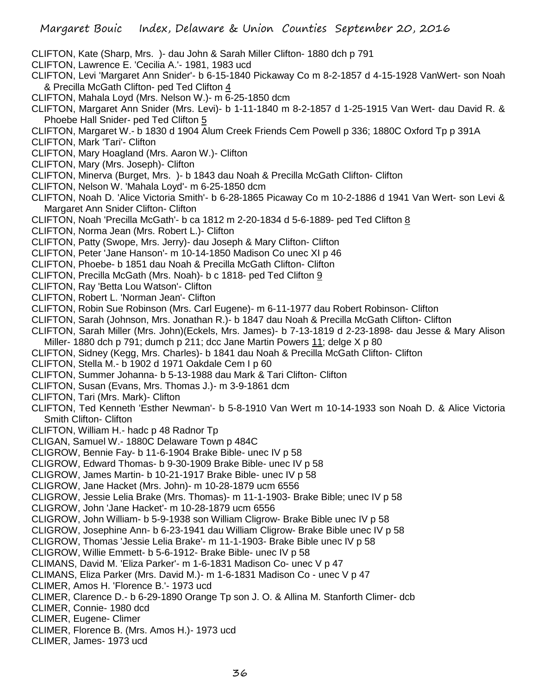- CLIFTON, Kate (Sharp, Mrs. )- dau John & Sarah Miller Clifton- 1880 dch p 791
- CLIFTON, Lawrence E. 'Cecilia A.'- 1981, 1983 ucd
- CLIFTON, Levi 'Margaret Ann Snider'- b 6-15-1840 Pickaway Co m 8-2-1857 d 4-15-1928 VanWert- son Noah & Precilla McGath Clifton- ped Ted Clifton 4
- CLIFTON, Mahala Loyd (Mrs. Nelson W.)- m 6-25-1850 dcm
- CLIFTON, Margaret Ann Snider (Mrs. Levi)- b 1-11-1840 m 8-2-1857 d 1-25-1915 Van Wert- dau David R. & Phoebe Hall Snider- ped Ted Clifton 5
- CLIFTON, Margaret W.- b 1830 d 1904 Alum Creek Friends Cem Powell p 336; 1880C Oxford Tp p 391A
- CLIFTON, Mark 'Tari'- Clifton
- CLIFTON, Mary Hoagland (Mrs. Aaron W.)- Clifton
- CLIFTON, Mary (Mrs. Joseph)- Clifton
- CLIFTON, Minerva (Burget, Mrs. )- b 1843 dau Noah & Precilla McGath Clifton- Clifton
- CLIFTON, Nelson W. 'Mahala Loyd'- m 6-25-1850 dcm
- CLIFTON, Noah D. 'Alice Victoria Smith'- b 6-28-1865 Picaway Co m 10-2-1886 d 1941 Van Wert- son Levi & Margaret Ann Snider Clifton- Clifton
- CLIFTON, Noah 'Precilla McGath'- b ca 1812 m 2-20-1834 d 5-6-1889- ped Ted Clifton 8
- CLIFTON, Norma Jean (Mrs. Robert L.)- Clifton
- CLIFTON, Patty (Swope, Mrs. Jerry)- dau Joseph & Mary Clifton- Clifton
- CLIFTON, Peter 'Jane Hanson'- m 10-14-1850 Madison Co unec XI p 46
- CLIFTON, Phoebe- b 1851 dau Noah & Precilla McGath Clifton- Clifton
- CLIFTON, Precilla McGath (Mrs. Noah)- b c 1818- ped Ted Clifton 9
- CLIFTON, Ray 'Betta Lou Watson'- Clifton
- CLIFTON, Robert L. 'Norman Jean'- Clifton
- CLIFTON, Robin Sue Robinson (Mrs. Carl Eugene)- m 6-11-1977 dau Robert Robinson- Clifton
- CLIFTON, Sarah (Johnson, Mrs. Jonathan R.)- b 1847 dau Noah & Precilla McGath Clifton- Clifton
- CLIFTON, Sarah Miller (Mrs. John)(Eckels, Mrs. James)- b 7-13-1819 d 2-23-1898- dau Jesse & Mary Alison
- Miller- 1880 dch p 791; dumch p 211; dcc Jane Martin Powers 11; delge X p 80
- CLIFTON, Sidney (Kegg, Mrs. Charles)- b 1841 dau Noah & Precilla McGath Clifton- Clifton
- CLIFTON, Stella M.- b 1902 d 1971 Oakdale Cem I p 60
- CLIFTON, Summer Johanna- b 5-13-1988 dau Mark & Tari Clifton- Clifton
- CLIFTON, Susan (Evans, Mrs. Thomas J.)- m 3-9-1861 dcm
- CLIFTON, Tari (Mrs. Mark)- Clifton
- CLIFTON, Ted Kenneth 'Esther Newman'- b 5-8-1910 Van Wert m 10-14-1933 son Noah D. & Alice Victoria Smith Clifton- Clifton
- CLIFTON, William H.- hadc p 48 Radnor Tp
- CLIGAN, Samuel W.- 1880C Delaware Town p 484C
- CLIGROW, Bennie Fay- b 11-6-1904 Brake Bible- unec IV p 58
- CLIGROW, Edward Thomas- b 9-30-1909 Brake Bible- unec IV p 58
- CLIGROW, James Martin- b 10-21-1917 Brake Bible- unec IV p 58
- CLIGROW, Jane Hacket (Mrs. John)- m 10-28-1879 ucm 6556
- CLIGROW, Jessie Lelia Brake (Mrs. Thomas)- m 11-1-1903- Brake Bible; unec IV p 58
- CLIGROW, John 'Jane Hacket'- m 10-28-1879 ucm 6556
- CLIGROW, John William- b 5-9-1938 son William Cligrow- Brake Bible unec IV p 58
- CLIGROW, Josephine Ann- b 6-23-1941 dau William Cligrow- Brake Bible unec IV p 58
- CLIGROW, Thomas 'Jessie Lelia Brake'- m 11-1-1903- Brake Bible unec IV p 58
- CLIGROW, Willie Emmett- b 5-6-1912- Brake Bible- unec IV p 58
- CLIMANS, David M. 'Eliza Parker'- m 1-6-1831 Madison Co- unec V p 47
- CLIMANS, Eliza Parker (Mrs. David M.)- m 1-6-1831 Madison Co unec V p 47
- CLIMER, Amos H. 'Florence B.'- 1973 ucd
- CLIMER, Clarence D.- b 6-29-1890 Orange Tp son J. O. & Allina M. Stanforth Climer- dcb
- CLIMER, Connie- 1980 dcd
- CLIMER, Eugene- Climer
- CLIMER, Florence B. (Mrs. Amos H.)- 1973 ucd
- CLIMER, James- 1973 ucd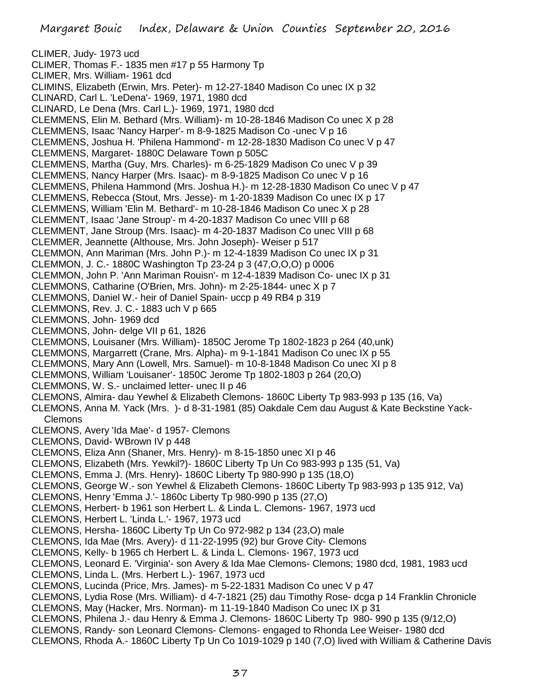CLIMER, Judy- 1973 ucd CLIMER, Thomas F.- 1835 men #17 p 55 Harmony Tp CLIMER, Mrs. William- 1961 dcd CLIMINS, Elizabeth (Erwin, Mrs. Peter)- m 12-27-1840 Madison Co unec IX p 32 CLINARD, Carl L. 'LeDena'- 1969, 1971, 1980 dcd CLINARD, Le Dena (Mrs. Carl L.)- 1969, 1971, 1980 dcd CLEMMENS, Elin M. Bethard (Mrs. William)- m 10-28-1846 Madison Co unec X p 28 CLEMMENS, Isaac 'Nancy Harper'- m 8-9-1825 Madison Co -unec V p 16 CLEMMENS, Joshua H. 'Philena Hammond'- m 12-28-1830 Madison Co unec V p 47 CLEMMENS, Margaret- 1880C Delaware Town p 505C CLEMMENS, Martha (Guy, Mrs. Charles)- m 6-25-1829 Madison Co unec V p 39 CLEMMENS, Nancy Harper (Mrs. Isaac)- m 8-9-1825 Madison Co unec V p 16 CLEMMENS, Philena Hammond (Mrs. Joshua H.)- m 12-28-1830 Madison Co unec V p 47 CLEMMENS, Rebecca (Stout, Mrs. Jesse)- m 1-20-1839 Madison Co unec IX p 17 CLEMMENS, William 'Elin M. Bethard'- m 10-28-1846 Madison Co unec X p 28 CLEMMENT, Isaac 'Jane Stroup'- m 4-20-1837 Madison Co unec VIII p 68 CLEMMENT, Jane Stroup (Mrs. Isaac)- m 4-20-1837 Madison Co unec VIII p 68 CLEMMER, Jeannette (Althouse, Mrs. John Joseph)- Weiser p 517 CLEMMON, Ann Mariman (Mrs. John P.)- m 12-4-1839 Madison Co unec IX p 31 CLEMMON, J. C.- 1880C Washington Tp 23-24 p 3 (47,O,O,O) p 0006 CLEMMON, John P. 'Ann Mariman Rouisn'- m 12-4-1839 Madison Co- unec IX p 31 CLEMMONS, Catharine (O'Brien, Mrs. John)- m 2-25-1844- unec X p 7 CLEMMONS, Daniel W.- heir of Daniel Spain- uccp p 49 RB4 p 319 CLEMMONS, Rev. J. C.- 1883 uch V p 665 CLEMMONS, John- 1969 dcd CLEMMONS, John- delge VII p 61, 1826 CLEMMONS, Louisaner (Mrs. William)- 1850C Jerome Tp 1802-1823 p 264 (40,unk) CLEMMONS, Margarrett (Crane, Mrs. Alpha)- m 9-1-1841 Madison Co unec IX p 55 CLEMMONS, Mary Ann (Lowell, Mrs. Samuel)- m 10-8-1848 Madison Co unec XI p 8 CLEMMONS, William 'Louisaner'- 1850C Jerome Tp 1802-1803 p 264 (20,O) CLEMMONS, W. S.- unclaimed letter- unec II p 46 CLEMONS, Almira- dau Yewhel & Elizabeth Clemons- 1860C Liberty Tp 983-993 p 135 (16, Va) CLEMONS, Anna M. Yack (Mrs. )- d 8-31-1981 (85) Oakdale Cem dau August & Kate Beckstine Yack-Clemons CLEMONS, Avery 'Ida Mae'- d 1957- Clemons CLEMONS, David- WBrown IV p 448 CLEMONS, Eliza Ann (Shaner, Mrs. Henry)- m 8-15-1850 unec XI p 46 CLEMONS, Elizabeth (Mrs. Yewkil?)- 1860C Liberty Tp Un Co 983-993 p 135 (51, Va) CLEMONS, Emma J. (Mrs. Henry)- 1860C Liberty Tp 980-990 p 135 (18,O) CLEMONS, George W.- son Yewhel & Elizabeth Clemons- 1860C Liberty Tp 983-993 p 135 912, Va) CLEMONS, Henry 'Emma J.'- 1860c Liberty Tp 980-990 p 135 (27,O) CLEMONS, Herbert- b 1961 son Herbert L. & Linda L. Clemons- 1967, 1973 ucd CLEMONS, Herbert L. 'Linda L.'- 1967, 1973 ucd CLEMONS, Hersha- 1860C Liberty Tp Un Co 972-982 p 134 (23,O) male CLEMONS, Ida Mae (Mrs. Avery)- d 11-22-1995 (92) bur Grove City- Clemons CLEMONS, Kelly- b 1965 ch Herbert L. & Linda L. Clemons- 1967, 1973 ucd CLEMONS, Leonard E. 'Virginia'- son Avery & Ida Mae Clemons- Clemons; 1980 dcd, 1981, 1983 ucd CLEMONS, Linda L. (Mrs. Herbert L.)- 1967, 1973 ucd CLEMONS, Lucinda (Price, Mrs. James)- m 5-22-1831 Madison Co unec V p 47 CLEMONS, Lydia Rose (Mrs. William)- d 4-7-1821 (25) dau Timothy Rose- dcga p 14 Franklin Chronicle CLEMONS, May (Hacker, Mrs. Norman)- m 11-19-1840 Madison Co unec IX p 31 CLEMONS, Philena J.- dau Henry & Emma J. Clemons- 1860C Liberty Tp 980- 990 p 135 (9/12,O) CLEMONS, Randy- son Leonard Clemons- Clemons- engaged to Rhonda Lee Weiser- 1980 dcd CLEMONS, Rhoda A.- 1860C Liberty Tp Un Co 1019-1029 p 140 (7,O) lived with William & Catherine Davis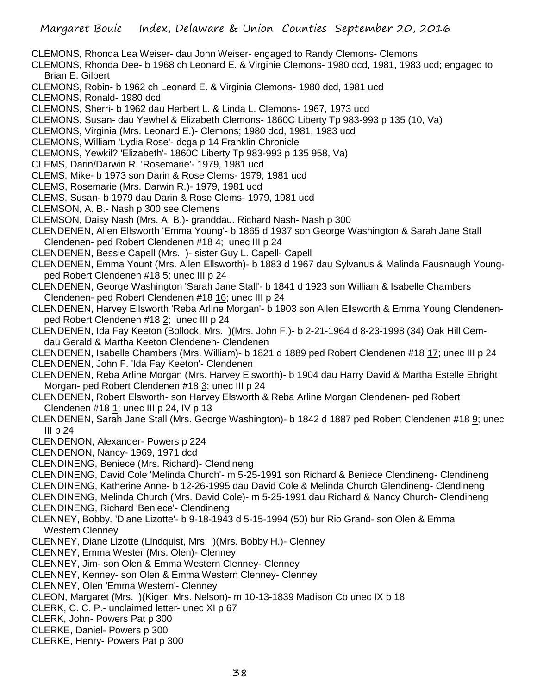- CLEMONS, Rhonda Lea Weiser- dau John Weiser- engaged to Randy Clemons- Clemons
- CLEMONS, Rhonda Dee- b 1968 ch Leonard E. & Virginie Clemons- 1980 dcd, 1981, 1983 ucd; engaged to Brian E. Gilbert
- CLEMONS, Robin- b 1962 ch Leonard E. & Virginia Clemons- 1980 dcd, 1981 ucd
- CLEMONS, Ronald- 1980 dcd
- CLEMONS, Sherri- b 1962 dau Herbert L. & Linda L. Clemons- 1967, 1973 ucd
- CLEMONS, Susan- dau Yewhel & Elizabeth Clemons- 1860C Liberty Tp 983-993 p 135 (10, Va)
- CLEMONS, Virginia (Mrs. Leonard E.)- Clemons; 1980 dcd, 1981, 1983 ucd
- CLEMONS, William 'Lydia Rose'- dcga p 14 Franklin Chronicle
- CLEMONS, Yewkil? 'Elizabeth'- 1860C Liberty Tp 983-993 p 135 958, Va)
- CLEMS, Darin/Darwin R. 'Rosemarie'- 1979, 1981 ucd
- CLEMS, Mike- b 1973 son Darin & Rose Clems- 1979, 1981 ucd
- CLEMS, Rosemarie (Mrs. Darwin R.)- 1979, 1981 ucd
- CLEMS, Susan- b 1979 dau Darin & Rose Clems- 1979, 1981 ucd
- CLEMSON, A. B.- Nash p 300 see Clemens
- CLEMSON, Daisy Nash (Mrs. A. B.)- granddau. Richard Nash- Nash p 300
- CLENDENEN, Allen Ellsworth 'Emma Young'- b 1865 d 1937 son George Washington & Sarah Jane Stall Clendenen- ped Robert Clendenen #18 4; unec III p 24
- CLENDENEN, Bessie Capell (Mrs. )- sister Guy L. Capell- Capell
- CLENDENEN, Emma Yount (Mrs. Allen Ellsworth)- b 1883 d 1967 dau Sylvanus & Malinda Fausnaugh Youngped Robert Clendenen #18 5; unec III p 24
- CLENDENEN, George Washington 'Sarah Jane Stall'- b 1841 d 1923 son William & Isabelle Chambers Clendenen- ped Robert Clendenen #18 16; unec III p 24
- CLENDENEN, Harvey Ellsworth 'Reba Arline Morgan'- b 1903 son Allen Ellsworth & Emma Young Clendenenped Robert Clendenen #18 2; unec III p 24
- CLENDENEN, Ida Fay Keeton (Bollock, Mrs. )(Mrs. John F.)- b 2-21-1964 d 8-23-1998 (34) Oak Hill Cemdau Gerald & Martha Keeton Clendenen- Clendenen
- CLENDENEN, Isabelle Chambers (Mrs. William)- b 1821 d 1889 ped Robert Clendenen #18 17; unec III p 24
- CLENDENEN, John F. 'Ida Fay Keeton'- Clendenen
- CLENDENEN, Reba Arline Morgan (Mrs. Harvey Elsworth)- b 1904 dau Harry David & Martha Estelle Ebright Morgan- ped Robert Clendenen #18 3; unec III p 24
- CLENDENEN, Robert Elsworth- son Harvey Elsworth & Reba Arline Morgan Clendenen- ped Robert Clendenen #18 1; unec III p 24, IV p 13
- CLENDENEN, Sarah Jane Stall (Mrs. George Washington)- b 1842 d 1887 ped Robert Clendenen #18 9; unec III p 24
- CLENDENON, Alexander- Powers p 224
- CLENDENON, Nancy- 1969, 1971 dcd
- CLENDINENG, Beniece (Mrs. Richard)- Clendineng
- CLENDINENG, David Cole 'Melinda Church'- m 5-25-1991 son Richard & Beniece Clendineng- Clendineng
- CLENDINENG, Katherine Anne- b 12-26-1995 dau David Cole & Melinda Church Glendineng- Clendineng
- CLENDINENG, Melinda Church (Mrs. David Cole)- m 5-25-1991 dau Richard & Nancy Church- Clendineng
- CLENDINENG, Richard 'Beniece'- Clendineng
- CLENNEY, Bobby. 'Diane Lizotte'- b 9-18-1943 d 5-15-1994 (50) bur Rio Grand- son Olen & Emma
- Western Clenney
- CLENNEY, Diane Lizotte (Lindquist, Mrs. )(Mrs. Bobby H.)- Clenney
- CLENNEY, Emma Wester (Mrs. Olen)- Clenney
- CLENNEY, Jim- son Olen & Emma Western Clenney- Clenney
- CLENNEY, Kenney- son Olen & Emma Western Clenney- Clenney
- CLENNEY, Olen 'Emma Western'- Clenney
- CLEON, Margaret (Mrs. )(Kiger, Mrs. Nelson)- m 10-13-1839 Madison Co unec IX p 18
- CLERK, C. C. P.- unclaimed letter- unec XI p 67
- CLERK, John- Powers Pat p 300
- CLERKE, Daniel- Powers p 300
- CLERKE, Henry- Powers Pat p 300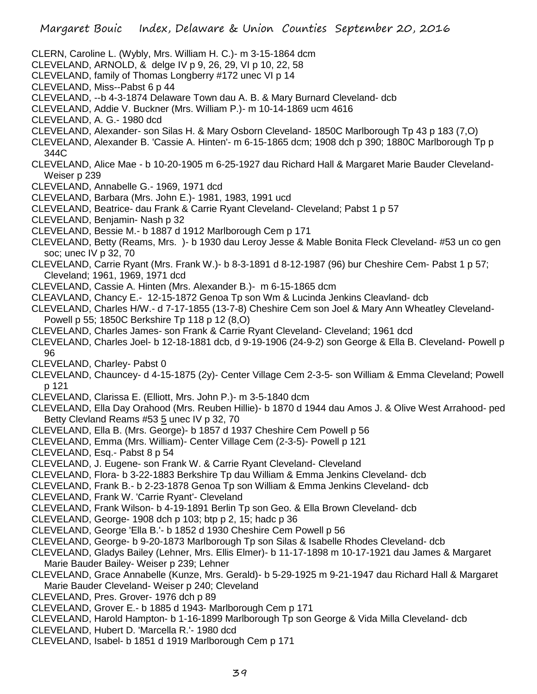- CLERN, Caroline L. (Wybly, Mrs. William H. C.)- m 3-15-1864 dcm
- CLEVELAND, ARNOLD, & delge IV p 9, 26, 29, VI p 10, 22, 58
- CLEVELAND, family of Thomas Longberry #172 unec VI p 14
- CLEVELAND, Miss--Pabst 6 p 44
- CLEVELAND, --b 4-3-1874 Delaware Town dau A. B. & Mary Burnard Cleveland- dcb
- CLEVELAND, Addie V. Buckner (Mrs. William P.)- m 10-14-1869 ucm 4616
- CLEVELAND, A. G.- 1980 dcd
- CLEVELAND, Alexander- son Silas H. & Mary Osborn Cleveland- 1850C Marlborough Tp 43 p 183 (7,O)
- CLEVELAND, Alexander B. 'Cassie A. Hinten'- m 6-15-1865 dcm; 1908 dch p 390; 1880C Marlborough Tp p 344C
- CLEVELAND, Alice Mae b 10-20-1905 m 6-25-1927 dau Richard Hall & Margaret Marie Bauder Cleveland-Weiser p 239
- CLEVELAND, Annabelle G.- 1969, 1971 dcd
- CLEVELAND, Barbara (Mrs. John E.)- 1981, 1983, 1991 ucd
- CLEVELAND, Beatrice- dau Frank & Carrie Ryant Cleveland- Cleveland; Pabst 1 p 57
- CLEVELAND, Benjamin- Nash p 32
- CLEVELAND, Bessie M.- b 1887 d 1912 Marlborough Cem p 171
- CLEVELAND, Betty (Reams, Mrs. )- b 1930 dau Leroy Jesse & Mable Bonita Fleck Cleveland- #53 un co gen soc; unec IV p 32, 70
- CLEVELAND, Carrie Ryant (Mrs. Frank W.)- b 8-3-1891 d 8-12-1987 (96) bur Cheshire Cem- Pabst 1 p 57; Cleveland; 1961, 1969, 1971 dcd
- CLEVELAND, Cassie A. Hinten (Mrs. Alexander B.)- m 6-15-1865 dcm
- CLEAVLAND, Chancy E.- 12-15-1872 Genoa Tp son Wm & Lucinda Jenkins Cleavland- dcb
- CLEVELAND, Charles H/W.- d 7-17-1855 (13-7-8) Cheshire Cem son Joel & Mary Ann Wheatley Cleveland-Powell p 55; 1850C Berkshire Tp 118 p 12 (8,O)
- CLEVELAND, Charles James- son Frank & Carrie Ryant Cleveland- Cleveland; 1961 dcd
- CLEVELAND, Charles Joel- b 12-18-1881 dcb, d 9-19-1906 (24-9-2) son George & Ella B. Cleveland- Powell p 96
- CLEVELAND, Charley- Pabst 0
- CLEVELAND, Chauncey- d 4-15-1875 (2y)- Center Village Cem 2-3-5- son William & Emma Cleveland; Powell p 121
- CLEVELAND, Clarissa E. (Elliott, Mrs. John P.)- m 3-5-1840 dcm
- CLEVELAND, Ella Day Orahood (Mrs. Reuben Hillie)- b 1870 d 1944 dau Amos J. & Olive West Arrahood- ped Betty Clevland Reams #53 5 unec IV p 32, 70
- CLEVELAND, Ella B. (Mrs. George)- b 1857 d 1937 Cheshire Cem Powell p 56
- CLEVELAND, Emma (Mrs. William)- Center Village Cem (2-3-5)- Powell p 121
- CLEVELAND, Esq.- Pabst 8 p 54
- CLEVELAND, J. Eugene- son Frank W. & Carrie Ryant Cleveland- Cleveland
- CLEVELAND, Flora- b 3-22-1883 Berkshire Tp dau William & Emma Jenkins Cleveland- dcb
- CLEVELAND, Frank B.- b 2-23-1878 Genoa Tp son William & Emma Jenkins Cleveland- dcb
- CLEVELAND, Frank W. 'Carrie Ryant'- Cleveland
- CLEVELAND, Frank Wilson- b 4-19-1891 Berlin Tp son Geo. & Ella Brown Cleveland- dcb
- CLEVELAND, George- 1908 dch p 103; btp p 2, 15; hadc p 36
- CLEVELAND, George 'Ella B.'- b 1852 d 1930 Cheshire Cem Powell p 56
- CLEVELAND, George- b 9-20-1873 Marlborough Tp son Silas & Isabelle Rhodes Cleveland- dcb
- CLEVELAND, Gladys Bailey (Lehner, Mrs. Ellis Elmer)- b 11-17-1898 m 10-17-1921 dau James & Margaret Marie Bauder Bailey- Weiser p 239; Lehner
- CLEVELAND, Grace Annabelle (Kunze, Mrs. Gerald)- b 5-29-1925 m 9-21-1947 dau Richard Hall & Margaret Marie Bauder Cleveland- Weiser p 240; Cleveland
- CLEVELAND, Pres. Grover- 1976 dch p 89
- CLEVELAND, Grover E.- b 1885 d 1943- Marlborough Cem p 171
- CLEVELAND, Harold Hampton- b 1-16-1899 Marlborough Tp son George & Vida Milla Cleveland- dcb
- CLEVELAND, Hubert D. 'Marcella R.'- 1980 dcd
- CLEVELAND, Isabel- b 1851 d 1919 Marlborough Cem p 171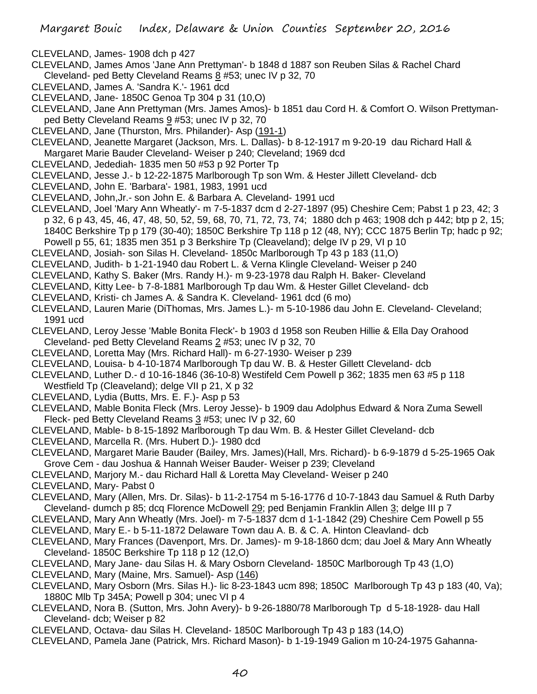- CLEVELAND, James- 1908 dch p 427
- CLEVELAND, James Amos 'Jane Ann Prettyman'- b 1848 d 1887 son Reuben Silas & Rachel Chard Cleveland- ped Betty Cleveland Reams 8 #53; unec IV p 32, 70
- CLEVELAND, James A. 'Sandra K.'- 1961 dcd
- CLEVELAND, Jane- 1850C Genoa Tp 304 p 31 (10,O)
- CLEVELAND, Jane Ann Prettyman (Mrs. James Amos)- b 1851 dau Cord H. & Comfort O. Wilson Prettymanped Betty Cleveland Reams 9 #53; unec IV p 32, 70
- CLEVELAND, Jane (Thurston, Mrs. Philander)- Asp (191-1)

CLEVELAND, Jeanette Margaret (Jackson, Mrs. L. Dallas)- b 8-12-1917 m 9-20-19 dau Richard Hall & Margaret Marie Bauder Cleveland- Weiser p 240; Cleveland; 1969 dcd

- CLEVELAND, Jedediah- 1835 men 50 #53 p 92 Porter Tp
- CLEVELAND, Jesse J.- b 12-22-1875 Marlborough Tp son Wm. & Hester Jillett Cleveland- dcb
- CLEVELAND, John E. 'Barbara'- 1981, 1983, 1991 ucd
- CLEVELAND, John,Jr.- son John E. & Barbara A. Cleveland- 1991 ucd
- CLEVELAND, Joel 'Mary Ann Wheatly'- m 7-5-1837 dcm d 2-27-1897 (95) Cheshire Cem; Pabst 1 p 23, 42; 3 p 32, 6 p 43, 45, 46, 47, 48, 50, 52, 59, 68, 70, 71, 72, 73, 74; 1880 dch p 463; 1908 dch p 442; btp p 2, 15; 1840C Berkshire Tp p 179 (30-40); 1850C Berkshire Tp 118 p 12 (48, NY); CCC 1875 Berlin Tp; hadc p 92; Powell p 55, 61; 1835 men 351 p 3 Berkshire Tp (Cleaveland); delge IV p 29, VI p 10
- CLEVELAND, Josiah- son Silas H. Cleveland- 1850c Marlborough Tp 43 p 183 (11,O)
- CLEVELAND, Judith- b 1-21-1940 dau Robert L. & Verna Klingle Cleveland- Weiser p 240
- CLEVELAND, Kathy S. Baker (Mrs. Randy H.)- m 9-23-1978 dau Ralph H. Baker- Cleveland
- CLEVELAND, Kitty Lee- b 7-8-1881 Marlborough Tp dau Wm. & Hester Gillet Cleveland- dcb
- CLEVELAND, Kristi- ch James A. & Sandra K. Cleveland- 1961 dcd (6 mo)
- CLEVELAND, Lauren Marie (DiThomas, Mrs. James L.)- m 5-10-1986 dau John E. Cleveland- Cleveland; 1991 ucd
- CLEVELAND, Leroy Jesse 'Mable Bonita Fleck'- b 1903 d 1958 son Reuben Hillie & Ella Day Orahood Cleveland- ped Betty Cleveland Reams 2 #53; unec IV p 32, 70
- CLEVELAND, Loretta May (Mrs. Richard Hall)- m 6-27-1930- Weiser p 239
- CLEVELAND, Louisa- b 4-10-1874 Marlborough Tp dau W. B. & Hester Gillett Cleveland- dcb
- CLEVELAND, Luther D.- d 10-16-1846 (36-10-8) Westifeld Cem Powell p 362; 1835 men 63 #5 p 118 Westfield Tp (Cleaveland); delge VII p 21, X p 32
- CLEVELAND, Lydia (Butts, Mrs. E. F.)- Asp p 53
- CLEVELAND, Mable Bonita Fleck (Mrs. Leroy Jesse)- b 1909 dau Adolphus Edward & Nora Zuma Sewell Fleck- ped Betty Cleveland Reams  $3#53$ ; unec IV p 32, 60
- CLEVELAND, Mable- b 8-15-1892 Marlborough Tp dau Wm. B. & Hester Gillet Cleveland- dcb
- CLEVELAND, Marcella R. (Mrs. Hubert D.)- 1980 dcd
- CLEVELAND, Margaret Marie Bauder (Bailey, Mrs. James)(Hall, Mrs. Richard)- b 6-9-1879 d 5-25-1965 Oak Grove Cem - dau Joshua & Hannah Weiser Bauder- Weiser p 239; Cleveland
- CLEVELAND, Marjory M.- dau Richard Hall & Loretta May Cleveland- Weiser p 240
- CLEVELAND, Mary- Pabst 0
- CLEVELAND, Mary (Allen, Mrs. Dr. Silas)- b 11-2-1754 m 5-16-1776 d 10-7-1843 dau Samuel & Ruth Darby Cleveland- dumch p 85; dcq Florence McDowell 29; ped Benjamin Franklin Allen 3; delge III p 7
- CLEVELAND, Mary Ann Wheatly (Mrs. Joel)- m 7-5-1837 dcm d 1-1-1842 (29) Cheshire Cem Powell p 55
- CLEVELAND, Mary E.- b 5-11-1872 Delaware Town dau A. B. & C. A. Hinton Cleavland- dcb
- CLEVELAND, Mary Frances (Davenport, Mrs. Dr. James)- m 9-18-1860 dcm; dau Joel & Mary Ann Wheatly Cleveland- 1850C Berkshire Tp 118 p 12 (12,O)
- CLEVELAND, Mary Jane- dau Silas H. & Mary Osborn Cleveland- 1850C Marlborough Tp 43 (1,O)
- CLEVELAND, Mary (Maine, Mrs. Samuel)- Asp (146)
- CLEVELAND, Mary Osborn (Mrs. Silas H.)- lic 8-23-1843 ucm 898; 1850C Marlborough Tp 43 p 183 (40, Va); 1880C Mlb Tp 345A; Powell p 304; unec VI p 4
- CLEVELAND, Nora B. (Sutton, Mrs. John Avery)- b 9-26-1880/78 Marlborough Tp d 5-18-1928- dau Hall Cleveland- dcb; Weiser p 82
- CLEVELAND, Octava- dau Silas H. Cleveland- 1850C Marlborough Tp 43 p 183 (14,O)
- CLEVELAND, Pamela Jane (Patrick, Mrs. Richard Mason)- b 1-19-1949 Galion m 10-24-1975 Gahanna-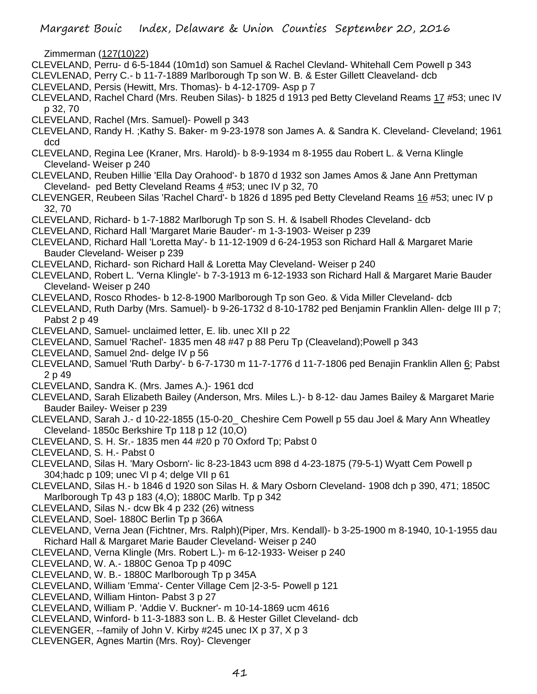Zimmerman (127(10)22)

- CLEVELAND, Perru- d 6-5-1844 (10m1d) son Samuel & Rachel Clevland- Whitehall Cem Powell p 343
- CLEVLENAD, Perry C.- b 11-7-1889 Marlborough Tp son W. B. & Ester Gillett Cleaveland- dcb
- CLEVELAND, Persis (Hewitt, Mrs. Thomas)- b 4-12-1709- Asp p 7
- CLEVELAND, Rachel Chard (Mrs. Reuben Silas)- b 1825 d 1913 ped Betty Cleveland Reams 17 #53; unec IV p 32, 70
- CLEVELAND, Rachel (Mrs. Samuel)- Powell p 343
- CLEVELAND, Randy H. ;Kathy S. Baker- m 9-23-1978 son James A. & Sandra K. Cleveland- Cleveland; 1961 dcd
- CLEVELAND, Regina Lee (Kraner, Mrs. Harold)- b 8-9-1934 m 8-1955 dau Robert L. & Verna Klingle Cleveland- Weiser p 240
- CLEVELAND, Reuben Hillie 'Ella Day Orahood'- b 1870 d 1932 son James Amos & Jane Ann Prettyman Cleveland- ped Betty Cleveland Reams 4 #53; unec IV p 32, 70
- CLEVENGER, Reubeen Silas 'Rachel Chard'- b 1826 d 1895 ped Betty Cleveland Reams 16 #53; unec IV p 32, 70
- CLEVELAND, Richard- b 1-7-1882 Marlborugh Tp son S. H. & Isabell Rhodes Cleveland- dcb
- CLEVELAND, Richard Hall 'Margaret Marie Bauder'- m 1-3-1903- Weiser p 239
- CLEVELAND, Richard Hall 'Loretta May'- b 11-12-1909 d 6-24-1953 son Richard Hall & Margaret Marie Bauder Cleveland- Weiser p 239
- CLEVELAND, Richard- son Richard Hall & Loretta May Cleveland- Weiser p 240
- CLEVELAND, Robert L. 'Verna Klingle'- b 7-3-1913 m 6-12-1933 son Richard Hall & Margaret Marie Bauder Cleveland- Weiser p 240
- CLEVELAND, Rosco Rhodes- b 12-8-1900 Marlborough Tp son Geo. & Vida Miller Cleveland- dcb
- CLEVELAND, Ruth Darby (Mrs. Samuel)- b 9-26-1732 d 8-10-1782 ped Benjamin Franklin Allen- delge III p 7; Pabst 2 p 49
- CLEVELAND, Samuel- unclaimed letter, E. lib. unec XII p 22
- CLEVELAND, Samuel 'Rachel'- 1835 men 48 #47 p 88 Peru Tp (Cleaveland);Powell p 343
- CLEVELAND, Samuel 2nd- delge IV p 56
- CLEVELAND, Samuel 'Ruth Darby'- b 6-7-1730 m 11-7-1776 d 11-7-1806 ped Benajin Franklin Allen 6; Pabst 2 p 49
- CLEVELAND, Sandra K. (Mrs. James A.)- 1961 dcd
- CLEVELAND, Sarah Elizabeth Bailey (Anderson, Mrs. Miles L.)- b 8-12- dau James Bailey & Margaret Marie Bauder Bailey- Weiser p 239
- CLEVELAND, Sarah J.- d 10-22-1855 (15-0-20\_ Cheshire Cem Powell p 55 dau Joel & Mary Ann Wheatley Cleveland- 1850c Berkshire Tp 118 p 12 (10,O)
- CLEVELAND, S. H. Sr.- 1835 men 44 #20 p 70 Oxford Tp; Pabst 0
- CLEVELAND, S. H.- Pabst 0
- CLEVELAND, Silas H. 'Mary Osborn'- lic 8-23-1843 ucm 898 d 4-23-1875 (79-5-1) Wyatt Cem Powell p 304;hadc p 109; unec VI p 4; delge VII p 61
- CLEVELAND, Silas H.- b 1846 d 1920 son Silas H. & Mary Osborn Cleveland- 1908 dch p 390, 471; 1850C Marlborough Tp 43 p 183 (4,O); 1880C Marlb. Tp p 342
- CLEVELAND, Silas N.- dcw Bk 4 p 232 (26) witness
- CLEVELAND, Soel- 1880C Berlin Tp p 366A
- CLEVELAND, Verna Jean (Fichtner, Mrs. Ralph)(Piper, Mrs. Kendall)- b 3-25-1900 m 8-1940, 10-1-1955 dau Richard Hall & Margaret Marie Bauder Cleveland- Weiser p 240
- CLEVELAND, Verna Klingle (Mrs. Robert L.)- m 6-12-1933- Weiser p 240
- CLEVELAND, W. A.- 1880C Genoa Tp p 409C
- CLEVELAND, W. B.- 1880C Marlborough Tp p 345A
- CLEVELAND, William 'Emma'- Center Village Cem |2-3-5- Powell p 121
- CLEVELAND, William Hinton- Pabst 3 p 27
- CLEVELAND, William P. 'Addie V. Buckner'- m 10-14-1869 ucm 4616
- CLEVELAND, Winford- b 11-3-1883 son L. B. & Hester Gillet Cleveland- dcb
- CLEVENGER, --family of John V. Kirby #245 unec IX p 37, X p 3
- CLEVENGER, Agnes Martin (Mrs. Roy)- Clevenger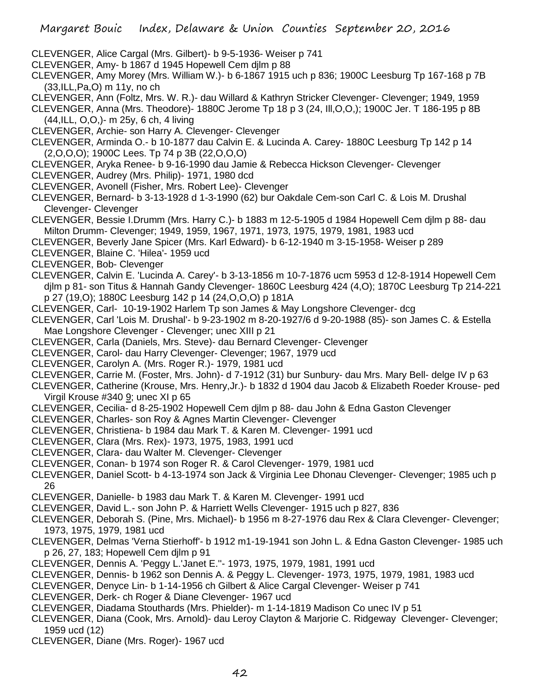- CLEVENGER, Alice Cargal (Mrs. Gilbert)- b 9-5-1936- Weiser p 741
- CLEVENGER, Amy- b 1867 d 1945 Hopewell Cem djlm p 88
- CLEVENGER, Amy Morey (Mrs. William W.)- b 6-1867 1915 uch p 836; 1900C Leesburg Tp 167-168 p 7B (33,ILL,Pa,O) m 11y, no ch
- CLEVENGER, Ann (Foltz, Mrs. W. R.)- dau Willard & Kathryn Stricker Clevenger- Clevenger; 1949, 1959
- CLEVENGER, Anna (Mrs. Theodore)- 1880C Jerome Tp 18 p 3 (24, Ill,O,O,); 1900C Jer. T 186-195 p 8B (44,ILL, O,O,)- m 25y, 6 ch, 4 living
- CLEVENGER, Archie- son Harry A. Clevenger- Clevenger
- CLEVENGER, Arminda O.- b 10-1877 dau Calvin E. & Lucinda A. Carey- 1880C Leesburg Tp 142 p 14 (2,O,O,O); 1900C Lees. Tp 74 p 3B (22,O,O,O)
- CLEVENGER, Aryka Renee- b 9-16-1990 dau Jamie & Rebecca Hickson Clevenger- Clevenger
- CLEVENGER, Audrey (Mrs. Philip)- 1971, 1980 dcd
- CLEVENGER, Avonell (Fisher, Mrs. Robert Lee)- Clevenger
- CLEVENGER, Bernard- b 3-13-1928 d 1-3-1990 (62) bur Oakdale Cem-son Carl C. & Lois M. Drushal Clevenger- Clevenger
- CLEVENGER, Bessie I.Drumm (Mrs. Harry C.)- b 1883 m 12-5-1905 d 1984 Hopewell Cem djlm p 88- dau Milton Drumm- Clevenger; 1949, 1959, 1967, 1971, 1973, 1975, 1979, 1981, 1983 ucd
- CLEVENGER, Beverly Jane Spicer (Mrs. Karl Edward)- b 6-12-1940 m 3-15-1958- Weiser p 289
- CLEVENGER, Blaine C. 'Hilea'- 1959 ucd
- CLEVENGER, Bob- Clevenger
- CLEVENGER, Calvin E. 'Lucinda A. Carey'- b 3-13-1856 m 10-7-1876 ucm 5953 d 12-8-1914 Hopewell Cem djlm p 81- son Titus & Hannah Gandy Clevenger- 1860C Leesburg 424 (4,O); 1870C Leesburg Tp 214-221 p 27 (19,O); 1880C Leesburg 142 p 14 (24,O,O,O) p 181A
- CLEVENGER, Carl- 10-19-1902 Harlem Tp son James & May Longshore Clevenger- dcg
- CLEVENGER, Carl 'Lois M. Drushal'- b 9-23-1902 m 8-20-1927/6 d 9-20-1988 (85)- son James C. & Estella Mae Longshore Clevenger - Clevenger; unec XIII p 21
- CLEVENGER, Carla (Daniels, Mrs. Steve)- dau Bernard Clevenger- Clevenger
- CLEVENGER, Carol- dau Harry Clevenger- Clevenger; 1967, 1979 ucd
- CLEVENGER, Carolyn A. (Mrs. Roger R.)- 1979, 1981 ucd
- CLEVENGER, Carrie M. (Foster, Mrs. John)- d 7-1912 (31) bur Sunbury- dau Mrs. Mary Bell- delge IV p 63
- CLEVENGER, Catherine (Krouse, Mrs. Henry,Jr.)- b 1832 d 1904 dau Jacob & Elizabeth Roeder Krouse- ped Virgil Krouse #340 9; unec XI p 65
- CLEVENGER, Cecilia- d 8-25-1902 Hopewell Cem djlm p 88- dau John & Edna Gaston Clevenger
- CLEVENGER, Charles- son Roy & Agnes Martin Clevenger- Clevenger
- CLEVENGER, Christiena- b 1984 dau Mark T. & Karen M. Clevenger- 1991 ucd
- CLEVENGER, Clara (Mrs. Rex)- 1973, 1975, 1983, 1991 ucd
- CLEVENGER, Clara- dau Walter M. Clevenger- Clevenger
- CLEVENGER, Conan- b 1974 son Roger R. & Carol Clevenger- 1979, 1981 ucd
- CLEVENGER, Daniel Scott- b 4-13-1974 son Jack & Virginia Lee Dhonau Clevenger- Clevenger; 1985 uch p 26
- CLEVENGER, Danielle- b 1983 dau Mark T. & Karen M. Clevenger- 1991 ucd
- CLEVENGER, David L.- son John P. & Harriett Wells Clevenger- 1915 uch p 827, 836
- CLEVENGER, Deborah S. (Pine, Mrs. Michael)- b 1956 m 8-27-1976 dau Rex & Clara Clevenger- Clevenger; 1973, 1975, 1979, 1981 ucd
- CLEVENGER, Delmas 'Verna Stierhoff'- b 1912 m1-19-1941 son John L. & Edna Gaston Clevenger- 1985 uch p 26, 27, 183; Hopewell Cem djlm p 91
- CLEVENGER, Dennis A. 'Peggy L.'Janet E.''- 1973, 1975, 1979, 1981, 1991 ucd
- CLEVENGER, Dennis- b 1962 son Dennis A. & Peggy L. Clevenger- 1973, 1975, 1979, 1981, 1983 ucd
- CLEVENGER, Denyce Lin- b 1-14-1956 ch Gilbert & Alice Cargal Clevenger- Weiser p 741
- CLEVENGER, Derk- ch Roger & Diane Clevenger- 1967 ucd
- CLEVENGER, Diadama Stouthards (Mrs. Phielder)- m 1-14-1819 Madison Co unec IV p 51
- CLEVENGER, Diana (Cook, Mrs. Arnold)- dau Leroy Clayton & Marjorie C. Ridgeway Clevenger- Clevenger; 1959 ucd (12)
- CLEVENGER, Diane (Mrs. Roger)- 1967 ucd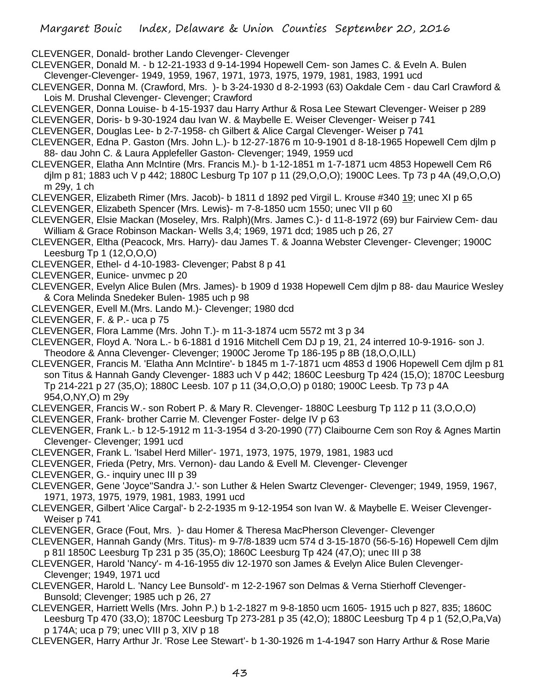CLEVENGER, Donald- brother Lando Clevenger- Clevenger

CLEVENGER, Donald M. - b 12-21-1933 d 9-14-1994 Hopewell Cem- son James C. & Eveln A. Bulen Clevenger-Clevenger- 1949, 1959, 1967, 1971, 1973, 1975, 1979, 1981, 1983, 1991 ucd

- CLEVENGER, Donna M. (Crawford, Mrs. )- b 3-24-1930 d 8-2-1993 (63) Oakdale Cem dau Carl Crawford & Lois M. Drushal Clevenger- Clevenger; Crawford
- CLEVENGER, Donna Louise- b 4-15-1937 dau Harry Arthur & Rosa Lee Stewart Clevenger- Weiser p 289
- CLEVENGER, Doris- b 9-30-1924 dau Ivan W. & Maybelle E. Weiser Clevenger- Weiser p 741
- CLEVENGER, Douglas Lee- b 2-7-1958- ch Gilbert & Alice Cargal Clevenger- Weiser p 741
- CLEVENGER, Edna P. Gaston (Mrs. John L.)- b 12-27-1876 m 10-9-1901 d 8-18-1965 Hopewell Cem djlm p 88- dau John C. & Laura Applefeller Gaston- Clevenger; 1949, 1959 ucd
- CLEVENGER, Elatha Ann McIntire (Mrs. Francis M.)- b 1-12-1851 m 1-7-1871 ucm 4853 Hopewell Cem R6 djlm p 81; 1883 uch V p 442; 1880C Lesburg Tp 107 p 11 (29,O,O,O); 1900C Lees. Tp 73 p 4A (49,O,O,O) m 29y, 1 ch
- CLEVENGER, Elizabeth Rimer (Mrs. Jacob)- b 1811 d 1892 ped Virgil L. Krouse #340 19; unec XI p 65
- CLEVENGER, Elizabeth Spencer (Mrs. Lewis)- m 7-8-1850 ucm 1550; unec VII p 60
- CLEVENGER, Elsie Mackan (Moseley, Mrs. Ralph)(Mrs. James C.)- d 11-8-1972 (69) bur Fairview Cem- dau William & Grace Robinson Mackan- Wells 3,4; 1969, 1971 dcd; 1985 uch p 26, 27
- CLEVENGER, Eltha (Peacock, Mrs. Harry)- dau James T. & Joanna Webster Clevenger- Clevenger; 1900C Leesburg Tp 1 (12,O,O,O)
- CLEVENGER, Ethel- d 4-10-1983- Clevenger; Pabst 8 p 41
- CLEVENGER, Eunice- unvmec p 20
- CLEVENGER, Evelyn Alice Bulen (Mrs. James)- b 1909 d 1938 Hopewell Cem djlm p 88- dau Maurice Wesley & Cora Melinda Snedeker Bulen- 1985 uch p 98
- CLEVENGER, Evell M.(Mrs. Lando M.)- Clevenger; 1980 dcd
- CLEVENGER, F. & P.- uca p 75
- CLEVENGER, Flora Lamme (Mrs. John T.)- m 11-3-1874 ucm 5572 mt 3 p 34
- CLEVENGER, Floyd A. 'Nora L.- b 6-1881 d 1916 Mitchell Cem DJ p 19, 21, 24 interred 10-9-1916- son J. Theodore & Anna Clevenger- Clevenger; 1900C Jerome Tp 186-195 p 8B (18,O,O,ILL)
- CLEVENGER, Francis M. 'Elatha Ann McIntire'- b 1845 m 1-7-1871 ucm 4853 d 1906 Hopewell Cem djlm p 81 son Titus & Hannah Gandy Clevenger- 1883 uch V p 442; 1860C Leesburg Tp 424 (15,O); 1870C Leesburg Tp 214-221 p 27 (35,O); 1880C Leesb. 107 p 11 (34,O,O,O) p 0180; 1900C Leesb. Tp 73 p 4A 954,O,NY,O) m 29y
- CLEVENGER, Francis W.- son Robert P. & Mary R. Clevenger- 1880C Leesburg Tp 112 p 11 (3,O,O,O)
- CLEVENGER, Frank- brother Carrie M. Clevenger Foster- delge IV p 63
- CLEVENGER, Frank L.- b 12-5-1912 m 11-3-1954 d 3-20-1990 (77) Claibourne Cem son Roy & Agnes Martin Clevenger- Clevenger; 1991 ucd
- CLEVENGER, Frank L. 'Isabel Herd Miller'- 1971, 1973, 1975, 1979, 1981, 1983 ucd
- CLEVENGER, Frieda (Petry, Mrs. Vernon)- dau Lando & Evell M. Clevenger- Clevenger
- CLEVENGER, G.- inquiry unec III p 39
- CLEVENGER, Gene 'Joyce''Sandra J.'- son Luther & Helen Swartz Clevenger- Clevenger; 1949, 1959, 1967, 1971, 1973, 1975, 1979, 1981, 1983, 1991 ucd
- CLEVENGER, Gilbert 'Alice Cargal'- b 2-2-1935 m 9-12-1954 son Ivan W. & Maybelle E. Weiser Clevenger-Weiser p 741
- CLEVENGER, Grace (Fout, Mrs. )- dau Homer & Theresa MacPherson Clevenger- Clevenger
- CLEVENGER, Hannah Gandy (Mrs. Titus)- m 9-7/8-1839 ucm 574 d 3-15-1870 (56-5-16) Hopewell Cem djlm p 81l 1850C Leesburg Tp 231 p 35 (35,O); 1860C Leesburg Tp 424 (47,O); unec III p 38
- CLEVENGER, Harold 'Nancy'- m 4-16-1955 div 12-1970 son James & Evelyn Alice Bulen Clevenger-Clevenger; 1949, 1971 ucd
- CLEVENGER, Harold L. 'Nancy Lee Bunsold'- m 12-2-1967 son Delmas & Verna Stierhoff Clevenger-Bunsold; Clevenger; 1985 uch p 26, 27
- CLEVENGER, Harriett Wells (Mrs. John P.) b 1-2-1827 m 9-8-1850 ucm 1605- 1915 uch p 827, 835; 1860C Leesburg Tp 470 (33,O); 1870C Leesburg Tp 273-281 p 35 (42,O); 1880C Leesburg Tp 4 p 1 (52,O,Pa,Va) p 174A; uca p 79; unec VIII p 3, XIV p 18
- CLEVENGER, Harry Arthur Jr. 'Rose Lee Stewart'- b 1-30-1926 m 1-4-1947 son Harry Arthur & Rose Marie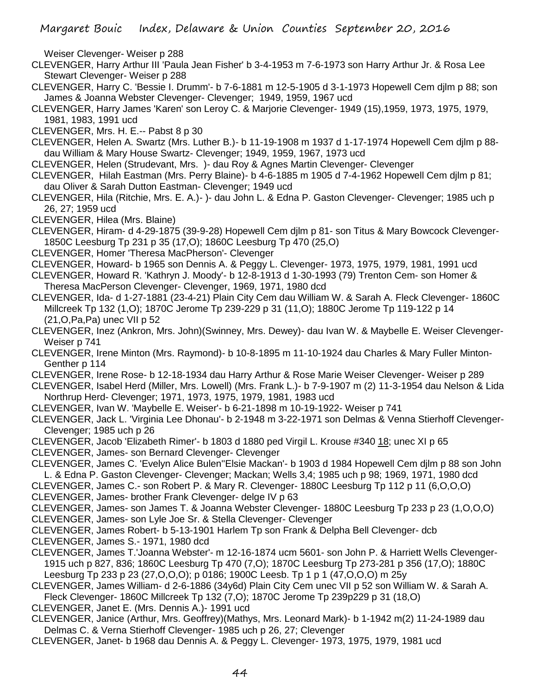Weiser Clevenger- Weiser p 288

- CLEVENGER, Harry Arthur III 'Paula Jean Fisher' b 3-4-1953 m 7-6-1973 son Harry Arthur Jr. & Rosa Lee Stewart Clevenger- Weiser p 288
- CLEVENGER, Harry C. 'Bessie I. Drumm'- b 7-6-1881 m 12-5-1905 d 3-1-1973 Hopewell Cem djlm p 88; son James & Joanna Webster Clevenger- Clevenger; 1949, 1959, 1967 ucd
- CLEVENGER, Harry James 'Karen' son Leroy C. & Marjorie Clevenger- 1949 (15),1959, 1973, 1975, 1979, 1981, 1983, 1991 ucd
- CLEVENGER, Mrs. H. E.-- Pabst 8 p 30
- CLEVENGER, Helen A. Swartz (Mrs. Luther B.)- b 11-19-1908 m 1937 d 1-17-1974 Hopewell Cem djlm p 88 dau William & Mary House Swartz- Clevenger; 1949, 1959, 1967, 1973 ucd
- CLEVENGER, Helen (Strudevant, Mrs. )- dau Roy & Agnes Martin Clevenger- Clevenger
- CLEVENGER, Hilah Eastman (Mrs. Perry Blaine)- b 4-6-1885 m 1905 d 7-4-1962 Hopewell Cem djlm p 81; dau Oliver & Sarah Dutton Eastman- Clevenger; 1949 ucd
- CLEVENGER, Hila (Ritchie, Mrs. E. A.)- )- dau John L. & Edna P. Gaston Clevenger- Clevenger; 1985 uch p 26, 27; 1959 ucd
- CLEVENGER, Hilea (Mrs. Blaine)
- CLEVENGER, Hiram- d 4-29-1875 (39-9-28) Hopewell Cem djlm p 81- son Titus & Mary Bowcock Clevenger-1850C Leesburg Tp 231 p 35 (17,O); 1860C Leesburg Tp 470 (25,O)
- CLEVENGER, Homer 'Theresa MacPherson'- Clevenger
- CLEVENGER, Howard- b 1965 son Dennis A. & Peggy L. Clevenger- 1973, 1975, 1979, 1981, 1991 ucd
- CLEVENGER, Howard R. 'Kathryn J. Moody'- b 12-8-1913 d 1-30-1993 (79) Trenton Cem- son Homer & Theresa MacPerson Clevenger- Clevenger, 1969, 1971, 1980 dcd
- CLEVENGER, Ida- d 1-27-1881 (23-4-21) Plain City Cem dau William W. & Sarah A. Fleck Clevenger- 1860C Millcreek Tp 132 (1,O); 1870C Jerome Tp 239-229 p 31 (11,O); 1880C Jerome Tp 119-122 p 14 (21,O,Pa,Pa) unec VII p 52
- CLEVENGER, Inez (Ankron, Mrs. John)(Swinney, Mrs. Dewey)- dau Ivan W. & Maybelle E. Weiser Clevenger-Weiser p 741
- CLEVENGER, Irene Minton (Mrs. Raymond)- b 10-8-1895 m 11-10-1924 dau Charles & Mary Fuller Minton-Genther p 114
- CLEVENGER, Irene Rose- b 12-18-1934 dau Harry Arthur & Rose Marie Weiser Clevenger- Weiser p 289
- CLEVENGER, Isabel Herd (Miller, Mrs. Lowell) (Mrs. Frank L.)- b 7-9-1907 m (2) 11-3-1954 dau Nelson & Lida Northrup Herd- Clevenger; 1971, 1973, 1975, 1979, 1981, 1983 ucd
- CLEVENGER, Ivan W. 'Maybelle E. Weiser'- b 6-21-1898 m 10-19-1922- Weiser p 741
- CLEVENGER, Jack L. 'Virginia Lee Dhonau'- b 2-1948 m 3-22-1971 son Delmas & Venna Stierhoff Clevenger-Clevenger; 1985 uch p 26
- CLEVENGER, Jacob 'Elizabeth Rimer'- b 1803 d 1880 ped Virgil L. Krouse #340 18; unec XI p 65
- CLEVENGER, James- son Bernard Clevenger- Clevenger
- CLEVENGER, James C. 'Evelyn Alice Bulen''Elsie Mackan'- b 1903 d 1984 Hopewell Cem djlm p 88 son John L. & Edna P. Gaston Clevenger- Clevenger; Mackan; Wells 3,4; 1985 uch p 98; 1969, 1971, 1980 dcd
- CLEVENGER, James C.- son Robert P. & Mary R. Clevenger- 1880C Leesburg Tp 112 p 11 (6,O,O,O)
- CLEVENGER, James- brother Frank Clevenger- delge IV p 63
- CLEVENGER, James- son James T. & Joanna Webster Clevenger- 1880C Leesburg Tp 233 p 23 (1,O,O,O)
- CLEVENGER, James- son Lyle Joe Sr. & Stella Clevenger- Clevenger
- CLEVENGER, James Robert- b 5-13-1901 Harlem Tp son Frank & Delpha Bell Clevenger- dcb
- CLEVENGER, James S.- 1971, 1980 dcd
- CLEVENGER, James T.'Joanna Webster'- m 12-16-1874 ucm 5601- son John P. & Harriett Wells Clevenger-1915 uch p 827, 836; 1860C Leesburg Tp 470 (7,O); 1870C Leesburg Tp 273-281 p 356 (17,O); 1880C Leesburg Tp 233 p 23 (27,O,O,O); p 0186; 1900C Leesb. Tp 1 p 1 (47,O,O,O) m 25y
- CLEVENGER, James William- d 2-6-1886 (34y6d) Plain City Cem unec VII p 52 son William W. & Sarah A. Fleck Clevenger- 1860C Millcreek Tp 132 (7,O); 1870C Jerome Tp 239p229 p 31 (18,O)
- CLEVENGER, Janet E. (Mrs. Dennis A.)- 1991 ucd
- CLEVENGER, Janice (Arthur, Mrs. Geoffrey)(Mathys, Mrs. Leonard Mark)- b 1-1942 m(2) 11-24-1989 dau Delmas C. & Verna Stierhoff Clevenger- 1985 uch p 26, 27; Clevenger
- CLEVENGER, Janet- b 1968 dau Dennis A. & Peggy L. Clevenger- 1973, 1975, 1979, 1981 ucd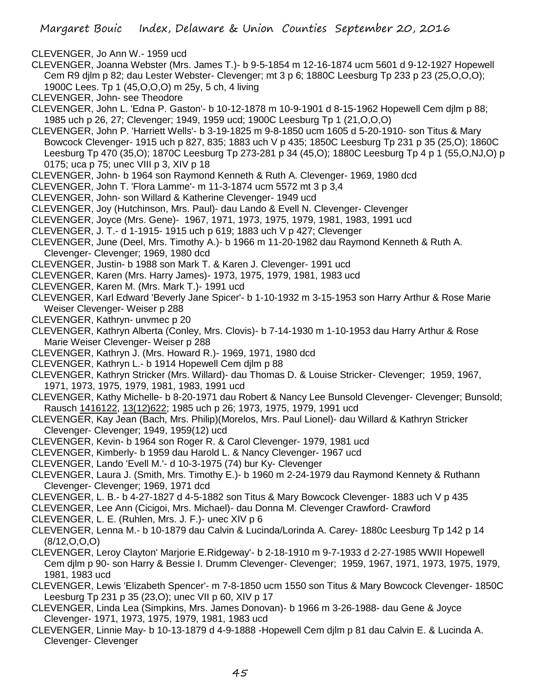CLEVENGER, Jo Ann W.- 1959 ucd

- CLEVENGER, Joanna Webster (Mrs. James T.)- b 9-5-1854 m 12-16-1874 ucm 5601 d 9-12-1927 Hopewell Cem R9 djlm p 82; dau Lester Webster- Clevenger; mt 3 p 6; 1880C Leesburg Tp 233 p 23 (25,O,O,O); 1900C Lees. Tp 1 (45,O,O,O) m 25y, 5 ch, 4 living
- CLEVENGER, John- see Theodore
- CLEVENGER, John L. 'Edna P. Gaston'- b 10-12-1878 m 10-9-1901 d 8-15-1962 Hopewell Cem djlm p 88; 1985 uch p 26, 27; Clevenger; 1949, 1959 ucd; 1900C Leesburg Tp 1 (21,O,O,O)
- CLEVENGER, John P. 'Harriett Wells'- b 3-19-1825 m 9-8-1850 ucm 1605 d 5-20-1910- son Titus & Mary Bowcock Clevenger- 1915 uch p 827, 835; 1883 uch V p 435; 1850C Leesburg Tp 231 p 35 (25,O); 1860C Leesburg Tp 470 (35,O); 1870C Leesburg Tp 273-281 p 34 (45,O); 1880C Leesburg Tp 4 p 1 (55,O,NJ,O) p 0175; uca p 75; unec VIII p 3, XIV p 18
- CLEVENGER, John- b 1964 son Raymond Kenneth & Ruth A. Clevenger- 1969, 1980 dcd
- CLEVENGER, John T. 'Flora Lamme'- m 11-3-1874 ucm 5572 mt 3 p 3,4
- CLEVENGER, John- son Willard & Katherine Clevenger- 1949 ucd
- CLEVENGER, Joy (Hutchinson, Mrs. Paul)- dau Lando & Evell N. Clevenger- Clevenger
- CLEVENGER, Joyce (Mrs. Gene)- 1967, 1971, 1973, 1975, 1979, 1981, 1983, 1991 ucd
- CLEVENGER, J. T.- d 1-1915- 1915 uch p 619; 1883 uch V p 427; Clevenger
- CLEVENGER, June (Deel, Mrs. Timothy A.)- b 1966 m 11-20-1982 dau Raymond Kenneth & Ruth A. Clevenger- Clevenger; 1969, 1980 dcd
- CLEVENGER, Justin- b 1988 son Mark T. & Karen J. Clevenger- 1991 ucd
- CLEVENGER, Karen (Mrs. Harry James)- 1973, 1975, 1979, 1981, 1983 ucd
- CLEVENGER, Karen M. (Mrs. Mark T.)- 1991 ucd
- CLEVENGER, Karl Edward 'Beverly Jane Spicer'- b 1-10-1932 m 3-15-1953 son Harry Arthur & Rose Marie Weiser Clevenger- Weiser p 288
- CLEVENGER, Kathryn- unvmec p 20
- CLEVENGER, Kathryn Alberta (Conley, Mrs. Clovis)- b 7-14-1930 m 1-10-1953 dau Harry Arthur & Rose Marie Weiser Clevenger- Weiser p 288
- CLEVENGER, Kathryn J. (Mrs. Howard R.)- 1969, 1971, 1980 dcd
- CLEVENGER, Kathryn L.- b 1914 Hopewell Cem djlm p 88
- CLEVENGER, Kathryn Stricker (Mrs. Willard)- dau Thomas D. & Louise Stricker- Clevenger; 1959, 1967, 1971, 1973, 1975, 1979, 1981, 1983, 1991 ucd
- CLEVENGER, Kathy Michelle- b 8-20-1971 dau Robert & Nancy Lee Bunsold Clevenger- Clevenger; Bunsold; Rausch 1416122, 13(12)622; 1985 uch p 26; 1973, 1975, 1979, 1991 ucd
- CLEVENGER, Kay Jean (Bach, Mrs. Philip)(Morelos, Mrs. Paul Lionel)- dau Willard & Kathryn Stricker Clevenger- Clevenger; 1949, 1959(12) ucd
- CLEVENGER, Kevin- b 1964 son Roger R. & Carol Clevenger- 1979, 1981 ucd
- CLEVENGER, Kimberly- b 1959 dau Harold L. & Nancy Clevenger- 1967 ucd
- CLEVENGER, Lando 'Evell M.'- d 10-3-1975 (74) bur Ky- Clevenger
- CLEVENGER, Laura J. (Smith, Mrs. Timothy E.)- b 1960 m 2-24-1979 dau Raymond Kennety & Ruthann Clevenger- Clevenger; 1969, 1971 dcd
- CLEVENGER, L. B.- b 4-27-1827 d 4-5-1882 son Titus & Mary Bowcock Clevenger- 1883 uch V p 435
- CLEVENGER, Lee Ann (Cicigoi, Mrs. Michael)- dau Donna M. Clevenger Crawford- Crawford
- CLEVENGER, L. E. (Ruhlen, Mrs. J. F.)- unec XIV p 6
- CLEVENGER, Lenna M.- b 10-1879 dau Calvin & Lucinda/Lorinda A. Carey- 1880c Leesburg Tp 142 p 14 (8/12,O,O,O)
- CLEVENGER, Leroy Clayton' Marjorie E.Ridgeway'- b 2-18-1910 m 9-7-1933 d 2-27-1985 WWII Hopewell Cem djlm p 90- son Harry & Bessie I. Drumm Clevenger- Clevenger; 1959, 1967, 1971, 1973, 1975, 1979, 1981, 1983 ucd
- CLEVENGER, Lewis 'Elizabeth Spencer'- m 7-8-1850 ucm 1550 son Titus & Mary Bowcock Clevenger- 1850C Leesburg Tp 231 p 35 (23,O); unec VII p 60, XIV p 17
- CLEVENGER, Linda Lea (Simpkins, Mrs. James Donovan)- b 1966 m 3-26-1988- dau Gene & Joyce Clevenger- 1971, 1973, 1975, 1979, 1981, 1983 ucd
- CLEVENGER, Linnie May- b 10-13-1879 d 4-9-1888 -Hopewell Cem djlm p 81 dau Calvin E. & Lucinda A. Clevenger- Clevenger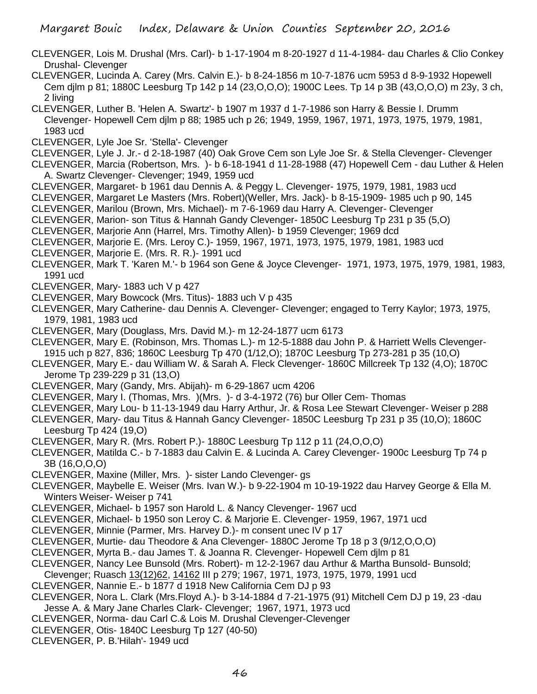- CLEVENGER, Lois M. Drushal (Mrs. Carl)- b 1-17-1904 m 8-20-1927 d 11-4-1984- dau Charles & Clio Conkey Drushal- Clevenger
- CLEVENGER, Lucinda A. Carey (Mrs. Calvin E.)- b 8-24-1856 m 10-7-1876 ucm 5953 d 8-9-1932 Hopewell Cem djlm p 81; 1880C Leesburg Tp 142 p 14 (23,O,O,O); 1900C Lees. Tp 14 p 3B (43,O,O,O) m 23y, 3 ch, 2 living
- CLEVENGER, Luther B. 'Helen A. Swartz'- b 1907 m 1937 d 1-7-1986 son Harry & Bessie I. Drumm Clevenger- Hopewell Cem djlm p 88; 1985 uch p 26; 1949, 1959, 1967, 1971, 1973, 1975, 1979, 1981, 1983 ucd
- CLEVENGER, Lyle Joe Sr. 'Stella'- Clevenger
- CLEVENGER, Lyle J. Jr.- d 2-18-1987 (40) Oak Grove Cem son Lyle Joe Sr. & Stella Clevenger- Clevenger
- CLEVENGER, Marcia (Robertson, Mrs. )- b 6-18-1941 d 11-28-1988 (47) Hopewell Cem dau Luther & Helen A. Swartz Clevenger- Clevenger; 1949, 1959 ucd
- CLEVENGER, Margaret- b 1961 dau Dennis A. & Peggy L. Clevenger- 1975, 1979, 1981, 1983 ucd
- CLEVENGER, Margaret Le Masters (Mrs. Robert)(Weller, Mrs. Jack)- b 8-15-1909- 1985 uch p 90, 145
- CLEVENGER, Marilou (Brown, Mrs. Michael)- m 7-6-1969 dau Harry A. Clevenger- Clevenger
- CLEVENGER, Marion- son Titus & Hannah Gandy Clevenger- 1850C Leesburg Tp 231 p 35 (5,O)
- CLEVENGER, Marjorie Ann (Harrel, Mrs. Timothy Allen)- b 1959 Clevenger; 1969 dcd
- CLEVENGER, Marjorie E. (Mrs. Leroy C.)- 1959, 1967, 1971, 1973, 1975, 1979, 1981, 1983 ucd
- CLEVENGER, Marjorie E. (Mrs. R. R.)- 1991 ucd
- CLEVENGER, Mark T. 'Karen M.'- b 1964 son Gene & Joyce Clevenger- 1971, 1973, 1975, 1979, 1981, 1983, 1991 ucd
- CLEVENGER, Mary- 1883 uch V p 427
- CLEVENGER, Mary Bowcock (Mrs. Titus)- 1883 uch V p 435
- CLEVENGER, Mary Catherine- dau Dennis A. Clevenger- Clevenger; engaged to Terry Kaylor; 1973, 1975, 1979, 1981, 1983 ucd
- CLEVENGER, Mary (Douglass, Mrs. David M.)- m 12-24-1877 ucm 6173
- CLEVENGER, Mary E. (Robinson, Mrs. Thomas L.)- m 12-5-1888 dau John P. & Harriett Wells Clevenger-1915 uch p 827, 836; 1860C Leesburg Tp 470 (1/12,O); 1870C Leesburg Tp 273-281 p 35 (10,O)
- CLEVENGER, Mary E.- dau William W. & Sarah A. Fleck Clevenger- 1860C Millcreek Tp 132 (4,O); 1870C Jerome Tp 239-229 p 31 (13,O)
- CLEVENGER, Mary (Gandy, Mrs. Abijah)- m 6-29-1867 ucm 4206
- CLEVENGER, Mary I. (Thomas, Mrs. )(Mrs. )- d 3-4-1972 (76) bur Oller Cem- Thomas
- CLEVENGER, Mary Lou- b 11-13-1949 dau Harry Arthur, Jr. & Rosa Lee Stewart Clevenger- Weiser p 288
- CLEVENGER, Mary- dau Titus & Hannah Gancy Clevenger- 1850C Leesburg Tp 231 p 35 (10,O); 1860C Leesburg Tp 424 (19,O)
- CLEVENGER, Mary R. (Mrs. Robert P.)- 1880C Leesburg Tp 112 p 11 (24,O,O,O)
- CLEVENGER, Matilda C.- b 7-1883 dau Calvin E. & Lucinda A. Carey Clevenger- 1900c Leesburg Tp 74 p 3B (16,O,O,O)
- CLEVENGER, Maxine (Miller, Mrs. )- sister Lando Clevenger- gs
- CLEVENGER, Maybelle E. Weiser (Mrs. Ivan W.)- b 9-22-1904 m 10-19-1922 dau Harvey George & Ella M. Winters Weiser- Weiser p 741
- CLEVENGER, Michael- b 1957 son Harold L. & Nancy Clevenger- 1967 ucd
- CLEVENGER, Michael- b 1950 son Leroy C. & Marjorie E. Clevenger- 1959, 1967, 1971 ucd
- CLEVENGER, Minnie (Parmer, Mrs. Harvey D.)- m consent unec IV p 17
- CLEVENGER, Murtie- dau Theodore & Ana Clevenger- 1880C Jerome Tp 18 p 3 (9/12,O,O,O)
- CLEVENGER, Myrta B.- dau James T. & Joanna R. Clevenger- Hopewell Cem djlm p 81
- CLEVENGER, Nancy Lee Bunsold (Mrs. Robert)- m 12-2-1967 dau Arthur & Martha Bunsold- Bunsold; Clevenger; Ruasch 13(12)62, 14162 III p 279; 1967, 1971, 1973, 1975, 1979, 1991 ucd
- CLEVENGER, Nannie E.- b 1877 d 1918 New California Cem DJ p 93
- CLEVENGER, Nora L. Clark (Mrs.Floyd A.)- b 3-14-1884 d 7-21-1975 (91) Mitchell Cem DJ p 19, 23 -dau Jesse A. & Mary Jane Charles Clark- Clevenger; 1967, 1971, 1973 ucd
- CLEVENGER, Norma- dau Carl C.& Lois M. Drushal Clevenger-Clevenger
- CLEVENGER, Otis- 1840C Leesburg Tp 127 (40-50)
- CLEVENGER, P. B.'Hilah'- 1949 ucd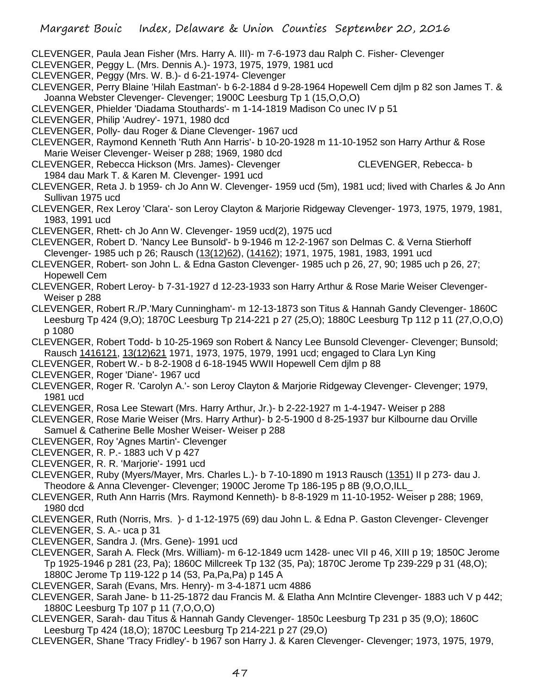- CLEVENGER, Paula Jean Fisher (Mrs. Harry A. III)- m 7-6-1973 dau Ralph C. Fisher- Clevenger
- CLEVENGER, Peggy L. (Mrs. Dennis A.)- 1973, 1975, 1979, 1981 ucd
- CLEVENGER, Peggy (Mrs. W. B.)- d 6-21-1974- Clevenger
- CLEVENGER, Perry Blaine 'Hilah Eastman'- b 6-2-1884 d 9-28-1964 Hopewell Cem djlm p 82 son James T. & Joanna Webster Clevenger- Clevenger; 1900C Leesburg Tp 1 (15,O,O,O)
- CLEVENGER, Phielder 'Diadama Stouthards'- m 1-14-1819 Madison Co unec IV p 51
- CLEVENGER, Philip 'Audrey'- 1971, 1980 dcd
- CLEVENGER, Polly- dau Roger & Diane Clevenger- 1967 ucd
- CLEVENGER, Raymond Kenneth 'Ruth Ann Harris'- b 10-20-1928 m 11-10-1952 son Harry Arthur & Rose Marie Weiser Clevenger- Weiser p 288; 1969, 1980 dcd
- CLEVENGER, Rebecca Hickson (Mrs. James)- Clevenger CLEVENGER, Rebecca- b 1984 dau Mark T. & Karen M. Clevenger- 1991 ucd
- CLEVENGER, Reta J. b 1959- ch Jo Ann W. Clevenger- 1959 ucd (5m), 1981 ucd; lived with Charles & Jo Ann Sullivan 1975 ucd
- CLEVENGER, Rex Leroy 'Clara'- son Leroy Clayton & Marjorie Ridgeway Clevenger- 1973, 1975, 1979, 1981, 1983, 1991 ucd
- CLEVENGER, Rhett- ch Jo Ann W. Clevenger- 1959 ucd(2), 1975 ucd
- CLEVENGER, Robert D. 'Nancy Lee Bunsold'- b 9-1946 m 12-2-1967 son Delmas C. & Verna Stierhoff Clevenger- 1985 uch p 26; Rausch (13(12)62), (14162); 1971, 1975, 1981, 1983, 1991 ucd
- CLEVENGER, Robert- son John L. & Edna Gaston Clevenger- 1985 uch p 26, 27, 90; 1985 uch p 26, 27; Hopewell Cem
- CLEVENGER, Robert Leroy- b 7-31-1927 d 12-23-1933 son Harry Arthur & Rose Marie Weiser Clevenger-Weiser p 288
- CLEVENGER, Robert R./P.'Mary Cunningham'- m 12-13-1873 son Titus & Hannah Gandy Clevenger- 1860C Leesburg Tp 424 (9,O); 1870C Leesburg Tp 214-221 p 27 (25,O); 1880C Leesburg Tp 112 p 11 (27,O,O,O) p 1080
- CLEVENGER, Robert Todd- b 10-25-1969 son Robert & Nancy Lee Bunsold Clevenger- Clevenger; Bunsold; Rausch 1416121, 13(12)621 1971, 1973, 1975, 1979, 1991 ucd; engaged to Clara Lyn King
- CLEVENGER, Robert W.- b 8-2-1908 d 6-18-1945 WWII Hopewell Cem djlm p 88
- CLEVENGER, Roger 'Diane'- 1967 ucd
- CLEVENGER, Roger R. 'Carolyn A.'- son Leroy Clayton & Marjorie Ridgeway Clevenger- Clevenger; 1979, 1981 ucd
- CLEVENGER, Rosa Lee Stewart (Mrs. Harry Arthur, Jr.)- b 2-22-1927 m 1-4-1947- Weiser p 288
- CLEVENGER, Rose Marie Weiser (Mrs. Harry Arthur)- b 2-5-1900 d 8-25-1937 bur Kilbourne dau Orville Samuel & Catherine Belle Mosher Weiser- Weiser p 288
- CLEVENGER, Roy 'Agnes Martin'- Clevenger
- CLEVENGER, R. P.- 1883 uch V p 427
- CLEVENGER, R. R. 'Marjorie'- 1991 ucd
- CLEVENGER, Ruby (Myers/Mayer, Mrs. Charles L.)- b 7-10-1890 m 1913 Rausch (1351) II p 273- dau J. Theodore & Anna Clevenger- Clevenger; 1900C Jerome Tp 186-195 p 8B (9,O,O,ILL\_
- CLEVENGER, Ruth Ann Harris (Mrs. Raymond Kenneth)- b 8-8-1929 m 11-10-1952- Weiser p 288; 1969, 1980 dcd
- CLEVENGER, Ruth (Norris, Mrs. )- d 1-12-1975 (69) dau John L. & Edna P. Gaston Clevenger- Clevenger
- CLEVENGER, S. A.- uca p 31
- CLEVENGER, Sandra J. (Mrs. Gene)- 1991 ucd
- CLEVENGER, Sarah A. Fleck (Mrs. William)- m 6-12-1849 ucm 1428- unec VII p 46, XIII p 19; 1850C Jerome Tp 1925-1946 p 281 (23, Pa); 1860C Millcreek Tp 132 (35, Pa); 1870C Jerome Tp 239-229 p 31 (48,O); 1880C Jerome Tp 119-122 p 14 (53, Pa,Pa,Pa) p 145 A
- CLEVENGER, Sarah (Evans, Mrs. Henry)- m 3-4-1871 ucm 4886
- CLEVENGER, Sarah Jane- b 11-25-1872 dau Francis M. & Elatha Ann McIntire Clevenger- 1883 uch V p 442; 1880C Leesburg Tp 107 p 11 (7,O,O,O)
- CLEVENGER, Sarah- dau Titus & Hannah Gandy Clevenger- 1850c Leesburg Tp 231 p 35 (9,O); 1860C Leesburg Tp 424 (18,O); 1870C Leesburg Tp 214-221 p 27 (29,O)
- CLEVENGER, Shane 'Tracy Fridley'- b 1967 son Harry J. & Karen Clevenger- Clevenger; 1973, 1975, 1979,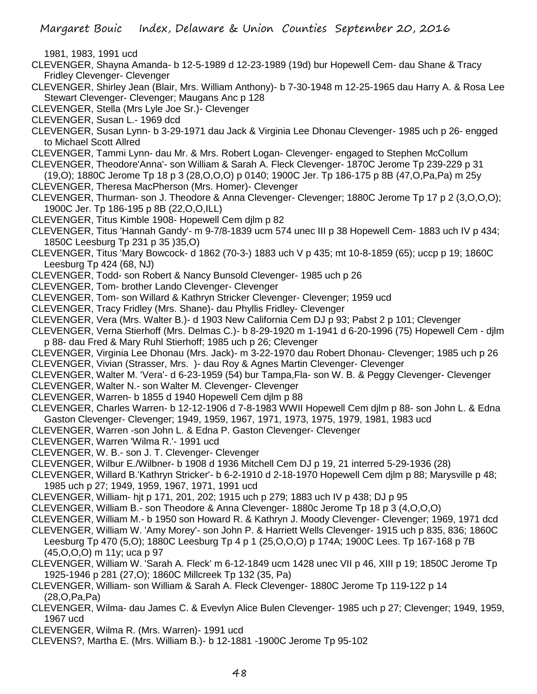1981, 1983, 1991 ucd

CLEVENGER, Shayna Amanda- b 12-5-1989 d 12-23-1989 (19d) bur Hopewell Cem- dau Shane & Tracy Fridley Clevenger- Clevenger

CLEVENGER, Shirley Jean (Blair, Mrs. William Anthony)- b 7-30-1948 m 12-25-1965 dau Harry A. & Rosa Lee Stewart Clevenger- Clevenger; Maugans Anc p 128

- CLEVENGER, Stella (Mrs Lyle Joe Sr.)- Clevenger
- CLEVENGER, Susan L.- 1969 dcd
- CLEVENGER, Susan Lynn- b 3-29-1971 dau Jack & Virginia Lee Dhonau Clevenger- 1985 uch p 26- engged to Michael Scott Allred
- CLEVENGER, Tammi Lynn- dau Mr. & Mrs. Robert Logan- Clevenger- engaged to Stephen McCollum
- CLEVENGER, Theodore'Anna'- son William & Sarah A. Fleck Clevenger- 1870C Jerome Tp 239-229 p 31
- (19,O); 1880C Jerome Tp 18 p 3 (28,O,O,O) p 0140; 1900C Jer. Tp 186-175 p 8B (47,O,Pa,Pa) m 25y CLEVENGER, Theresa MacPherson (Mrs. Homer)- Clevenger
- CLEVENGER, Thurman- son J. Theodore & Anna Clevenger- Clevenger; 1880C Jerome Tp 17 p 2 (3,O,O,O); 1900C Jer. Tp 186-195 p 8B (22,O,O,ILL)
- CLEVENGER, Titus Kimble 1908- Hopewell Cem djlm p 82
- CLEVENGER, Titus 'Hannah Gandy'- m 9-7/8-1839 ucm 574 unec III p 38 Hopewell Cem- 1883 uch IV p 434; 1850C Leesburg Tp 231 p 35 )35,O)
- CLEVENGER, Titus 'Mary Bowcock- d 1862 (70-3-) 1883 uch V p 435; mt 10-8-1859 (65); uccp p 19; 1860C Leesburg Tp 424 (68, NJ)
- CLEVENGER, Todd- son Robert & Nancy Bunsold Clevenger- 1985 uch p 26
- CLEVENGER, Tom- brother Lando Clevenger- Clevenger
- CLEVENGER, Tom- son Willard & Kathryn Stricker Clevenger- Clevenger; 1959 ucd
- CLEVENGER, Tracy Fridley (Mrs. Shane)- dau Phyllis Fridley- Clevenger
- CLEVENGER, Vera (Mrs. Walter B.)- d 1903 New California Cem DJ p 93; Pabst 2 p 101; Clevenger
- CLEVENGER, Verna Stierhoff (Mrs. Delmas C.)- b 8-29-1920 m 1-1941 d 6-20-1996 (75) Hopewell Cem djlm p 88- dau Fred & Mary Ruhl Stierhoff; 1985 uch p 26; Clevenger
- CLEVENGER, Virginia Lee Dhonau (Mrs. Jack)- m 3-22-1970 dau Robert Dhonau- Clevenger; 1985 uch p 26
- CLEVENGER, Vivian (Strasser, Mrs. )- dau Roy & Agnes Martin Clevenger- Clevenger
- CLEVENGER, Walter M. 'Vera'- d 6-23-1959 (54) bur Tampa,Fla- son W. B. & Peggy Clevenger- Clevenger
- CLEVENGER, Walter N.- son Walter M. Clevenger- Clevenger
- CLEVENGER, Warren- b 1855 d 1940 Hopewell Cem djlm p 88
- CLEVENGER, Charles Warren- b 12-12-1906 d 7-8-1983 WWII Hopewell Cem djlm p 88- son John L. & Edna Gaston Clevenger- Clevenger; 1949, 1959, 1967, 1971, 1973, 1975, 1979, 1981, 1983 ucd
- CLEVENGER, Warren -son John L. & Edna P. Gaston Clevenger- Clevenger
- CLEVENGER, Warren 'Wilma R.'- 1991 ucd
- CLEVENGER, W. B.- son J. T. Clevenger- Clevenger
- CLEVENGER, Wilbur E./Wilbner- b 1908 d 1936 Mitchell Cem DJ p 19, 21 interred 5-29-1936 (28)
- CLEVENGER, Willard B.'Kathryn Stricker'- b 6-2-1910 d 2-18-1970 Hopewell Cem djlm p 88; Marysville p 48; 1985 uch p 27; 1949, 1959, 1967, 1971, 1991 ucd
- CLEVENGER, William- hjt p 171, 201, 202; 1915 uch p 279; 1883 uch IV p 438; DJ p 95
- CLEVENGER, William B.- son Theodore & Anna Clevenger- 1880c Jerome Tp 18 p 3 (4,O,O,O)
- CLEVENGER, William M.- b 1950 son Howard R. & Kathryn J. Moody Clevenger- Clevenger; 1969, 1971 dcd
- CLEVENGER, William W. 'Amy Morey'- son John P. & Harriett Wells Clevenger- 1915 uch p 835, 836; 1860C Leesburg Tp 470 (5,O); 1880C Leesburg Tp 4 p 1 (25,O,O,O) p 174A; 1900C Lees. Tp 167-168 p 7B (45,O,O,O) m 11y; uca p 97
- CLEVENGER, William W. 'Sarah A. Fleck' m 6-12-1849 ucm 1428 unec VII p 46, XIII p 19; 1850C Jerome Tp 1925-1946 p 281 (27,O); 1860C Millcreek Tp 132 (35, Pa)
- CLEVENGER, William- son William & Sarah A. Fleck Clevenger- 1880C Jerome Tp 119-122 p 14 (28,O,Pa,Pa)
- CLEVENGER, Wilma- dau James C. & Evevlyn Alice Bulen Clevenger- 1985 uch p 27; Clevenger; 1949, 1959, 1967 ucd
- CLEVENGER, Wilma R. (Mrs. Warren)- 1991 ucd
- CLEVENS?, Martha E. (Mrs. William B.)- b 12-1881 -1900C Jerome Tp 95-102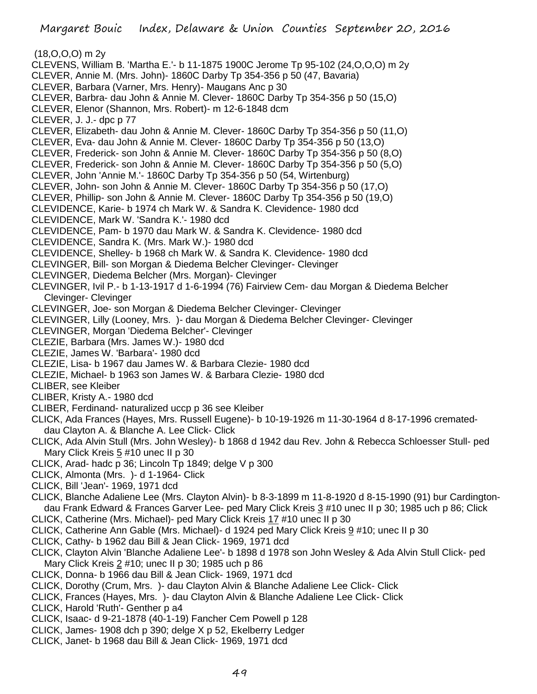(18,O,O,O) m 2y CLEVENS, William B. 'Martha E.'- b 11-1875 1900C Jerome Tp 95-102 (24,O,O,O) m 2y CLEVER, Annie M. (Mrs. John)- 1860C Darby Tp 354-356 p 50 (47, Bavaria) CLEVER, Barbara (Varner, Mrs. Henry)- Maugans Anc p 30 CLEVER, Barbra- dau John & Annie M. Clever- 1860C Darby Tp 354-356 p 50 (15,O) CLEVER, Elenor (Shannon, Mrs. Robert)- m 12-6-1848 dcm CLEVER, J. J.- dpc p 77 CLEVER, Elizabeth- dau John & Annie M. Clever- 1860C Darby Tp 354-356 p 50 (11,O) CLEVER, Eva- dau John & Annie M. Clever- 1860C Darby Tp 354-356 p 50 (13,O) CLEVER, Frederick- son John & Annie M. Clever- 1860C Darby Tp 354-356 p 50 (8,O) CLEVER, Frederick- son John & Annie M. Clever- 1860C Darby Tp 354-356 p 50 (5,O) CLEVER, John 'Annie M.'- 1860C Darby Tp 354-356 p 50 (54, Wirtenburg) CLEVER, John- son John & Annie M. Clever- 1860C Darby Tp 354-356 p 50 (17,O) CLEVER, Phillip- son John & Annie M. Clever- 1860C Darby Tp 354-356 p 50 (19,O) CLEVIDENCE, Karie- b 1974 ch Mark W. & Sandra K. Clevidence- 1980 dcd CLEVIDENCE, Mark W. 'Sandra K.'- 1980 dcd CLEVIDENCE, Pam- b 1970 dau Mark W. & Sandra K. Clevidence- 1980 dcd CLEVIDENCE, Sandra K. (Mrs. Mark W.)- 1980 dcd CLEVIDENCE, Shelley- b 1968 ch Mark W. & Sandra K. Clevidence- 1980 dcd CLEVINGER, Bill- son Morgan & Diedema Belcher Clevinger- Clevinger CLEVINGER, Diedema Belcher (Mrs. Morgan)- Clevinger CLEVINGER, Ivil P.- b 1-13-1917 d 1-6-1994 (76) Fairview Cem- dau Morgan & Diedema Belcher Clevinger- Clevinger CLEVINGER, Joe- son Morgan & Diedema Belcher Clevinger- Clevinger CLEVINGER, Lilly (Looney, Mrs. )- dau Morgan & Diedema Belcher Clevinger- Clevinger CLEVINGER, Morgan 'Diedema Belcher'- Clevinger CLEZIE, Barbara (Mrs. James W.)- 1980 dcd CLEZIE, James W. 'Barbara'- 1980 dcd CLEZIE, Lisa- b 1967 dau James W. & Barbara Clezie- 1980 dcd CLEZIE, Michael- b 1963 son James W. & Barbara Clezie- 1980 dcd CLIBER, see Kleiber CLIBER, Kristy A.- 1980 dcd CLIBER, Ferdinand- naturalized uccp p 36 see Kleiber CLICK, Ada Frances (Hayes, Mrs. Russell Eugene)- b 10-19-1926 m 11-30-1964 d 8-17-1996 cremateddau Clayton A. & Blanche A. Lee Click- Click CLICK, Ada Alvin Stull (Mrs. John Wesley)- b 1868 d 1942 dau Rev. John & Rebecca Schloesser Stull- ped Mary Click Kreis 5 #10 unec II p 30 CLICK, Arad- hadc p 36; Lincoln Tp 1849; delge V p 300 CLICK, Almonta (Mrs. )- d 1-1964- Click CLICK, Bill 'Jean'- 1969, 1971 dcd CLICK, Blanche Adaliene Lee (Mrs. Clayton Alvin)- b 8-3-1899 m 11-8-1920 d 8-15-1990 (91) bur Cardingtondau Frank Edward & Frances Garver Lee- ped Mary Click Kreis 3 #10 unec II p 30; 1985 uch p 86; Click CLICK, Catherine (Mrs. Michael)- ped Mary Click Kreis 17 #10 unec II p 30 CLICK, Catherine Ann Gable (Mrs. Michael)- d 1924 ped Mary Click Kreis 9 #10; unec II p 30 CLICK, Cathy- b 1962 dau Bill & Jean Click- 1969, 1971 dcd CLICK, Clayton Alvin 'Blanche Adaliene Lee'- b 1898 d 1978 son John Wesley & Ada Alvin Stull Click- ped Mary Click Kreis 2 #10; unec II p 30; 1985 uch p 86 CLICK, Donna- b 1966 dau Bill & Jean Click- 1969, 1971 dcd CLICK, Dorothy (Crum, Mrs. )- dau Clayton Alvin & Blanche Adaliene Lee Click- Click CLICK, Frances (Hayes, Mrs. )- dau Clayton Alvin & Blanche Adaliene Lee Click- Click CLICK, Harold 'Ruth'- Genther p a4

- CLICK, Isaac- d 9-21-1878 (40-1-19) Fancher Cem Powell p 128
- CLICK, James- 1908 dch p 390; delge X p 52, Ekelberry Ledger
- CLICK, Janet- b 1968 dau Bill & Jean Click- 1969, 1971 dcd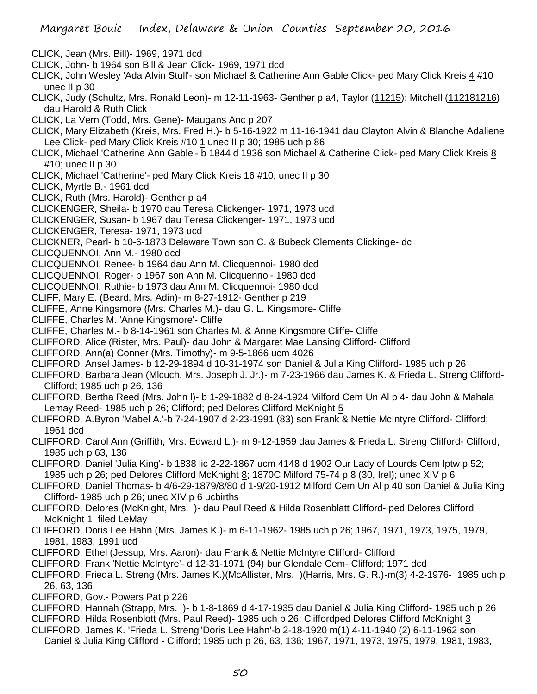- CLICK, Jean (Mrs. Bill)- 1969, 1971 dcd
- CLICK, John- b 1964 son Bill & Jean Click- 1969, 1971 dcd
- CLICK, John Wesley 'Ada Alvin Stull'- son Michael & Catherine Ann Gable Click- ped Mary Click Kreis 4 #10 unec II p 30
- CLICK, Judy (Schultz, Mrs. Ronald Leon)- m 12-11-1963- Genther p a4, Taylor (11215); Mitchell (112181216) dau Harold & Ruth Click
- CLICK, La Vern (Todd, Mrs. Gene)- Maugans Anc p 207
- CLICK, Mary Elizabeth (Kreis, Mrs. Fred H.)- b 5-16-1922 m 11-16-1941 dau Clayton Alvin & Blanche Adaliene Lee Click- ped Mary Click Kreis #10 1 unec II p 30; 1985 uch p 86
- CLICK, Michael 'Catherine Ann Gable'- b 1844 d 1936 son Michael & Catherine Click- ped Mary Click Kreis 8 #10; unec II p 30
- CLICK, Michael 'Catherine'- ped Mary Click Kreis 16 #10; unec II p 30
- CLICK, Myrtle B.- 1961 dcd
- CLICK, Ruth (Mrs. Harold)- Genther p a4
- CLICKENGER, Sheila- b 1970 dau Teresa Clickenger- 1971, 1973 ucd
- CLICKENGER, Susan- b 1967 dau Teresa Clickenger- 1971, 1973 ucd
- CLICKENGER, Teresa- 1971, 1973 ucd
- CLICKNER, Pearl- b 10-6-1873 Delaware Town son C. & Bubeck Clements Clickinge- dc
- CLICQUENNOI, Ann M.- 1980 dcd
- CLICQUENNOI, Renee- b 1964 dau Ann M. Clicquennoi- 1980 dcd
- CLICQUENNOI, Roger- b 1967 son Ann M. Clicquennoi- 1980 dcd
- CLICQUENNOI, Ruthie- b 1973 dau Ann M. Clicquennoi- 1980 dcd
- CLIFF, Mary E. (Beard, Mrs. Adin)- m 8-27-1912- Genther p 219
- CLIFFE, Anne Kingsmore (Mrs. Charles M.)- dau G. L. Kingsmore- Cliffe
- CLIFFE, Charles M. 'Anne Kingsmore'- Cliffe
- CLIFFE, Charles M.- b 8-14-1961 son Charles M. & Anne Kingsmore Cliffe- Cliffe
- CLIFFORD, Alice (Rister, Mrs. Paul)- dau John & Margaret Mae Lansing Clifford- Clifford
- CLIFFORD, Ann(a) Conner (Mrs. Timothy)- m 9-5-1866 ucm 4026
- CLIFFORD, Ansel James- b 12-29-1894 d 10-31-1974 son Daniel & Julia King Clifford- 1985 uch p 26
- CLIFFORD, Barbara Jean (Mlcuch, Mrs. Joseph J. Jr.)- m 7-23-1966 dau James K. & Frieda L. Streng Clifford-Clifford; 1985 uch p 26, 136
- CLIFFORD, Bertha Reed (Mrs. John l)- b 1-29-1882 d 8-24-1924 Milford Cem Un Al p 4- dau John & Mahala Lemay Reed- 1985 uch p 26; Clifford; ped Delores Clifford McKnight 5
- CLIFFORD, A.Byron 'Mabel A.'-b 7-24-1907 d 2-23-1991 (83) son Frank & Nettie McIntyre Clifford- Clifford; 1961 dcd
- CLIFFORD, Carol Ann (Griffith, Mrs. Edward L.)- m 9-12-1959 dau James & Frieda L. Streng Clifford- Clifford; 1985 uch p 63, 136
- CLIFFORD, Daniel 'Julia King'- b 1838 lic 2-22-1867 ucm 4148 d 1902 Our Lady of Lourds Cem lptw p 52; 1985 uch p 26; ped Delores Clifford McKnight 8; 1870C Milford 75-74 p 8 (30, Irel); unec XIV p 6
- CLIFFORD, Daniel Thomas- b 4/6-29-1879/8/80 d 1-9/20-1912 Milford Cem Un Al p 40 son Daniel & Julia King Clifford- 1985 uch p 26; unec XIV p 6 ucbirths
- CLIFFORD, Delores (McKnight, Mrs. )- dau Paul Reed & Hilda Rosenblatt Clifford- ped Delores Clifford McKnight 1 filed LeMay
- CLIFFORD, Doris Lee Hahn (Mrs. James K.)- m 6-11-1962- 1985 uch p 26; 1967, 1971, 1973, 1975, 1979, 1981, 1983, 1991 ucd
- CLIFFORD, Ethel (Jessup, Mrs. Aaron)- dau Frank & Nettie McIntyre Clifford- Clifford
- CLIFFORD, Frank 'Nettie McIntyre'- d 12-31-1971 (94) bur Glendale Cem- Clifford; 1971 dcd
- CLIFFORD, Frieda L. Streng (Mrs. James K.)(McAllister, Mrs. )(Harris, Mrs. G. R.)-m(3) 4-2-1976- 1985 uch p 26, 63, 136
- CLIFFORD, Gov.- Powers Pat p 226
- CLIFFORD, Hannah (Strapp, Mrs. )- b 1-8-1869 d 4-17-1935 dau Daniel & Julia King Clifford- 1985 uch p 26
- CLIFFORD, Hilda Rosenblott (Mrs. Paul Reed)- 1985 uch p 26; Cliffordped Delores Clifford McKnight 3
- CLIFFORD, James K. 'Frieda L. Streng''Doris Lee Hahn'-b 2-18-1920 m(1) 4-11-1940 (2) 6-11-1962 son Daniel & Julia King Clifford - Clifford; 1985 uch p 26, 63, 136; 1967, 1971, 1973, 1975, 1979, 1981, 1983,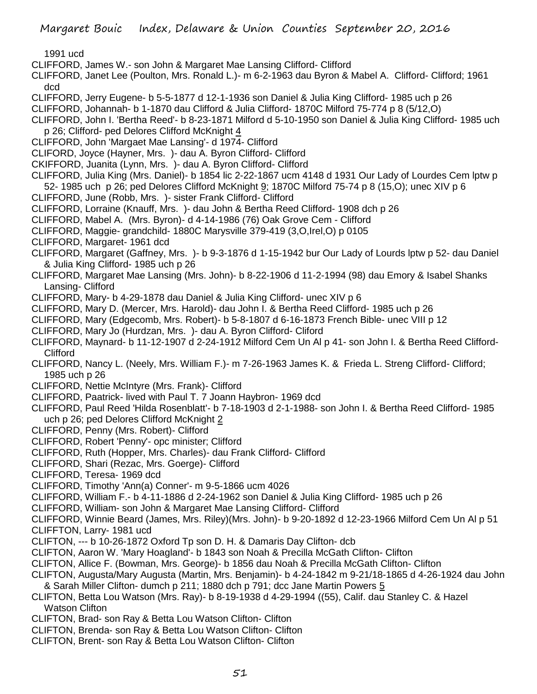1991 ucd

- CLIFFORD, James W.- son John & Margaret Mae Lansing Clifford- Clifford
- CLIFFORD, Janet Lee (Poulton, Mrs. Ronald L.)- m 6-2-1963 dau Byron & Mabel A. Clifford- Clifford; 1961 dcd
- CLIFFORD, Jerry Eugene- b 5-5-1877 d 12-1-1936 son Daniel & Julia King Clifford- 1985 uch p 26
- CLIFFORD, Johannah- b 1-1870 dau Clifford & Julia Clifford- 1870C Milford 75-774 p 8 (5/12,O)
- CLIFFORD, John I. 'Bertha Reed'- b 8-23-1871 Milford d 5-10-1950 son Daniel & Julia King Clifford- 1985 uch p 26; Clifford- ped Delores Clifford McKnight 4
- CLIFFORD, John 'Margaet Mae Lansing'- d 1974- Clifford
- CLIFORD, Joyce (Hayner, Mrs. )- dau A. Byron Clifford- Clifford
- CKIFFORD, Juanita (Lynn, Mrs. )- dau A. Byron Clifford- Clifford
- CLIFFORD, Julia King (Mrs. Daniel)- b 1854 lic 2-22-1867 ucm 4148 d 1931 Our Lady of Lourdes Cem lptw p 52- 1985 uch p 26; ped Delores Clifford McKnight 9; 1870C Milford 75-74 p 8 (15,O); unec XIV p 6
- CLIFFORD, June (Robb, Mrs. )- sister Frank Clifford- Clifford
- CLIFFORD, Lorraine (Knauff, Mrs. )- dau John & Bertha Reed Clifford- 1908 dch p 26
- CLIFFORD, Mabel A. (Mrs. Byron)- d 4-14-1986 (76) Oak Grove Cem Clifford
- CLIFFORD, Maggie- grandchild- 1880C Marysville 379-419 (3,O,Irel,O) p 0105
- CLIFFORD, Margaret- 1961 dcd
- CLIFFORD, Margaret (Gaffney, Mrs. )- b 9-3-1876 d 1-15-1942 bur Our Lady of Lourds lptw p 52- dau Daniel & Julia King Clifford- 1985 uch p 26
- CLIFFORD, Margaret Mae Lansing (Mrs. John)- b 8-22-1906 d 11-2-1994 (98) dau Emory & Isabel Shanks Lansing- Clifford
- CLIFFORD, Mary- b 4-29-1878 dau Daniel & Julia King Clifford- unec XIV p 6
- CLIFFORD, Mary D. (Mercer, Mrs. Harold)- dau John I. & Bertha Reed Clifford- 1985 uch p 26
- CLIFFORD, Mary (Edgecomb, Mrs. Robert)- b 5-8-1807 d 6-16-1873 French Bible- unec VIII p 12
- CLIFFORD, Mary Jo (Hurdzan, Mrs. )- dau A. Byron Clifford- Cliford
- CLIFFORD, Maynard- b 11-12-1907 d 2-24-1912 Milford Cem Un Al p 41- son John I. & Bertha Reed Clifford-**Clifford**
- CLIFFORD, Nancy L. (Neely, Mrs. William F.)- m 7-26-1963 James K. & Frieda L. Streng Clifford- Clifford; 1985 uch p 26
- CLIFFORD, Nettie McIntyre (Mrs. Frank)- Clifford
- CLIFFORD, Paatrick- lived with Paul T. 7 Joann Haybron- 1969 dcd
- CLIFFORD, Paul Reed 'Hilda Rosenblatt'- b 7-18-1903 d 2-1-1988- son John I. & Bertha Reed Clifford- 1985 uch p 26; ped Delores Clifford McKnight 2
- CLIFFORD, Penny (Mrs. Robert)- Clifford
- CLIFFORD, Robert 'Penny'- opc minister; Clifford
- CLIFFORD, Ruth (Hopper, Mrs. Charles)- dau Frank Clifford- Clifford
- CLIFFORD, Shari (Rezac, Mrs. Goerge)- Clifford
- CLIFFORD, Teresa- 1969 dcd
- CLIFFORD, Timothy 'Ann(a) Conner'- m 9-5-1866 ucm 4026
- CLIFFORD, William F.- b 4-11-1886 d 2-24-1962 son Daniel & Julia King Clifford- 1985 uch p 26
- CLIFFORD, William- son John & Margaret Mae Lansing Clifford- Clifford
- CLIFFORD, Winnie Beard (James, Mrs. Riley)(Mrs. John)- b 9-20-1892 d 12-23-1966 Milford Cem Un Al p 51 CLIFFTON, Larry- 1981 ucd
- CLIFTON, --- b 10-26-1872 Oxford Tp son D. H. & Damaris Day Clifton- dcb
- CLIFTON, Aaron W. 'Mary Hoagland'- b 1843 son Noah & Precilla McGath Clifton- Clifton
- CLIFTON, Allice F. (Bowman, Mrs. George)- b 1856 dau Noah & Precilla McGath Clifton- Clifton
- CLIFTON, Augusta/Mary Augusta (Martin, Mrs. Benjamin)- b 4-24-1842 m 9-21/18-1865 d 4-26-1924 dau John
	- & Sarah Miller Clifton- dumch p 211; 1880 dch p 791; dcc Jane Martin Powers 5
- CLIFTON, Betta Lou Watson (Mrs. Ray)- b 8-19-1938 d 4-29-1994 ((55), Calif. dau Stanley C. & Hazel Watson Clifton
- CLIFTON, Brad- son Ray & Betta Lou Watson Clifton- Clifton
- CLIFTON, Brenda- son Ray & Betta Lou Watson Clifton- Clifton
- CLIFTON, Brent- son Ray & Betta Lou Watson Clifton- Clifton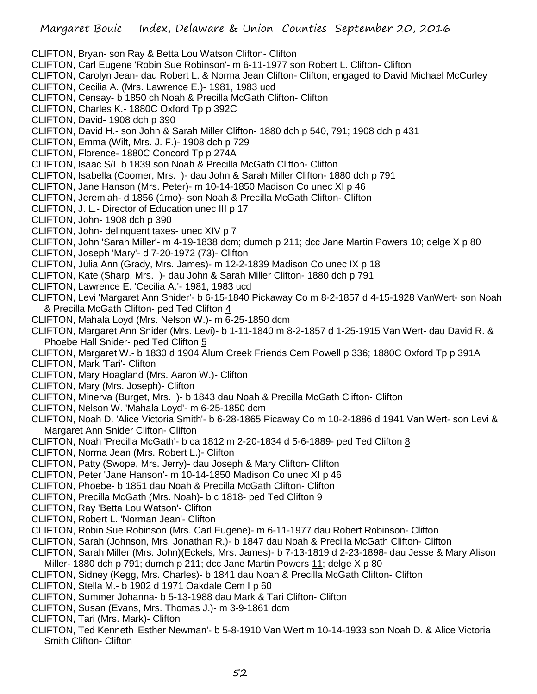CLIFTON, Bryan- son Ray & Betta Lou Watson Clifton- Clifton

- CLIFTON, Carl Eugene 'Robin Sue Robinson'- m 6-11-1977 son Robert L. Clifton- Clifton
- CLIFTON, Carolyn Jean- dau Robert L. & Norma Jean Clifton- Clifton; engaged to David Michael McCurley
- CLIFTON, Cecilia A. (Mrs. Lawrence E.)- 1981, 1983 ucd
- CLIFTON, Censay- b 1850 ch Noah & Precilla McGath Clifton- Clifton
- CLIFTON, Charles K.- 1880C Oxford Tp p 392C
- CLIFTON, David- 1908 dch p 390
- CLIFTON, David H.- son John & Sarah Miller Clifton- 1880 dch p 540, 791; 1908 dch p 431
- CLIFTON, Emma (Wilt, Mrs. J. F.)- 1908 dch p 729
- CLIFTON, Florence- 1880C Concord Tp p 274A
- CLIFTON, Isaac S/L b 1839 son Noah & Precilla McGath Clifton- Clifton
- CLIFTON, Isabella (Coomer, Mrs. )- dau John & Sarah Miller Clifton- 1880 dch p 791
- CLIFTON, Jane Hanson (Mrs. Peter)- m 10-14-1850 Madison Co unec XI p 46
- CLIFTON, Jeremiah- d 1856 (1mo)- son Noah & Precilla McGath Clifton- Clifton
- CLIFTON, J. L.- Director of Education unec III p 17
- CLIFTON, John- 1908 dch p 390
- CLIFTON, John- delinquent taxes- unec XIV p 7
- CLIFTON, John 'Sarah Miller'- m 4-19-1838 dcm; dumch p 211; dcc Jane Martin Powers 10; delge X p 80
- CLIFTON, Joseph 'Mary'- d 7-20-1972 (73)- Clifton
- CLIFTON, Julia Ann (Grady, Mrs. James)- m 12-2-1839 Madison Co unec IX p 18
- CLIFTON, Kate (Sharp, Mrs. )- dau John & Sarah Miller Clifton- 1880 dch p 791
- CLIFTON, Lawrence E. 'Cecilia A.'- 1981, 1983 ucd
- CLIFTON, Levi 'Margaret Ann Snider'- b 6-15-1840 Pickaway Co m 8-2-1857 d 4-15-1928 VanWert- son Noah & Precilla McGath Clifton- ped Ted Clifton 4
- CLIFTON, Mahala Loyd (Mrs. Nelson W.)- m 6-25-1850 dcm
- CLIFTON, Margaret Ann Snider (Mrs. Levi)- b 1-11-1840 m 8-2-1857 d 1-25-1915 Van Wert- dau David R. & Phoebe Hall Snider- ped Ted Clifton 5
- CLIFTON, Margaret W.- b 1830 d 1904 Alum Creek Friends Cem Powell p 336; 1880C Oxford Tp p 391A
- CLIFTON, Mark 'Tari'- Clifton
- CLIFTON, Mary Hoagland (Mrs. Aaron W.)- Clifton
- CLIFTON, Mary (Mrs. Joseph)- Clifton
- CLIFTON, Minerva (Burget, Mrs. )- b 1843 dau Noah & Precilla McGath Clifton- Clifton
- CLIFTON, Nelson W. 'Mahala Loyd'- m 6-25-1850 dcm
- CLIFTON, Noah D. 'Alice Victoria Smith'- b 6-28-1865 Picaway Co m 10-2-1886 d 1941 Van Wert- son Levi & Margaret Ann Snider Clifton- Clifton
- CLIFTON, Noah 'Precilla McGath'- b ca 1812 m 2-20-1834 d 5-6-1889- ped Ted Clifton 8
- CLIFTON, Norma Jean (Mrs. Robert L.)- Clifton
- CLIFTON, Patty (Swope, Mrs. Jerry)- dau Joseph & Mary Clifton- Clifton
- CLIFTON, Peter 'Jane Hanson'- m 10-14-1850 Madison Co unec XI p 46
- CLIFTON, Phoebe- b 1851 dau Noah & Precilla McGath Clifton- Clifton
- CLIFTON, Precilla McGath (Mrs. Noah)- b c 1818- ped Ted Clifton 9
- CLIFTON, Ray 'Betta Lou Watson'- Clifton
- CLIFTON, Robert L. 'Norman Jean'- Clifton
- CLIFTON, Robin Sue Robinson (Mrs. Carl Eugene)- m 6-11-1977 dau Robert Robinson- Clifton
- CLIFTON, Sarah (Johnson, Mrs. Jonathan R.)- b 1847 dau Noah & Precilla McGath Clifton- Clifton
- CLIFTON, Sarah Miller (Mrs. John)(Eckels, Mrs. James)- b 7-13-1819 d 2-23-1898- dau Jesse & Mary Alison Miller- 1880 dch p 791; dumch p 211; dcc Jane Martin Powers 11; delge X p 80
- CLIFTON, Sidney (Kegg, Mrs. Charles)- b 1841 dau Noah & Precilla McGath Clifton- Clifton
- CLIFTON, Stella M.- b 1902 d 1971 Oakdale Cem I p 60
- CLIFTON, Summer Johanna- b 5-13-1988 dau Mark & Tari Clifton- Clifton
- CLIFTON, Susan (Evans, Mrs. Thomas J.)- m 3-9-1861 dcm
- CLIFTON, Tari (Mrs. Mark)- Clifton
- CLIFTON, Ted Kenneth 'Esther Newman'- b 5-8-1910 Van Wert m 10-14-1933 son Noah D. & Alice Victoria Smith Clifton- Clifton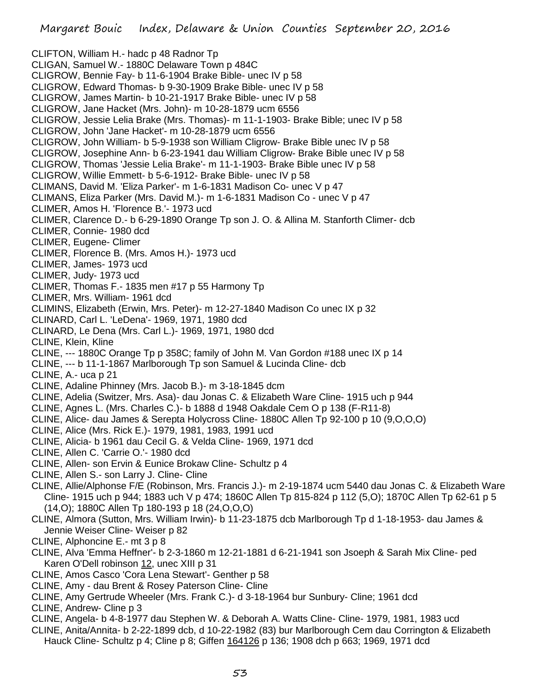CLIFTON, William H.- hadc p 48 Radnor Tp CLIGAN, Samuel W.- 1880C Delaware Town p 484C CLIGROW, Bennie Fay- b 11-6-1904 Brake Bible- unec IV p 58 CLIGROW, Edward Thomas- b 9-30-1909 Brake Bible- unec IV p 58 CLIGROW, James Martin- b 10-21-1917 Brake Bible- unec IV p 58 CLIGROW, Jane Hacket (Mrs. John)- m 10-28-1879 ucm 6556 CLIGROW, Jessie Lelia Brake (Mrs. Thomas)- m 11-1-1903- Brake Bible; unec IV p 58 CLIGROW, John 'Jane Hacket'- m 10-28-1879 ucm 6556 CLIGROW, John William- b 5-9-1938 son William Cligrow- Brake Bible unec IV p 58 CLIGROW, Josephine Ann- b 6-23-1941 dau William Cligrow- Brake Bible unec IV p 58 CLIGROW, Thomas 'Jessie Lelia Brake'- m 11-1-1903- Brake Bible unec IV p 58 CLIGROW, Willie Emmett- b 5-6-1912- Brake Bible- unec IV p 58 CLIMANS, David M. 'Eliza Parker'- m 1-6-1831 Madison Co- unec V p 47 CLIMANS, Eliza Parker (Mrs. David M.)- m 1-6-1831 Madison Co - unec V p 47 CLIMER, Amos H. 'Florence B.'- 1973 ucd CLIMER, Clarence D.- b 6-29-1890 Orange Tp son J. O. & Allina M. Stanforth Climer- dcb CLIMER, Connie- 1980 dcd CLIMER, Eugene- Climer CLIMER, Florence B. (Mrs. Amos H.)- 1973 ucd CLIMER, James- 1973 ucd CLIMER, Judy- 1973 ucd CLIMER, Thomas F.- 1835 men #17 p 55 Harmony Tp CLIMER, Mrs. William- 1961 dcd CLIMINS, Elizabeth (Erwin, Mrs. Peter)- m 12-27-1840 Madison Co unec IX p 32 CLINARD, Carl L. 'LeDena'- 1969, 1971, 1980 dcd CLINARD, Le Dena (Mrs. Carl L.)- 1969, 1971, 1980 dcd CLINE, Klein, Kline CLINE, --- 1880C Orange Tp p 358C; family of John M. Van Gordon #188 unec IX p 14 CLINE, --- b 11-1-1867 Marlborough Tp son Samuel & Lucinda Cline- dcb CLINE, A.- uca p 21 CLINE, Adaline Phinney (Mrs. Jacob B.)- m 3-18-1845 dcm CLINE, Adelia (Switzer, Mrs. Asa)- dau Jonas C. & Elizabeth Ware Cline- 1915 uch p 944 CLINE, Agnes L. (Mrs. Charles C.)- b 1888 d 1948 Oakdale Cem O p 138 (F-R11-8) CLINE, Alice- dau James & Serepta Holycross Cline- 1880C Allen Tp 92-100 p 10 (9,O,O,O) CLINE, Alice (Mrs. Rick E.)- 1979, 1981, 1983, 1991 ucd CLINE, Alicia- b 1961 dau Cecil G. & Velda Cline- 1969, 1971 dcd CLINE, Allen C. 'Carrie O.'- 1980 dcd CLINE, Allen- son Ervin & Eunice Brokaw Cline- Schultz p 4 CLINE, Allen S.- son Larry J. Cline- Cline CLINE, Allie/Alphonse F/E (Robinson, Mrs. Francis J.)- m 2-19-1874 ucm 5440 dau Jonas C. & Elizabeth Ware Cline- 1915 uch p 944; 1883 uch V p 474; 1860C Allen Tp 815-824 p 112 (5,O); 1870C Allen Tp 62-61 p 5 (14,O); 1880C Allen Tp 180-193 p 18 (24,O,O,O) CLINE, Almora (Sutton, Mrs. William Irwin)- b 11-23-1875 dcb Marlborough Tp d 1-18-1953- dau James & Jennie Weiser Cline- Weiser p 82 CLINE, Alphoncine E.- mt 3 p 8 CLINE, Alva 'Emma Heffner'- b 2-3-1860 m 12-21-1881 d 6-21-1941 son Jsoeph & Sarah Mix Cline- ped Karen O'Dell robinson 12, unec XIII p 31 CLINE, Amos Casco 'Cora Lena Stewart'- Genther p 58 CLINE, Amy - dau Brent & Rosey Paterson Cline- Cline CLINE, Amy Gertrude Wheeler (Mrs. Frank C.)- d 3-18-1964 bur Sunbury- Cline; 1961 dcd CLINE, Andrew- Cline p 3

- CLINE, Angela- b 4-8-1977 dau Stephen W. & Deborah A. Watts Cline- Cline- 1979, 1981, 1983 ucd
- CLINE, Anita/Annita- b 2-22-1899 dcb, d 10-22-1982 (83) bur Marlborough Cem dau Corrington & Elizabeth Hauck Cline- Schultz p 4; Cline p 8; Giffen 164126 p 136; 1908 dch p 663; 1969, 1971 dcd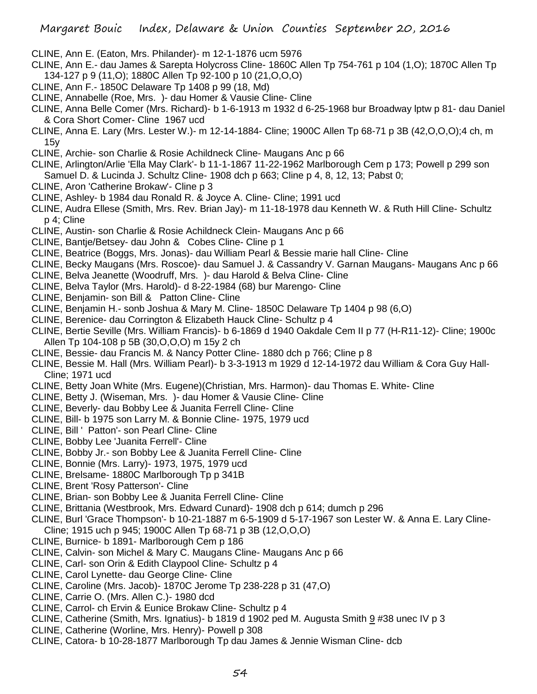- CLINE, Ann E. (Eaton, Mrs. Philander)- m 12-1-1876 ucm 5976
- CLINE, Ann E.- dau James & Sarepta Holycross Cline- 1860C Allen Tp 754-761 p 104 (1,O); 1870C Allen Tp 134-127 p 9 (11,O); 1880C Allen Tp 92-100 p 10 (21,O,O,O)
- CLINE, Ann F.- 1850C Delaware Tp 1408 p 99 (18, Md)
- CLINE, Annabelle (Roe, Mrs. )- dau Homer & Vausie Cline- Cline
- CLINE, Anna Belle Comer (Mrs. Richard)- b 1-6-1913 m 1932 d 6-25-1968 bur Broadway lptw p 81- dau Daniel & Cora Short Comer- Cline 1967 ucd
- CLINE, Anna E. Lary (Mrs. Lester W.)- m 12-14-1884- Cline; 1900C Allen Tp 68-71 p 3B (42,O,O,O);4 ch, m 15y
- CLINE, Archie- son Charlie & Rosie Achildneck Cline- Maugans Anc p 66
- CLINE, Arlington/Arlie 'Ella May Clark'- b 11-1-1867 11-22-1962 Marlborough Cem p 173; Powell p 299 son Samuel D. & Lucinda J. Schultz Cline- 1908 dch p 663; Cline p 4, 8, 12, 13; Pabst 0;
- CLINE, Aron 'Catherine Brokaw'- Cline p 3
- CLINE, Ashley- b 1984 dau Ronald R. & Joyce A. Cline- Cline; 1991 ucd
- CLINE, Audra Ellese (Smith, Mrs. Rev. Brian Jay)- m 11-18-1978 dau Kenneth W. & Ruth Hill Cline- Schultz p 4; Cline
- CLINE, Austin- son Charlie & Rosie Achildneck Clein- Maugans Anc p 66
- CLINE, Bantje/Betsey- dau John & Cobes Cline- Cline p 1
- CLINE, Beatrice (Boggs, Mrs. Jonas)- dau William Pearl & Bessie marie hall Cline- Cline
- CLINE, Becky Maugans (Mrs. Roscoe)- dau Samuel J. & Cassandry V. Garnan Maugans- Maugans Anc p 66
- CLINE, Belva Jeanette (Woodruff, Mrs. )- dau Harold & Belva Cline- Cline
- CLINE, Belva Taylor (Mrs. Harold)- d 8-22-1984 (68) bur Marengo- Cline
- CLINE, Benjamin- son Bill & Patton Cline- Cline
- CLINE, Benjamin H.- sonb Joshua & Mary M. Cline- 1850C Delaware Tp 1404 p 98 (6,O)
- CLINE, Berenice- dau Corrington & Elizabeth Hauck Cline- Schultz p 4
- CLINE, Bertie Seville (Mrs. William Francis)- b 6-1869 d 1940 Oakdale Cem II p 77 (H-R11-12)- Cline; 1900c Allen Tp 104-108 p 5B (30,O,O,O) m 15y 2 ch
- CLINE, Bessie- dau Francis M. & Nancy Potter Cline- 1880 dch p 766; Cline p 8
- CLINE, Bessie M. Hall (Mrs. William Pearl)- b 3-3-1913 m 1929 d 12-14-1972 dau William & Cora Guy Hall-Cline; 1971 ucd
- CLINE, Betty Joan White (Mrs. Eugene)(Christian, Mrs. Harmon)- dau Thomas E. White- Cline
- CLINE, Betty J. (Wiseman, Mrs. )- dau Homer & Vausie Cline- Cline
- CLINE, Beverly- dau Bobby Lee & Juanita Ferrell Cline- Cline
- CLINE, Bill- b 1975 son Larry M. & Bonnie Cline- 1975, 1979 ucd
- CLINE, Bill ' Patton'- son Pearl Cline- Cline
- CLINE, Bobby Lee 'Juanita Ferrell'- Cline
- CLINE, Bobby Jr.- son Bobby Lee & Juanita Ferrell Cline- Cline
- CLINE, Bonnie (Mrs. Larry)- 1973, 1975, 1979 ucd
- CLINE, Brelsame- 1880C Marlborough Tp p 341B
- CLINE, Brent 'Rosy Patterson'- Cline
- CLINE, Brian- son Bobby Lee & Juanita Ferrell Cline- Cline
- CLINE, Brittania (Westbrook, Mrs. Edward Cunard)- 1908 dch p 614; dumch p 296
- CLINE, Burl 'Grace Thompson'- b 10-21-1887 m 6-5-1909 d 5-17-1967 son Lester W. & Anna E. Lary Cline-Cline; 1915 uch p 945; 1900C Allen Tp 68-71 p 3B (12,O,O,O)
- CLINE, Burnice- b 1891- Marlborough Cem p 186
- CLINE, Calvin- son Michel & Mary C. Maugans Cline- Maugans Anc p 66
- CLINE, Carl- son Orin & Edith Claypool Cline- Schultz p 4
- CLINE, Carol Lynette- dau George Cline- Cline
- CLINE, Caroline (Mrs. Jacob)- 1870C Jerome Tp 238-228 p 31 (47,O)
- CLINE, Carrie O. (Mrs. Allen C.)- 1980 dcd
- CLINE, Carrol- ch Ervin & Eunice Brokaw Cline- Schultz p 4
- CLINE, Catherine (Smith, Mrs. Ignatius)- b 1819 d 1902 ped M. Augusta Smith 9 #38 unec IV p 3
- CLINE, Catherine (Worline, Mrs. Henry)- Powell p 308
- CLINE, Catora- b 10-28-1877 Marlborough Tp dau James & Jennie Wisman Cline- dcb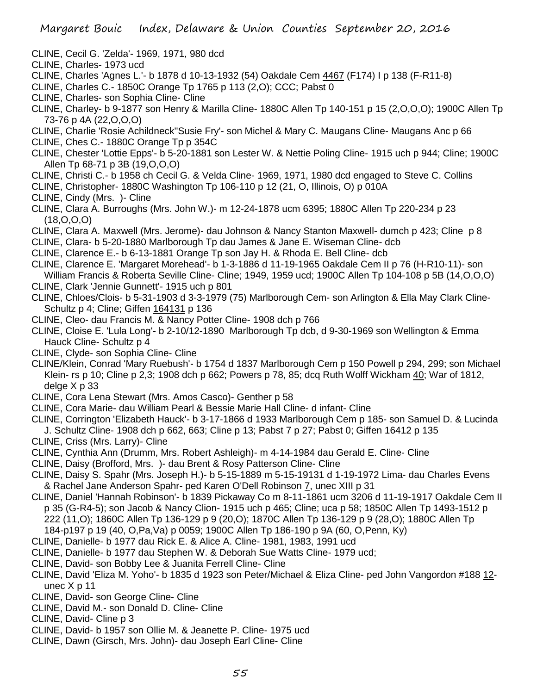- CLINE, Cecil G. 'Zelda'- 1969, 1971, 980 dcd
- CLINE, Charles- 1973 ucd
- CLINE, Charles 'Agnes L.'- b 1878 d 10-13-1932 (54) Oakdale Cem 4467 (F174) I p 138 (F-R11-8)
- CLINE, Charles C.- 1850C Orange Tp 1765 p 113 (2,O); CCC; Pabst 0
- CLINE, Charles- son Sophia Cline- Cline
- CLINE, Charley- b 9-1877 son Henry & Marilla Cline- 1880C Allen Tp 140-151 p 15 (2,O,O,O); 1900C Allen Tp 73-76 p 4A (22,O,O,O)
- CLINE, Charlie 'Rosie Achildneck''Susie Fry'- son Michel & Mary C. Maugans Cline- Maugans Anc p 66
- CLINE, Ches C.- 1880C Orange Tp p 354C
- CLINE, Chester 'Lottie Epps'- b 5-20-1881 son Lester W. & Nettie Poling Cline- 1915 uch p 944; Cline; 1900C Allen Tp 68-71 p 3B (19,O,O,O)
- CLINE, Christi C.- b 1958 ch Cecil G. & Velda Cline- 1969, 1971, 1980 dcd engaged to Steve C. Collins
- CLINE, Christopher- 1880C Washington Tp 106-110 p 12 (21, O, Illinois, O) p 010A
- CLINE, Cindy (Mrs. )- Cline
- CLINE, Clara A. Burroughs (Mrs. John W.)- m 12-24-1878 ucm 6395; 1880C Allen Tp 220-234 p 23 (18,O,O,O)
- CLINE, Clara A. Maxwell (Mrs. Jerome)- dau Johnson & Nancy Stanton Maxwell- dumch p 423; Cline p 8
- CLINE, Clara- b 5-20-1880 Marlborough Tp dau James & Jane E. Wiseman Cline- dcb
- CLINE, Clarence E.- b 6-13-1881 Orange Tp son Jay H. & Rhoda E. Bell Cline- dcb
- CLINE, Clarence E. 'Margaret Morehead'- b 1-3-1886 d 11-19-1965 Oakdale Cem II p 76 (H-R10-11)- son William Francis & Roberta Seville Cline- Cline; 1949, 1959 ucd; 1900C Allen Tp 104-108 p 5B (14,O,O,O) CLINE, Clark 'Jennie Gunnett'- 1915 uch p 801
- CLINE, Chloes/Clois- b 5-31-1903 d 3-3-1979 (75) Marlborough Cem- son Arlington & Ella May Clark Cline-Schultz p 4; Cline; Giffen 164131 p 136
- CLINE, Cleo- dau Francis M. & Nancy Potter Cline- 1908 dch p 766
- CLINE, Cloise E. 'Lula Long'- b 2-10/12-1890 Marlborough Tp dcb, d 9-30-1969 son Wellington & Emma Hauck Cline- Schultz p 4
- CLINE, Clyde- son Sophia Cline- Cline
- CLINE/Klein, Conrad 'Mary Ruebush'- b 1754 d 1837 Marlborough Cem p 150 Powell p 294, 299; son Michael Klein- rs p 10; Cline p 2,3; 1908 dch p 662; Powers p 78, 85; dcq Ruth Wolff Wickham 40; War of 1812, delge X p 33
- CLINE, Cora Lena Stewart (Mrs. Amos Casco)- Genther p 58
- CLINE, Cora Marie- dau William Pearl & Bessie Marie Hall Cline- d infant- Cline
- CLINE, Corrington 'Elizabeth Hauck'- b 3-17-1866 d 1933 Marlborough Cem p 185- son Samuel D. & Lucinda J. Schultz Cline- 1908 dch p 662, 663; Cline p 13; Pabst 7 p 27; Pabst 0; Giffen 16412 p 135
- CLINE, Criss (Mrs. Larry)- Cline
- CLINE, Cynthia Ann (Drumm, Mrs. Robert Ashleigh)- m 4-14-1984 dau Gerald E. Cline- Cline
- CLINE, Daisy (Brofford, Mrs. )- dau Brent & Rosy Patterson Cline- Cline
- CLINE, Daisy S. Spahr (Mrs. Joseph H.)- b 5-15-1889 m 5-15-19131 d 1-19-1972 Lima- dau Charles Evens & Rachel Jane Anderson Spahr- ped Karen O'Dell Robinson 7, unec XIII p 31
- CLINE, Daniel 'Hannah Robinson'- b 1839 Pickaway Co m 8-11-1861 ucm 3206 d 11-19-1917 Oakdale Cem II p 35 (G-R4-5); son Jacob & Nancy Clion- 1915 uch p 465; Cline; uca p 58; 1850C Allen Tp 1493-1512 p 222 (11,O); 1860C Allen Tp 136-129 p 9 (20,O); 1870C Allen Tp 136-129 p 9 (28,O); 1880C Allen Tp 184-p197 p 19 (40, O,Pa,Va) p 0059; 1900C Allen Tp 186-190 p 9A (60, O,Penn, Ky)
- CLINE, Danielle- b 1977 dau Rick E. & Alice A. Cline- 1981, 1983, 1991 ucd
- CLINE, Danielle- b 1977 dau Stephen W. & Deborah Sue Watts Cline- 1979 ucd;
- CLINE, David- son Bobby Lee & Juanita Ferrell Cline- Cline
- CLINE, David 'Eliza M. Yoho'- b 1835 d 1923 son Peter/Michael & Eliza Cline- ped John Vangordon #188 12 unec X p 11
- CLINE, David- son George Cline- Cline
- CLINE, David M.- son Donald D. Cline- Cline
- CLINE, David- Cline p 3
- CLINE, David- b 1957 son Ollie M. & Jeanette P. Cline- 1975 ucd
- CLINE, Dawn (Girsch, Mrs. John)- dau Joseph Earl Cline- Cline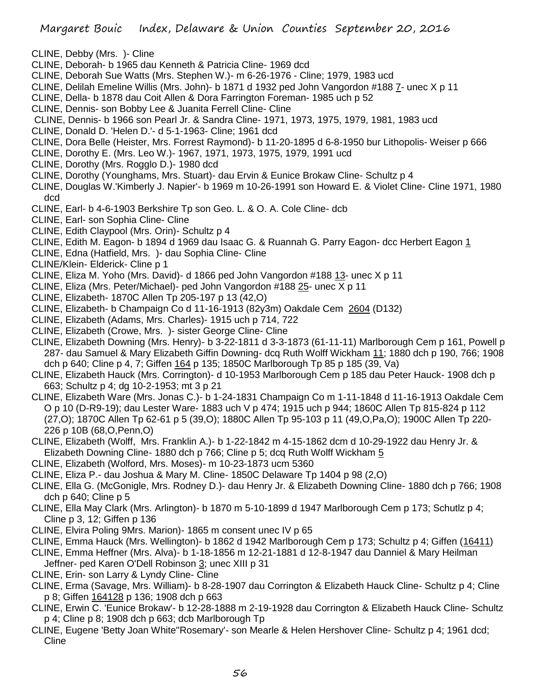- CLINE, Debby (Mrs. )- Cline
- CLINE, Deborah- b 1965 dau Kenneth & Patricia Cline- 1969 dcd
- CLINE, Deborah Sue Watts (Mrs. Stephen W.)- m 6-26-1976 Cline; 1979, 1983 ucd
- CLINE, Delilah Emeline Willis (Mrs. John)- b 1871 d 1932 ped John Vangordon #188 7- unec X p 11
- CLINE, Della- b 1878 dau Coit Allen & Dora Farrington Foreman- 1985 uch p 52
- CLINE, Dennis- son Bobby Lee & Juanita Ferrell Cline- Cline
- CLINE, Dennis- b 1966 son Pearl Jr. & Sandra Cline- 1971, 1973, 1975, 1979, 1981, 1983 ucd
- CLINE, Donald D. 'Helen D.'- d 5-1-1963- Cline; 1961 dcd
- CLINE, Dora Belle (Heister, Mrs. Forrest Raymond)- b 11-20-1895 d 6-8-1950 bur Lithopolis- Weiser p 666
- CLINE, Dorothy E. (Mrs. Leo W.)- 1967, 1971, 1973, 1975, 1979, 1991 ucd
- CLINE, Dorothy (Mrs. Rogglo D.)- 1980 dcd
- CLINE, Dorothy (Younghams, Mrs. Stuart)- dau Ervin & Eunice Brokaw Cline- Schultz p 4
- CLINE, Douglas W.'Kimberly J. Napier'- b 1969 m 10-26-1991 son Howard E. & Violet Cline- Cline 1971, 1980 dcd
- CLINE, Earl- b 4-6-1903 Berkshire Tp son Geo. L. & O. A. Cole Cline- dcb
- CLINE, Earl- son Sophia Cline- Cline
- CLINE, Edith Claypool (Mrs. Orin)- Schultz p 4
- CLINE, Edith M. Eagon- b 1894 d 1969 dau Isaac G. & Ruannah G. Parry Eagon- dcc Herbert Eagon 1
- CLINE, Edna (Hatfield, Mrs. )- dau Sophia Cline- Cline
- CLINE/Klein- Elderick- Cline p 1
- CLINE, Eliza M. Yoho (Mrs. David)- d 1866 ped John Vangordon #188 13- unec X p 11
- CLINE, Eliza (Mrs. Peter/Michael)- ped John Vangordon #188 25- unec X p 11
- CLINE, Elizabeth- 1870C Allen Tp 205-197 p 13 (42,O)
- CLINE, Elizabeth- b Champaign Co d 11-16-1913 (82y3m) Oakdale Cem 2604 (D132)
- CLINE, Elizabeth (Adams, Mrs. Charles)- 1915 uch p 714, 722
- CLINE, Elizabeth (Crowe, Mrs. )- sister George Cline- Cline
- CLINE, Elizabeth Downing (Mrs. Henry)- b 3-22-1811 d 3-3-1873 (61-11-11) Marlborough Cem p 161, Powell p 287- dau Samuel & Mary Elizabeth Giffin Downing- dcq Ruth Wolff Wickham 11; 1880 dch p 190, 766; 1908 dch p 640; Cline p 4, 7; Giffen 164 p 135; 1850C Marlborough Tp 85 p 185 (39, Va)
- CLINE, Elizabeth Hauck (Mrs. Corrington)- d 10-1953 Marlborough Cem p 185 dau Peter Hauck- 1908 dch p 663; Schultz p 4; dg 10-2-1953; mt 3 p 21
- CLINE, Elizabeth Ware (Mrs. Jonas C.)- b 1-24-1831 Champaign Co m 1-11-1848 d 11-16-1913 Oakdale Cem O p 10 (D-R9-19); dau Lester Ware- 1883 uch V p 474; 1915 uch p 944; 1860C Allen Tp 815-824 p 112 (27,O); 1870C Allen Tp 62-61 p 5 (39,O); 1880C Allen Tp 95-103 p 11 (49,O,Pa,O); 1900C Allen Tp 220- 226 p 10B (68,O,Penn,O)
- CLINE, Elizabeth (Wolff, Mrs. Franklin A.)- b 1-22-1842 m 4-15-1862 dcm d 10-29-1922 dau Henry Jr. & Elizabeth Downing Cline- 1880 dch p 766; Cline p 5; dcq Ruth Wolff Wickham 5
- CLINE, Elizabeth (Wolford, Mrs. Moses)- m 10-23-1873 ucm 5360
- CLINE, Eliza P.- dau Joshua & Mary M. Cline- 1850C Delaware Tp 1404 p 98 (2,O)
- CLINE, Ella G. (McGonigle, Mrs. Rodney D.)- dau Henry Jr. & Elizabeth Downing Cline- 1880 dch p 766; 1908 dch p 640; Cline p 5
- CLINE, Ella May Clark (Mrs. Arlington)- b 1870 m 5-10-1899 d 1947 Marlborough Cem p 173; Schutlz p 4; Cline p 3, 12; Giffen p 136
- CLINE, Elvira Poling 9Mrs. Marion)- 1865 m consent unec IV p 65
- CLINE, Emma Hauck (Mrs. Wellington)- b 1862 d 1942 Marlborough Cem p 173; Schultz p 4; Giffen (16411)
- CLINE, Emma Heffner (Mrs. Alva)- b 1-18-1856 m 12-21-1881 d 12-8-1947 dau Danniel & Mary Heilman Jeffner- ped Karen O'Dell Robinson 3; unec XIII p 31
- CLINE, Erin- son Larry & Lyndy Cline- Cline
- CLINE, Erma (Savage, Mrs. William)- b 8-28-1907 dau Corrington & Elizabeth Hauck Cline- Schultz p 4; Cline p 8; Giffen 164128 p 136; 1908 dch p 663
- CLINE, Erwin C. 'Eunice Brokaw'- b 12-28-1888 m 2-19-1928 dau Corrington & Elizabeth Hauck Cline- Schultz p 4; Cline p 8; 1908 dch p 663; dcb Marlborough Tp
- CLINE, Eugene 'Betty Joan White''Rosemary'- son Mearle & Helen Hershover Cline- Schultz p 4; 1961 dcd; Cline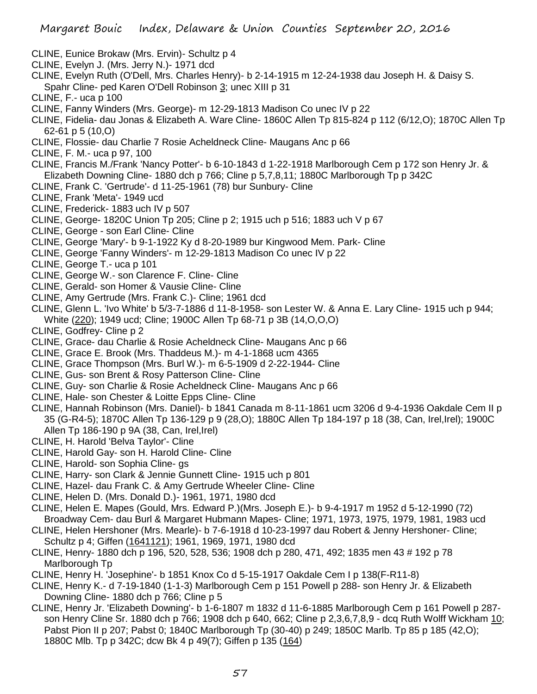- CLINE, Eunice Brokaw (Mrs. Ervin)- Schultz p 4
- CLINE, Evelyn J. (Mrs. Jerry N.)- 1971 dcd
- CLINE, Evelyn Ruth (O'Dell, Mrs. Charles Henry)- b 2-14-1915 m 12-24-1938 dau Joseph H. & Daisy S. Spahr Cline- ped Karen O'Dell Robinson 3; unec XIII p 31
- CLINE, F.- uca p 100
- CLINE, Fanny Winders (Mrs. George)- m 12-29-1813 Madison Co unec IV p 22
- CLINE, Fidelia- dau Jonas & Elizabeth A. Ware Cline- 1860C Allen Tp 815-824 p 112 (6/12,O); 1870C Allen Tp 62-61 p 5 (10,O)
- CLINE, Flossie- dau Charlie 7 Rosie Acheldneck Cline- Maugans Anc p 66
- CLINE, F. M.- uca p 97, 100
- CLINE, Francis M./Frank 'Nancy Potter'- b 6-10-1843 d 1-22-1918 Marlborough Cem p 172 son Henry Jr. & Elizabeth Downing Cline- 1880 dch p 766; Cline p 5,7,8,11; 1880C Marlborough Tp p 342C
- CLINE, Frank C. 'Gertrude'- d 11-25-1961 (78) bur Sunbury- Cline
- CLINE, Frank 'Meta'- 1949 ucd
- CLINE, Frederick- 1883 uch IV p 507
- CLINE, George- 1820C Union Tp 205; Cline p 2; 1915 uch p 516; 1883 uch V p 67
- CLINE, George son Earl Cline- Cline
- CLINE, George 'Mary'- b 9-1-1922 Ky d 8-20-1989 bur Kingwood Mem. Park- Cline
- CLINE, George 'Fanny Winders'- m 12-29-1813 Madison Co unec IV p 22
- CLINE, George T.- uca p 101
- CLINE, George W.- son Clarence F. Cline- Cline
- CLINE, Gerald- son Homer & Vausie Cline- Cline
- CLINE, Amy Gertrude (Mrs. Frank C.)- Cline; 1961 dcd
- CLINE, Glenn L. 'Ivo White' b 5/3-7-1886 d 11-8-1958- son Lester W. & Anna E. Lary Cline- 1915 uch p 944; White (220); 1949 ucd; Cline; 1900C Allen Tp 68-71 p 3B (14,O,O,O)
- CLINE, Godfrey- Cline p 2
- CLINE, Grace- dau Charlie & Rosie Acheldneck Cline- Maugans Anc p 66
- CLINE, Grace E. Brook (Mrs. Thaddeus M.)- m 4-1-1868 ucm 4365
- CLINE, Grace Thompson (Mrs. Burl W.)- m 6-5-1909 d 2-22-1944- Cline
- CLINE, Gus- son Brent & Rosy Patterson Cline- Cline
- CLINE, Guy- son Charlie & Rosie Acheldneck Cline- Maugans Anc p 66
- CLINE, Hale- son Chester & Loitte Epps Cline- Cline
- CLINE, Hannah Robinson (Mrs. Daniel)- b 1841 Canada m 8-11-1861 ucm 3206 d 9-4-1936 Oakdale Cem II p 35 (G-R4-5); 1870C Allen Tp 136-129 p 9 (28,O); 1880C Allen Tp 184-197 p 18 (38, Can, Irel,Irel); 1900C Allen Tp 186-190 p 9A (38, Can, Irel,Irel)
- CLINE, H. Harold 'Belva Taylor'- Cline
- CLINE, Harold Gay- son H. Harold Cline- Cline
- CLINE, Harold- son Sophia Cline- gs
- CLINE, Harry- son Clark & Jennie Gunnett Cline- 1915 uch p 801
- CLINE, Hazel- dau Frank C. & Amy Gertrude Wheeler Cline- Cline
- CLINE, Helen D. (Mrs. Donald D.)- 1961, 1971, 1980 dcd
- CLINE, Helen E. Mapes (Gould, Mrs. Edward P.)(Mrs. Joseph E.)- b 9-4-1917 m 1952 d 5-12-1990 (72) Broadway Cem- dau Burl & Margaret Hubmann Mapes- Cline; 1971, 1973, 1975, 1979, 1981, 1983 ucd
- CLINE, Helen Hershoner (Mrs. Mearle)- b 7-6-1918 d 10-23-1997 dau Robert & Jenny Hershoner- Cline;
- Schultz p 4; Giffen (1641121); 1961, 1969, 1971, 1980 dcd
- CLINE, Henry- 1880 dch p 196, 520, 528, 536; 1908 dch p 280, 471, 492; 1835 men 43 # 192 p 78 Marlborough Tp
- CLINE, Henry H. 'Josephine'- b 1851 Knox Co d 5-15-1917 Oakdale Cem I p 138(F-R11-8)
- CLINE, Henry K.- d 7-19-1840 (1-1-3) Marlborough Cem p 151 Powell p 288- son Henry Jr. & Elizabeth Downing Cline- 1880 dch p 766; Cline p 5
- CLINE, Henry Jr. 'Elizabeth Downing'- b 1-6-1807 m 1832 d 11-6-1885 Marlborough Cem p 161 Powell p 287 son Henry Cline Sr. 1880 dch p 766; 1908 dch p 640, 662; Cline p 2,3,6,7,8,9 - dcq Ruth Wolff Wickham 10; Pabst Pion II p 207; Pabst 0; 1840C Marlborough Tp (30-40) p 249; 1850C Marlb. Tp 85 p 185 (42,O); 1880C Mlb. Tp p 342C; dcw Bk 4 p 49(7); Giffen p 135 (164)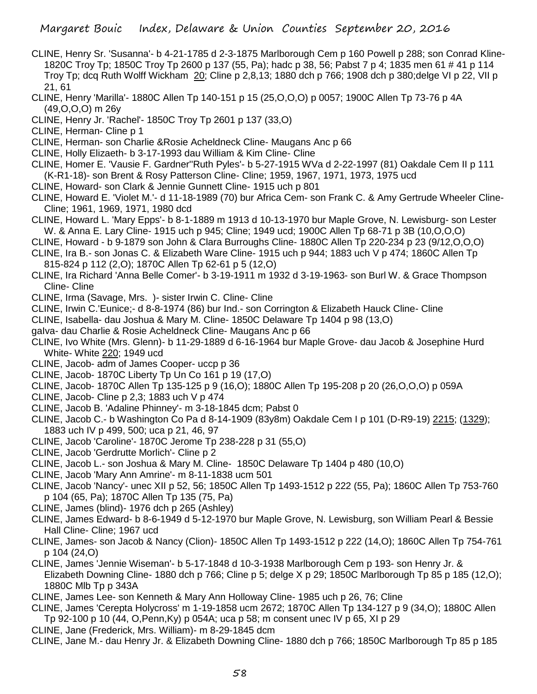- CLINE, Henry Sr. 'Susanna'- b 4-21-1785 d 2-3-1875 Marlborough Cem p 160 Powell p 288; son Conrad Kline-1820C Troy Tp; 1850C Troy Tp 2600 p 137 (55, Pa); hadc p 38, 56; Pabst 7 p 4; 1835 men 61 # 41 p 114 Troy Tp; dcq Ruth Wolff Wickham 20; Cline p 2,8,13; 1880 dch p 766; 1908 dch p 380;delge VI p 22, VII p 21, 61
- CLINE, Henry 'Marilla'- 1880C Allen Tp 140-151 p 15 (25,O,O,O) p 0057; 1900C Allen Tp 73-76 p 4A (49,O,O,O) m 26y
- CLINE, Henry Jr. 'Rachel'- 1850C Troy Tp 2601 p 137 (33,O)
- CLINE, Herman- Cline p 1
- CLINE, Herman- son Charlie &Rosie Acheldneck Cline- Maugans Anc p 66
- CLINE, Holly Elizaeth- b 3-17-1993 dau William & Kim Cline- Cline
- CLINE, Homer E. 'Vausie F. Gardner''Ruth Pyles'- b 5-27-1915 WVa d 2-22-1997 (81) Oakdale Cem II p 111 (K-R1-18)- son Brent & Rosy Patterson Cline- Cline; 1959, 1967, 1971, 1973, 1975 ucd
- CLINE, Howard- son Clark & Jennie Gunnett Cline- 1915 uch p 801
- CLINE, Howard E. 'Violet M.'- d 11-18-1989 (70) bur Africa Cem- son Frank C. & Amy Gertrude Wheeler Cline-Cline; 1961, 1969, 1971, 1980 dcd
- CLINE, Howard L. 'Mary Epps'- b 8-1-1889 m 1913 d 10-13-1970 bur Maple Grove, N. Lewisburg- son Lester W. & Anna E. Lary Cline- 1915 uch p 945; Cline; 1949 ucd; 1900C Allen Tp 68-71 p 3B (10,O,O,O)
- CLINE, Howard b 9-1879 son John & Clara Burroughs Cline- 1880C Allen Tp 220-234 p 23 (9/12,O,O,O)
- CLINE, Ira B.- son Jonas C. & Elizabeth Ware Cline- 1915 uch p 944; 1883 uch V p 474; 1860C Allen Tp 815-824 p 112 (2,O); 1870C Allen Tp 62-61 p 5 (12,O)
- CLINE, Ira Richard 'Anna Belle Comer'- b 3-19-1911 m 1932 d 3-19-1963- son Burl W. & Grace Thompson Cline- Cline
- CLINE, Irma (Savage, Mrs. )- sister Irwin C. Cline- Cline
- CLINE, Irwin C.'Eunice;- d 8-8-1974 (86) bur Ind.- son Corrington & Elizabeth Hauck Cline- Cline
- CLINE, Isabella- dau Joshua & Mary M. Cline- 1850C Delaware Tp 1404 p 98 (13,O)
- gaIva- dau Charlie & Rosie Acheldneck Cline- Maugans Anc p 66
- CLINE, Ivo White (Mrs. Glenn)- b 11-29-1889 d 6-16-1964 bur Maple Grove- dau Jacob & Josephine Hurd White- White 220; 1949 ucd
- CLINE, Jacob- adm of James Cooper- uccp p 36
- CLINE, Jacob- 1870C Liberty Tp Un Co 161 p 19 (17,O)
- CLINE, Jacob- 1870C Allen Tp 135-125 p 9 (16,O); 1880C Allen Tp 195-208 p 20 (26,O,O,O) p 059A
- CLINE, Jacob- Cline p 2,3; 1883 uch V p 474
- CLINE, Jacob B. 'Adaline Phinney'- m 3-18-1845 dcm; Pabst 0
- CLINE, Jacob C.- b Washington Co Pa d 8-14-1909 (83y8m) Oakdale Cem I p 101 (D-R9-19) 2215; (1329); 1883 uch IV p 499, 500; uca p 21, 46, 97
- CLINE, Jacob 'Caroline'- 1870C Jerome Tp 238-228 p 31 (55,O)
- CLINE, Jacob 'Gerdrutte Morlich'- Cline p 2
- CLINE, Jacob L.- son Joshua & Mary M. Cline- 1850C Delaware Tp 1404 p 480 (10,O)
- CLINE, Jacob 'Mary Ann Amrine'- m 8-11-1838 ucm 501
- CLINE, Jacob 'Nancy'- unec XII p 52, 56; 1850C Allen Tp 1493-1512 p 222 (55, Pa); 1860C Allen Tp 753-760 p 104 (65, Pa); 1870C Allen Tp 135 (75, Pa)
- CLINE, James (blind)- 1976 dch p 265 (Ashley)
- CLINE, James Edward- b 8-6-1949 d 5-12-1970 bur Maple Grove, N. Lewisburg, son William Pearl & Bessie Hall Cline- Cline; 1967 ucd
- CLINE, James- son Jacob & Nancy (Clion)- 1850C Allen Tp 1493-1512 p 222 (14,O); 1860C Allen Tp 754-761 p 104 (24,O)
- CLINE, James 'Jennie Wiseman'- b 5-17-1848 d 10-3-1938 Marlborough Cem p 193- son Henry Jr. & Elizabeth Downing Cline- 1880 dch p 766; Cline p 5; delge X p 29; 1850C Marlborough Tp 85 p 185 (12,O); 1880C Mlb Tp p 343A
- CLINE, James Lee- son Kenneth & Mary Ann Holloway Cline- 1985 uch p 26, 76; Cline
- CLINE, James 'Cerepta Holycross' m 1-19-1858 ucm 2672; 1870C Allen Tp 134-127 p 9 (34,O); 1880C Allen Tp 92-100 p 10 (44, O,Penn,Ky) p 054A; uca p 58; m consent unec IV p 65, XI p 29
- CLINE, Jane (Frederick, Mrs. William)- m 8-29-1845 dcm
- CLINE, Jane M.- dau Henry Jr. & Elizabeth Downing Cline- 1880 dch p 766; 1850C Marlborough Tp 85 p 185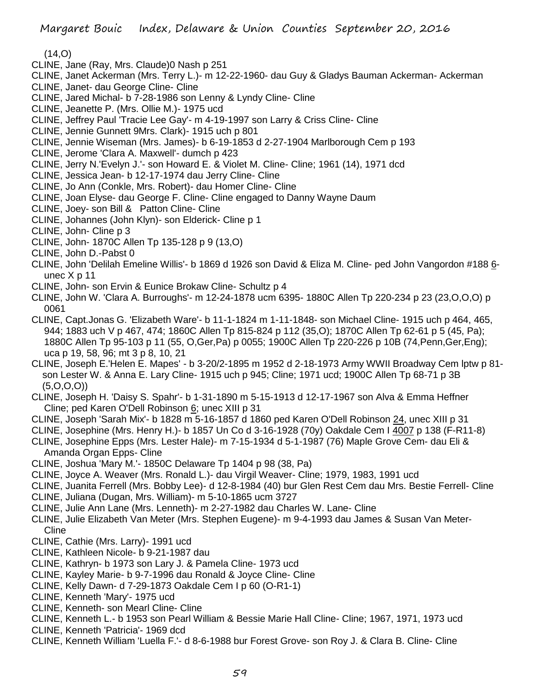$(14, 0)$ 

- CLINE, Jane (Ray, Mrs. Claude)0 Nash p 251
- CLINE, Janet Ackerman (Mrs. Terry L.)- m 12-22-1960- dau Guy & Gladys Bauman Ackerman- Ackerman
- CLINE, Janet- dau George Cline- Cline
- CLINE, Jared Michal- b 7-28-1986 son Lenny & Lyndy Cline- Cline
- CLINE, Jeanette P. (Mrs. Ollie M.)- 1975 ucd
- CLINE, Jeffrey Paul 'Tracie Lee Gay'- m 4-19-1997 son Larry & Criss Cline- Cline
- CLINE, Jennie Gunnett 9Mrs. Clark)- 1915 uch p 801
- CLINE, Jennie Wiseman (Mrs. James)- b 6-19-1853 d 2-27-1904 Marlborough Cem p 193
- CLINE, Jerome 'Clara A. Maxwell'- dumch p 423
- CLINE, Jerry N.'Evelyn J.'- son Howard E. & Violet M. Cline- Cline; 1961 (14), 1971 dcd
- CLINE, Jessica Jean- b 12-17-1974 dau Jerry Cline- Cline
- CLINE, Jo Ann (Conkle, Mrs. Robert)- dau Homer Cline- Cline
- CLINE, Joan Elyse- dau George F. Cline- Cline engaged to Danny Wayne Daum
- CLINE, Joey- son Bill & Patton Cline- Cline
- CLINE, Johannes (John Klyn)- son Elderick- Cline p 1
- CLINE, John- Cline p 3
- CLINE, John- 1870C Allen Tp 135-128 p 9 (13,O)
- CLINE, John D.-Pabst 0
- CLINE, John 'Delilah Emeline Willis'- b 1869 d 1926 son David & Eliza M. Cline- ped John Vangordon #188 6 unec X p 11
- CLINE, John- son Ervin & Eunice Brokaw Cline- Schultz p 4
- CLINE, John W. 'Clara A. Burroughs'- m 12-24-1878 ucm 6395- 1880C Allen Tp 220-234 p 23 (23,O,O,O) p 0061
- CLINE, Capt.Jonas G. 'Elizabeth Ware'- b 11-1-1824 m 1-11-1848- son Michael Cline- 1915 uch p 464, 465, 944; 1883 uch V p 467, 474; 1860C Allen Tp 815-824 p 112 (35,O); 1870C Allen Tp 62-61 p 5 (45, Pa); 1880C Allen Tp 95-103 p 11 (55, O,Ger,Pa) p 0055; 1900C Allen Tp 220-226 p 10B (74,Penn,Ger,Eng); uca p 19, 58, 96; mt 3 p 8, 10, 21
- CLINE, Joseph E.'Helen E. Mapes' b 3-20/2-1895 m 1952 d 2-18-1973 Army WWII Broadway Cem lptw p 81 son Lester W. & Anna E. Lary Cline- 1915 uch p 945; Cline; 1971 ucd; 1900C Allen Tp 68-71 p 3B  $(5, O, O, O)$
- CLINE, Joseph H. 'Daisy S. Spahr'- b 1-31-1890 m 5-15-1913 d 12-17-1967 son Alva & Emma Heffner Cline; ped Karen O'Dell Robinson 6; unec XIII p 31
- CLINE, Joseph 'Sarah Mix'- b 1828 m 5-16-1857 d 1860 ped Karen O'Dell Robinson 24, unec XIII p 31
- CLINE, Josephine (Mrs. Henry H.)- b 1857 Un Co d 3-16-1928 (70y) Oakdale Cem I 4007 p 138 (F-R11-8)
- CLINE, Josephine Epps (Mrs. Lester Hale)- m 7-15-1934 d 5-1-1987 (76) Maple Grove Cem- dau Eli & Amanda Organ Epps- Cline
- CLINE, Joshua 'Mary M.'- 1850C Delaware Tp 1404 p 98 (38, Pa)
- CLINE, Joyce A. Weaver (Mrs. Ronald L.)- dau Virgil Weaver- Cline; 1979, 1983, 1991 ucd
- CLINE, Juanita Ferrell (Mrs. Bobby Lee)- d 12-8-1984 (40) bur Glen Rest Cem dau Mrs. Bestie Ferrell- Cline CLINE, Juliana (Dugan, Mrs. William)- m 5-10-1865 ucm 3727
- CLINE, Julie Ann Lane (Mrs. Lenneth)- m 2-27-1982 dau Charles W. Lane- Cline
- CLINE, Julie Elizabeth Van Meter (Mrs. Stephen Eugene)- m 9-4-1993 dau James & Susan Van Meter-**Cline**
- CLINE, Cathie (Mrs. Larry)- 1991 ucd
- CLINE, Kathleen Nicole- b 9-21-1987 dau
- CLINE, Kathryn- b 1973 son Lary J. & Pamela Cline- 1973 ucd
- CLINE, Kayley Marie- b 9-7-1996 dau Ronald & Joyce Cline- Cline
- CLINE, Kelly Dawn- d 7-29-1873 Oakdale Cem I p 60 (O-R1-1)
- CLINE, Kenneth 'Mary'- 1975 ucd
- CLINE, Kenneth- son Mearl Cline- Cline
- CLINE, Kenneth L.- b 1953 son Pearl William & Bessie Marie Hall Cline- Cline; 1967, 1971, 1973 ucd
- CLINE, Kenneth 'Patricia'- 1969 dcd
- CLINE, Kenneth William 'Luella F.'- d 8-6-1988 bur Forest Grove- son Roy J. & Clara B. Cline- Cline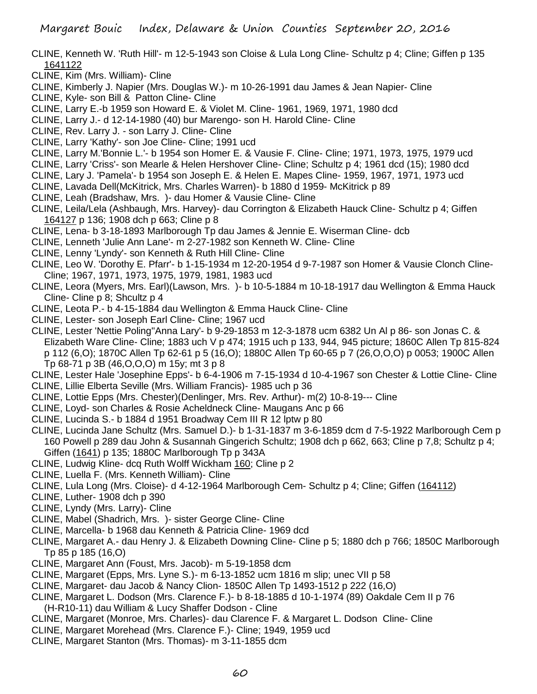CLINE, Kenneth W. 'Ruth Hill'- m 12-5-1943 son Cloise & Lula Long Cline- Schultz p 4; Cline; Giffen p 135 1641122

- CLINE, Kim (Mrs. William)- Cline
- CLINE, Kimberly J. Napier (Mrs. Douglas W.)- m 10-26-1991 dau James & Jean Napier- Cline
- CLINE, Kyle- son Bill & Patton Cline- Cline
- CLINE, Larry E.-b 1959 son Howard E. & Violet M. Cline- 1961, 1969, 1971, 1980 dcd
- CLINE, Larry J.- d 12-14-1980 (40) bur Marengo- son H. Harold Cline- Cline
- CLINE, Rev. Larry J. son Larry J. Cline- Cline
- CLINE, Larry 'Kathy'- son Joe Cline- Cline; 1991 ucd
- CLINE, Larry M.'Bonnie L.'- b 1954 son Homer E. & Vausie F. Cline- Cline; 1971, 1973, 1975, 1979 ucd
- CLINE, Larry 'Criss'- son Mearle & Helen Hershover Cline- Cline; Schultz p 4; 1961 dcd (15); 1980 dcd
- CLINE, Lary J. 'Pamela'- b 1954 son Joseph E. & Helen E. Mapes Cline- 1959, 1967, 1971, 1973 ucd
- CLINE, Lavada Dell(McKitrick, Mrs. Charles Warren)- b 1880 d 1959- McKitrick p 89
- CLINE, Leah (Bradshaw, Mrs. )- dau Homer & Vausie Cline- Cline
- CLINE, Leila/Lela (Ashbaugh, Mrs. Harvey)- dau Corrington & Elizabeth Hauck Cline- Schultz p 4; Giffen 164127 p 136; 1908 dch p 663; Cline p 8
- CLINE, Lena- b 3-18-1893 Marlborough Tp dau James & Jennie E. Wiserman Cline- dcb
- CLINE, Lenneth 'Julie Ann Lane'- m 2-27-1982 son Kenneth W. Cline- Cline
- CLINE, Lenny 'Lyndy'- son Kenneth & Ruth Hill Cline- Cline
- CLINE, Leo W. 'Dorothy E. Pfarr'- b 1-15-1934 m 12-20-1954 d 9-7-1987 son Homer & Vausie Clonch Cline-Cline; 1967, 1971, 1973, 1975, 1979, 1981, 1983 ucd
- CLINE, Leora (Myers, Mrs. Earl)(Lawson, Mrs. )- b 10-5-1884 m 10-18-1917 dau Wellington & Emma Hauck Cline- Cline p 8; Shcultz p 4
- CLINE, Leota P.- b 4-15-1884 dau Wellington & Emma Hauck Cline- Cline
- CLINE, Lester- son Joseph Earl Cline- Cline; 1967 ucd
- CLINE, Lester 'Nettie Poling''Anna Lary'- b 9-29-1853 m 12-3-1878 ucm 6382 Un Al p 86- son Jonas C. & Elizabeth Ware Cline- Cline; 1883 uch V p 474; 1915 uch p 133, 944, 945 picture; 1860C Allen Tp 815-824 p 112 (6,O); 1870C Allen Tp 62-61 p 5 (16,O); 1880C Allen Tp 60-65 p 7 (26,O,O,O) p 0053; 1900C Allen Tp 68-71 p 3B (46,O,O,O) m 15y; mt 3 p 8
- CLINE, Lester Hale 'Josephine Epps'- b 6-4-1906 m 7-15-1934 d 10-4-1967 son Chester & Lottie Cline- Cline CLINE, Lillie Elberta Seville (Mrs. William Francis)- 1985 uch p 36
- CLINE, Lottie Epps (Mrs. Chester)(Denlinger, Mrs. Rev. Arthur)- m(2) 10-8-19--- Cline
- CLINE, Loyd- son Charles & Rosie Acheldneck Cline- Maugans Anc p 66
- CLINE, Lucinda S.- b 1884 d 1951 Broadway Cem III R 12 lptw p 80
- CLINE, Lucinda Jane Schultz (Mrs. Samuel D.)- b 1-31-1837 m 3-6-1859 dcm d 7-5-1922 Marlborough Cem p 160 Powell p 289 dau John & Susannah Gingerich Schultz; 1908 dch p 662, 663; Cline p 7,8; Schultz p 4; Giffen (1641) p 135; 1880C Marlborough Tp p 343A
- CLINE, Ludwig Kline- dcq Ruth Wolff Wickham 160; Cline p 2
- CLINE, Luella F. (Mrs. Kenneth William)- Cline
- CLINE, Lula Long (Mrs. Cloise)- d 4-12-1964 Marlborough Cem- Schultz p 4; Cline; Giffen (164112)
- CLINE, Luther- 1908 dch p 390
- CLINE, Lyndy (Mrs. Larry)- Cline
- CLINE, Mabel (Shadrich, Mrs. )- sister George Cline- Cline
- CLINE, Marcella- b 1968 dau Kenneth & Patricia Cline- 1969 dcd
- CLINE, Margaret A.- dau Henry J. & Elizabeth Downing Cline- Cline p 5; 1880 dch p 766; 1850C Marlborough Tp 85 p 185 (16,O)
- CLINE, Margaret Ann (Foust, Mrs. Jacob)- m 5-19-1858 dcm
- CLINE, Margaret (Epps, Mrs. Lyne S.)- m 6-13-1852 ucm 1816 m slip; unec VII p 58
- CLINE, Margaret- dau Jacob & Nancy Clion- 1850C Allen Tp 1493-1512 p 222 (16,O)
- CLINE, Margaret L. Dodson (Mrs. Clarence F.)- b 8-18-1885 d 10-1-1974 (89) Oakdale Cem II p 76 (H-R10-11) dau William & Lucy Shaffer Dodson - Cline
- CLINE, Margaret (Monroe, Mrs. Charles)- dau Clarence F. & Margaret L. Dodson Cline- Cline
- CLINE, Margaret Morehead (Mrs. Clarence F.)- Cline; 1949, 1959 ucd
- CLINE, Margaret Stanton (Mrs. Thomas)- m 3-11-1855 dcm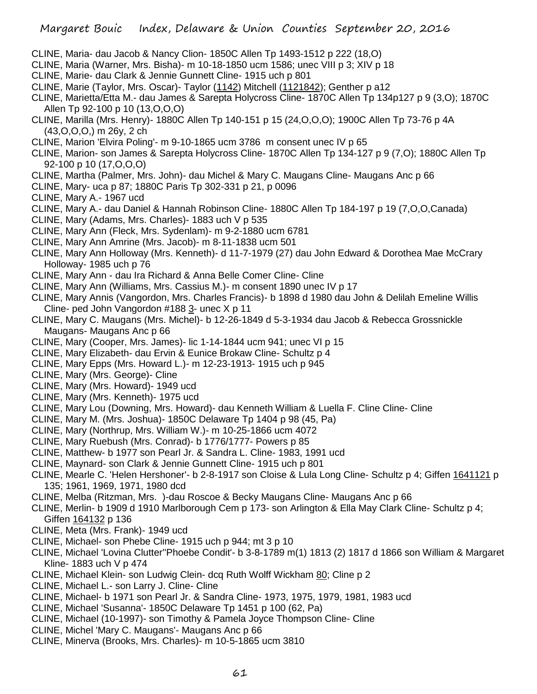- CLINE, Maria- dau Jacob & Nancy Clion- 1850C Allen Tp 1493-1512 p 222 (18,O)
- CLINE, Maria (Warner, Mrs. Bisha)- m 10-18-1850 ucm 1586; unec VIII p 3; XIV p 18
- CLINE, Marie- dau Clark & Jennie Gunnett Cline- 1915 uch p 801
- CLINE, Marie (Taylor, Mrs. Oscar)- Taylor (1142) Mitchell (1121842); Genther p a12
- CLINE, Marietta/Etta M.- dau James & Sarepta Holycross Cline- 1870C Allen Tp 134p127 p 9 (3,O); 1870C Allen Tp 92-100 p 10 (13,O,O,O)
- CLINE, Marilla (Mrs. Henry)- 1880C Allen Tp 140-151 p 15 (24,O,O,O); 1900C Allen Tp 73-76 p 4A (43,O,O,O,) m 26y, 2 ch
- CLINE, Marion 'Elvira Poling'- m 9-10-1865 ucm 3786 m consent unec IV p 65
- CLINE, Marion- son James & Sarepta Holycross Cline- 1870C Allen Tp 134-127 p 9 (7,O); 1880C Allen Tp 92-100 p 10 (17,O,O,O)
- CLINE, Martha (Palmer, Mrs. John)- dau Michel & Mary C. Maugans Cline- Maugans Anc p 66
- CLINE, Mary- uca p 87; 1880C Paris Tp 302-331 p 21, p 0096
- CLINE, Mary A.- 1967 ucd
- CLINE, Mary A.- dau Daniel & Hannah Robinson Cline- 1880C Allen Tp 184-197 p 19 (7,O,O,Canada)
- CLINE, Mary (Adams, Mrs. Charles)- 1883 uch V p 535
- CLINE, Mary Ann (Fleck, Mrs. Sydenlam)- m 9-2-1880 ucm 6781
- CLINE, Mary Ann Amrine (Mrs. Jacob)- m 8-11-1838 ucm 501
- CLINE, Mary Ann Holloway (Mrs. Kenneth)- d 11-7-1979 (27) dau John Edward & Dorothea Mae McCrary Holloway- 1985 uch p 76
- CLINE, Mary Ann dau Ira Richard & Anna Belle Comer Cline- Cline
- CLINE, Mary Ann (Williams, Mrs. Cassius M.)- m consent 1890 unec IV p 17
- CLINE, Mary Annis (Vangordon, Mrs. Charles Francis)- b 1898 d 1980 dau John & Delilah Emeline Willis Cline- ped John Vangordon #188 3- unec X p 11
- CLINE, Mary C. Maugans (Mrs. Michel)- b 12-26-1849 d 5-3-1934 dau Jacob & Rebecca Grossnickle Maugans- Maugans Anc p 66
- CLINE, Mary (Cooper, Mrs. James)- lic 1-14-1844 ucm 941; unec VI p 15
- CLINE, Mary Elizabeth- dau Ervin & Eunice Brokaw Cline- Schultz p 4
- CLINE, Mary Epps (Mrs. Howard L.)- m 12-23-1913- 1915 uch p 945
- CLINE, Mary (Mrs. George)- Cline
- CLINE, Mary (Mrs. Howard)- 1949 ucd
- CLINE, Mary (Mrs. Kenneth)- 1975 ucd
- CLINE, Mary Lou (Downing, Mrs. Howard)- dau Kenneth William & Luella F. Cline Cline- Cline
- CLINE, Mary M. (Mrs. Joshua)- 1850C Delaware Tp 1404 p 98 (45, Pa)
- CLINE, Mary (Northrup, Mrs. William W.)- m 10-25-1866 ucm 4072
- CLINE, Mary Ruebush (Mrs. Conrad)- b 1776/1777- Powers p 85
- CLINE, Matthew- b 1977 son Pearl Jr. & Sandra L. Cline- 1983, 1991 ucd
- CLINE, Maynard- son Clark & Jennie Gunnett Cline- 1915 uch p 801
- CLINE, Mearle C. 'Helen Hershoner'- b 2-8-1917 son Cloise & Lula Long Cline- Schultz p 4; Giffen 1641121 p 135; 1961, 1969, 1971, 1980 dcd
- CLINE, Melba (Ritzman, Mrs. )-dau Roscoe & Becky Maugans Cline- Maugans Anc p 66
- CLINE, Merlin- b 1909 d 1910 Marlborough Cem p 173- son Arlington & Ella May Clark Cline- Schultz p 4; Giffen 164132 p 136
- CLINE, Meta (Mrs. Frank)- 1949 ucd
- CLINE, Michael- son Phebe Cline- 1915 uch p 944; mt 3 p 10
- CLINE, Michael 'Lovina Clutter''Phoebe Condit'- b 3-8-1789 m(1) 1813 (2) 1817 d 1866 son William & Margaret Kline- 1883 uch V p 474
- CLINE, Michael Klein- son Ludwig Clein- dcq Ruth Wolff Wickham 80; Cline p 2
- CLINE, Michael L.- son Larry J. Cline- Cline
- CLINE, Michael- b 1971 son Pearl Jr. & Sandra Cline- 1973, 1975, 1979, 1981, 1983 ucd
- CLINE, Michael 'Susanna'- 1850C Delaware Tp 1451 p 100 (62, Pa)
- CLINE, Michael (10-1997)- son Timothy & Pamela Joyce Thompson Cline- Cline
- CLINE, Michel 'Mary C. Maugans'- Maugans Anc p 66
- CLINE, Minerva (Brooks, Mrs. Charles)- m 10-5-1865 ucm 3810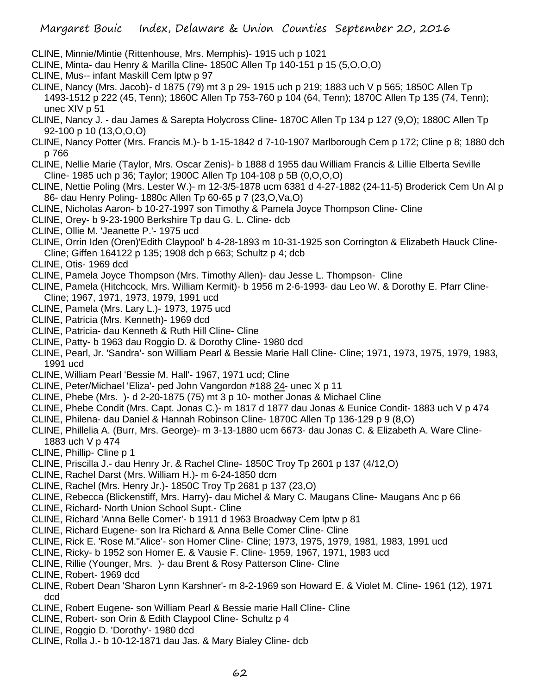- CLINE, Minnie/Mintie (Rittenhouse, Mrs. Memphis)- 1915 uch p 1021
- CLINE, Minta- dau Henry & Marilla Cline- 1850C Allen Tp 140-151 p 15 (5,O,O,O)
- CLINE, Mus-- infant Maskill Cem lptw p 97
- CLINE, Nancy (Mrs. Jacob)- d 1875 (79) mt 3 p 29- 1915 uch p 219; 1883 uch V p 565; 1850C Allen Tp 1493-1512 p 222 (45, Tenn); 1860C Allen Tp 753-760 p 104 (64, Tenn); 1870C Allen Tp 135 (74, Tenn); unec XIV p 51
- CLINE, Nancy J. dau James & Sarepta Holycross Cline- 1870C Allen Tp 134 p 127 (9,O); 1880C Allen Tp 92-100 p 10 (13,O,O,O)
- CLINE, Nancy Potter (Mrs. Francis M.)- b 1-15-1842 d 7-10-1907 Marlborough Cem p 172; Cline p 8; 1880 dch p 766
- CLINE, Nellie Marie (Taylor, Mrs. Oscar Zenis)- b 1888 d 1955 dau William Francis & Lillie Elberta Seville Cline- 1985 uch p 36; Taylor; 1900C Allen Tp 104-108 p 5B (0,O,O,O)
- CLINE, Nettie Poling (Mrs. Lester W.)- m 12-3/5-1878 ucm 6381 d 4-27-1882 (24-11-5) Broderick Cem Un Al p 86- dau Henry Poling- 1880c Allen Tp 60-65 p 7 (23,O,Va,O)
- CLINE, Nicholas Aaron- b 10-27-1997 son Timothy & Pamela Joyce Thompson Cline- Cline
- CLINE, Orey- b 9-23-1900 Berkshire Tp dau G. L. Cline- dcb
- CLINE, Ollie M. 'Jeanette P.'- 1975 ucd
- CLINE, Orrin Iden (Oren)'Edith Claypool' b 4-28-1893 m 10-31-1925 son Corrington & Elizabeth Hauck Cline-Cline; Giffen 164122 p 135; 1908 dch p 663; Schultz p 4; dcb
- CLINE, Otis- 1969 dcd
- CLINE, Pamela Joyce Thompson (Mrs. Timothy Allen)- dau Jesse L. Thompson- Cline
- CLINE, Pamela (Hitchcock, Mrs. William Kermit)- b 1956 m 2-6-1993- dau Leo W. & Dorothy E. Pfarr Cline-Cline; 1967, 1971, 1973, 1979, 1991 ucd
- CLINE, Pamela (Mrs. Lary L.)- 1973, 1975 ucd
- CLINE, Patricia (Mrs. Kenneth)- 1969 dcd
- CLINE, Patricia- dau Kenneth & Ruth Hill Cline- Cline
- CLINE, Patty- b 1963 dau Roggio D. & Dorothy Cline- 1980 dcd
- CLINE, Pearl, Jr. 'Sandra'- son William Pearl & Bessie Marie Hall Cline- Cline; 1971, 1973, 1975, 1979, 1983, 1991 ucd
- CLINE, William Pearl 'Bessie M. Hall'- 1967, 1971 ucd; Cline
- CLINE, Peter/Michael 'Eliza'- ped John Vangordon #188 24- unec X p 11
- CLINE, Phebe (Mrs. )- d 2-20-1875 (75) mt 3 p 10- mother Jonas & Michael Cline
- CLINE, Phebe Condit (Mrs. Capt. Jonas C.)- m 1817 d 1877 dau Jonas & Eunice Condit- 1883 uch V p 474
- CLINE, Philena- dau Daniel & Hannah Robinson Cline- 1870C Allen Tp 136-129 p 9 (8,O)
- CLINE, Phillelia A. (Burr, Mrs. George)- m 3-13-1880 ucm 6673- dau Jonas C. & Elizabeth A. Ware Cline-1883 uch V p 474
- CLINE, Phillip- Cline p 1
- CLINE, Priscilla J.- dau Henry Jr. & Rachel Cline- 1850C Troy Tp 2601 p 137 (4/12,O)
- CLINE, Rachel Darst (Mrs. William H.)- m 6-24-1850 dcm
- CLINE, Rachel (Mrs. Henry Jr.)- 1850C Troy Tp 2681 p 137 (23,O)
- CLINE, Rebecca (Blickenstiff, Mrs. Harry)- dau Michel & Mary C. Maugans Cline- Maugans Anc p 66
- CLINE, Richard- North Union School Supt.- Cline
- CLINE, Richard 'Anna Belle Comer'- b 1911 d 1963 Broadway Cem lptw p 81
- CLINE, Richard Eugene- son Ira Richard & Anna Belle Comer Cline- Cline
- CLINE, Rick E. 'Rose M.''Alice'- son Homer Cline- Cline; 1973, 1975, 1979, 1981, 1983, 1991 ucd
- CLINE, Ricky- b 1952 son Homer E. & Vausie F. Cline- 1959, 1967, 1971, 1983 ucd
- CLINE, Rillie (Younger, Mrs. )- dau Brent & Rosy Patterson Cline- Cline
- CLINE, Robert- 1969 dcd
- CLINE, Robert Dean 'Sharon Lynn Karshner'- m 8-2-1969 son Howard E. & Violet M. Cline- 1961 (12), 1971 dcd
- CLINE, Robert Eugene- son William Pearl & Bessie marie Hall Cline- Cline
- CLINE, Robert- son Orin & Edith Claypool Cline- Schultz p 4
- CLINE, Roggio D. 'Dorothy'- 1980 dcd
- CLINE, Rolla J.- b 10-12-1871 dau Jas. & Mary Bialey Cline- dcb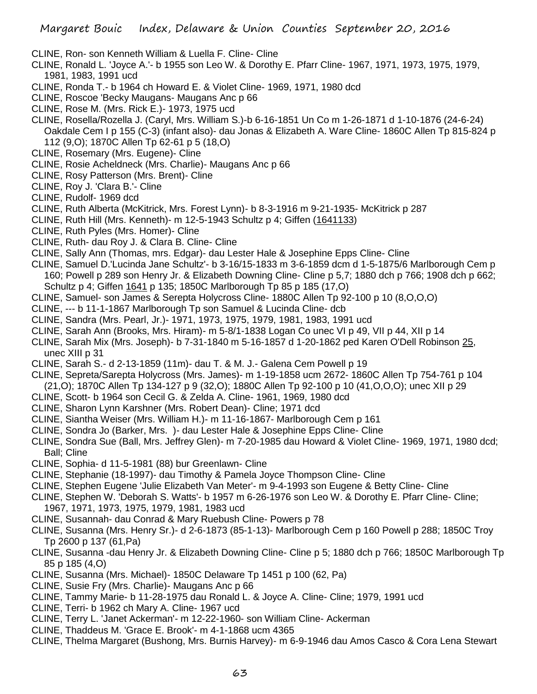- CLINE, Ron- son Kenneth William & Luella F. Cline- Cline
- CLINE, Ronald L. 'Joyce A.'- b 1955 son Leo W. & Dorothy E. Pfarr Cline- 1967, 1971, 1973, 1975, 1979, 1981, 1983, 1991 ucd
- CLINE, Ronda T.- b 1964 ch Howard E. & Violet Cline- 1969, 1971, 1980 dcd
- CLINE, Roscoe 'Becky Maugans- Maugans Anc p 66
- CLINE, Rose M. (Mrs. Rick E.)- 1973, 1975 ucd
- CLINE, Rosella/Rozella J. (Caryl, Mrs. William S.)-b 6-16-1851 Un Co m 1-26-1871 d 1-10-1876 (24-6-24) Oakdale Cem I p 155 (C-3) (infant also)- dau Jonas & Elizabeth A. Ware Cline- 1860C Allen Tp 815-824 p 112 (9,O); 1870C Allen Tp 62-61 p 5 (18,O)
- CLINE, Rosemary (Mrs. Eugene)- Cline
- CLINE, Rosie Acheldneck (Mrs. Charlie)- Maugans Anc p 66
- CLINE, Rosy Patterson (Mrs. Brent)- Cline
- CLINE, Roy J. 'Clara B.'- Cline
- CLINE, Rudolf- 1969 dcd
- CLINE, Ruth Alberta (McKitrick, Mrs. Forest Lynn)- b 8-3-1916 m 9-21-1935- McKitrick p 287
- CLINE, Ruth Hill (Mrs. Kenneth)- m 12-5-1943 Schultz p 4; Giffen (1641133)
- CLINE, Ruth Pyles (Mrs. Homer)- Cline
- CLINE, Ruth- dau Roy J. & Clara B. Cline- Cline
- CLINE, Sally Ann (Thomas, mrs. Edgar)- dau Lester Hale & Josephine Epps Cline- Cline
- CLINE, Samuel D.'Lucinda Jane Schultz'- b 3-16/15-1833 m 3-6-1859 dcm d 1-5-1875/6 Marlborough Cem p 160; Powell p 289 son Henry Jr. & Elizabeth Downing Cline- Cline p 5,7; 1880 dch p 766; 1908 dch p 662; Schultz p 4; Giffen 1641 p 135; 1850C Marlborough Tp 85 p 185 (17,O)
- CLINE, Samuel- son James & Serepta Holycross Cline- 1880C Allen Tp 92-100 p 10 (8,O,O,O)
- CLINE, --- b 11-1-1867 Marlborough Tp son Samuel & Lucinda Cline- dcb
- CLINE, Sandra (Mrs. Pearl, Jr.)- 1971, 1973, 1975, 1979, 1981, 1983, 1991 ucd
- CLINE, Sarah Ann (Brooks, Mrs. Hiram)- m 5-8/1-1838 Logan Co unec VI p 49, VII p 44, XII p 14
- CLINE, Sarah Mix (Mrs. Joseph)- b 7-31-1840 m 5-16-1857 d 1-20-1862 ped Karen O'Dell Robinson 25, unec XIII p 31
- CLINE, Sarah S.- d 2-13-1859 (11m)- dau T. & M. J.- Galena Cem Powell p 19
- CLINE, Sepreta/Sarepta Holycross (Mrs. James)- m 1-19-1858 ucm 2672- 1860C Allen Tp 754-761 p 104 (21,O); 1870C Allen Tp 134-127 p 9 (32,O); 1880C Allen Tp 92-100 p 10 (41,O,O,O); unec XII p 29
- CLINE, Scott- b 1964 son Cecil G. & Zelda A. Cline- 1961, 1969, 1980 dcd
- CLINE, Sharon Lynn Karshner (Mrs. Robert Dean)- Cline; 1971 dcd
- CLINE, Siantha Weiser (Mrs. William H.)- m 11-16-1867- Marlborough Cem p 161
- CLINE, Sondra Jo (Barker, Mrs. )- dau Lester Hale & Josephine Epps Cline- Cline
- CLINE, Sondra Sue (Ball, Mrs. Jeffrey Glen)- m 7-20-1985 dau Howard & Violet Cline- 1969, 1971, 1980 dcd; Ball; Cline
- CLINE, Sophia- d 11-5-1981 (88) bur Greenlawn- Cline
- CLINE, Stephanie (18-1997)- dau Timothy & Pamela Joyce Thompson Cline- Cline
- CLINE, Stephen Eugene 'Julie Elizabeth Van Meter'- m 9-4-1993 son Eugene & Betty Cline- Cline
- CLINE, Stephen W. 'Deborah S. Watts'- b 1957 m 6-26-1976 son Leo W. & Dorothy E. Pfarr Cline- Cline; 1967, 1971, 1973, 1975, 1979, 1981, 1983 ucd
- CLINE, Susannah- dau Conrad & Mary Ruebush Cline- Powers p 78
- CLINE, Susanna (Mrs. Henry Sr.)- d 2-6-1873 (85-1-13)- Marlborough Cem p 160 Powell p 288; 1850C Troy Tp 2600 p 137 (61,Pa)
- CLINE, Susanna -dau Henry Jr. & Elizabeth Downing Cline- Cline p 5; 1880 dch p 766; 1850C Marlborough Tp 85 p 185 (4,O)
- CLINE, Susanna (Mrs. Michael)- 1850C Delaware Tp 1451 p 100 (62, Pa)
- CLINE, Susie Fry (Mrs. Charlie)- Maugans Anc p 66
- CLINE, Tammy Marie- b 11-28-1975 dau Ronald L. & Joyce A. Cline- Cline; 1979, 1991 ucd
- CLINE, Terri- b 1962 ch Mary A. Cline- 1967 ucd
- CLINE, Terry L. 'Janet Ackerman'- m 12-22-1960- son William Cline- Ackerman
- CLINE, Thaddeus M. 'Grace E. Brook'- m 4-1-1868 ucm 4365
- CLINE, Thelma Margaret (Bushong, Mrs. Burnis Harvey)- m 6-9-1946 dau Amos Casco & Cora Lena Stewart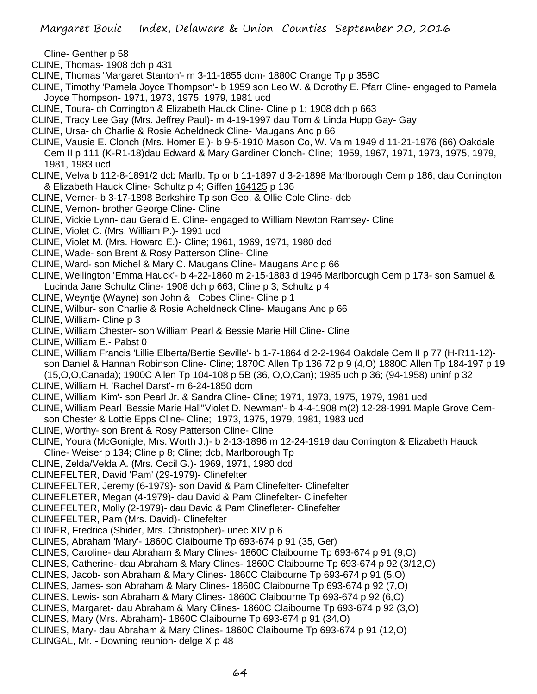Cline- Genther p 58

- CLINE, Thomas- 1908 dch p 431
- CLINE, Thomas 'Margaret Stanton'- m 3-11-1855 dcm- 1880C Orange Tp p 358C
- CLINE, Timothy 'Pamela Joyce Thompson'- b 1959 son Leo W. & Dorothy E. Pfarr Cline- engaged to Pamela Joyce Thompson- 1971, 1973, 1975, 1979, 1981 ucd
- CLINE, Toura- ch Corrington & Elizabeth Hauck Cline- Cline p 1; 1908 dch p 663
- CLINE, Tracy Lee Gay (Mrs. Jeffrey Paul)- m 4-19-1997 dau Tom & Linda Hupp Gay- Gay
- CLINE, Ursa- ch Charlie & Rosie Acheldneck Cline- Maugans Anc p 66
- CLINE, Vausie E. Clonch (Mrs. Homer E.)- b 9-5-1910 Mason Co, W. Va m 1949 d 11-21-1976 (66) Oakdale Cem II p 111 (K-R1-18)dau Edward & Mary Gardiner Clonch- Cline; 1959, 1967, 1971, 1973, 1975, 1979, 1981, 1983 ucd
- CLINE, Velva b 112-8-1891/2 dcb Marlb. Tp or b 11-1897 d 3-2-1898 Marlborough Cem p 186; dau Corrington & Elizabeth Hauck Cline- Schultz p 4; Giffen 164125 p 136
- CLINE, Verner- b 3-17-1898 Berkshire Tp son Geo. & Ollie Cole Cline- dcb
- CLINE, Vernon- brother George Cline- Cline
- CLINE, Vickie Lynn- dau Gerald E. Cline- engaged to William Newton Ramsey- Cline
- CLINE, Violet C. (Mrs. William P.)- 1991 ucd
- CLINE, Violet M. (Mrs. Howard E.)- Cline; 1961, 1969, 1971, 1980 dcd
- CLINE, Wade- son Brent & Rosy Patterson Cline- Cline
- CLINE, Ward- son Michel & Mary C. Maugans Cline- Maugans Anc p 66
- CLINE, Wellington 'Emma Hauck'- b 4-22-1860 m 2-15-1883 d 1946 Marlborough Cem p 173- son Samuel & Lucinda Jane Schultz Cline- 1908 dch p 663; Cline p 3; Schultz p 4
- CLINE, Weyntje (Wayne) son John & Cobes Cline- Cline p 1
- CLINE, Wilbur- son Charlie & Rosie Acheldneck Cline- Maugans Anc p 66
- CLINE, William- Cline p 3
- CLINE, William Chester- son William Pearl & Bessie Marie Hill Cline- Cline
- CLINE, William E.- Pabst 0
- CLINE, William Francis 'Lillie Elberta/Bertie Seville'- b 1-7-1864 d 2-2-1964 Oakdale Cem II p 77 (H-R11-12) son Daniel & Hannah Robinson Cline- Cline; 1870C Allen Tp 136 72 p 9 (4,O) 1880C Allen Tp 184-197 p 19 (15,O,O,Canada); 1900C Allen Tp 104-108 p 5B (36, O,O,Can); 1985 uch p 36; (94-1958) uninf p 32
- CLINE, William H. 'Rachel Darst'- m 6-24-1850 dcm
- CLINE, William 'Kim'- son Pearl Jr. & Sandra Cline- Cline; 1971, 1973, 1975, 1979, 1981 ucd
- CLINE, William Pearl 'Bessie Marie Hall''Violet D. Newman'- b 4-4-1908 m(2) 12-28-1991 Maple Grove Cemson Chester & Lottie Epps Cline- Cline; 1973, 1975, 1979, 1981, 1983 ucd
- CLINE, Worthy- son Brent & Rosy Patterson Cline- Cline
- CLINE, Youra (McGonigle, Mrs. Worth J.)- b 2-13-1896 m 12-24-1919 dau Corrington & Elizabeth Hauck Cline- Weiser p 134; Cline p 8; Cline; dcb, Marlborough Tp
- CLINE, Zelda/Velda A. (Mrs. Cecil G.)- 1969, 1971, 1980 dcd
- CLINEFELTER, David 'Pam' (29-1979)- Clinefelter
- CLINEFELTER, Jeremy (6-1979)- son David & Pam Clinefelter- Clinefelter
- CLINEFLETER, Megan (4-1979)- dau David & Pam Clinefelter- Clinefelter
- CLINEFELTER, Molly (2-1979)- dau David & Pam Clinefleter- Clinefelter
- CLINEFELTER, Pam (Mrs. David)- Clinefelter
- CLINER, Fredrica (Shider, Mrs. Christopher)- unec XIV p 6
- CLINES, Abraham 'Mary'- 1860C Claibourne Tp 693-674 p 91 (35, Ger)
- CLINES, Caroline- dau Abraham & Mary Clines- 1860C Claibourne Tp 693-674 p 91 (9,O)
- CLINES, Catherine- dau Abraham & Mary Clines- 1860C Claibourne Tp 693-674 p 92 (3/12,O)
- CLINES, Jacob- son Abraham & Mary Clines- 1860C Claibourne Tp 693-674 p 91 (5,O)
- CLINES, James- son Abraham & Mary Clines- 1860C Claibourne Tp 693-674 p 92 (7,O)
- CLINES, Lewis- son Abraham & Mary Clines- 1860C Claibourne Tp 693-674 p 92 (6,O)
- CLINES, Margaret- dau Abraham & Mary Clines- 1860C Claibourne Tp 693-674 p 92 (3,O)
- CLINES, Mary (Mrs. Abraham)- 1860C Claibourne Tp 693-674 p 91 (34,O)
- CLINES, Mary- dau Abraham & Mary Clines- 1860C Claibourne Tp 693-674 p 91 (12,O)
- CLINGAL, Mr. Downing reunion- delge X p 48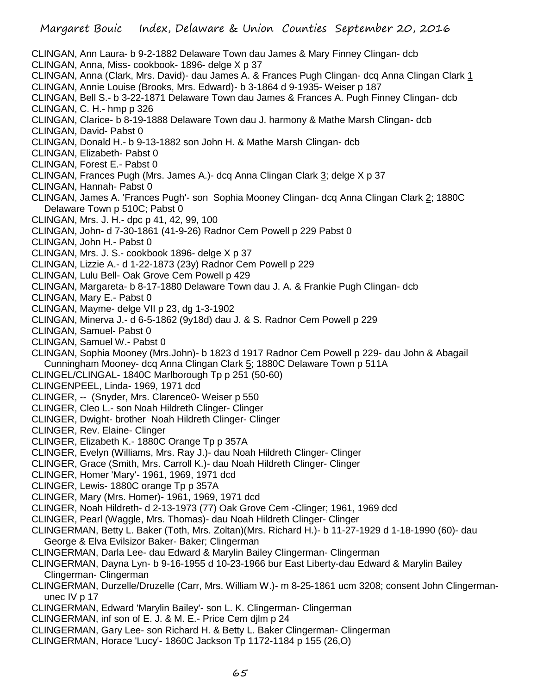- CLINGAN, Ann Laura- b 9-2-1882 Delaware Town dau James & Mary Finney Clingan- dcb
- CLINGAN, Anna, Miss- cookbook- 1896- delge X p 37
- CLINGAN, Anna (Clark, Mrs. David)- dau James A. & Frances Pugh Clingan- dcq Anna Clingan Clark 1 CLINGAN, Annie Louise (Brooks, Mrs. Edward)- b 3-1864 d 9-1935- Weiser p 187
- CLINGAN, Bell S.- b 3-22-1871 Delaware Town dau James & Frances A. Pugh Finney Clingan- dcb CLINGAN, C. H.- hmp p 326
- CLINGAN, Clarice- b 8-19-1888 Delaware Town dau J. harmony & Mathe Marsh Clingan- dcb
- CLINGAN, David- Pabst 0
- CLINGAN, Donald H.- b 9-13-1882 son John H. & Mathe Marsh Clingan- dcb
- CLINGAN, Elizabeth- Pabst 0
- CLINGAN, Forest E.- Pabst 0
- CLINGAN, Frances Pugh (Mrs. James A.)- dcq Anna Clingan Clark 3; delge X p 37
- CLINGAN, Hannah- Pabst 0
- CLINGAN, James A. 'Frances Pugh'- son Sophia Mooney Clingan- dcq Anna Clingan Clark 2; 1880C Delaware Town p 510C; Pabst 0
- CLINGAN, Mrs. J. H.- dpc p 41, 42, 99, 100
- CLINGAN, John- d 7-30-1861 (41-9-26) Radnor Cem Powell p 229 Pabst 0
- CLINGAN, John H.- Pabst 0
- CLINGAN, Mrs. J. S.- cookbook 1896- delge X p 37
- CLINGAN, Lizzie A.- d 1-22-1873 (23y) Radnor Cem Powell p 229
- CLINGAN, Lulu Bell- Oak Grove Cem Powell p 429
- CLINGAN, Margareta- b 8-17-1880 Delaware Town dau J. A. & Frankie Pugh Clingan- dcb
- CLINGAN, Mary E.- Pabst 0
- CLINGAN, Mayme- delge VII p 23, dg 1-3-1902
- CLINGAN, Minerva J.- d 6-5-1862 (9y18d) dau J. & S. Radnor Cem Powell p 229
- CLINGAN, Samuel- Pabst 0
- CLINGAN, Samuel W.- Pabst 0
- CLINGAN, Sophia Mooney (Mrs.John)- b 1823 d 1917 Radnor Cem Powell p 229- dau John & Abagail Cunningham Mooney- dcq Anna Clingan Clark 5; 1880C Delaware Town p 511A
- CLINGEL/CLINGAL- 1840C Marlborough Tp p 251 (50-60)
- CLINGENPEEL, Linda- 1969, 1971 dcd
- CLINGER, -- (Snyder, Mrs. Clarence0- Weiser p 550
- CLINGER, Cleo L.- son Noah Hildreth Clinger- Clinger
- CLINGER, Dwight- brother Noah Hildreth Clinger- Clinger
- CLINGER, Rev. Elaine- Clinger
- CLINGER, Elizabeth K.- 1880C Orange Tp p 357A
- CLINGER, Evelyn (Williams, Mrs. Ray J.)- dau Noah Hildreth Clinger- Clinger
- CLINGER, Grace (Smith, Mrs. Carroll K.)- dau Noah Hildreth Clinger- Clinger
- CLINGER, Homer 'Mary'- 1961, 1969, 1971 dcd
- CLINGER, Lewis- 1880C orange Tp p 357A
- CLINGER, Mary (Mrs. Homer)- 1961, 1969, 1971 dcd
- CLINGER, Noah Hildreth- d 2-13-1973 (77) Oak Grove Cem -Clinger; 1961, 1969 dcd
- CLINGER, Pearl (Waggle, Mrs. Thomas)- dau Noah Hildreth Clinger- Clinger
- CLINGERMAN, Betty L. Baker (Toth, Mrs. Zoltan)(Mrs. Richard H.)- b 11-27-1929 d 1-18-1990 (60)- dau George & Elva Evilsizor Baker- Baker; Clingerman
- CLINGERMAN, Darla Lee- dau Edward & Marylin Bailey Clingerman- Clingerman
- CLINGERMAN, Dayna Lyn- b 9-16-1955 d 10-23-1966 bur East Liberty-dau Edward & Marylin Bailey Clingerman- Clingerman
- CLINGERMAN, Durzelle/Druzelle (Carr, Mrs. William W.)- m 8-25-1861 ucm 3208; consent John Clingermanunec IV p 17
- CLINGERMAN, Edward 'Marylin Bailey'- son L. K. Clingerman- Clingerman
- CLINGERMAN, inf son of E. J. & M. E.- Price Cem djlm p 24
- CLINGERMAN, Gary Lee- son Richard H. & Betty L. Baker Clingerman- Clingerman
- CLINGERMAN, Horace 'Lucy'- 1860C Jackson Tp 1172-1184 p 155 (26,O)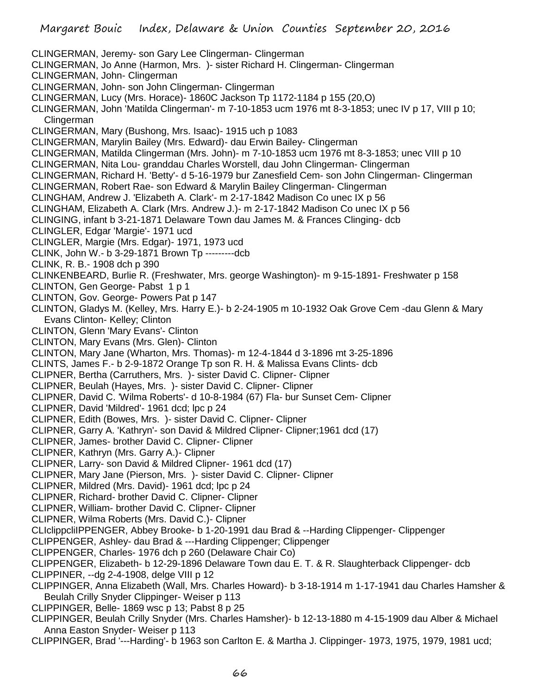CLINGERMAN, Jeremy- son Gary Lee Clingerman- Clingerman

- CLINGERMAN, Jo Anne (Harmon, Mrs. )- sister Richard H. Clingerman- Clingerman
- CLINGERMAN, John- Clingerman
- CLINGERMAN, John- son John Clingerman- Clingerman
- CLINGERMAN, Lucy (Mrs. Horace)- 1860C Jackson Tp 1172-1184 p 155 (20,O)
- CLINGERMAN, John 'Matilda Clingerman'- m 7-10-1853 ucm 1976 mt 8-3-1853; unec IV p 17, VIII p 10; Clingerman
- CLINGERMAN, Mary (Bushong, Mrs. Isaac)- 1915 uch p 1083
- CLINGERMAN, Marylin Bailey (Mrs. Edward)- dau Erwin Bailey- Clingerman
- CLINGERMAN, Matilda Clingerman (Mrs. John)- m 7-10-1853 ucm 1976 mt 8-3-1853; unec VIII p 10
- CLINGERMAN, Nita Lou- granddau Charles Worstell, dau John Clingerman- Clingerman
- CLINGERMAN, Richard H. 'Betty'- d 5-16-1979 bur Zanesfield Cem- son John Clingerman- Clingerman
- CLINGERMAN, Robert Rae- son Edward & Marylin Bailey Clingerman- Clingerman
- CLINGHAM, Andrew J. 'Elizabeth A. Clark'- m 2-17-1842 Madison Co unec IX p 56
- CLINGHAM, Elizabeth A. Clark (Mrs. Andrew J.)- m 2-17-1842 Madison Co unec IX p 56
- CLINGING, infant b 3-21-1871 Delaware Town dau James M. & Frances Clinging- dcb
- CLINGLER, Edgar 'Margie'- 1971 ucd
- CLINGLER, Margie (Mrs. Edgar)- 1971, 1973 ucd
- CLINK, John W.- b 3-29-1871 Brown Tp ---------dcb
- CLINK, R. B.- 1908 dch p 390
- CLINKENBEARD, Burlie R. (Freshwater, Mrs. george Washington)- m 9-15-1891- Freshwater p 158
- CLINTON, Gen George- Pabst 1 p 1
- CLINTON, Gov. George- Powers Pat p 147
- CLINTON, Gladys M. (Kelley, Mrs. Harry E.)- b 2-24-1905 m 10-1932 Oak Grove Cem -dau Glenn & Mary Evans Clinton- Kelley; Clinton
- CLINTON, Glenn 'Mary Evans'- Clinton
- CLINTON, Mary Evans (Mrs. Glen)- Clinton
- CLINTON, Mary Jane (Wharton, Mrs. Thomas)- m 12-4-1844 d 3-1896 mt 3-25-1896
- CLINTS, James F.- b 2-9-1872 Orange Tp son R. H. & Malissa Evans Clints- dcb
- CLIPNER, Bertha (Carruthers, Mrs. )- sister David C. Clipner- Clipner
- CLIPNER, Beulah (Hayes, Mrs. )- sister David C. Clipner- Clipner
- CLIPNER, David C. 'Wilma Roberts'- d 10-8-1984 (67) Fla- bur Sunset Cem- Clipner
- CLIPNER, David 'Mildred'- 1961 dcd; lpc p 24
- CLIPNER, Edith (Bowes, Mrs. )- sister David C. Clipner- Clipner
- CLIPNER, Garry A. 'Kathryn'- son David & Mildred Clipner- Clipner;1961 dcd (17)
- CLIPNER, James- brother David C. Clipner- Clipner
- CLIPNER, Kathryn (Mrs. Garry A.)- Clipner
- CLIPNER, Larry- son David & Mildred Clipner- 1961 dcd (17)
- CLIPNER, Mary Jane (Pierson, Mrs. )- sister David C. Clipner- Clipner
- CLIPNER, Mildred (Mrs. David)- 1961 dcd; lpc p 24
- CLIPNER, Richard- brother David C. Clipner- Clipner
- CLIPNER, William- brother David C. Clipner- Clipner
- CLIPNER, Wilma Roberts (Mrs. David C.)- Clipner
- CLIclippcliIPPENGER, Abbey Brooke- b 1-20-1991 dau Brad & --Harding Clippenger- Clippenger
- CLIPPENGER, Ashley- dau Brad & ---Harding Clippenger; Clippenger
- CLIPPENGER, Charles- 1976 dch p 260 (Delaware Chair Co)
- CLIPPENGER, Elizabeth- b 12-29-1896 Delaware Town dau E. T. & R. Slaughterback Clippenger- dcb
- CLIPPINER, --dg 2-4-1908, delge VIII p 12
- CLIPPINGER, Anna Elizabeth (Wall, Mrs. Charles Howard)- b 3-18-1914 m 1-17-1941 dau Charles Hamsher & Beulah Crilly Snyder Clippinger- Weiser p 113
- CLIPPINGER, Belle- 1869 wsc p 13; Pabst 8 p 25
- CLIPPINGER, Beulah Crilly Snyder (Mrs. Charles Hamsher)- b 12-13-1880 m 4-15-1909 dau Alber & Michael Anna Easton Snyder- Weiser p 113
- CLIPPINGER, Brad '---Harding'- b 1963 son Carlton E. & Martha J. Clippinger- 1973, 1975, 1979, 1981 ucd;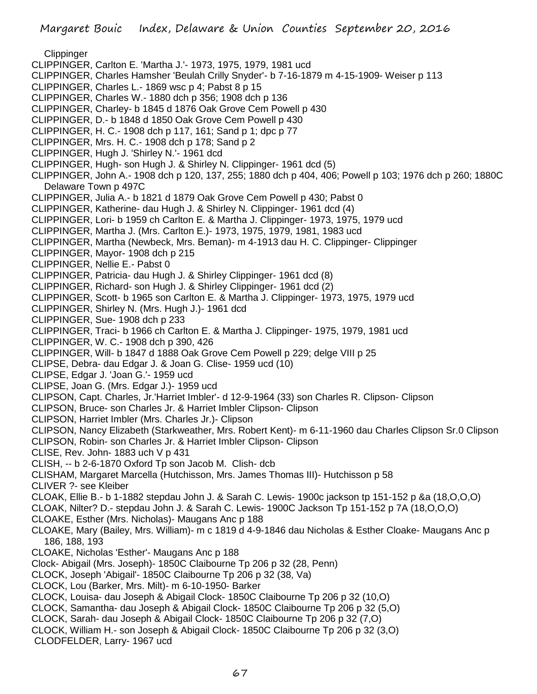**Clippinger** 

- CLIPPINGER, Carlton E. 'Martha J.'- 1973, 1975, 1979, 1981 ucd
- CLIPPINGER, Charles Hamsher 'Beulah Crilly Snyder'- b 7-16-1879 m 4-15-1909- Weiser p 113
- CLIPPINGER, Charles L.- 1869 wsc p 4; Pabst 8 p 15
- CLIPPINGER, Charles W.- 1880 dch p 356; 1908 dch p 136
- CLIPPINGER, Charley- b 1845 d 1876 Oak Grove Cem Powell p 430
- CLIPPINGER, D.- b 1848 d 1850 Oak Grove Cem Powell p 430
- CLIPPINGER, H. C.- 1908 dch p 117, 161; Sand p 1; dpc p 77
- CLIPPINGER, Mrs. H. C.- 1908 dch p 178; Sand p 2
- CLIPPINGER, Hugh J. 'Shirley N.'- 1961 dcd
- CLIPPINGER, Hugh- son Hugh J. & Shirley N. Clippinger- 1961 dcd (5)
- CLIPPINGER, John A.- 1908 dch p 120, 137, 255; 1880 dch p 404, 406; Powell p 103; 1976 dch p 260; 1880C Delaware Town p 497C
- CLIPPINGER, Julia A.- b 1821 d 1879 Oak Grove Cem Powell p 430; Pabst 0
- CLIPPINGER, Katherine- dau Hugh J. & Shirley N. Clippinger- 1961 dcd (4)
- CLIPPINGER, Lori- b 1959 ch Carlton E. & Martha J. Clippinger- 1973, 1975, 1979 ucd
- CLIPPINGER, Martha J. (Mrs. Carlton E.)- 1973, 1975, 1979, 1981, 1983 ucd
- CLIPPINGER, Martha (Newbeck, Mrs. Beman)- m 4-1913 dau H. C. Clippinger- Clippinger
- CLIPPINGER, Mayor- 1908 dch p 215
- CLIPPINGER, Nellie E.- Pabst 0
- CLIPPINGER, Patricia- dau Hugh J. & Shirley Clippinger- 1961 dcd (8)
- CLIPPINGER, Richard- son Hugh J. & Shirley Clippinger- 1961 dcd (2)
- CLIPPINGER, Scott- b 1965 son Carlton E. & Martha J. Clippinger- 1973, 1975, 1979 ucd
- CLIPPINGER, Shirley N. (Mrs. Hugh J.)- 1961 dcd
- CLIPPINGER, Sue- 1908 dch p 233
- CLIPPINGER, Traci- b 1966 ch Carlton E. & Martha J. Clippinger- 1975, 1979, 1981 ucd
- CLIPPINGER, W. C.- 1908 dch p 390, 426
- CLIPPINGER, Will- b 1847 d 1888 Oak Grove Cem Powell p 229; delge VIII p 25
- CLIPSE, Debra- dau Edgar J. & Joan G. Clise- 1959 ucd (10)
- CLIPSE, Edgar J. 'Joan G.'- 1959 ucd
- CLIPSE, Joan G. (Mrs. Edgar J.)- 1959 ucd
- CLIPSON, Capt. Charles, Jr.'Harriet Imbler'- d 12-9-1964 (33) son Charles R. Clipson- Clipson
- CLIPSON, Bruce- son Charles Jr. & Harriet Imbler Clipson- Clipson
- CLIPSON, Harriet Imbler (Mrs. Charles Jr.)- Clipson
- CLIPSON, Nancy Elizabeth (Starkweather, Mrs. Robert Kent)- m 6-11-1960 dau Charles Clipson Sr.0 Clipson
- CLIPSON, Robin- son Charles Jr. & Harriet Imbler Clipson- Clipson
- CLISE, Rev. John- 1883 uch V p 431
- CLISH, -- b 2-6-1870 Oxford Tp son Jacob M. Clish- dcb
- CLISHAM, Margaret Marcella (Hutchisson, Mrs. James Thomas III)- Hutchisson p 58
- CLIVER ?- see Kleiber
- CLOAK, Ellie B.- b 1-1882 stepdau John J. & Sarah C. Lewis- 1900c jackson tp 151-152 p &a (18,O,O,O)
- CLOAK, Nilter? D.- stepdau John J. & Sarah C. Lewis- 1900C Jackson Tp 151-152 p 7A (18,O,O,O)
- CLOAKE, Esther (Mrs. Nicholas)- Maugans Anc p 188
- CLOAKE, Mary (Bailey, Mrs. William)- m c 1819 d 4-9-1846 dau Nicholas & Esther Cloake- Maugans Anc p 186, 188, 193
- CLOAKE, Nicholas 'Esther'- Maugans Anc p 188
- Clock- Abigail (Mrs. Joseph)- 1850C Claibourne Tp 206 p 32 (28, Penn)
- CLOCK, Joseph 'Abigail'- 1850C Claibourne Tp 206 p 32 (38, Va)
- CLOCK, Lou (Barker, Mrs. Milt)- m 6-10-1950- Barker
- CLOCK, Louisa- dau Joseph & Abigail Clock- 1850C Claibourne Tp 206 p 32 (10,O)
- CLOCK, Samantha- dau Joseph & Abigail Clock- 1850C Claibourne Tp 206 p 32 (5,O)
- CLOCK, Sarah- dau Joseph & Abigail Clock- 1850C Claibourne Tp 206 p 32 (7,O)
- CLOCK, William H.- son Joseph & Abigail Clock- 1850C Claibourne Tp 206 p 32 (3,O)
- CLODFELDER, Larry- 1967 ucd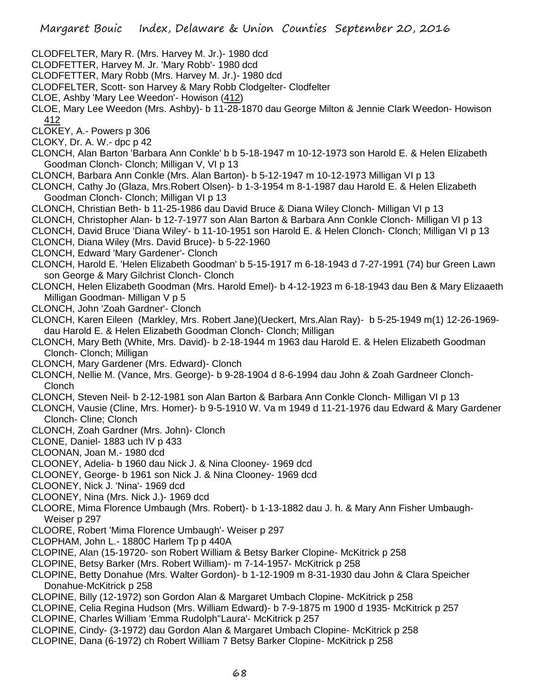- CLODFELTER, Mary R. (Mrs. Harvey M. Jr.)- 1980 dcd
- CLODFETTER, Harvey M. Jr. 'Mary Robb'- 1980 dcd
- CLODFETTER, Mary Robb (Mrs. Harvey M. Jr.)- 1980 dcd
- CLODFELTER, Scott- son Harvey & Mary Robb Clodgelter- Clodfelter
- CLOE, Ashby 'Mary Lee Weedon'- Howison (412)
- CLOE, Mary Lee Weedon (Mrs. Ashby)- b 11-28-1870 dau George Milton & Jennie Clark Weedon- Howison 412
- CLOKEY, A.- Powers p 306
- CLOKY, Dr. A. W.- dpc p 42
- CLONCH, Alan Barton 'Barbara Ann Conkle' b b 5-18-1947 m 10-12-1973 son Harold E. & Helen Elizabeth Goodman Clonch- Clonch; Milligan V, VI p 13
- CLONCH, Barbara Ann Conkle (Mrs. Alan Barton)- b 5-12-1947 m 10-12-1973 Milligan VI p 13
- CLONCH, Cathy Jo (Glaza, Mrs.Robert Olsen)- b 1-3-1954 m 8-1-1987 dau Harold E. & Helen Elizabeth Goodman Clonch- Clonch; Milligan VI p 13
- CLONCH, Christian Beth- b 11-25-1986 dau David Bruce & Diana Wiley Clonch- Milligan VI p 13
- CLONCH, Christopher Alan- b 12-7-1977 son Alan Barton & Barbara Ann Conkle Clonch- Milligan VI p 13
- CLONCH, David Bruce 'Diana Wiley'- b 11-10-1951 son Harold E. & Helen Clonch- Clonch; Milligan VI p 13
- CLONCH, Diana Wiley (Mrs. David Bruce)- b 5-22-1960
- CLONCH, Edward 'Mary Gardener'- Clonch
- CLONCH, Harold E. 'Helen Elizabeth Goodman' b 5-15-1917 m 6-18-1943 d 7-27-1991 (74) bur Green Lawn son George & Mary Gilchrist Clonch- Clonch
- CLONCH, Helen Elizabeth Goodman (Mrs. Harold Emel)- b 4-12-1923 m 6-18-1943 dau Ben & Mary Elizaaeth Milligan Goodman- Milligan V p 5
- CLONCH, John 'Zoah Gardner'- Clonch
- CLONCH, Karen Eileen (Markley, Mrs. Robert Jane)(Ueckert, Mrs.Alan Ray)- b 5-25-1949 m(1) 12-26-1969 dau Harold E. & Helen Elizabeth Goodman Clonch- Clonch; Milligan
- CLONCH, Mary Beth (White, Mrs. David)- b 2-18-1944 m 1963 dau Harold E. & Helen Elizabeth Goodman Clonch- Clonch; Milligan
- CLONCH, Mary Gardener (Mrs. Edward)- Clonch
- CLONCH, Nellie M. (Vance, Mrs. George)- b 9-28-1904 d 8-6-1994 dau John & Zoah Gardneer Clonch-Clonch
- CLONCH, Steven Neil- b 2-12-1981 son Alan Barton & Barbara Ann Conkle Clonch- Milligan VI p 13
- CLONCH, Vausie (Cline, Mrs. Homer)- b 9-5-1910 W. Va m 1949 d 11-21-1976 dau Edward & Mary Gardener Clonch- Cline; Clonch
- CLONCH, Zoah Gardner (Mrs. John)- Clonch
- CLONE, Daniel- 1883 uch IV p 433
- CLOONAN, Joan M.- 1980 dcd
- CLOONEY, Adelia- b 1960 dau Nick J. & Nina Clooney- 1969 dcd
- CLOONEY, George- b 1961 son Nick J. & Nina Clooney- 1969 dcd
- CLOONEY, Nick J. 'Nina'- 1969 dcd
- CLOONEY, Nina (Mrs. Nick J.)- 1969 dcd
- CLOORE, Mima Florence Umbaugh (Mrs. Robert)- b 1-13-1882 dau J. h. & Mary Ann Fisher Umbaugh-Weiser p 297
- CLOORE, Robert 'Mima Florence Umbaugh'- Weiser p 297
- CLOPHAM, John L.- 1880C Harlem Tp p 440A
- CLOPINE, Alan (15-19720- son Robert William & Betsy Barker Clopine- McKitrick p 258
- CLOPINE, Betsy Barker (Mrs. Robert William)- m 7-14-1957- McKitrick p 258
- CLOPINE, Betty Donahue (Mrs. Walter Gordon)- b 1-12-1909 m 8-31-1930 dau John & Clara Speicher Donahue-McKitrick p 258
- CLOPINE, Billy (12-1972) son Gordon Alan & Margaret Umbach Clopine- McKitrick p 258
- CLOPINE, Celia Regina Hudson (Mrs. William Edward)- b 7-9-1875 m 1900 d 1935- McKitrick p 257
- CLOPINE, Charles William 'Emma Rudolph''Laura'- McKitrick p 257
- CLOPINE, Cindy- (3-1972) dau Gordon Alan & Margaret Umbach Clopine- McKitrick p 258
- CLOPINE, Dana (6-1972) ch Robert William 7 Betsy Barker Clopine- McKitrick p 258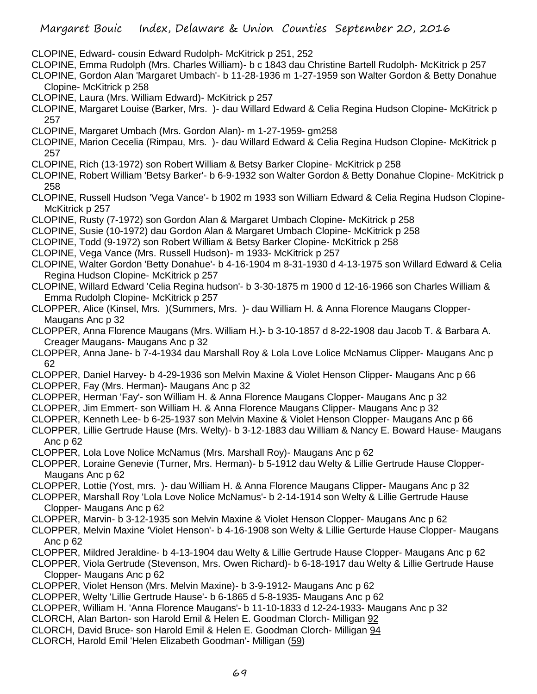- CLOPINE, Edward- cousin Edward Rudolph- McKitrick p 251, 252
- CLOPINE, Emma Rudolph (Mrs. Charles William)- b c 1843 dau Christine Bartell Rudolph- McKitrick p 257
- CLOPINE, Gordon Alan 'Margaret Umbach'- b 11-28-1936 m 1-27-1959 son Walter Gordon & Betty Donahue Clopine- McKitrick p 258
- CLOPINE, Laura (Mrs. William Edward)- McKitrick p 257
- CLOPINE, Margaret Louise (Barker, Mrs. )- dau Willard Edward & Celia Regina Hudson Clopine- McKitrick p 257
- CLOPINE, Margaret Umbach (Mrs. Gordon Alan)- m 1-27-1959- gm258
- CLOPINE, Marion Cecelia (Rimpau, Mrs. )- dau Willard Edward & Celia Regina Hudson Clopine- McKitrick p 257
- CLOPINE, Rich (13-1972) son Robert William & Betsy Barker Clopine- McKitrick p 258
- CLOPINE, Robert William 'Betsy Barker'- b 6-9-1932 son Walter Gordon & Betty Donahue Clopine- McKitrick p 258
- CLOPINE, Russell Hudson 'Vega Vance'- b 1902 m 1933 son William Edward & Celia Regina Hudson Clopine-McKitrick p 257
- CLOPINE, Rusty (7-1972) son Gordon Alan & Margaret Umbach Clopine- McKitrick p 258
- CLOPINE, Susie (10-1972) dau Gordon Alan & Margaret Umbach Clopine- McKitrick p 258
- CLOPINE, Todd (9-1972) son Robert William & Betsy Barker Clopine- McKitrick p 258
- CLOPINE, Vega Vance (Mrs. Russell Hudson)- m 1933- McKitrick p 257
- CLOPINE, Walter Gordon 'Betty Donahue'- b 4-16-1904 m 8-31-1930 d 4-13-1975 son Willard Edward & Celia Regina Hudson Clopine- McKitrick p 257
- CLOPINE, Willard Edward 'Celia Regina hudson'- b 3-30-1875 m 1900 d 12-16-1966 son Charles William & Emma Rudolph Clopine- McKitrick p 257
- CLOPPER, Alice (Kinsel, Mrs. )(Summers, Mrs. )- dau William H. & Anna Florence Maugans Clopper-Maugans Anc p 32
- CLOPPER, Anna Florence Maugans (Mrs. William H.)- b 3-10-1857 d 8-22-1908 dau Jacob T. & Barbara A. Creager Maugans- Maugans Anc p 32
- CLOPPER, Anna Jane- b 7-4-1934 dau Marshall Roy & Lola Love Lolice McNamus Clipper- Maugans Anc p 62
- CLOPPER, Daniel Harvey- b 4-29-1936 son Melvin Maxine & Violet Henson Clipper- Maugans Anc p 66
- CLOPPER, Fay (Mrs. Herman)- Maugans Anc p 32
- CLOPPER, Herman 'Fay'- son William H. & Anna Florence Maugans Clopper- Maugans Anc p 32
- CLOPPER, Jim Emmert- son William H. & Anna Florence Maugans Clipper- Maugans Anc p 32
- CLOPPER, Kenneth Lee- b 6-25-1937 son Melvin Maxine & Violet Henson Clopper- Maugans Anc p 66
- CLOPPER, Lillie Gertrude Hause (Mrs. Welty)- b 3-12-1883 dau William & Nancy E. Boward Hause- Maugans Anc p 62
- CLOPPER, Lola Love Nolice McNamus (Mrs. Marshall Roy)- Maugans Anc p 62
- CLOPPER, Loraine Genevie (Turner, Mrs. Herman)- b 5-1912 dau Welty & Lillie Gertrude Hause Clopper-Maugans Anc p 62
- CLOPPER, Lottie (Yost, mrs. )- dau William H. & Anna Florence Maugans Clipper- Maugans Anc p 32
- CLOPPER, Marshall Roy 'Lola Love Nolice McNamus'- b 2-14-1914 son Welty & Lillie Gertrude Hause Clopper- Maugans Anc p 62
- CLOPPER, Marvin- b 3-12-1935 son Melvin Maxine & Violet Henson Clopper- Maugans Anc p 62
- CLOPPER, Melvin Maxine 'Violet Henson'- b 4-16-1908 son Welty & Lillie Gerturde Hause Clopper- Maugans Anc p 62
- CLOPPER, Mildred Jeraldine- b 4-13-1904 dau Welty & Lillie Gertrude Hause Clopper- Maugans Anc p 62
- CLOPPER, Viola Gertrude (Stevenson, Mrs. Owen Richard)- b 6-18-1917 dau Welty & Lillie Gertrude Hause Clopper- Maugans Anc p 62
- CLOPPER, Violet Henson (Mrs. Melvin Maxine)- b 3-9-1912- Maugans Anc p 62
- CLOPPER, Welty 'Lillie Gertrude Hause'- b 6-1865 d 5-8-1935- Maugans Anc p 62
- CLOPPER, William H. 'Anna Florence Maugans'- b 11-10-1833 d 12-24-1933- Maugans Anc p 32
- CLORCH, Alan Barton- son Harold Emil & Helen E. Goodman Clorch- Milligan 92
- CLORCH, David Bruce- son Harold Emil & Helen E. Goodman Clorch- Milligan 94
- CLORCH, Harold Emil 'Helen Elizabeth Goodman'- Milligan (59)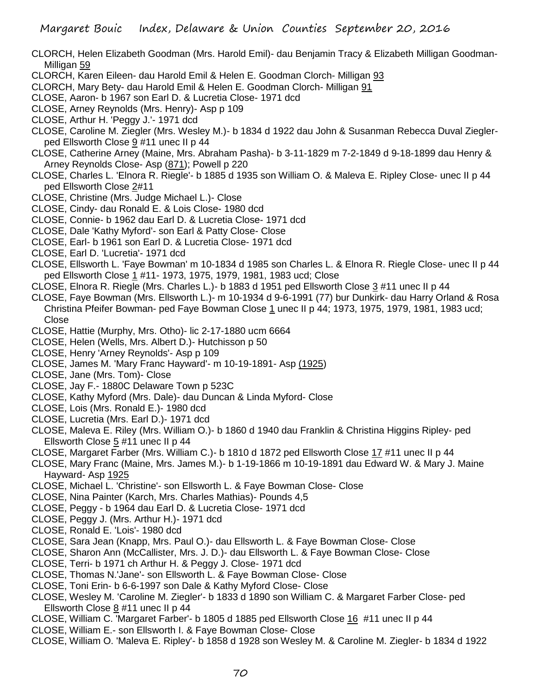- CLORCH, Helen Elizabeth Goodman (Mrs. Harold Emil)- dau Benjamin Tracy & Elizabeth Milligan Goodman-Milligan 59
- CLORCH, Karen Eileen- dau Harold Emil & Helen E. Goodman Clorch- Milligan 93
- CLORCH, Mary Bety- dau Harold Emil & Helen E. Goodman Clorch- Milligan 91
- CLOSE, Aaron- b 1967 son Earl D. & Lucretia Close- 1971 dcd
- CLOSE, Arney Reynolds (Mrs. Henry)- Asp p 109
- CLOSE, Arthur H. 'Peggy J.'- 1971 dcd
- CLOSE, Caroline M. Ziegler (Mrs. Wesley M.)- b 1834 d 1922 dau John & Susanman Rebecca Duval Zieglerped Ellsworth Close 9 #11 unec II p 44
- CLOSE, Catherine Arney (Maine, Mrs. Abraham Pasha)- b 3-11-1829 m 7-2-1849 d 9-18-1899 dau Henry & Arney Reynolds Close- Asp (871); Powell p 220
- CLOSE, Charles L. 'Elnora R. Riegle'- b 1885 d 1935 son William O. & Maleva E. Ripley Close- unec II p 44 ped Ellsworth Close 2#11
- CLOSE, Christine (Mrs. Judge Michael L.)- Close
- CLOSE, Cindy- dau Ronald E. & Lois Close- 1980 dcd
- CLOSE, Connie- b 1962 dau Earl D. & Lucretia Close- 1971 dcd
- CLOSE, Dale 'Kathy Myford'- son Earl & Patty Close- Close
- CLOSE, Earl- b 1961 son Earl D. & Lucretia Close- 1971 dcd
- CLOSE, Earl D. 'Lucretia'- 1971 dcd
- CLOSE, Ellsworth L. 'Faye Bowman' m 10-1834 d 1985 son Charles L. & Elnora R. Riegle Close- unec II p 44 ped Ellsworth Close 1 #11- 1973, 1975, 1979, 1981, 1983 ucd; Close
- CLOSE, Elnora R. Riegle (Mrs. Charles L.)- b 1883 d 1951 ped Ellsworth Close 3 #11 unec II p 44
- CLOSE, Faye Bowman (Mrs. Ellsworth L.)- m 10-1934 d 9-6-1991 (77) bur Dunkirk- dau Harry Orland & Rosa Christina Pfeifer Bowman- ped Faye Bowman Close 1 unec II p 44; 1973, 1975, 1979, 1981, 1983 ucd; Close
- CLOSE, Hattie (Murphy, Mrs. Otho)- lic 2-17-1880 ucm 6664
- CLOSE, Helen (Wells, Mrs. Albert D.)- Hutchisson p 50
- CLOSE, Henry 'Arney Reynolds'- Asp p 109
- CLOSE, James M. 'Mary Franc Hayward'- m 10-19-1891- Asp (1925)
- CLOSE, Jane (Mrs. Tom)- Close
- CLOSE, Jay F.- 1880C Delaware Town p 523C
- CLOSE, Kathy Myford (Mrs. Dale)- dau Duncan & Linda Myford- Close
- CLOSE, Lois (Mrs. Ronald E.)- 1980 dcd
- CLOSE, Lucretia (Mrs. Earl D.)- 1971 dcd
- CLOSE, Maleva E. Riley (Mrs. William O.)- b 1860 d 1940 dau Franklin & Christina Higgins Ripley- ped Ellsworth Close  $5#11$  unec II p 44
- CLOSE, Margaret Farber (Mrs. William C.)- b 1810 d 1872 ped Ellsworth Close 17 #11 unec II p 44
- CLOSE, Mary Franc (Maine, Mrs. James M.)- b 1-19-1866 m 10-19-1891 dau Edward W. & Mary J. Maine Hayward- Asp 1925
- CLOSE, Michael L. 'Christine'- son Ellsworth L. & Faye Bowman Close- Close
- CLOSE, Nina Painter (Karch, Mrs. Charles Mathias)- Pounds 4,5
- CLOSE, Peggy b 1964 dau Earl D. & Lucretia Close- 1971 dcd
- CLOSE, Peggy J. (Mrs. Arthur H.)- 1971 dcd
- CLOSE, Ronald E. 'Lois'- 1980 dcd
- CLOSE, Sara Jean (Knapp, Mrs. Paul O.)- dau Ellsworth L. & Faye Bowman Close- Close
- CLOSE, Sharon Ann (McCallister, Mrs. J. D.)- dau Ellsworth L. & Faye Bowman Close- Close
- CLOSE, Terri- b 1971 ch Arthur H. & Peggy J. Close- 1971 dcd
- CLOSE, Thomas N.'Jane'- son Ellsworth L. & Faye Bowman Close- Close
- CLOSE, Toni Erin- b 6-6-1997 son Dale & Kathy Myford Close- Close
- CLOSE, Wesley M. 'Caroline M. Ziegler'- b 1833 d 1890 son William C. & Margaret Farber Close- ped Ellsworth Close 8 #11 unec II p 44
- CLOSE, William C. 'Margaret Farber'- b 1805 d 1885 ped Ellsworth Close 16 #11 unec II p 44
- CLOSE, William E.- son Ellsworth I. & Faye Bowman Close- Close
- CLOSE, William O. 'Maleva E. Ripley'- b 1858 d 1928 son Wesley M. & Caroline M. Ziegler- b 1834 d 1922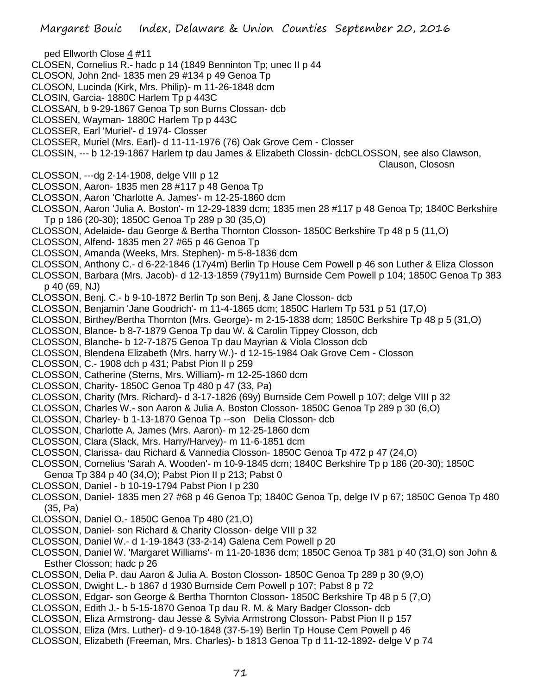ped Ellworth Close 4 #11

- CLOSEN, Cornelius R.- hadc p 14 (1849 Benninton Tp; unec II p 44
- CLOSON, John 2nd- 1835 men 29 #134 p 49 Genoa Tp
- CLOSON, Lucinda (Kirk, Mrs. Philip)- m 11-26-1848 dcm
- CLOSIN, Garcia- 1880C Harlem Tp p 443C
- CLOSSAN, b 9-29-1867 Genoa Tp son Burns Clossan- dcb
- CLOSSEN, Wayman- 1880C Harlem Tp p 443C
- CLOSSER, Earl 'Muriel'- d 1974- Closser
- CLOSSER, Muriel (Mrs. Earl)- d 11-11-1976 (76) Oak Grove Cem Closser
- CLOSSIN, --- b 12-19-1867 Harlem tp dau James & Elizabeth Clossin- dcbCLOSSON, see also Clawson,

Clauson, Clososn

- CLOSSON, ---dg 2-14-1908, delge VIII p 12
- CLOSSON, Aaron- 1835 men 28 #117 p 48 Genoa Tp
- CLOSSON, Aaron 'Charlotte A. James'- m 12-25-1860 dcm
- CLOSSON, Aaron 'Julia A. Boston'- m 12-29-1839 dcm; 1835 men 28 #117 p 48 Genoa Tp; 1840C Berkshire Tp p 186 (20-30); 1850C Genoa Tp 289 p 30 (35,O)
- CLOSSON, Adelaide- dau George & Bertha Thornton Closson- 1850C Berkshire Tp 48 p 5 (11,O)
- CLOSSON, Alfend- 1835 men 27 #65 p 46 Genoa Tp
- CLOSSON, Amanda (Weeks, Mrs. Stephen)- m 5-8-1836 dcm
- CLOSSON, Anthony C.- d 6-22-1846 (17y4m) Berlin Tp House Cem Powell p 46 son Luther & Eliza Closson
- CLOSSON, Barbara (Mrs. Jacob)- d 12-13-1859 (79y11m) Burnside Cem Powell p 104; 1850C Genoa Tp 383 p 40 (69, NJ)
- CLOSSON, Benj. C.- b 9-10-1872 Berlin Tp son Benj, & Jane Closson- dcb
- CLOSSON, Benjamin 'Jane Goodrich'- m 11-4-1865 dcm; 1850C Harlem Tp 531 p 51 (17,O)
- CLOSSON, Birthey/Bertha Thornton (Mrs. George)- m 2-15-1838 dcm; 1850C Berkshire Tp 48 p 5 (31,O)
- CLOSSON, Blance- b 8-7-1879 Genoa Tp dau W. & Carolin Tippey Closson, dcb
- CLOSSON, Blanche- b 12-7-1875 Genoa Tp dau Mayrian & Viola Closson dcb
- CLOSSON, Blendena Elizabeth (Mrs. harry W.)- d 12-15-1984 Oak Grove Cem Closson
- CLOSSON, C.- 1908 dch p 431; Pabst Pion II p 259
- CLOSSON, Catherine (Sterns, Mrs. William)- m 12-25-1860 dcm
- CLOSSON, Charity- 1850C Genoa Tp 480 p 47 (33, Pa)
- CLOSSON, Charity (Mrs. Richard)- d 3-17-1826 (69y) Burnside Cem Powell p 107; delge VIII p 32
- CLOSSON, Charles W.- son Aaron & Julia A. Boston Closson- 1850C Genoa Tp 289 p 30 (6,O)
- CLOSSON, Charley- b 1-13-1870 Genoa Tp --son Delia Closson- dcb
- CLOSSON, Charlotte A. James (Mrs. Aaron)- m 12-25-1860 dcm
- CLOSSON, Clara (Slack, Mrs. Harry/Harvey)- m 11-6-1851 dcm
- CLOSSON, Clarissa- dau Richard & Vannedia Closson- 1850C Genoa Tp 472 p 47 (24,O)
- CLOSSON, Cornelius 'Sarah A. Wooden'- m 10-9-1845 dcm; 1840C Berkshire Tp p 186 (20-30); 1850C
- Genoa Tp 384 p 40 (34,O); Pabst Pion II p 213; Pabst 0
- CLOSSON, Daniel b 10-19-1794 Pabst Pion I p 230
- CLOSSON, Daniel- 1835 men 27 #68 p 46 Genoa Tp; 1840C Genoa Tp, delge IV p 67; 1850C Genoa Tp 480 (35, Pa)
- CLOSSON, Daniel O.- 1850C Genoa Tp 480 (21,O)
- CLOSSON, Daniel- son Richard & Charity Closson- delge VIII p 32
- CLOSSON, Daniel W.- d 1-19-1843 (33-2-14) Galena Cem Powell p 20
- CLOSSON, Daniel W. 'Margaret Williams'- m 11-20-1836 dcm; 1850C Genoa Tp 381 p 40 (31,O) son John & Esther Closson; hadc p 26
- CLOSSON, Delia P. dau Aaron & Julia A. Boston Closson- 1850C Genoa Tp 289 p 30 (9,O)
- CLOSSON, Dwight L.- b 1867 d 1930 Burnside Cem Powell p 107; Pabst 8 p 72
- CLOSSON, Edgar- son George & Bertha Thornton Closson- 1850C Berkshire Tp 48 p 5 (7,O)
- CLOSSON, Edith J.- b 5-15-1870 Genoa Tp dau R. M. & Mary Badger Closson- dcb
- CLOSSON, Eliza Armstrong- dau Jesse & Sylvia Armstrong Closson- Pabst Pion II p 157
- CLOSSON, Eliza (Mrs. Luther)- d 9-10-1848 (37-5-19) Berlin Tp House Cem Powell p 46
- CLOSSON, Elizabeth (Freeman, Mrs. Charles)- b 1813 Genoa Tp d 11-12-1892- delge V p 74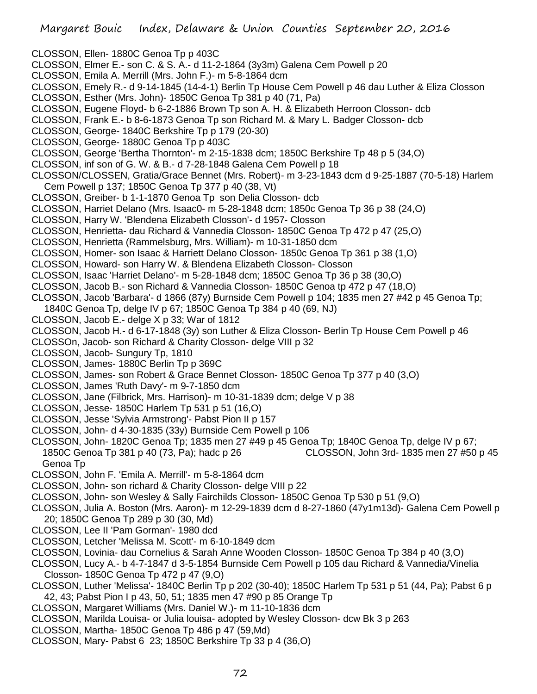CLOSSON, Ellen- 1880C Genoa Tp p 403C

- CLOSSON, Elmer E.- son C. & S. A.- d 11-2-1864 (3y3m) Galena Cem Powell p 20
- CLOSSON, Emila A. Merrill (Mrs. John F.)- m 5-8-1864 dcm
- CLOSSON, Emely R.- d 9-14-1845 (14-4-1) Berlin Tp House Cem Powell p 46 dau Luther & Eliza Closson
- CLOSSON, Esther (Mrs. John)- 1850C Genoa Tp 381 p 40 (71, Pa)
- CLOSSON, Eugene Floyd- b 6-2-1886 Brown Tp son A. H. & Elizabeth Herroon Closson- dcb
- CLOSSON, Frank E.- b 8-6-1873 Genoa Tp son Richard M. & Mary L. Badger Closson- dcb
- CLOSSON, George- 1840C Berkshire Tp p 179 (20-30)
- CLOSSON, George- 1880C Genoa Tp p 403C
- CLOSSON, George 'Bertha Thornton'- m 2-15-1838 dcm; 1850C Berkshire Tp 48 p 5 (34,O)
- CLOSSON, inf son of G. W. & B.- d 7-28-1848 Galena Cem Powell p 18
- CLOSSON/CLOSSEN, Gratia/Grace Bennet (Mrs. Robert)- m 3-23-1843 dcm d 9-25-1887 (70-5-18) Harlem Cem Powell p 137; 1850C Genoa Tp 377 p 40 (38, Vt)
- CLOSSON, Greiber- b 1-1-1870 Genoa Tp son Delia Closson- dcb
- CLOSSON, Harriet Delano (Mrs. Isaac0- m 5-28-1848 dcm; 1850c Genoa Tp 36 p 38 (24,O)
- CLOSSON, Harry W. 'Blendena Elizabeth Closson'- d 1957- Closson
- CLOSSON, Henrietta- dau Richard & Vannedia Closson- 1850C Genoa Tp 472 p 47 (25,O)
- CLOSSON, Henrietta (Rammelsburg, Mrs. William)- m 10-31-1850 dcm
- CLOSSON, Homer- son Isaac & Harriett Delano Closson- 1850c Genoa Tp 361 p 38 (1,O)
- CLOSSON, Howard- son Harry W. & Blendena Elizabeth Closson- Closson
- CLOSSON, Isaac 'Harriet Delano'- m 5-28-1848 dcm; 1850C Genoa Tp 36 p 38 (30,O)
- CLOSSON, Jacob B.- son Richard & Vannedia Closson- 1850C Genoa tp 472 p 47 (18,O)
- CLOSSON, Jacob 'Barbara'- d 1866 (87y) Burnside Cem Powell p 104; 1835 men 27 #42 p 45 Genoa Tp;
- 1840C Genoa Tp, delge IV p 67; 1850C Genoa Tp 384 p 40 (69, NJ)
- CLOSSON, Jacob E.- delge X p 33; War of 1812
- CLOSSON, Jacob H.- d 6-17-1848 (3y) son Luther & Eliza Closson- Berlin Tp House Cem Powell p 46
- CLOSSOn, Jacob- son Richard & Charity Closson- delge VIII p 32
- CLOSSON, Jacob- Sungury Tp, 1810
- CLOSSON, James- 1880C Berlin Tp p 369C
- CLOSSON, James- son Robert & Grace Bennet Closson- 1850C Genoa Tp 377 p 40 (3,O)
- CLOSSON, James 'Ruth Davy'- m 9-7-1850 dcm
- CLOSSON, Jane (Filbrick, Mrs. Harrison)- m 10-31-1839 dcm; delge V p 38
- CLOSSON, Jesse- 1850C Harlem Tp 531 p 51 (16,O)
- CLOSSON, Jesse 'Sylvia Armstrong'- Pabst Pion II p 157
- CLOSSON, John- d 4-30-1835 (33y) Burnside Cem Powell p 106
- CLOSSON, John- 1820C Genoa Tp; 1835 men 27 #49 p 45 Genoa Tp; 1840C Genoa Tp, delge IV p 67; 1850C Genoa Tp 381 p 40 (73, Pa); hadc p 26 CLOSSON, John 3rd- 1835 men 27 #50 p 45 Genoa Tp
- CLOSSON, John F. 'Emila A. Merrill'- m 5-8-1864 dcm
- CLOSSON, John- son richard & Charity Closson- delge VIII p 22
- CLOSSON, John- son Wesley & Sally Fairchilds Closson- 1850C Genoa Tp 530 p 51 (9,O)
- CLOSSON, Julia A. Boston (Mrs. Aaron)- m 12-29-1839 dcm d 8-27-1860 (47y1m13d)- Galena Cem Powell p 20; 1850C Genoa Tp 289 p 30 (30, Md)
- CLOSSON, Lee II 'Pam Gorman'- 1980 dcd
- CLOSSON, Letcher 'Melissa M. Scott'- m 6-10-1849 dcm
- CLOSSON, Lovinia- dau Cornelius & Sarah Anne Wooden Closson- 1850C Genoa Tp 384 p 40 (3,O)
- CLOSSON, Lucy A.- b 4-7-1847 d 3-5-1854 Burnside Cem Powell p 105 dau Richard & Vannedia/Vinelia Closson- 1850C Genoa Tp 472 p 47 (9,O)
- CLOSSON, Luther 'Melissa'- 1840C Berlin Tp p 202 (30-40); 1850C Harlem Tp 531 p 51 (44, Pa); Pabst 6 p 42, 43; Pabst Pion I p 43, 50, 51; 1835 men 47 #90 p 85 Orange Tp
- CLOSSON, Margaret Williams (Mrs. Daniel W.)- m 11-10-1836 dcm
- CLOSSON, Marilda Louisa- or Julia louisa- adopted by Wesley Closson- dcw Bk 3 p 263
- CLOSSON, Martha- 1850C Genoa Tp 486 p 47 (59,Md)
- CLOSSON, Mary- Pabst 6 23; 1850C Berkshire Tp 33 p 4 (36,O)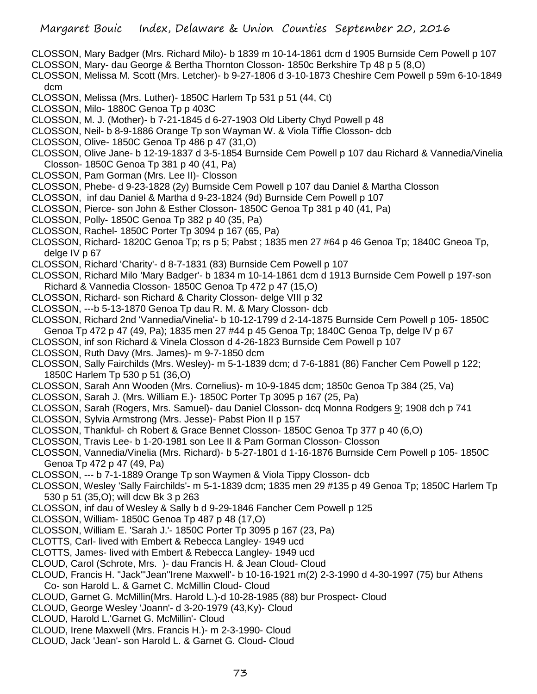- CLOSSON, Mary Badger (Mrs. Richard Milo)- b 1839 m 10-14-1861 dcm d 1905 Burnside Cem Powell p 107
- CLOSSON, Mary- dau George & Bertha Thornton Closson- 1850c Berkshire Tp 48 p 5 (8,O)
- CLOSSON, Melissa M. Scott (Mrs. Letcher)- b 9-27-1806 d 3-10-1873 Cheshire Cem Powell p 59m 6-10-1849 dcm
- CLOSSON, Melissa (Mrs. Luther)- 1850C Harlem Tp 531 p 51 (44, Ct)
- CLOSSON, Milo- 1880C Genoa Tp p 403C
- CLOSSON, M. J. (Mother)- b 7-21-1845 d 6-27-1903 Old Liberty Chyd Powell p 48
- CLOSSON, Neil- b 8-9-1886 Orange Tp son Wayman W. & Viola Tiffie Closson- dcb
- CLOSSON, Olive- 1850C Genoa Tp 486 p 47 (31,O)
- CLOSSON, Olive Jane- b 12-19-1837 d 3-5-1854 Burnside Cem Powell p 107 dau Richard & Vannedia/Vinelia Closson- 1850C Genoa Tp 381 p 40 (41, Pa)
- CLOSSON, Pam Gorman (Mrs. Lee II)- Closson
- CLOSSON, Phebe- d 9-23-1828 (2y) Burnside Cem Powell p 107 dau Daniel & Martha Closson
- CLOSSON, inf dau Daniel & Martha d 9-23-1824 (9d) Burnside Cem Powell p 107
- CLOSSON, Pierce- son John & Esther Closson- 1850C Genoa Tp 381 p 40 (41, Pa)
- CLOSSON, Polly- 1850C Genoa Tp 382 p 40 (35, Pa)
- CLOSSON, Rachel- 1850C Porter Tp 3094 p 167 (65, Pa)
- CLOSSON, Richard- 1820C Genoa Tp; rs p 5; Pabst ; 1835 men 27 #64 p 46 Genoa Tp; 1840C Gneoa Tp, delge IV p 67
- CLOSSON, Richard 'Charity'- d 8-7-1831 (83) Burnside Cem Powell p 107
- CLOSSON, Richard Milo 'Mary Badger'- b 1834 m 10-14-1861 dcm d 1913 Burnside Cem Powell p 197-son Richard & Vannedia Closson- 1850C Genoa Tp 472 p 47 (15,O)
- CLOSSON, Richard- son Richard & Charity Closson- delge VIII p 32
- CLOSSON, ---b 5-13-1870 Genoa Tp dau R. M. & Mary Closson- dcb
- CLOSSON, Richard 2nd 'Vannedia/Vinelia'- b 10-12-1799 d 2-14-1875 Burnside Cem Powell p 105- 1850C Genoa Tp 472 p 47 (49, Pa); 1835 men 27 #44 p 45 Genoa Tp; 1840C Genoa Tp, delge IV p 67
- CLOSSON, inf son Richard & Vinela Closson d 4-26-1823 Burnside Cem Powell p 107
- CLOSSON, Ruth Davy (Mrs. James)- m 9-7-1850 dcm
- CLOSSON, Sally Fairchilds (Mrs. Wesley)- m 5-1-1839 dcm; d 7-6-1881 (86) Fancher Cem Powell p 122; 1850C Harlem Tp 530 p 51 (36,O)
- CLOSSON, Sarah Ann Wooden (Mrs. Cornelius)- m 10-9-1845 dcm; 1850c Genoa Tp 384 (25, Va)
- CLOSSON, Sarah J. (Mrs. William E.)- 1850C Porter Tp 3095 p 167 (25, Pa)
- CLOSSON, Sarah (Rogers, Mrs. Samuel)- dau Daniel Closson- dcq Monna Rodgers 9; 1908 dch p 741
- CLOSSON, Sylvia Armstrong (Mrs. Jesse)- Pabst Pion II p 157
- CLOSSON, Thankful- ch Robert & Grace Bennet Closson- 1850C Genoa Tp 377 p 40 (6,O)
- CLOSSON, Travis Lee- b 1-20-1981 son Lee II & Pam Gorman Closson- Closson
- CLOSSON, Vannedia/Vinelia (Mrs. Richard)- b 5-27-1801 d 1-16-1876 Burnside Cem Powell p 105- 1850C Genoa Tp 472 p 47 (49, Pa)
- CLOSSON, --- b 7-1-1889 Orange Tp son Waymen & Viola Tippy Closson- dcb
- CLOSSON, Wesley 'Sally Fairchilds'- m 5-1-1839 dcm; 1835 men 29 #135 p 49 Genoa Tp; 1850C Harlem Tp 530 p 51 (35,O); will dcw Bk 3 p 263
- CLOSSON, inf dau of Wesley & Sally b d 9-29-1846 Fancher Cem Powell p 125
- CLOSSON, William- 1850C Genoa Tp 487 p 48 (17,O)
- CLOSSON, William E. 'Sarah J.'- 1850C Porter Tp 3095 p 167 (23, Pa)
- CLOTTS, Carl- lived with Embert & Rebecca Langley- 1949 ucd
- CLOTTS, James- lived with Embert & Rebecca Langley- 1949 ucd
- CLOUD, Carol (Schrote, Mrs. )- dau Francis H. & Jean Cloud- Cloud
- CLOUD, Francis H. "Jack"'Jean''Irene Maxwell'- b 10-16-1921 m(2) 2-3-1990 d 4-30-1997 (75) bur Athens Co- son Harold L. & Garnet C. McMillin Cloud- Cloud
- CLOUD, Garnet G. McMillin(Mrs. Harold L.)-d 10-28-1985 (88) bur Prospect- Cloud
- CLOUD, George Wesley 'Joann'- d 3-20-1979 (43,Ky)- Cloud
- CLOUD, Harold L.'Garnet G. McMillin'- Cloud
- CLOUD, Irene Maxwell (Mrs. Francis H.)- m 2-3-1990- Cloud
- CLOUD, Jack 'Jean'- son Harold L. & Garnet G. Cloud- Cloud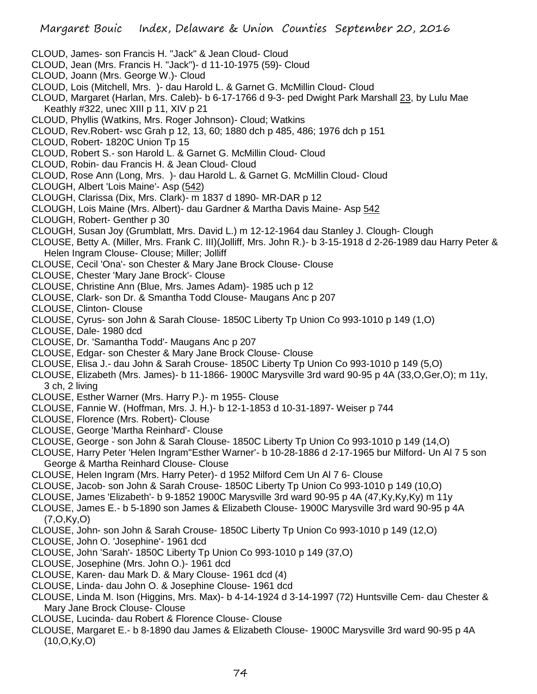- CLOUD, James- son Francis H. "Jack" & Jean Cloud- Cloud
- CLOUD, Jean (Mrs. Francis H. "Jack")- d 11-10-1975 (59)- Cloud
- CLOUD, Joann (Mrs. George W.)- Cloud
- CLOUD, Lois (Mitchell, Mrs. )- dau Harold L. & Garnet G. McMillin Cloud- Cloud
- CLOUD, Margaret (Harlan, Mrs. Caleb)- b 6-17-1766 d 9-3- ped Dwight Park Marshall 23, by Lulu Mae Keathly #322, unec XIII p 11, XIV p 21
- CLOUD, Phyllis (Watkins, Mrs. Roger Johnson)- Cloud; Watkins
- CLOUD, Rev.Robert- wsc Grah p 12, 13, 60; 1880 dch p 485, 486; 1976 dch p 151
- CLOUD, Robert- 1820C Union Tp 15
- CLOUD, Robert S.- son Harold L. & Garnet G. McMillin Cloud- Cloud
- CLOUD, Robin- dau Francis H. & Jean Cloud- Cloud
- CLOUD, Rose Ann (Long, Mrs. )- dau Harold L. & Garnet G. McMillin Cloud- Cloud
- CLOUGH, Albert 'Lois Maine'- Asp (542)
- CLOUGH, Clarissa (Dix, Mrs. Clark)- m 1837 d 1890- MR-DAR p 12
- CLOUGH, Lois Maine (Mrs. Albert)- dau Gardner & Martha Davis Maine- Asp 542
- CLOUGH, Robert- Genther p 30
- CLOUGH, Susan Joy (Grumblatt, Mrs. David L.) m 12-12-1964 dau Stanley J. Clough- Clough
- CLOUSE, Betty A. (Miller, Mrs. Frank C. III)(Jolliff, Mrs. John R.)- b 3-15-1918 d 2-26-1989 dau Harry Peter & Helen Ingram Clouse- Clouse; Miller; Jolliff
- CLOUSE, Cecil 'Ona'- son Chester & Mary Jane Brock Clouse- Clouse
- CLOUSE, Chester 'Mary Jane Brock'- Clouse
- CLOUSE, Christine Ann (Blue, Mrs. James Adam)- 1985 uch p 12
- CLOUSE, Clark- son Dr. & Smantha Todd Clouse- Maugans Anc p 207
- CLOUSE, Clinton- Clouse
- CLOUSE, Cyrus- son John & Sarah Clouse- 1850C Liberty Tp Union Co 993-1010 p 149 (1,O)
- CLOUSE, Dale- 1980 dcd
- CLOUSE, Dr. 'Samantha Todd'- Maugans Anc p 207
- CLOUSE, Edgar- son Chester & Mary Jane Brock Clouse- Clouse
- CLOUSE, Elisa J.- dau John & Sarah Crouse- 1850C Liberty Tp Union Co 993-1010 p 149 (5,O)
- CLOUSE, Elizabeth (Mrs. James)- b 11-1866- 1900C Marysville 3rd ward 90-95 p 4A (33,O,Ger,O); m 11y, 3 ch, 2 living
- CLOUSE, Esther Warner (Mrs. Harry P.)- m 1955- Clouse
- CLOUSE, Fannie W. (Hoffman, Mrs. J. H.)- b 12-1-1853 d 10-31-1897- Weiser p 744
- CLOUSE, Florence (Mrs. Robert)- Clouse
- CLOUSE, George 'Martha Reinhard'- Clouse
- CLOUSE, George son John & Sarah Clouse- 1850C Liberty Tp Union Co 993-1010 p 149 (14,O)
- CLOUSE, Harry Peter 'Helen Ingram''Esther Warner'- b 10-28-1886 d 2-17-1965 bur Milford- Un Al 7 5 son George & Martha Reinhard Clouse- Clouse
- CLOUSE, Helen Ingram (Mrs. Harry Peter)- d 1952 Milford Cem Un Al 7 6- Clouse
- CLOUSE, Jacob- son John & Sarah Crouse- 1850C Liberty Tp Union Co 993-1010 p 149 (10,O)
- CLOUSE, James 'Elizabeth'- b 9-1852 1900C Marysville 3rd ward 90-95 p 4A (47,Ky,Ky,Ky) m 11y
- CLOUSE, James E.- b 5-1890 son James & Elizabeth Clouse- 1900C Marysville 3rd ward 90-95 p 4A (7,O,Ky,O)
- CLOUSE, John- son John & Sarah Crouse- 1850C Liberty Tp Union Co 993-1010 p 149 (12,O)
- CLOUSE, John O. 'Josephine'- 1961 dcd
- CLOUSE, John 'Sarah'- 1850C Liberty Tp Union Co 993-1010 p 149 (37,O)
- CLOUSE, Josephine (Mrs. John O.)- 1961 dcd
- CLOUSE, Karen- dau Mark D. & Mary Clouse- 1961 dcd (4)
- CLOUSE, Linda- dau John O. & Josephine Clouse- 1961 dcd
- CLOUSE, Linda M. Ison (Higgins, Mrs. Max)- b 4-14-1924 d 3-14-1997 (72) Huntsville Cem- dau Chester & Mary Jane Brock Clouse- Clouse
- CLOUSE, Lucinda- dau Robert & Florence Clouse- Clouse
- CLOUSE, Margaret E.- b 8-1890 dau James & Elizabeth Clouse- 1900C Marysville 3rd ward 90-95 p 4A (10,O,Ky,O)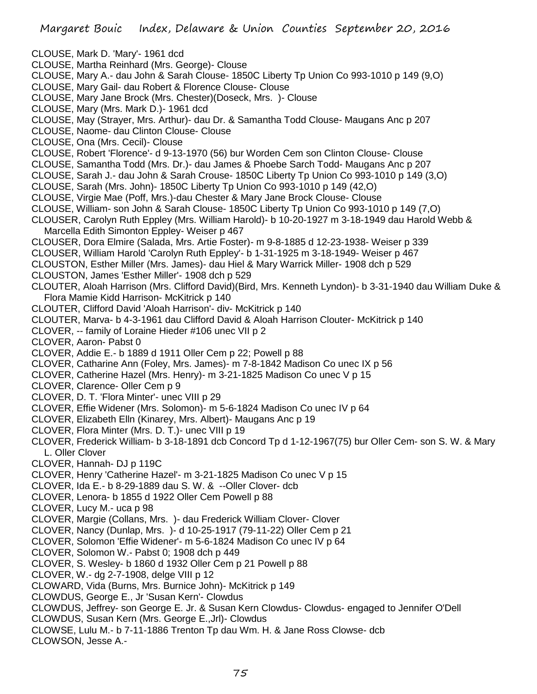- CLOUSE, Mark D. 'Mary'- 1961 dcd
- CLOUSE, Martha Reinhard (Mrs. George)- Clouse
- CLOUSE, Mary A.- dau John & Sarah Clouse- 1850C Liberty Tp Union Co 993-1010 p 149 (9,O)
- CLOUSE, Mary Gail- dau Robert & Florence Clouse- Clouse
- CLOUSE, Mary Jane Brock (Mrs. Chester)(Doseck, Mrs. )- Clouse
- CLOUSE, Mary (Mrs. Mark D.)- 1961 dcd
- CLOUSE, May (Strayer, Mrs. Arthur)- dau Dr. & Samantha Todd Clouse- Maugans Anc p 207
- CLOUSE, Naome- dau Clinton Clouse- Clouse
- CLOUSE, Ona (Mrs. Cecil)- Clouse
- CLOUSE, Robert 'Florence'- d 9-13-1970 (56) bur Worden Cem son Clinton Clouse- Clouse
- CLOUSE, Samantha Todd (Mrs. Dr.)- dau James & Phoebe Sarch Todd- Maugans Anc p 207
- CLOUSE, Sarah J.- dau John & Sarah Crouse- 1850C Liberty Tp Union Co 993-1010 p 149 (3,O)
- CLOUSE, Sarah (Mrs. John)- 1850C Liberty Tp Union Co 993-1010 p 149 (42,O)
- CLOUSE, Virgie Mae (Poff, Mrs.)-dau Chester & Mary Jane Brock Clouse- Clouse
- CLOUSE, William- son John & Sarah Clouse- 1850C Liberty Tp Union Co 993-1010 p 149 (7,O)
- CLOUSER, Carolyn Ruth Eppley (Mrs. William Harold)- b 10-20-1927 m 3-18-1949 dau Harold Webb &
- Marcella Edith Simonton Eppley- Weiser p 467
- CLOUSER, Dora Elmire (Salada, Mrs. Artie Foster)- m 9-8-1885 d 12-23-1938- Weiser p 339
- CLOUSER, William Harold 'Carolyn Ruth Eppley'- b 1-31-1925 m 3-18-1949- Weiser p 467
- CLOUSTON, Esther Miller (Mrs. James)- dau Hiel & Mary Warrick Miller- 1908 dch p 529
- CLOUSTON, James 'Esther Miller'- 1908 dch p 529
- CLOUTER, Aloah Harrison (Mrs. Clifford David)(Bird, Mrs. Kenneth Lyndon)- b 3-31-1940 dau William Duke & Flora Mamie Kidd Harrison- McKitrick p 140
- CLOUTER, Clifford David 'Aloah Harrison'- div- McKitrick p 140
- CLOUTER, Marva- b 4-3-1961 dau Clifford David & Aloah Harrison Clouter- McKitrick p 140
- CLOVER, -- family of Loraine Hieder #106 unec VII p 2
- CLOVER, Aaron- Pabst 0
- CLOVER, Addie E.- b 1889 d 1911 Oller Cem p 22; Powell p 88
- CLOVER, Catharine Ann (Foley, Mrs. James)- m 7-8-1842 Madison Co unec IX p 56
- CLOVER, Catherine Hazel (Mrs. Henry)- m 3-21-1825 Madison Co unec V p 15
- CLOVER, Clarence- Oller Cem p 9
- CLOVER, D. T. 'Flora Minter'- unec VIII p 29
- CLOVER, Effie Widener (Mrs. Solomon)- m 5-6-1824 Madison Co unec IV p 64
- CLOVER, Elizabeth Elln (Kinarey, Mrs. Albert)- Maugans Anc p 19
- CLOVER, Flora Minter (Mrs. D. T.)- unec VIII p 19
- CLOVER, Frederick William- b 3-18-1891 dcb Concord Tp d 1-12-1967(75) bur Oller Cem- son S. W. & Mary L. Oller Clover
- CLOVER, Hannah- DJ p 119C
- CLOVER, Henry 'Catherine Hazel'- m 3-21-1825 Madison Co unec V p 15
- CLOVER, Ida E.- b 8-29-1889 dau S. W. & --Oller Clover- dcb
- CLOVER, Lenora- b 1855 d 1922 Oller Cem Powell p 88
- CLOVER, Lucy M.- uca p 98
- CLOVER, Margie (Collans, Mrs. )- dau Frederick William Clover- Clover
- CLOVER, Nancy (Dunlap, Mrs. )- d 10-25-1917 (79-11-22) Oller Cem p 21
- CLOVER, Solomon 'Effie Widener'- m 5-6-1824 Madison Co unec IV p 64
- CLOVER, Solomon W.- Pabst 0; 1908 dch p 449
- CLOVER, S. Wesley- b 1860 d 1932 Oller Cem p 21 Powell p 88
- CLOVER, W.- dg 2-7-1908, delge VIII p 12
- CLOWARD, Vida (Burns, Mrs. Burnice John)- McKitrick p 149
- CLOWDUS, George E., Jr 'Susan Kern'- Clowdus
- CLOWDUS, Jeffrey- son George E. Jr. & Susan Kern Clowdus- Clowdus- engaged to Jennifer O'Dell
- CLOWDUS, Susan Kern (Mrs. George E.,Jrl)- Clowdus
- CLOWSE, Lulu M.- b 7-11-1886 Trenton Tp dau Wm. H. & Jane Ross Clowse- dcb
- CLOWSON, Jesse A.-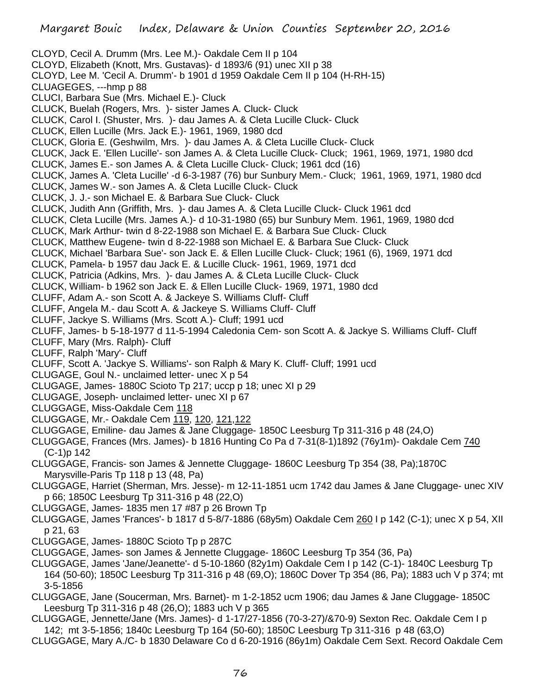- CLOYD, Cecil A. Drumm (Mrs. Lee M.)- Oakdale Cem II p 104 CLOYD, Elizabeth (Knott, Mrs. Gustavas)- d 1893/6 (91) unec XII p 38 CLOYD, Lee M. 'Cecil A. Drumm'- b 1901 d 1959 Oakdale Cem II p 104 (H-RH-15) CLUAGEGES, ---hmp p 88 CLUCI, Barbara Sue (Mrs. Michael E.)- Cluck CLUCK, Buelah (Rogers, Mrs. )- sister James A. Cluck- Cluck CLUCK, Carol I. (Shuster, Mrs. )- dau James A. & Cleta Lucille Cluck- Cluck CLUCK, Ellen Lucille (Mrs. Jack E.)- 1961, 1969, 1980 dcd CLUCK, Gloria E. (Geshwilm, Mrs. )- dau James A. & Cleta Lucille Cluck- Cluck CLUCK, Jack E. 'Ellen Lucille'- son James A. & Cleta Lucille Cluck- Cluck; 1961, 1969, 1971, 1980 dcd CLUCK, James E.- son James A. & Cleta Lucille Cluck- Cluck; 1961 dcd (16) CLUCK, James A. 'Cleta Lucille' -d 6-3-1987 (76) bur Sunbury Mem.- Cluck; 1961, 1969, 1971, 1980 dcd CLUCK, James W.- son James A. & Cleta Lucille Cluck- Cluck CLUCK, J. J.- son Michael E. & Barbara Sue Cluck- Cluck CLUCK, Judith Ann (Griffith, Mrs. )- dau James A. & Cleta Lucille Cluck- Cluck 1961 dcd CLUCK, Cleta Lucille (Mrs. James A.)- d 10-31-1980 (65) bur Sunbury Mem. 1961, 1969, 1980 dcd CLUCK, Mark Arthur- twin d 8-22-1988 son Michael E. & Barbara Sue Cluck- Cluck CLUCK, Matthew Eugene- twin d 8-22-1988 son Michael E. & Barbara Sue Cluck- Cluck
- CLUCK, Michael 'Barbara Sue'- son Jack E. & Ellen Lucille Cluck- Cluck; 1961 (6), 1969, 1971 dcd
- CLUCK, Pamela- b 1957 dau Jack E. & Lucille Cluck- 1961, 1969, 1971 dcd
- CLUCK, Patricia (Adkins, Mrs. )- dau James A. & CLeta Lucille Cluck- Cluck
- CLUCK, William- b 1962 son Jack E. & Ellen Lucille Cluck- 1969, 1971, 1980 dcd
- CLUFF, Adam A.- son Scott A. & Jackeye S. Williams Cluff- Cluff
- CLUFF, Angela M.- dau Scott A. & Jackeye S. Williams Cluff- Cluff
- CLUFF, Jackye S. Williams (Mrs. Scott A.)- Cluff; 1991 ucd
- CLUFF, James- b 5-18-1977 d 11-5-1994 Caledonia Cem- son Scott A. & Jackye S. Williams Cluff- Cluff
- CLUFF, Mary (Mrs. Ralph)- Cluff
- CLUFF, Ralph 'Mary'- Cluff
- CLUFF, Scott A. 'Jackye S. Williams'- son Ralph & Mary K. Cluff- Cluff; 1991 ucd
- CLUGAGE, Goul N.- unclaimed letter- unec X p 54
- CLUGAGE, James- 1880C Scioto Tp 217; uccp p 18; unec XI p 29
- CLUGAGE, Joseph- unclaimed letter- unec XI p 67
- CLUGGAGE, Miss-Oakdale Cem 118
- CLUGGAGE, Mr.- Oakdale Cem 119, 120, 121,122
- CLUGGAGE, Emiline- dau James & Jane Cluggage- 1850C Leesburg Tp 311-316 p 48 (24,O)
- CLUGGAGE, Frances (Mrs. James)- b 1816 Hunting Co Pa d 7-31(8-1)1892 (76y1m)- Oakdale Cem 740 (C-1)p 142
- CLUGGAGE, Francis- son James & Jennette Cluggage- 1860C Leesburg Tp 354 (38, Pa);1870C Marysville-Paris Tp 118 p 13 (48, Pa)
- CLUGGAGE, Harriet (Sherman, Mrs. Jesse)- m 12-11-1851 ucm 1742 dau James & Jane Cluggage- unec XIV p 66; 1850C Leesburg Tp 311-316 p 48 (22,O)
- CLUGGAGE, James- 1835 men 17 #87 p 26 Brown Tp
- CLUGGAGE, James 'Frances'- b 1817 d 5-8/7-1886 (68y5m) Oakdale Cem 260 I p 142 (C-1); unec X p 54, XII p 21, 63
- CLUGGAGE, James- 1880C Scioto Tp p 287C
- CLUGGAGE, James- son James & Jennette Cluggage- 1860C Leesburg Tp 354 (36, Pa)
- CLUGGAGE, James 'Jane/Jeanette'- d 5-10-1860 (82y1m) Oakdale Cem I p 142 (C-1)- 1840C Leesburg Tp 164 (50-60); 1850C Leesburg Tp 311-316 p 48 (69,O); 1860C Dover Tp 354 (86, Pa); 1883 uch V p 374; mt 3-5-1856
- CLUGGAGE, Jane (Soucerman, Mrs. Barnet)- m 1-2-1852 ucm 1906; dau James & Jane Cluggage- 1850C Leesburg Tp 311-316 p 48 (26,O); 1883 uch V p 365
- CLUGGAGE, Jennette/Jane (Mrs. James)- d 1-17/27-1856 (70-3-27)/&70-9) Sexton Rec. Oakdale Cem I p 142; mt 3-5-1856; 1840c Leesburg Tp 164 (50-60); 1850C Leesburg Tp 311-316 p 48 (63,O)
- CLUGGAGE, Mary A./C- b 1830 Delaware Co d 6-20-1916 (86y1m) Oakdale Cem Sext. Record Oakdale Cem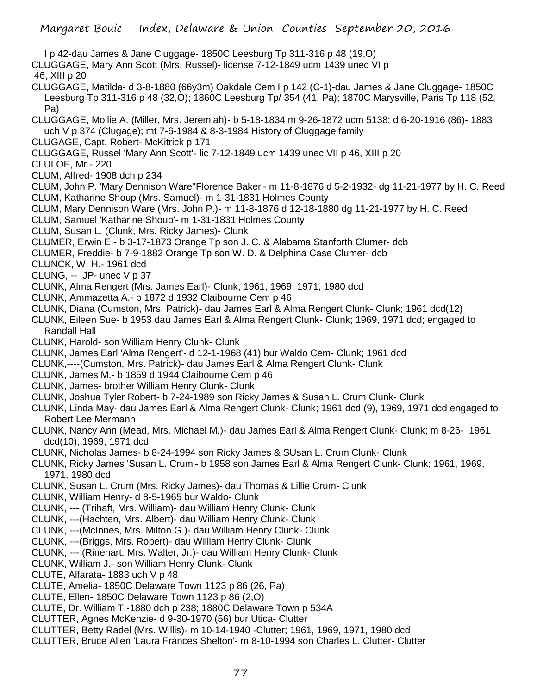- I p 42-dau James & Jane Cluggage- 1850C Leesburg Tp 311-316 p 48 (19,O)
- CLUGGAGE, Mary Ann Scott (Mrs. Russel)- license 7-12-1849 ucm 1439 unec VI p

46, XIII p 20

- CLUGGAGE, Matilda- d 3-8-1880 (66y3m) Oakdale Cem I p 142 (C-1)-dau James & Jane Cluggage- 1850C Leesburg Tp 311-316 p 48 (32,O); 1860C Leesburg Tp/ 354 (41, Pa); 1870C Marysville, Paris Tp 118 (52, Pa)
- CLUGGAGE, Mollie A. (Miller, Mrs. Jeremiah)- b 5-18-1834 m 9-26-1872 ucm 5138; d 6-20-1916 (86)- 1883 uch V p 374 (Clugage); mt 7-6-1984 & 8-3-1984 History of Cluggage family
- CLUGAGE, Capt. Robert- McKitrick p 171
- CLUGGAGE, Russel 'Mary Ann Scott'- lic 7-12-1849 ucm 1439 unec VII p 46, XIII p 20
- CLULOE, Mr.- 220
- CLUM, Alfred- 1908 dch p 234

CLUM, John P. 'Mary Dennison Ware''Florence Baker'- m 11-8-1876 d 5-2-1932- dg 11-21-1977 by H. C. Reed CLUM, Katharine Shoup (Mrs. Samuel)- m 1-31-1831 Holmes County

- CLUM, Mary Dennison Ware (Mrs. John P.)- m 11-8-1876 d 12-18-1880 dg 11-21-1977 by H. C. Reed
- CLUM, Samuel 'Katharine Shoup'- m 1-31-1831 Holmes County
- CLUM, Susan L. (Clunk, Mrs. Ricky James)- Clunk
- CLUMER, Erwin E.- b 3-17-1873 Orange Tp son J. C. & Alabama Stanforth Clumer- dcb
- CLUMER, Freddie- b 7-9-1882 Orange Tp son W. D. & Delphina Case Clumer- dcb
- CLUNCK, W. H.- 1961 dcd
- CLUNG,  $-$  JP- unec V p 37
- CLUNK, Alma Rengert (Mrs. James Earl)- Clunk; 1961, 1969, 1971, 1980 dcd
- CLUNK, Ammazetta A.- b 1872 d 1932 Claibourne Cem p 46
- CLUNK, Diana (Cumston, Mrs. Patrick)- dau James Earl & Alma Rengert Clunk- Clunk; 1961 dcd(12)
- CLUNK, Eileen Sue- b 1953 dau James Earl & Alma Rengert Clunk- Clunk; 1969, 1971 dcd; engaged to Randall Hall
- CLUNK, Harold- son William Henry Clunk- Clunk
- CLUNK, James Earl 'Alma Rengert'- d 12-1-1968 (41) bur Waldo Cem- Clunk; 1961 dcd
- CLUNK,----(Cumston, Mrs. Patrick)- dau James Earl & Alma Rengert Clunk- Clunk
- CLUNK, James M.- b 1859 d 1944 Claibourne Cem p 46
- CLUNK, James- brother William Henry Clunk- Clunk
- CLUNK, Joshua Tyler Robert- b 7-24-1989 son Ricky James & Susan L. Crum Clunk- Clunk
- CLUNK, Linda May- dau James Earl & Alma Rengert Clunk- Clunk; 1961 dcd (9), 1969, 1971 dcd engaged to Robert Lee Mermann
- CLUNK, Nancy Ann (Mead, Mrs. Michael M.)- dau James Earl & Alma Rengert Clunk- Clunk; m 8-26- 1961 dcd(10), 1969, 1971 dcd
- CLUNK, Nicholas James- b 8-24-1994 son Ricky James & SUsan L. Crum Clunk- Clunk
- CLUNK, Ricky James 'Susan L. Crum'- b 1958 son James Earl & Alma Rengert Clunk- Clunk; 1961, 1969, 1971, 1980 dcd
- CLUNK, Susan L. Crum (Mrs. Ricky James)- dau Thomas & Lillie Crum- Clunk
- CLUNK, William Henry- d 8-5-1965 bur Waldo- Clunk
- CLUNK, --- (Trihaft, Mrs. William)- dau William Henry Clunk- Clunk
- CLUNK, ---(Hachten, Mrs. Albert)- dau William Henry Clunk- Clunk
- CLUNK, ---(McInnes, Mrs. Milton G.)- dau William Henry Clunk- Clunk
- CLUNK, ---(Briggs, Mrs. Robert)- dau William Henry Clunk- Clunk
- CLUNK, --- (Rinehart, Mrs. Walter, Jr.)- dau William Henry Clunk- Clunk
- CLUNK, William J.- son William Henry Clunk- Clunk
- CLUTE, Alfarata- 1883 uch V p 48
- CLUTE, Amelia- 1850C Delaware Town 1123 p 86 (26, Pa)
- CLUTE, Ellen- 1850C Delaware Town 1123 p 86 (2,O)
- CLUTE, Dr. William T.-1880 dch p 238; 1880C Delaware Town p 534A
- CLUTTER, Agnes McKenzie- d 9-30-1970 (56) bur Utica- Clutter
- CLUTTER, Betty Radel (Mrs. Willis)- m 10-14-1940 -Clutter; 1961, 1969, 1971, 1980 dcd
- CLUTTER, Bruce Allen 'Laura Frances Shelton'- m 8-10-1994 son Charles L. Clutter- Clutter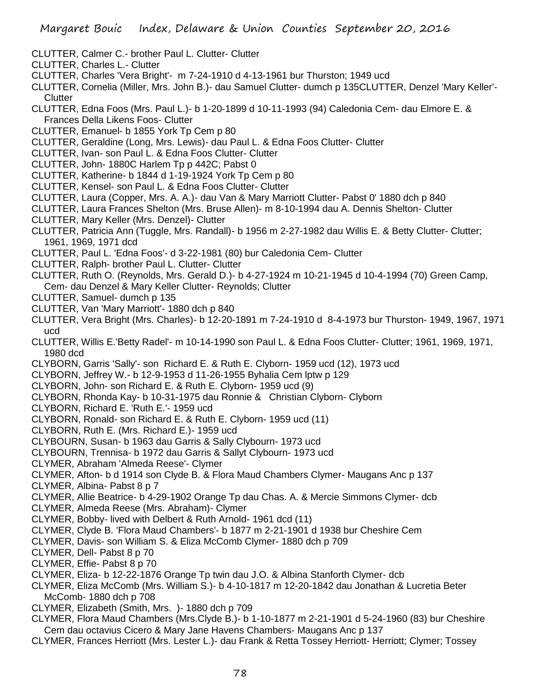- CLUTTER, Calmer C.- brother Paul L. Clutter- Clutter
- CLUTTER, Charles L.- Clutter
- CLUTTER, Charles 'Vera Bright'- m 7-24-1910 d 4-13-1961 bur Thurston; 1949 ucd
- CLUTTER, Cornelia (Miller, Mrs. John B.)- dau Samuel Clutter- dumch p 135CLUTTER, Denzel 'Mary Keller'- **Clutter**
- CLUTTER, Edna Foos (Mrs. Paul L.)- b 1-20-1899 d 10-11-1993 (94) Caledonia Cem- dau Elmore E. & Frances Della Likens Foos- Clutter
- CLUTTER, Emanuel- b 1855 York Tp Cem p 80
- CLUTTER, Geraldine (Long, Mrs. Lewis)- dau Paul L. & Edna Foos Clutter- Clutter
- CLUTTER, Ivan- son Paul L. & Edna Foos Clutter- Clutter
- CLUTTER, John- 1880C Harlem Tp p 442C; Pabst 0
- CLUTTER, Katherine- b 1844 d 1-19-1924 York Tp Cem p 80
- CLUTTER, Kensel- son Paul L. & Edna Foos Clutter- Clutter
- CLUTTER, Laura (Copper, Mrs. A. A.)- dau Van & Mary Marriott Clutter- Pabst 0' 1880 dch p 840
- CLUTTER, Laura Frances Shelton (Mrs. Bruse Allen)- m 8-10-1994 dau A. Dennis Shelton- Clutter
- CLUTTER, Mary Keller (Mrs. Denzel)- Clutter
- CLUTTER, Patricia Ann (Tuggle, Mrs. Randall)- b 1956 m 2-27-1982 dau Willis E. & Betty Clutter- Clutter; 1961, 1969, 1971 dcd
- CLUTTER, Paul L. 'Edna Foos'- d 3-22-1981 (80) bur Caledonia Cem- Clutter
- CLUTTER, Ralph- brother Paul L. Clutter- Clutter
- CLUTTER, Ruth O. (Reynolds, Mrs. Gerald D.)- b 4-27-1924 m 10-21-1945 d 10-4-1994 (70) Green Camp, Cem- dau Denzel & Mary Keller Clutter- Reynolds; Clutter
- CLUTTER, Samuel- dumch p 135
- CLUTTER, Van 'Mary Marriott'- 1880 dch p 840
- CLUTTER, Vera Bright (Mrs. Charles)- b 12-20-1891 m 7-24-1910 d 8-4-1973 bur Thurston- 1949, 1967, 1971 ucd
- CLUTTER, Willis E.'Betty Radel'- m 10-14-1990 son Paul L. & Edna Foos Clutter- Clutter; 1961, 1969, 1971, 1980 dcd
- CLYBORN, Garris 'Sally'- son Richard E. & Ruth E. Clyborn- 1959 ucd (12), 1973 ucd
- CLYBORN, Jeffrey W.- b 12-9-1953 d 11-26-1955 Byhalia Cem lptw p 129
- CLYBORN, John- son Richard E. & Ruth E. Clyborn- 1959 ucd (9)
- CLYBORN, Rhonda Kay- b 10-31-1975 dau Ronnie & Christian Clyborn- Clyborn
- CLYBORN, Richard E. 'Ruth E.'- 1959 ucd
- CLYBORN, Ronald- son Richard E. & Ruth E. Clyborn- 1959 ucd (11)
- CLYBORN, Ruth E. (Mrs. Richard E.)- 1959 ucd
- CLYBOURN, Susan- b 1963 dau Garris & Sally Clybourn- 1973 ucd
- CLYBOURN, Trennisa- b 1972 dau Garris & Sallyt Clybourn- 1973 ucd
- CLYMER, Abraham 'Almeda Reese'- Clymer
- CLYMER, Afton- b d 1914 son Clyde B. & Flora Maud Chambers Clymer- Maugans Anc p 137
- CLYMER, Albina- Pabst 8 p 7
- CLYMER, Allie Beatrice- b 4-29-1902 Orange Tp dau Chas. A. & Mercie Simmons Clymer- dcb
- CLYMER, Almeda Reese (Mrs. Abraham)- Clymer
- CLYMER, Bobby- lived with Delbert & Ruth Arnold- 1961 dcd (11)
- CLYMER, Clyde B. 'Flora Maud Chambers'- b 1877 m 2-21-1901 d 1938 bur Cheshire Cem
- CLYMER, Davis- son William S. & Eliza McComb Clymer- 1880 dch p 709
- CLYMER, Dell- Pabst 8 p 70
- CLYMER, Effie- Pabst 8 p 70
- CLYMER, Eliza- b 12-22-1876 Orange Tp twin dau J.O. & Albina Stanforth Clymer- dcb
- CLYMER, Eliza McComb (Mrs. William S.)- b 4-10-1817 m 12-20-1842 dau Jonathan & Lucretia Beter McComb- 1880 dch p 708
- CLYMER, Elizabeth (Smith, Mrs. )- 1880 dch p 709
- CLYMER, Flora Maud Chambers (Mrs.Clyde B.)- b 1-10-1877 m 2-21-1901 d 5-24-1960 (83) bur Cheshire Cem dau octavius Cicero & Mary Jane Havens Chambers- Maugans Anc p 137
- CLYMER, Frances Herriott (Mrs. Lester L.)- dau Frank & Retta Tossey Herriott- Herriott; Clymer; Tossey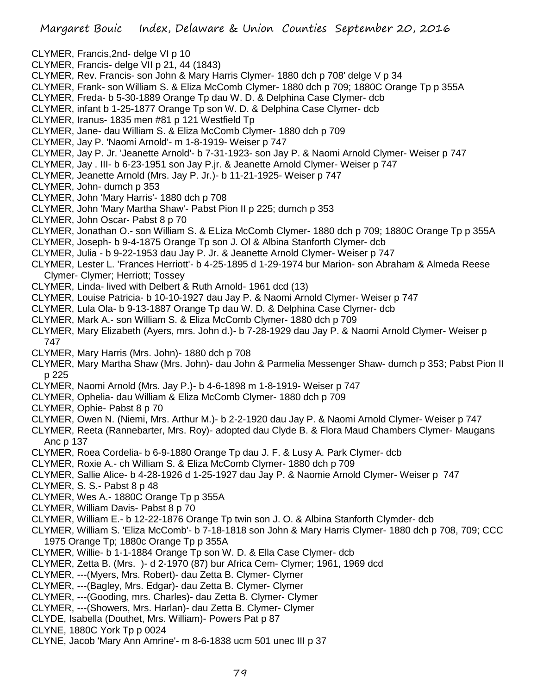- CLYMER, Francis,2nd- delge VI p 10
- CLYMER, Francis- delge VII p 21, 44 (1843)
- CLYMER, Rev. Francis- son John & Mary Harris Clymer- 1880 dch p 708' delge V p 34
- CLYMER, Frank- son William S. & Eliza McComb Clymer- 1880 dch p 709; 1880C Orange Tp p 355A
- CLYMER, Freda- b 5-30-1889 Orange Tp dau W. D. & Delphina Case Clymer- dcb
- CLYMER, infant b 1-25-1877 Orange Tp son W. D. & Delphina Case Clymer- dcb
- CLYMER, Iranus- 1835 men #81 p 121 Westfield Tp
- CLYMER, Jane- dau William S. & Eliza McComb Clymer- 1880 dch p 709
- CLYMER, Jay P. 'Naomi Arnold'- m 1-8-1919- Weiser p 747
- CLYMER, Jay P. Jr. 'Jeanette Arnold'- b 7-31-1923- son Jay P. & Naomi Arnold Clymer- Weiser p 747
- CLYMER, Jay . III- b 6-23-1951 son Jay P.jr. & Jeanette Arnold Clymer- Weiser p 747
- CLYMER, Jeanette Arnold (Mrs. Jay P. Jr.)- b 11-21-1925- Weiser p 747
- CLYMER, John- dumch p 353
- CLYMER, John 'Mary Harris'- 1880 dch p 708
- CLYMER, John 'Mary Martha Shaw'- Pabst Pion II p 225; dumch p 353
- CLYMER, John Oscar- Pabst 8 p 70
- CLYMER, Jonathan O.- son William S. & ELiza McComb Clymer- 1880 dch p 709; 1880C Orange Tp p 355A
- CLYMER, Joseph- b 9-4-1875 Orange Tp son J. Ol & Albina Stanforth Clymer- dcb
- CLYMER, Julia b 9-22-1953 dau Jay P. Jr. & Jeanette Arnold Clymer- Weiser p 747
- CLYMER, Lester L. 'Frances Herriott'- b 4-25-1895 d 1-29-1974 bur Marion- son Abraham & Almeda Reese Clymer- Clymer; Herriott; Tossey
- CLYMER, Linda- lived with Delbert & Ruth Arnold- 1961 dcd (13)
- CLYMER, Louise Patricia- b 10-10-1927 dau Jay P. & Naomi Arnold Clymer- Weiser p 747
- CLYMER, Lula Ola- b 9-13-1887 Orange Tp dau W. D. & Delphina Case Clymer- dcb
- CLYMER, Mark A.- son William S. & Eliza McComb Clymer- 1880 dch p 709
- CLYMER, Mary Elizabeth (Ayers, mrs. John d.)- b 7-28-1929 dau Jay P. & Naomi Arnold Clymer- Weiser p 747
- CLYMER, Mary Harris (Mrs. John)- 1880 dch p 708
- CLYMER, Mary Martha Shaw (Mrs. John)- dau John & Parmelia Messenger Shaw- dumch p 353; Pabst Pion II p 225
- CLYMER, Naomi Arnold (Mrs. Jay P.)- b 4-6-1898 m 1-8-1919- Weiser p 747
- CLYMER, Ophelia- dau William & Eliza McComb Clymer- 1880 dch p 709
- CLYMER, Ophie- Pabst 8 p 70
- CLYMER, Owen N. (Niemi, Mrs. Arthur M.)- b 2-2-1920 dau Jay P. & Naomi Arnold Clymer- Weiser p 747
- CLYMER, Reeta (Rannebarter, Mrs. Roy)- adopted dau Clyde B. & Flora Maud Chambers Clymer- Maugans Anc p 137
- CLYMER, Roea Cordelia- b 6-9-1880 Orange Tp dau J. F. & Lusy A. Park Clymer- dcb
- CLYMER, Roxie A.- ch William S. & Eliza McComb Clymer- 1880 dch p 709
- CLYMER, Sallie Alice- b 4-28-1926 d 1-25-1927 dau Jay P. & Naomie Arnold Clymer- Weiser p 747
- CLYMER, S. S.- Pabst 8 p 48
- CLYMER, Wes A.- 1880C Orange Tp p 355A
- CLYMER, William Davis- Pabst 8 p 70
- CLYMER, William E.- b 12-22-1876 Orange Tp twin son J. O. & Albina Stanforth Clymder- dcb
- CLYMER, William S. 'Eliza McComb'- b 7-18-1818 son John & Mary Harris Clymer- 1880 dch p 708, 709; CCC 1975 Orange Tp; 1880c Orange Tp p 355A
- CLYMER, Willie- b 1-1-1884 Orange Tp son W. D. & Ella Case Clymer- dcb
- CLYMER, Zetta B. (Mrs. )- d 2-1970 (87) bur Africa Cem- Clymer; 1961, 1969 dcd
- CLYMER, ---(Myers, Mrs. Robert)- dau Zetta B. Clymer- Clymer
- CLYMER, ---(Bagley, Mrs. Edgar)- dau Zetta B. Clymer- Clymer
- CLYMER, ---(Gooding, mrs. Charles)- dau Zetta B. Clymer- Clymer
- CLYMER, ---(Showers, Mrs. Harlan)- dau Zetta B. Clymer- Clymer
- CLYDE, Isabella (Douthet, Mrs. William)- Powers Pat p 87
- CLYNE, 1880C York Tp p 0024
- CLYNE, Jacob 'Mary Ann Amrine'- m 8-6-1838 ucm 501 unec III p 37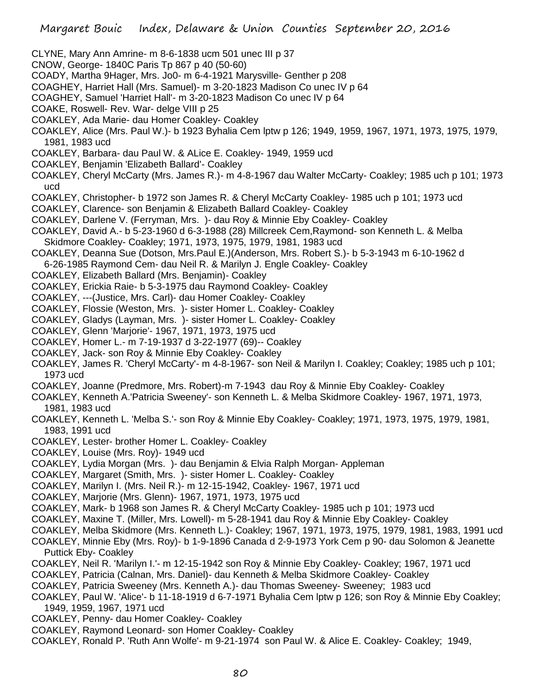- CLYNE, Mary Ann Amrine- m 8-6-1838 ucm 501 unec III p 37
- CNOW, George- 1840C Paris Tp 867 p 40 (50-60)
- COADY, Martha 9Hager, Mrs. Jo0- m 6-4-1921 Marysville- Genther p 208
- COAGHEY, Harriet Hall (Mrs. Samuel)- m 3-20-1823 Madison Co unec IV p 64
- COAGHEY, Samuel 'Harriet Hall'- m 3-20-1823 Madison Co unec IV p 64
- COAKE, Roswell- Rev. War- delge VIII p 25
- COAKLEY, Ada Marie- dau Homer Coakley- Coakley
- COAKLEY, Alice (Mrs. Paul W.)- b 1923 Byhalia Cem lptw p 126; 1949, 1959, 1967, 1971, 1973, 1975, 1979, 1981, 1983 ucd
- COAKLEY, Barbara- dau Paul W. & ALice E. Coakley- 1949, 1959 ucd
- COAKLEY, Benjamin 'Elizabeth Ballard'- Coakley
- COAKLEY, Cheryl McCarty (Mrs. James R.)- m 4-8-1967 dau Walter McCarty- Coakley; 1985 uch p 101; 1973 ucd
- COAKLEY, Christopher- b 1972 son James R. & Cheryl McCarty Coakley- 1985 uch p 101; 1973 ucd
- COAKLEY, Clarence- son Benjamin & Elizabeth Ballard Coakley- Coakley
- COAKLEY, Darlene V. (Ferryman, Mrs. )- dau Roy & Minnie Eby Coakley- Coakley
- COAKLEY, David A.- b 5-23-1960 d 6-3-1988 (28) Millcreek Cem,Raymond- son Kenneth L. & Melba Skidmore Coakley- Coakley; 1971, 1973, 1975, 1979, 1981, 1983 ucd
- COAKLEY, Deanna Sue (Dotson, Mrs.Paul E.)(Anderson, Mrs. Robert S.)- b 5-3-1943 m 6-10-1962 d
- 6-26-1985 Raymond Cem- dau Neil R. & Marilyn J. Engle Coakley- Coakley
- COAKLEY, Elizabeth Ballard (Mrs. Benjamin)- Coakley
- COAKLEY, Erickia Raie- b 5-3-1975 dau Raymond Coakley- Coakley
- COAKLEY, ---(Justice, Mrs. Carl)- dau Homer Coakley- Coakley
- COAKLEY, Flossie (Weston, Mrs. )- sister Homer L. Coakley- Coakley
- COAKLEY, Gladys (Layman, Mrs. )- sister Homer L. Coakley- Coakley
- COAKLEY, Glenn 'Marjorie'- 1967, 1971, 1973, 1975 ucd
- COAKLEY, Homer L.- m 7-19-1937 d 3-22-1977 (69)-- Coakley
- COAKLEY, Jack- son Roy & Minnie Eby Coakley- Coakley
- COAKLEY, James R. 'Cheryl McCarty'- m 4-8-1967- son Neil & Marilyn I. Coakley; Coakley; 1985 uch p 101; 1973 ucd
- COAKLEY, Joanne (Predmore, Mrs. Robert)-m 7-1943 dau Roy & Minnie Eby Coakley- Coakley
- COAKLEY, Kenneth A.'Patricia Sweeney'- son Kenneth L. & Melba Skidmore Coakley- 1967, 1971, 1973, 1981, 1983 ucd
- COAKLEY, Kenneth L. 'Melba S.'- son Roy & Minnie Eby Coakley- Coakley; 1971, 1973, 1975, 1979, 1981, 1983, 1991 ucd
- COAKLEY, Lester- brother Homer L. Coakley- Coakley
- COAKLEY, Louise (Mrs. Roy)- 1949 ucd
- COAKLEY, Lydia Morgan (Mrs. )- dau Benjamin & Elvia Ralph Morgan- Appleman
- COAKLEY, Margaret (Smith, Mrs. )- sister Homer L. Coakley- Coakley
- COAKLEY, Marilyn I. (Mrs. Neil R.)- m 12-15-1942, Coakley- 1967, 1971 ucd
- COAKLEY, Marjorie (Mrs. Glenn)- 1967, 1971, 1973, 1975 ucd
- COAKLEY, Mark- b 1968 son James R. & Cheryl McCarty Coakley- 1985 uch p 101; 1973 ucd
- COAKLEY, Maxine T. (Miller, Mrs. Lowell)- m 5-28-1941 dau Roy & Minnie Eby Coakley- Coakley
- COAKLEY, Melba Skidmore (Mrs. Kenneth L.)- Coakley; 1967, 1971, 1973, 1975, 1979, 1981, 1983, 1991 ucd
- COAKLEY, Minnie Eby (Mrs. Roy)- b 1-9-1896 Canada d 2-9-1973 York Cem p 90- dau Solomon & Jeanette Puttick Eby- Coakley
- COAKLEY, Neil R. 'Marilyn I.'- m 12-15-1942 son Roy & Minnie Eby Coakley- Coakley; 1967, 1971 ucd
- COAKLEY, Patricia (Calnan, Mrs. Daniel)- dau Kenneth & Melba Skidmore Coakley- Coakley
- COAKLEY, Patricia Sweeney (Mrs. Kenneth A.)- dau Thomas Sweeney- Sweeney; 1983 ucd
- COAKLEY, Paul W. 'Alice'- b 11-18-1919 d 6-7-1971 Byhalia Cem lptw p 126; son Roy & Minnie Eby Coakley; 1949, 1959, 1967, 1971 ucd
- COAKLEY, Penny- dau Homer Coakley- Coakley
- COAKLEY, Raymond Leonard- son Homer Coakley- Coakley
- COAKLEY, Ronald P. 'Ruth Ann Wolfe'- m 9-21-1974 son Paul W. & Alice E. Coakley- Coakley; 1949,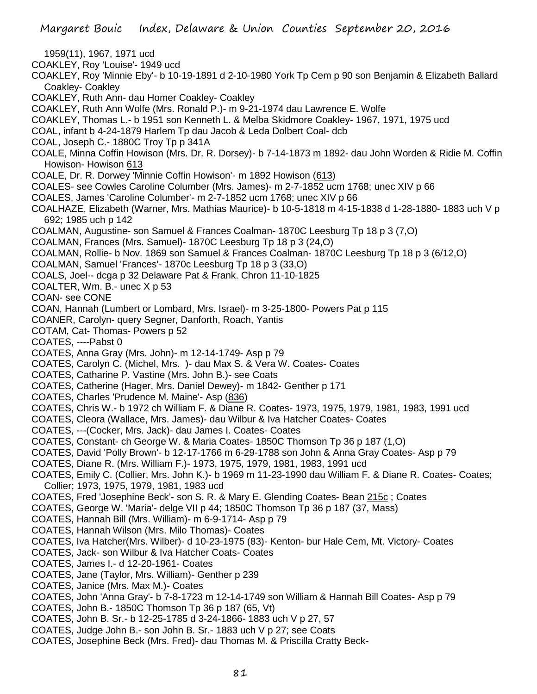- 1959(11), 1967, 1971 ucd
- COAKLEY, Roy 'Louise'- 1949 ucd
- COAKLEY, Roy 'Minnie Eby'- b 10-19-1891 d 2-10-1980 York Tp Cem p 90 son Benjamin & Elizabeth Ballard Coakley- Coakley
- COAKLEY, Ruth Ann- dau Homer Coakley- Coakley
- COAKLEY, Ruth Ann Wolfe (Mrs. Ronald P.)- m 9-21-1974 dau Lawrence E. Wolfe
- COAKLEY, Thomas L.- b 1951 son Kenneth L. & Melba Skidmore Coakley- 1967, 1971, 1975 ucd
- COAL, infant b 4-24-1879 Harlem Tp dau Jacob & Leda Dolbert Coal- dcb
- COAL, Joseph C.- 1880C Troy Tp p 341A
- COALE, Minna Coffin Howison (Mrs. Dr. R. Dorsey)- b 7-14-1873 m 1892- dau John Worden & Ridie M. Coffin Howison- Howison 613
- COALE, Dr. R. Dorwey 'Minnie Coffin Howison'- m 1892 Howison (613)
- COALES- see Cowles Caroline Columber (Mrs. James)- m 2-7-1852 ucm 1768; unec XIV p 66
- COALES, James 'Caroline Columber'- m 2-7-1852 ucm 1768; unec XIV p 66
- COALHAZE, Elizabeth (Warner, Mrs. Mathias Maurice)- b 10-5-1818 m 4-15-1838 d 1-28-1880- 1883 uch V p 692; 1985 uch p 142
- COALMAN, Augustine- son Samuel & Frances Coalman- 1870C Leesburg Tp 18 p 3 (7,O)
- COALMAN, Frances (Mrs. Samuel)- 1870C Leesburg Tp 18 p 3 (24,O)
- COALMAN, Rollie- b Nov. 1869 son Samuel & Frances Coalman- 1870C Leesburg Tp 18 p 3 (6/12,O)
- COALMAN, Samuel 'Frances'- 1870c Leesburg Tp 18 p 3 (33,O)
- COALS, Joel-- dcga p 32 Delaware Pat & Frank. Chron 11-10-1825
- COALTER, Wm. B.- unec X p 53
- COAN- see CONE
- COAN, Hannah (Lumbert or Lombard, Mrs. Israel)- m 3-25-1800- Powers Pat p 115
- COANER, Carolyn- query Segner, Danforth, Roach, Yantis
- COTAM, Cat- Thomas- Powers p 52
- COATES, ----Pabst 0
- COATES, Anna Gray (Mrs. John)- m 12-14-1749- Asp p 79
- COATES, Carolyn C. (Michel, Mrs. )- dau Max S. & Vera W. Coates- Coates
- COATES, Catharine P. Vastine (Mrs. John B.)- see Coats
- COATES, Catherine (Hager, Mrs. Daniel Dewey)- m 1842- Genther p 171
- COATES, Charles 'Prudence M. Maine'- Asp (836)
- COATES, Chris W.- b 1972 ch William F. & Diane R. Coates- 1973, 1975, 1979, 1981, 1983, 1991 ucd
- COATES, Cleora (Wallace, Mrs. James)- dau Wilbur & Iva Hatcher Coates- Coates
- COATES, ---(Cocker, Mrs. Jack)- dau James I. Coates- Coates
- COATES, Constant- ch George W. & Maria Coates- 1850C Thomson Tp 36 p 187 (1,O)
- COATES, David 'Polly Brown'- b 12-17-1766 m 6-29-1788 son John & Anna Gray Coates- Asp p 79
- COATES, Diane R. (Mrs. William F.)- 1973, 1975, 1979, 1981, 1983, 1991 ucd
- COATES, Emily C. (Collier, Mrs. John K.)- b 1969 m 11-23-1990 dau William F. & Diane R. Coates- Coates; Collier; 1973, 1975, 1979, 1981, 1983 ucd
- COATES, Fred 'Josephine Beck'- son S. R. & Mary E. Glending Coates- Bean 215c ; Coates
- COATES, George W. 'Maria'- delge VII p 44; 1850C Thomson Tp 36 p 187 (37, Mass)
- COATES, Hannah Bill (Mrs. William)- m 6-9-1714- Asp p 79
- COATES, Hannah Wilson (Mrs. Milo Thomas)- Coates
- COATES, Iva Hatcher(Mrs. Wilber)- d 10-23-1975 (83)- Kenton- bur Hale Cem, Mt. Victory- Coates
- COATES, Jack- son Wilbur & Iva Hatcher Coats- Coates
- COATES, James I.- d 12-20-1961- Coates
- COATES, Jane (Taylor, Mrs. William)- Genther p 239
- COATES, Janice (Mrs. Max M.)- Coates
- COATES, John 'Anna Gray'- b 7-8-1723 m 12-14-1749 son William & Hannah Bill Coates- Asp p 79
- COATES, John B.- 1850C Thomson Tp 36 p 187 (65, Vt)
- COATES, John B. Sr.- b 12-25-1785 d 3-24-1866- 1883 uch V p 27, 57
- COATES, Judge John B.- son John B. Sr.- 1883 uch V p 27; see Coats
- COATES, Josephine Beck (Mrs. Fred)- dau Thomas M. & Priscilla Cratty Beck-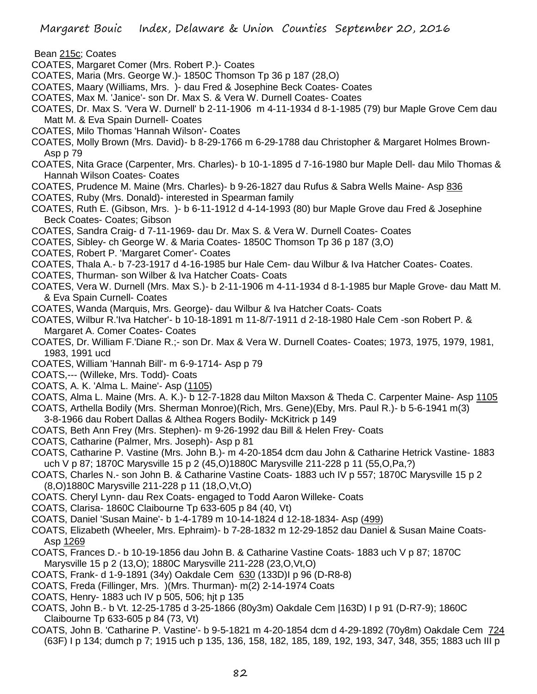Bean 215c; Coates

- COATES, Margaret Comer (Mrs. Robert P.)- Coates
- COATES, Maria (Mrs. George W.)- 1850C Thomson Tp 36 p 187 (28,O)
- COATES, Maary (Williams, Mrs. )- dau Fred & Josephine Beck Coates- Coates
- COATES, Max M. 'Janice'- son Dr. Max S. & Vera W. Durnell Coates- Coates
- COATES, Dr. Max S. 'Vera W. Durnell' b 2-11-1906 m 4-11-1934 d 8-1-1985 (79) bur Maple Grove Cem dau Matt M. & Eva Spain Durnell- Coates
- COATES, Milo Thomas 'Hannah Wilson'- Coates
- COATES, Molly Brown (Mrs. David)- b 8-29-1766 m 6-29-1788 dau Christopher & Margaret Holmes Brown-Asp p 79
- COATES, Nita Grace (Carpenter, Mrs. Charles)- b 10-1-1895 d 7-16-1980 bur Maple Dell- dau Milo Thomas & Hannah Wilson Coates- Coates
- COATES, Prudence M. Maine (Mrs. Charles)- b 9-26-1827 dau Rufus & Sabra Wells Maine- Asp 836
- COATES, Ruby (Mrs. Donald)- interested in Spearman family
- COATES, Ruth E. (Gibson, Mrs. )- b 6-11-1912 d 4-14-1993 (80) bur Maple Grove dau Fred & Josephine Beck Coates- Coates; Gibson
- COATES, Sandra Craig- d 7-11-1969- dau Dr. Max S. & Vera W. Durnell Coates- Coates
- COATES, Sibley- ch George W. & Maria Coates- 1850C Thomson Tp 36 p 187 (3,O)
- COATES, Robert P. 'Margaret Comer'- Coates
- COATES, Thala A.- b 7-23-1917 d 4-16-1985 bur Hale Cem- dau Wilbur & Iva Hatcher Coates- Coates.
- COATES, Thurman- son Wilber & Iva Hatcher Coats- Coats
- COATES, Vera W. Durnell (Mrs. Max S.)- b 2-11-1906 m 4-11-1934 d 8-1-1985 bur Maple Grove- dau Matt M. & Eva Spain Curnell- Coates
- COATES, Wanda (Marquis, Mrs. George)- dau Wilbur & Iva Hatcher Coats- Coats
- COATES, Wilbur R.'Iva Hatcher'- b 10-18-1891 m 11-8/7-1911 d 2-18-1980 Hale Cem -son Robert P. & Margaret A. Comer Coates- Coates
- COATES, Dr. William F.'Diane R.;- son Dr. Max & Vera W. Durnell Coates- Coates; 1973, 1975, 1979, 1981, 1983, 1991 ucd
- COATES, William 'Hannah Bill'- m 6-9-1714- Asp p 79
- COATS,--- (Willeke, Mrs. Todd)- Coats
- COATS, A. K. 'Alma L. Maine'- Asp (1105)
- COATS, Alma L. Maine (Mrs. A. K.)- b 12-7-1828 dau Milton Maxson & Theda C. Carpenter Maine- Asp 1105 COATS, Arthella Bodily (Mrs. Sherman Monroe)(Rich, Mrs. Gene)(Eby, Mrs. Paul R.)- b 5-6-1941 m(3)
- 3-8-1966 dau Robert Dallas & Althea Rogers Bodily- McKitrick p 149
- COATS, Beth Ann Frey (Mrs. Stephen)- m 9-26-1992 dau Bill & Helen Frey- Coats
- COATS, Catharine (Palmer, Mrs. Joseph)- Asp p 81
- COATS, Catharine P. Vastine (Mrs. John B.)- m 4-20-1854 dcm dau John & Catharine Hetrick Vastine- 1883 uch V p 87; 1870C Marysville 15 p 2 (45,O)1880C Marysville 211-228 p 11 (55,O,Pa,?)
- COATS, Charles N.- son John B. & Catharine Vastine Coats- 1883 uch IV p 557; 1870C Marysville 15 p 2 (8,O)1880C Marysville 211-228 p 11 (18,O,Vt,O)
- COATS. Cheryl Lynn- dau Rex Coats- engaged to Todd Aaron Willeke- Coats
- COATS, Clarisa- 1860C Claibourne Tp 633-605 p 84 (40, Vt)
- COATS, Daniel 'Susan Maine'- b 1-4-1789 m 10-14-1824 d 12-18-1834- Asp (499)
- COATS, Elizabeth (Wheeler, Mrs. Ephraim)- b 7-28-1832 m 12-29-1852 dau Daniel & Susan Maine Coats-Asp 1269
- COATS, Frances D.- b 10-19-1856 dau John B. & Catharine Vastine Coats- 1883 uch V p 87; 1870C Marysville 15 p 2 (13,O); 1880C Marysville 211-228 (23,O,Vt,O)
- COATS, Frank- d 1-9-1891 (34y) Oakdale Cem 630 (133D)I p 96 (D-R8-8)
- COATS, Freda (Fillinger, Mrs. )(Mrs. Thurman)- m(2) 2-14-1974 Coats
- COATS, Henry- 1883 uch IV p 505, 506; hjt p 135
- COATS, John B.- b Vt. 12-25-1785 d 3-25-1866 (80y3m) Oakdale Cem |163D) I p 91 (D-R7-9); 1860C Claibourne Tp 633-605 p 84 (73, Vt)
- COATS, John B. 'Catharine P. Vastine'- b 9-5-1821 m 4-20-1854 dcm d 4-29-1892 (70y8m) Oakdale Cem 724 (63F) I p 134; dumch p 7; 1915 uch p 135, 136, 158, 182, 185, 189, 192, 193, 347, 348, 355; 1883 uch III p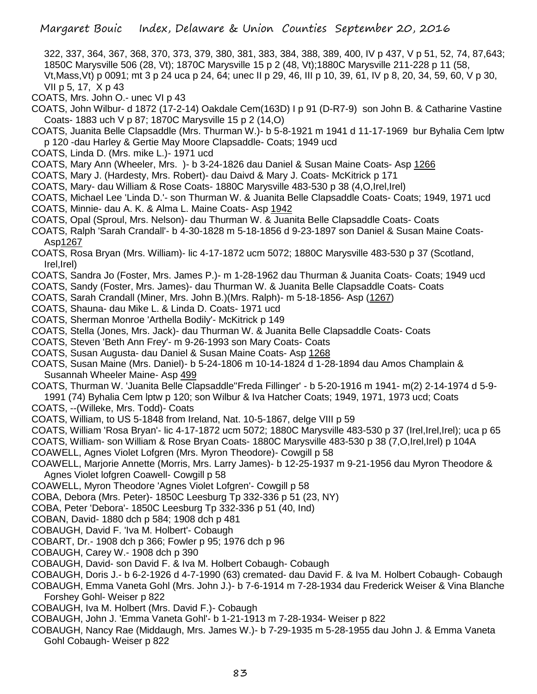Margaret Bouic Index, Delaware & Union Counties September 20, 2016

- 322, 337, 364, 367, 368, 370, 373, 379, 380, 381, 383, 384, 388, 389, 400, IV p 437, V p 51, 52, 74, 87,643; 1850C Marysville 506 (28, Vt); 1870C Marysville 15 p 2 (48, Vt);1880C Marysville 211-228 p 11 (58, Vt,Mass,Vt) p 0091; mt 3 p 24 uca p 24, 64; unec II p 29, 46, III p 10, 39, 61, IV p 8, 20, 34, 59, 60, V p 30, VII p 5, 17, X p 43
- COATS, Mrs. John O.- unec VI p 43
- COATS, John Wilbur- d 1872 (17-2-14) Oakdale Cem(163D) I p 91 (D-R7-9) son John B. & Catharine Vastine Coats- 1883 uch V p 87; 1870C Marysville 15 p 2 (14,O)
- COATS, Juanita Belle Clapsaddle (Mrs. Thurman W.)- b 5-8-1921 m 1941 d 11-17-1969 bur Byhalia Cem lptw p 120 -dau Harley & Gertie May Moore Clapsaddle- Coats; 1949 ucd
- COATS, Linda D. (Mrs. mike L.)- 1971 ucd
- COATS, Mary Ann (Wheeler, Mrs. )- b 3-24-1826 dau Daniel & Susan Maine Coats- Asp 1266
- COATS, Mary J. (Hardesty, Mrs. Robert)- dau Daivd & Mary J. Coats- McKitrick p 171
- COATS, Mary- dau William & Rose Coats- 1880C Marysville 483-530 p 38 (4,O,Irel,Irel)
- COATS, Michael Lee 'Linda D.'- son Thurman W. & Juanita Belle Clapsaddle Coats- Coats; 1949, 1971 ucd COATS, Minnie- dau A. K. & Alma L. Maine Coats- Asp 1942
- COATS, Opal (Sproul, Mrs. Nelson)- dau Thurman W. & Juanita Belle Clapsaddle Coats- Coats
- COATS, Ralph 'Sarah Crandall'- b 4-30-1828 m 5-18-1856 d 9-23-1897 son Daniel & Susan Maine Coats-Asp1267
- COATS, Rosa Bryan (Mrs. William)- lic 4-17-1872 ucm 5072; 1880C Marysville 483-530 p 37 (Scotland, Irel,Irel)
- COATS, Sandra Jo (Foster, Mrs. James P.)- m 1-28-1962 dau Thurman & Juanita Coats- Coats; 1949 ucd
- COATS, Sandy (Foster, Mrs. James)- dau Thurman W. & Juanita Belle Clapsaddle Coats- Coats
- COATS, Sarah Crandall (Miner, Mrs. John B.)(Mrs. Ralph)- m 5-18-1856- Asp (1267)
- COATS, Shauna- dau Mike L. & Linda D. Coats- 1971 ucd
- COATS, Sherman Monroe 'Arthella Bodily'- McKitrick p 149
- COATS, Stella (Jones, Mrs. Jack)- dau Thurman W. & Juanita Belle Clapsaddle Coats- Coats
- COATS, Steven 'Beth Ann Frey'- m 9-26-1993 son Mary Coats- Coats
- COATS, Susan Augusta- dau Daniel & Susan Maine Coats- Asp 1268
- COATS, Susan Maine (Mrs. Daniel)- b 5-24-1806 m 10-14-1824 d 1-28-1894 dau Amos Champlain & Susannah Wheeler Maine- Asp 499
- COATS, Thurman W. 'Juanita Belle Clapsaddle''Freda Fillinger' b 5-20-1916 m 1941- m(2) 2-14-1974 d 5-9-
- 1991 (74) Byhalia Cem lptw p 120; son Wilbur & Iva Hatcher Coats; 1949, 1971, 1973 ucd; Coats
- COATS, --(Willeke, Mrs. Todd)- Coats
- COATS, William, to US 5-1848 from Ireland, Nat. 10-5-1867, delge VIII p 59
- COATS, William 'Rosa Bryan'- lic 4-17-1872 ucm 5072; 1880C Marysville 483-530 p 37 (Irel,Irel,Irel); uca p 65
- COATS, William- son William & Rose Bryan Coats- 1880C Marysville 483-530 p 38 (7,O,Irel,Irel) p 104A
- COAWELL, Agnes Violet Lofgren (Mrs. Myron Theodore)- Cowgill p 58
- COAWELL, Marjorie Annette (Morris, Mrs. Larry James)- b 12-25-1937 m 9-21-1956 dau Myron Theodore & Agnes Violet lofgren Coawell- Cowgill p 58
- COAWELL, Myron Theodore 'Agnes Violet Lofgren'- Cowgill p 58
- COBA, Debora (Mrs. Peter)- 1850C Leesburg Tp 332-336 p 51 (23, NY)
- COBA, Peter 'Debora'- 1850C Leesburg Tp 332-336 p 51 (40, Ind)
- COBAN, David- 1880 dch p 584; 1908 dch p 481
- COBAUGH, David F. 'Iva M. Holbert'- Cobaugh
- COBART, Dr.- 1908 dch p 366; Fowler p 95; 1976 dch p 96
- COBAUGH, Carey W.- 1908 dch p 390
- COBAUGH, David- son David F. & Iva M. Holbert Cobaugh- Cobaugh
- COBAUGH, Doris J.- b 6-2-1926 d 4-7-1990 (63) cremated- dau David F. & Iva M. Holbert Cobaugh- Cobaugh
- COBAUGH, Emma Vaneta Gohl (Mrs. John J.)- b 7-6-1914 m 7-28-1934 dau Frederick Weiser & Vina Blanche Forshey Gohl- Weiser p 822
- COBAUGH, Iva M. Holbert (Mrs. David F.)- Cobaugh
- COBAUGH, John J. 'Emma Vaneta Gohl'- b 1-21-1913 m 7-28-1934- Weiser p 822
- COBAUGH, Nancy Rae (Middaugh, Mrs. James W.)- b 7-29-1935 m 5-28-1955 dau John J. & Emma Vaneta Gohl Cobaugh- Weiser p 822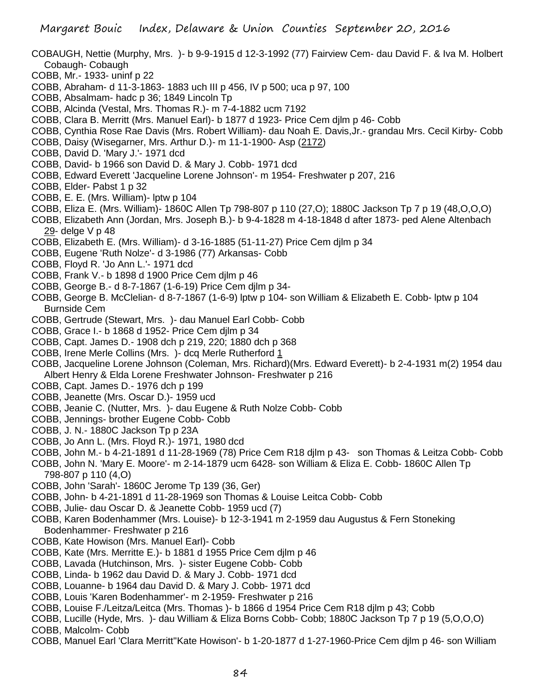- COBAUGH, Nettie (Murphy, Mrs. )- b 9-9-1915 d 12-3-1992 (77) Fairview Cem- dau David F. & Iva M. Holbert Cobaugh- Cobaugh
- COBB, Mr.- 1933- uninf p 22
- COBB, Abraham- d 11-3-1863- 1883 uch III p 456, IV p 500; uca p 97, 100
- COBB, Absalmam- hadc p 36; 1849 Lincoln Tp
- COBB, Alcinda (Vestal, Mrs. Thomas R.)- m 7-4-1882 ucm 7192
- COBB, Clara B. Merritt (Mrs. Manuel Earl)- b 1877 d 1923- Price Cem djlm p 46- Cobb
- COBB, Cynthia Rose Rae Davis (Mrs. Robert William)- dau Noah E. Davis,Jr.- grandau Mrs. Cecil Kirby- Cobb
- COBB, Daisy (Wisegarner, Mrs. Arthur D.)- m 11-1-1900- Asp (2172)
- COBB, David D. 'Mary J.'- 1971 dcd
- COBB, David- b 1966 son David D. & Mary J. Cobb- 1971 dcd
- COBB, Edward Everett 'Jacqueline Lorene Johnson'- m 1954- Freshwater p 207, 216
- COBB, Elder- Pabst 1 p 32
- COBB, E. E. (Mrs. William)- lptw p 104
- COBB, Eliza E. (Mrs. William)- 1860C Allen Tp 798-807 p 110 (27,O); 1880C Jackson Tp 7 p 19 (48,O,O,O)
- COBB, Elizabeth Ann (Jordan, Mrs. Joseph B.)- b 9-4-1828 m 4-18-1848 d after 1873- ped Alene Altenbach 29- delge V p 48
- COBB, Elizabeth E. (Mrs. William)- d 3-16-1885 (51-11-27) Price Cem djlm p 34
- COBB, Eugene 'Ruth Nolze'- d 3-1986 (77) Arkansas- Cobb
- COBB, Floyd R. 'Jo Ann L.'- 1971 dcd
- COBB, Frank V.- b 1898 d 1900 Price Cem djlm p 46
- COBB, George B.- d 8-7-1867 (1-6-19) Price Cem djlm p 34-
- COBB, George B. McClelian- d 8-7-1867 (1-6-9) lptw p 104- son William & Elizabeth E. Cobb- lptw p 104 Burnside Cem
- COBB, Gertrude (Stewart, Mrs. )- dau Manuel Earl Cobb- Cobb
- COBB, Grace I.- b 1868 d 1952- Price Cem djlm p 34
- COBB, Capt. James D.- 1908 dch p 219, 220; 1880 dch p 368
- COBB, Irene Merle Collins (Mrs. )- dcq Merle Rutherford 1
- COBB, Jacqueline Lorene Johnson (Coleman, Mrs. Richard)(Mrs. Edward Everett)- b 2-4-1931 m(2) 1954 dau Albert Henry & Elda Lorene Freshwater Johnson- Freshwater p 216
- COBB, Capt. James D.- 1976 dch p 199
- COBB, Jeanette (Mrs. Oscar D.)- 1959 ucd
- COBB, Jeanie C. (Nutter, Mrs. )- dau Eugene & Ruth Nolze Cobb- Cobb
- COBB, Jennings- brother Eugene Cobb- Cobb
- COBB, J. N.- 1880C Jackson Tp p 23A
- COBB, Jo Ann L. (Mrs. Floyd R.)- 1971, 1980 dcd
- COBB, John M.- b 4-21-1891 d 11-28-1969 (78) Price Cem R18 djlm p 43- son Thomas & Leitza Cobb- Cobb
- COBB, John N. 'Mary E. Moore'- m 2-14-1879 ucm 6428- son William & Eliza E. Cobb- 1860C Allen Tp 798-807 p 110 (4,O)
- COBB, John 'Sarah'- 1860C Jerome Tp 139 (36, Ger)
- COBB, John- b 4-21-1891 d 11-28-1969 son Thomas & Louise Leitca Cobb- Cobb
- COBB, Julie- dau Oscar D. & Jeanette Cobb- 1959 ucd (7)
- COBB, Karen Bodenhammer (Mrs. Louise)- b 12-3-1941 m 2-1959 dau Augustus & Fern Stoneking Bodenhammer- Freshwater p 216
- COBB, Kate Howison (Mrs. Manuel Earl)- Cobb
- COBB, Kate (Mrs. Merritte E.)- b 1881 d 1955 Price Cem djlm p 46
- COBB, Lavada (Hutchinson, Mrs. )- sister Eugene Cobb- Cobb
- COBB, Linda- b 1962 dau David D. & Mary J. Cobb- 1971 dcd
- COBB, Louanne- b 1964 dau David D. & Mary J. Cobb- 1971 dcd
- COBB, Louis 'Karen Bodenhammer'- m 2-1959- Freshwater p 216
- COBB, Louise F./Leitza/Leitca (Mrs. Thomas )- b 1866 d 1954 Price Cem R18 djlm p 43; Cobb
- COBB, Lucille (Hyde, Mrs. )- dau William & Eliza Borns Cobb- Cobb; 1880C Jackson Tp 7 p 19 (5,O,O,O) COBB, Malcolm- Cobb
- COBB, Manuel Earl 'Clara Merritt''Kate Howison'- b 1-20-1877 d 1-27-1960-Price Cem djlm p 46- son William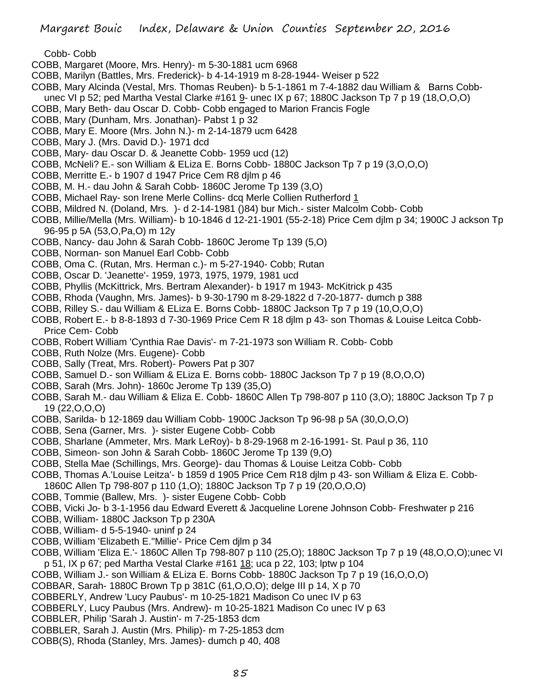Cobb- Cobb

- COBB, Margaret (Moore, Mrs. Henry)- m 5-30-1881 ucm 6968
- COBB, Marilyn (Battles, Mrs. Frederick)- b 4-14-1919 m 8-28-1944- Weiser p 522
- COBB, Mary Alcinda (Vestal, Mrs. Thomas Reuben)- b 5-1-1861 m 7-4-1882 dau William & Barns Cobbunec VI p 52; ped Martha Vestal Clarke #161 9- unec IX p 67; 1880C Jackson Tp 7 p 19 (18,O,O,O)
- COBB, Mary Beth- dau Oscar D. Cobb- Cobb engaged to Marion Francis Fogle
- COBB, Mary (Dunham, Mrs. Jonathan)- Pabst 1 p 32
- COBB, Mary E. Moore (Mrs. John N.)- m 2-14-1879 ucm 6428
- COBB, Mary J. (Mrs. David D.)- 1971 dcd
- COBB, Mary- dau Oscar D. & Jeanette Cobb- 1959 ucd (12)
- COBB, McNeli? E.- son William & ELiza E. Borns Cobb- 1880C Jackson Tp 7 p 19 (3,O,O,O)
- COBB, Merritte E.- b 1907 d 1947 Price Cem R8 djlm p 46
- COBB, M. H.- dau John & Sarah Cobb- 1860C Jerome Tp 139 (3,O)
- COBB, Michael Ray- son Irene Merle Collins- dcq Merle Collien Rutherford 1
- COBB, Mildred N. (Doland, Mrs. )- d 2-14-1981 ()84) bur Mich.- sister Malcolm Cobb- Cobb
- COBB, Millie/Mella (Mrs. William)- b 10-1846 d 12-21-1901 (55-2-18) Price Cem djlm p 34; 1900C J ackson Tp 96-95 p 5A (53,O,Pa,O) m 12y
- COBB, Nancy- dau John & Sarah Cobb- 1860C Jerome Tp 139 (5,O)
- COBB, Norman- son Manuel Earl Cobb- Cobb
- COBB, Oma C. (Rutan, Mrs. Herman c.)- m 5-27-1940- Cobb; Rutan
- COBB, Oscar D. 'Jeanette'- 1959, 1973, 1975, 1979, 1981 ucd
- COBB, Phyllis (McKittrick, Mrs. Bertram Alexander)- b 1917 m 1943- McKitrick p 435
- COBB, Rhoda (Vaughn, Mrs. James)- b 9-30-1790 m 8-29-1822 d 7-20-1877- dumch p 388
- COBB, Rilley S.- dau William & ELiza E. Borns Cobb- 1880C Jackson Tp 7 p 19 (10,O,O,O)
- COBB, Robert E.- b 8-8-1893 d 7-30-1969 Price Cem R 18 djlm p 43- son Thomas & Louise Leitca Cobb-Price Cem- Cobb
- COBB, Robert William 'Cynthia Rae Davis'- m 7-21-1973 son William R. Cobb- Cobb
- COBB, Ruth Nolze (Mrs. Eugene)- Cobb
- COBB, Sally (Treat, Mrs. Robert)- Powers Pat p 307
- COBB, Samuel D.- son William & ELiza E. Borns cobb- 1880C Jackson Tp 7 p 19 (8,O,O,O)
- COBB, Sarah (Mrs. John)- 1860c Jerome Tp 139 (35,O)
- COBB, Sarah M.- dau William & Eliza E. Cobb- 1860C Allen Tp 798-807 p 110 (3,O); 1880C Jackson Tp 7 p 19 (22,O,O,O)
- COBB, Sarilda- b 12-1869 dau William Cobb- 1900C Jackson Tp 96-98 p 5A (30,O,O,O)
- COBB, Sena (Garner, Mrs. )- sister Eugene Cobb- Cobb
- COBB, Sharlane (Ammeter, Mrs. Mark LeRoy)- b 8-29-1968 m 2-16-1991- St. Paul p 36, 110
- COBB, Simeon- son John & Sarah Cobb- 1860C Jerome Tp 139 (9,O)
- COBB, Stella Mae (Schillings, Mrs. George)- dau Thomas & Louise Leitza Cobb- Cobb
- COBB, Thomas A.'Louise Leitza'- b 1859 d 1905 Price Cem R18 djlm p 43- son William & Eliza E. Cobb-
- 1860C Allen Tp 798-807 p 110 (1,O); 1880C Jackson Tp 7 p 19 (20,O,O,O)
- COBB, Tommie (Ballew, Mrs. )- sister Eugene Cobb- Cobb
- COBB, Vicki Jo- b 3-1-1956 dau Edward Everett & Jacqueline Lorene Johnson Cobb- Freshwater p 216
- COBB, William- 1880C Jackson Tp p 230A
- COBB, William- d 5-5-1940- uninf p 24
- COBB, William 'Elizabeth E.''Millie'- Price Cem djlm p 34
- COBB, William 'Eliza E.'- 1860C Allen Tp 798-807 p 110 (25,O); 1880C Jackson Tp 7 p 19 (48,O,O,O);unec VI p 51, IX p 67; ped Martha Vestal Clarke #161 18; uca p 22, 103; lptw p 104
- COBB, William J.- son William & ELiza E. Borns Cobb- 1880C Jackson Tp 7 p 19 (16,O,O,O)
- COBBAR, Sarah- 1880C Brown Tp p 381C (61,O,O,O); delge III p 14, X p 70
- COBBERLY, Andrew 'Lucy Paubus'- m 10-25-1821 Madison Co unec IV p 63
- COBBERLY, Lucy Paubus (Mrs. Andrew)- m 10-25-1821 Madison Co unec IV p 63
- COBBLER, Philip 'Sarah J. Austin'- m 7-25-1853 dcm
- COBBLER, Sarah J. Austin (Mrs. Philip)- m 7-25-1853 dcm
- COBB(S), Rhoda (Stanley, Mrs. James)- dumch p 40, 408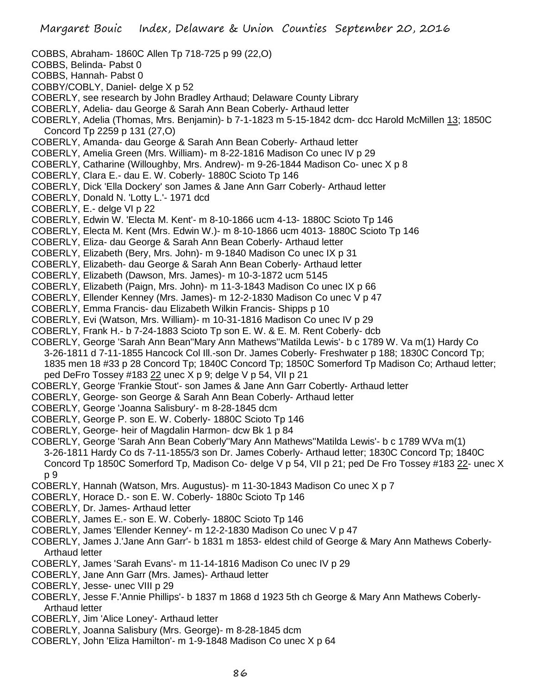COBBS, Abraham- 1860C Allen Tp 718-725 p 99 (22,O) COBBS, Belinda- Pabst 0 COBBS, Hannah- Pabst 0 COBBY/COBLY, Daniel- delge X p 52 COBERLY, see research by John Bradley Arthaud; Delaware County Library COBERLY, Adelia- dau George & Sarah Ann Bean Coberly- Arthaud letter COBERLY, Adelia (Thomas, Mrs. Benjamin)- b 7-1-1823 m 5-15-1842 dcm- dcc Harold McMillen 13; 1850C Concord Tp 2259 p 131 (27,O) COBERLY, Amanda- dau George & Sarah Ann Bean Coberly- Arthaud letter COBERLY, Amelia Green (Mrs. William)- m 8-22-1816 Madison Co unec IV p 29 COBERLY, Catharine (Willoughby, Mrs. Andrew)- m 9-26-1844 Madison Co- unec X p 8 COBERLY, Clara E.- dau E. W. Coberly- 1880C Scioto Tp 146 COBERLY, Dick 'Ella Dockery' son James & Jane Ann Garr Coberly- Arthaud letter COBERLY, Donald N. 'Lotty L.'- 1971 dcd COBERLY, E.- delge VI p 22 COBERLY, Edwin W. 'Electa M. Kent'- m 8-10-1866 ucm 4-13- 1880C Scioto Tp 146 COBERLY, Electa M. Kent (Mrs. Edwin W.)- m 8-10-1866 ucm 4013- 1880C Scioto Tp 146 COBERLY, Eliza- dau George & Sarah Ann Bean Coberly- Arthaud letter COBERLY, Elizabeth (Bery, Mrs. John)- m 9-1840 Madison Co unec IX p 31 COBERLY, Elizabeth- dau George & Sarah Ann Bean Coberly- Arthaud letter COBERLY, Elizabeth (Dawson, Mrs. James)- m 10-3-1872 ucm 5145 COBERLY, Elizabeth (Paign, Mrs. John)- m 11-3-1843 Madison Co unec IX p 66 COBERLY, Ellender Kenney (Mrs. James)- m 12-2-1830 Madison Co unec V p 47 COBERLY, Emma Francis- dau Elizabeth Wilkin Francis- Shipps p 10 COBERLY, Evi (Watson, Mrs. William)- m 10-31-1816 Madison Co unec IV p 29 COBERLY, Frank H.- b 7-24-1883 Scioto Tp son E. W. & E. M. Rent Coberly- dcb COBERLY, George 'Sarah Ann Bean''Mary Ann Mathews''Matilda Lewis'- b c 1789 W. Va m(1) Hardy Co 3-26-1811 d 7-11-1855 Hancock Col Ill.-son Dr. James Coberly- Freshwater p 188; 1830C Concord Tp; 1835 men 18 #33 p 28 Concord Tp; 1840C Concord Tp; 1850C Somerford Tp Madison Co; Arthaud letter; ped DeFro Tossey #183 22 unec X p 9; delge V p 54, VII p 21 COBERLY, George 'Frankie Stout'- son James & Jane Ann Garr Cobertly- Arthaud letter COBERLY, George- son George & Sarah Ann Bean Coberly- Arthaud letter COBERLY, George 'Joanna Salisbury'- m 8-28-1845 dcm COBERLY, George P. son E. W. Coberly- 1880C Scioto Tp 146 COBERLY, George- heir of Magdalin Harmon- dcw Bk 1 p 84 COBERLY, George 'Sarah Ann Bean Coberly''Mary Ann Mathews''Matilda Lewis'- b c 1789 WVa m(1) 3-26-1811 Hardy Co ds 7-11-1855/3 son Dr. James Coberly- Arthaud letter; 1830C Concord Tp; 1840C Concord Tp 1850C Somerford Tp, Madison Co- delge V p 54, VII p 21; ped De Fro Tossey #183 22- unec X p 9 COBERLY, Hannah (Watson, Mrs. Augustus)- m 11-30-1843 Madison Co unec X p 7 COBERLY, Horace D.- son E. W. Coberly- 1880c Scioto Tp 146 COBERLY, Dr. James- Arthaud letter COBERLY, James E.- son E. W. Coberly- 1880C Scioto Tp 146 COBERLY, James 'Ellender Kenney'- m 12-2-1830 Madison Co unec V p 47 COBERLY, James J.'Jane Ann Garr'- b 1831 m 1853- eldest child of George & Mary Ann Mathews Coberly-Arthaud letter COBERLY, James 'Sarah Evans'- m 11-14-1816 Madison Co unec IV p 29 COBERLY, Jane Ann Garr (Mrs. James)- Arthaud letter COBERLY, Jesse- unec VIII p 29 COBERLY, Jesse F.'Annie Phillips'- b 1837 m 1868 d 1923 5th ch George & Mary Ann Mathews Coberly-

- Arthaud letter
- COBERLY, Jim 'Alice Loney'- Arthaud letter
- COBERLY, Joanna Salisbury (Mrs. George)- m 8-28-1845 dcm
- COBERLY, John 'Eliza Hamilton'- m 1-9-1848 Madison Co unec X p 64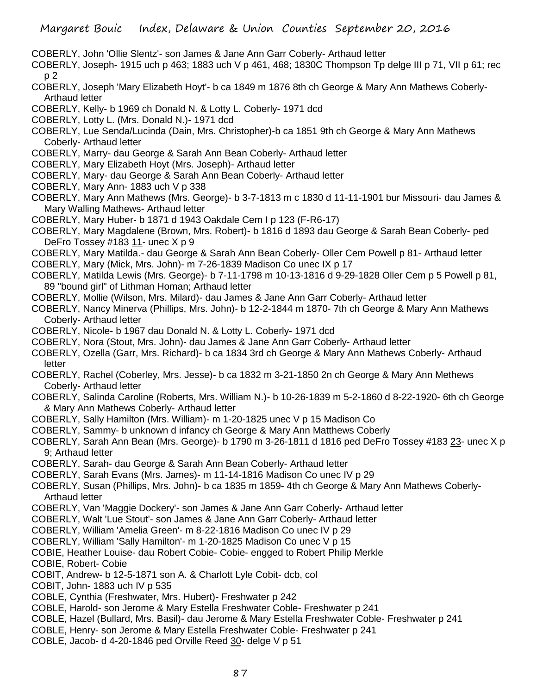- COBERLY, John 'Ollie Slentz'- son James & Jane Ann Garr Coberly- Arthaud letter
- COBERLY, Joseph- 1915 uch p 463; 1883 uch V p 461, 468; 1830C Thompson Tp delge III p 71, VII p 61; rec p 2
- COBERLY, Joseph 'Mary Elizabeth Hoyt'- b ca 1849 m 1876 8th ch George & Mary Ann Mathews Coberly-Arthaud letter
- COBERLY, Kelly- b 1969 ch Donald N. & Lotty L. Coberly- 1971 dcd
- COBERLY, Lotty L. (Mrs. Donald N.)- 1971 dcd
- COBERLY, Lue Senda/Lucinda (Dain, Mrs. Christopher)-b ca 1851 9th ch George & Mary Ann Mathews Coberly- Arthaud letter
- COBERLY, Marry- dau George & Sarah Ann Bean Coberly- Arthaud letter
- COBERLY, Mary Elizabeth Hoyt (Mrs. Joseph)- Arthaud letter
- COBERLY, Mary- dau George & Sarah Ann Bean Coberly- Arthaud letter
- COBERLY, Mary Ann- 1883 uch V p 338
- COBERLY, Mary Ann Mathews (Mrs. George)- b 3-7-1813 m c 1830 d 11-11-1901 bur Missouri- dau James & Mary Walling Mathews- Arthaud letter
- COBERLY, Mary Huber- b 1871 d 1943 Oakdale Cem I p 123 (F-R6-17)
- COBERLY, Mary Magdalene (Brown, Mrs. Robert)- b 1816 d 1893 dau George & Sarah Bean Coberly- ped DeFro Tossey #183 11- unec X p 9
- COBERLY, Mary Matilda.- dau George & Sarah Ann Bean Coberly- Oller Cem Powell p 81- Arthaud letter
- COBERLY, Mary (Mick, Mrs. John)- m 7-26-1839 Madison Co unec IX p 17
- COBERLY, Matilda Lewis (Mrs. George)- b 7-11-1798 m 10-13-1816 d 9-29-1828 Oller Cem p 5 Powell p 81, 89 "bound girl" of Lithman Homan; Arthaud letter
- COBERLY, Mollie (Wilson, Mrs. Milard)- dau James & Jane Ann Garr Coberly- Arthaud letter
- COBERLY, Nancy Minerva (Phillips, Mrs. John)- b 12-2-1844 m 1870- 7th ch George & Mary Ann Mathews Coberly- Arthaud letter
- COBERLY, Nicole- b 1967 dau Donald N. & Lotty L. Coberly- 1971 dcd
- COBERLY, Nora (Stout, Mrs. John)- dau James & Jane Ann Garr Coberly- Arthaud letter
- COBERLY, Ozella (Garr, Mrs. Richard)- b ca 1834 3rd ch George & Mary Ann Mathews Coberly- Arthaud letter
- COBERLY, Rachel (Coberley, Mrs. Jesse)- b ca 1832 m 3-21-1850 2n ch George & Mary Ann Methews Coberly- Arthaud letter
- COBERLY, Salinda Caroline (Roberts, Mrs. William N.)- b 10-26-1839 m 5-2-1860 d 8-22-1920- 6th ch George & Mary Ann Mathews Coberly- Arthaud letter
- COBERLY, Sally Hamilton (Mrs. William)- m 1-20-1825 unec V p 15 Madison Co
- COBERLY, Sammy- b unknown d infancy ch George & Mary Ann Matthews Coberly
- COBERLY, Sarah Ann Bean (Mrs. George)- b 1790 m 3-26-1811 d 1816 ped DeFro Tossey #183 23- unec X p 9; Arthaud letter
- COBERLY, Sarah- dau George & Sarah Ann Bean Coberly- Arthaud letter
- COBERLY, Sarah Evans (Mrs. James)- m 11-14-1816 Madison Co unec IV p 29
- COBERLY, Susan (Phillips, Mrs. John)- b ca 1835 m 1859- 4th ch George & Mary Ann Mathews Coberly-Arthaud letter
- COBERLY, Van 'Maggie Dockery'- son James & Jane Ann Garr Coberly- Arthaud letter
- COBERLY, Walt 'Lue Stout'- son James & Jane Ann Garr Coberly- Arthaud letter
- COBERLY, William 'Amelia Green'- m 8-22-1816 Madison Co unec IV p 29
- COBERLY, William 'Sally Hamilton'- m 1-20-1825 Madison Co unec V p 15
- COBIE, Heather Louise- dau Robert Cobie- Cobie- engged to Robert Philip Merkle

COBIE, Robert- Cobie

- COBIT, Andrew- b 12-5-1871 son A. & Charlott Lyle Cobit- dcb, col
- COBIT, John- 1883 uch IV p 535
- COBLE, Cynthia (Freshwater, Mrs. Hubert)- Freshwater p 242
- COBLE, Harold- son Jerome & Mary Estella Freshwater Coble- Freshwater p 241
- COBLE, Hazel (Bullard, Mrs. Basil)- dau Jerome & Mary Estella Freshwater Coble- Freshwater p 241
- COBLE, Henry- son Jerome & Mary Estella Freshwater Coble- Freshwater p 241
- COBLE, Jacob- d 4-20-1846 ped Orville Reed 30- delge V p 51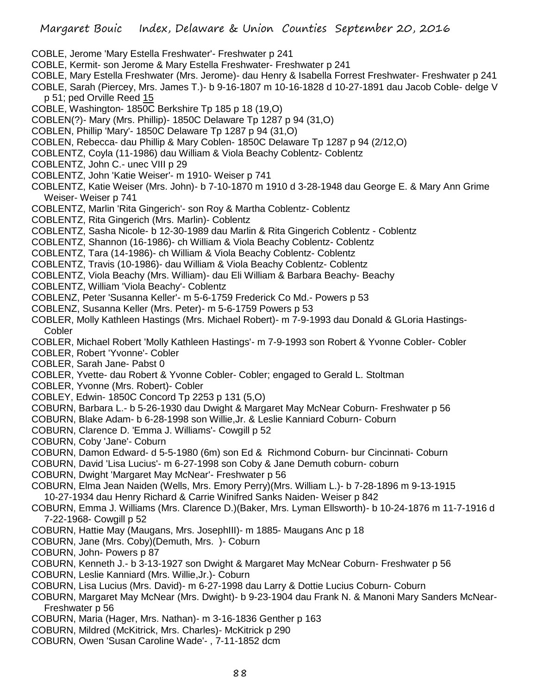- COBLE, Jerome 'Mary Estella Freshwater'- Freshwater p 241
- COBLE, Kermit- son Jerome & Mary Estella Freshwater- Freshwater p 241
- COBLE, Mary Estella Freshwater (Mrs. Jerome)- dau Henry & Isabella Forrest Freshwater- Freshwater p 241

COBLE, Sarah (Piercey, Mrs. James T.)- b 9-16-1807 m 10-16-1828 d 10-27-1891 dau Jacob Coble- delge V p 51; ped Orville Reed 15

- COBLE, Washington- 1850C Berkshire Tp 185 p 18 (19,O)
- COBLEN(?)- Mary (Mrs. Phillip)- 1850C Delaware Tp 1287 p 94 (31,O)
- COBLEN, Phillip 'Mary'- 1850C Delaware Tp 1287 p 94 (31,O)
- COBLEN, Rebecca- dau Phillip & Mary Coblen- 1850C Delaware Tp 1287 p 94 (2/12,O)
- COBLENTZ, Coyla (11-1986) dau William & Viola Beachy Coblentz- Coblentz
- COBLENTZ, John C.- unec VIII p 29
- COBLENTZ, John 'Katie Weiser'- m 1910- Weiser p 741
- COBLENTZ, Katie Weiser (Mrs. John)- b 7-10-1870 m 1910 d 3-28-1948 dau George E. & Mary Ann Grime Weiser- Weiser p 741
- COBLENTZ, Marlin 'Rita Gingerich'- son Roy & Martha Coblentz- Coblentz
- COBLENTZ, Rita Gingerich (Mrs. Marlin)- Coblentz
- COBLENTZ, Sasha Nicole- b 12-30-1989 dau Marlin & Rita Gingerich Coblentz Coblentz
- COBLENTZ, Shannon (16-1986)- ch William & Viola Beachy Coblentz- Coblentz
- COBLENTZ, Tara (14-1986)- ch William & Viola Beachy Coblentz- Coblentz
- COBLENTZ, Travis (10-1986)- dau William & Viola Beachy Coblentz- Coblentz
- COBLENTZ, Viola Beachy (Mrs. William)- dau Eli William & Barbara Beachy- Beachy
- COBLENTZ, William 'Viola Beachy'- Coblentz
- COBLENZ, Peter 'Susanna Keller'- m 5-6-1759 Frederick Co Md.- Powers p 53
- COBLENZ, Susanna Keller (Mrs. Peter)- m 5-6-1759 Powers p 53
- COBLER, Molly Kathleen Hastings (Mrs. Michael Robert)- m 7-9-1993 dau Donald & GLoria Hastings-Cobler
- COBLER, Michael Robert 'Molly Kathleen Hastings'- m 7-9-1993 son Robert & Yvonne Cobler- Cobler
- COBLER, Robert 'Yvonne'- Cobler
- COBLER, Sarah Jane- Pabst 0
- COBLER, Yvette- dau Robert & Yvonne Cobler- Cobler; engaged to Gerald L. Stoltman
- COBLER, Yvonne (Mrs. Robert)- Cobler
- COBLEY, Edwin- 1850C Concord Tp 2253 p 131 (5,O)
- COBURN, Barbara L.- b 5-26-1930 dau Dwight & Margaret May McNear Coburn- Freshwater p 56
- COBURN, Blake Adam- b 6-28-1998 son Willie,Jr. & Leslie Kanniard Coburn- Coburn
- COBURN, Clarence D. 'Emma J. Williams'- Cowgill p 52
- COBURN, Coby 'Jane'- Coburn
- COBURN, Damon Edward- d 5-5-1980 (6m) son Ed & Richmond Coburn- bur Cincinnati- Coburn
- COBURN, David 'Lisa Lucius'- m 6-27-1998 son Coby & Jane Demuth coburn- coburn
- COBURN, Dwight 'Margaret May McNear'- Freshwater p 56
- COBURN, Elma Jean Naiden (Wells, Mrs. Emory Perry)(Mrs. William L.)- b 7-28-1896 m 9-13-1915 10-27-1934 dau Henry Richard & Carrie Winifred Sanks Naiden- Weiser p 842
- COBURN, Emma J. Williams (Mrs. Clarence D.)(Baker, Mrs. Lyman Ellsworth)- b 10-24-1876 m 11-7-1916 d 7-22-1968- Cowgill p 52
- COBURN, Hattie May (Maugans, Mrs. JosephIII)- m 1885- Maugans Anc p 18
- COBURN, Jane (Mrs. Coby)(Demuth, Mrs. )- Coburn
- COBURN, John- Powers p 87
- COBURN, Kenneth J.- b 3-13-1927 son Dwight & Margaret May McNear Coburn- Freshwater p 56
- COBURN, Leslie Kanniard (Mrs. Willie,Jr.)- Coburn
- COBURN, Lisa Lucius (Mrs. David)- m 6-27-1998 dau Larry & Dottie Lucius Coburn- Coburn
- COBURN, Margaret May McNear (Mrs. Dwight)- b 9-23-1904 dau Frank N. & Manoni Mary Sanders McNear-Freshwater p 56
- COBURN, Maria (Hager, Mrs. Nathan)- m 3-16-1836 Genther p 163
- COBURN, Mildred (McKitrick, Mrs. Charles)- McKitrick p 290
- COBURN, Owen 'Susan Caroline Wade'- , 7-11-1852 dcm